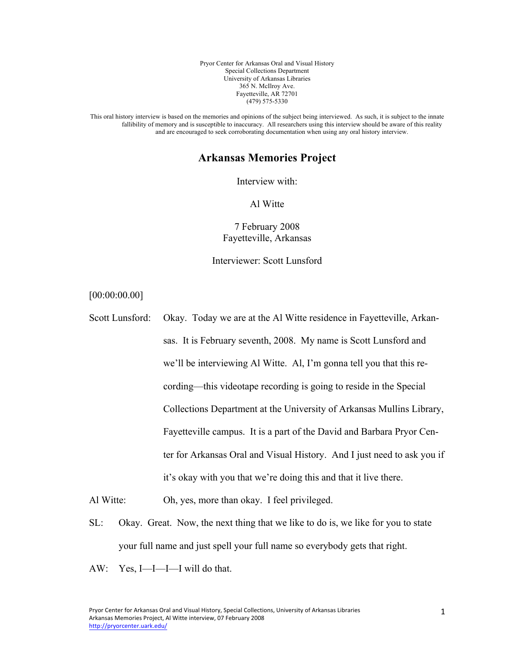Pryor Center for Arkansas Oral and Visual History Special Collections Department University of Arkansas Libraries 365 N. McIlroy Ave. Fayetteville, AR 72701 (479) 575-5330

This oral history interview is based on the memories and opinions of the subject being interviewed. As such, it is subject to the innate fallibility of memory and is susceptible to inaccuracy. All researchers using this interview should be aware of this reality and are encouraged to seek corroborating documentation when using any oral history interview.

## **Arkansas Memories Project**

Interview with:

Al Witte

7 February 2008 Fayetteville, Arkansas

Interviewer: Scott Lunsford

[00:00:00.00]

Scott Lunsford: Okay. Today we are at the Al Witte residence in Fayetteville, Arkansas. It is February seventh, 2008. My name is Scott Lunsford and we'll be interviewing Al Witte. Al, I'm gonna tell you that this recording—this videotape recording is going to reside in the Special Collections Department at the University of Arkansas Mullins Library, Fayetteville campus. It is a part of the David and Barbara Pryor Center for Arkansas Oral and Visual History. And I just need to ask you if it's okay with you that we're doing this and that it live there.

Al Witte: Oh, yes, more than okay. I feel privileged.

SL: Okay. Great. Now, the next thing that we like to do is, we like for you to state your full name and just spell your full name so everybody gets that right.

AW: Yes, I—I—I—I will do that.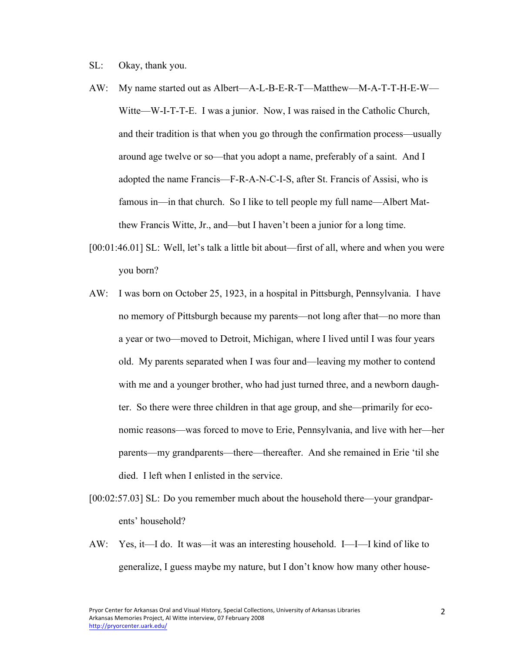- SL: Okay, thank you.
- AW: My name started out as Albert—A-L-B-E-R-T—Matthew—M-A-T-T-H-E-W— Witte—W-I-T-T-E. I was a junior. Now, I was raised in the Catholic Church, and their tradition is that when you go through the confirmation process—usually around age twelve or so—that you adopt a name, preferably of a saint. And I adopted the name Francis—F-R-A-N-C-I-S, after St. Francis of Assisi, who is famous in—in that church. So I like to tell people my full name—Albert Matthew Francis Witte, Jr., and—but I haven't been a junior for a long time.
- [00:01:46.01] SL: Well, let's talk a little bit about—first of all, where and when you were you born?
- AW: I was born on October 25, 1923, in a hospital in Pittsburgh, Pennsylvania. I have no memory of Pittsburgh because my parents—not long after that—no more than a year or two—moved to Detroit, Michigan, where I lived until I was four years old. My parents separated when I was four and—leaving my mother to contend with me and a younger brother, who had just turned three, and a newborn daughter. So there were three children in that age group, and she—primarily for economic reasons—was forced to move to Erie, Pennsylvania, and live with her—her parents—my grandparents—there—thereafter. And she remained in Erie 'til she died. I left when I enlisted in the service.
- [00:02:57.03] SL: Do you remember much about the household there—your grandparents' household?
- AW: Yes, it—I do. It was—it was an interesting household. I—I—I kind of like to generalize, I guess maybe my nature, but I don't know how many other house-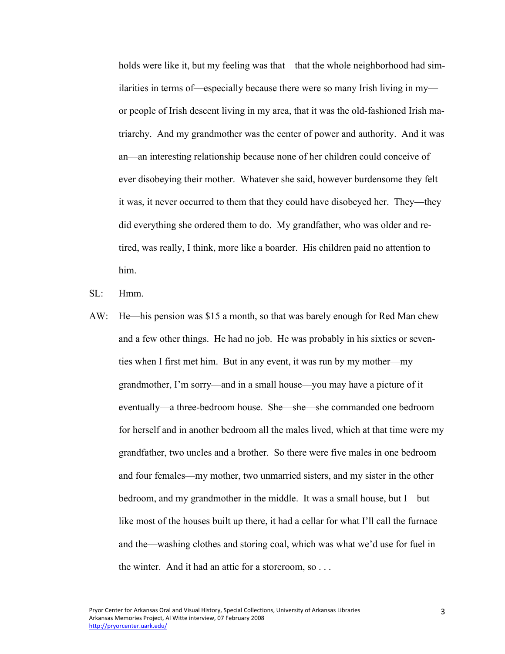holds were like it, but my feeling was that—that the whole neighborhood had similarities in terms of—especially because there were so many Irish living in my or people of Irish descent living in my area, that it was the old-fashioned Irish matriarchy. And my grandmother was the center of power and authority. And it was an—an interesting relationship because none of her children could conceive of ever disobeying their mother. Whatever she said, however burdensome they felt it was, it never occurred to them that they could have disobeyed her. They—they did everything she ordered them to do. My grandfather, who was older and retired, was really, I think, more like a boarder. His children paid no attention to him.

SL: Hmm.

AW: He—his pension was \$15 a month, so that was barely enough for Red Man chew and a few other things. He had no job. He was probably in his sixties or seventies when I first met him. But in any event, it was run by my mother—my grandmother, I'm sorry—and in a small house—you may have a picture of it eventually—a three-bedroom house. She—she—she commanded one bedroom for herself and in another bedroom all the males lived, which at that time were my grandfather, two uncles and a brother. So there were five males in one bedroom and four females—my mother, two unmarried sisters, and my sister in the other bedroom, and my grandmother in the middle. It was a small house, but I—but like most of the houses built up there, it had a cellar for what I'll call the furnace and the—washing clothes and storing coal, which was what we'd use for fuel in the winter. And it had an attic for a storeroom, so . . .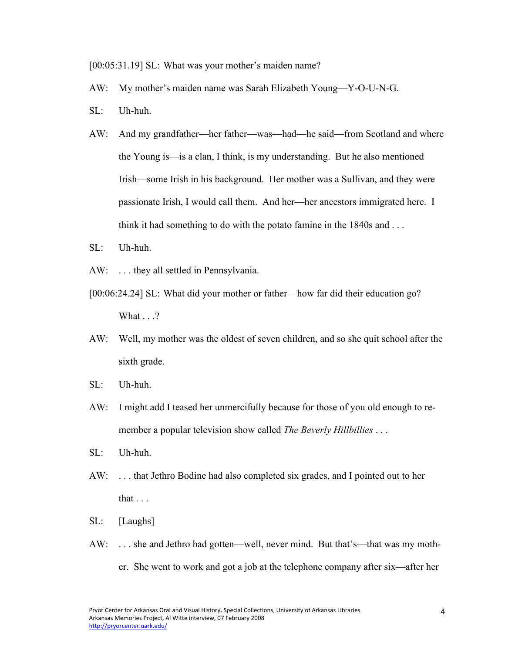[00:05:31.19] SL: What was your mother's maiden name?

- AW: My mother's maiden name was Sarah Elizabeth Young—Y-O-U-N-G.
- SL: Uh-huh.
- AW: And my grandfather—her father—was—had—he said—from Scotland and where the Young is—is a clan, I think, is my understanding. But he also mentioned Irish—some Irish in his background. Her mother was a Sullivan, and they were passionate Irish, I would call them. And her—her ancestors immigrated here. I think it had something to do with the potato famine in the 1840s and . . .
- SL: Uh-huh.
- AW: . . . they all settled in Pennsylvania.
- [00:06:24.24] SL: What did your mother or father—how far did their education go? What  $\ldots$ ?
- AW: Well, my mother was the oldest of seven children, and so she quit school after the sixth grade.
- SL: Uh-huh.
- AW: I might add I teased her unmercifully because for those of you old enough to remember a popular television show called *The Beverly Hillbillies* . . .
- SL: Uh-huh.
- AW: . . . that Jethro Bodine had also completed six grades, and I pointed out to her that . . .
- SL: [Laughs]
- AW: . . . she and Jethro had gotten—well, never mind. But that's—that was my mother. She went to work and got a job at the telephone company after six—after her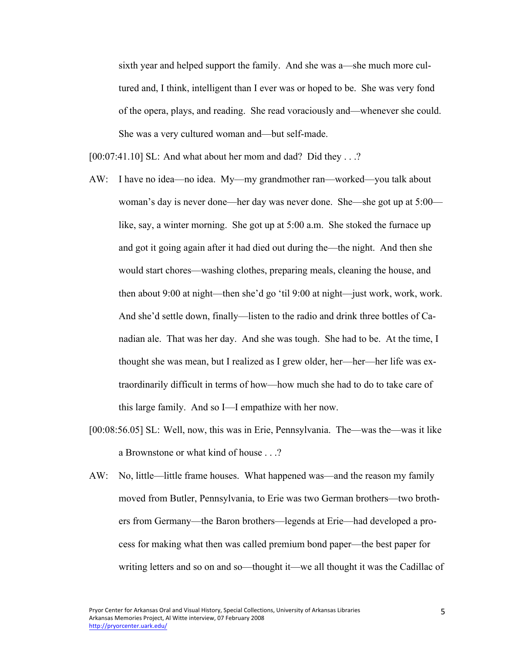sixth year and helped support the family. And she was a—she much more cultured and, I think, intelligent than I ever was or hoped to be. She was very fond of the opera, plays, and reading. She read voraciously and—whenever she could. She was a very cultured woman and—but self-made.

[00:07:41.10] SL: And what about her mom and dad? Did they . . .?

- AW: I have no idea—no idea. My—my grandmother ran—worked—you talk about woman's day is never done—her day was never done. She—she got up at 5:00 like, say, a winter morning. She got up at 5:00 a.m. She stoked the furnace up and got it going again after it had died out during the—the night. And then she would start chores—washing clothes, preparing meals, cleaning the house, and then about 9:00 at night—then she'd go 'til 9:00 at night—just work, work, work. And she'd settle down, finally—listen to the radio and drink three bottles of Canadian ale. That was her day. And she was tough. She had to be. At the time, I thought she was mean, but I realized as I grew older, her—her—her life was extraordinarily difficult in terms of how—how much she had to do to take care of this large family. And so I—I empathize with her now.
- [00:08:56.05] SL: Well, now, this was in Erie, Pennsylvania. The—was the—was it like a Brownstone or what kind of house . . .?
- AW: No, little—little frame houses. What happened was—and the reason my family moved from Butler, Pennsylvania, to Erie was two German brothers—two brothers from Germany—the Baron brothers—legends at Erie—had developed a process for making what then was called premium bond paper—the best paper for writing letters and so on and so—thought it—we all thought it was the Cadillac of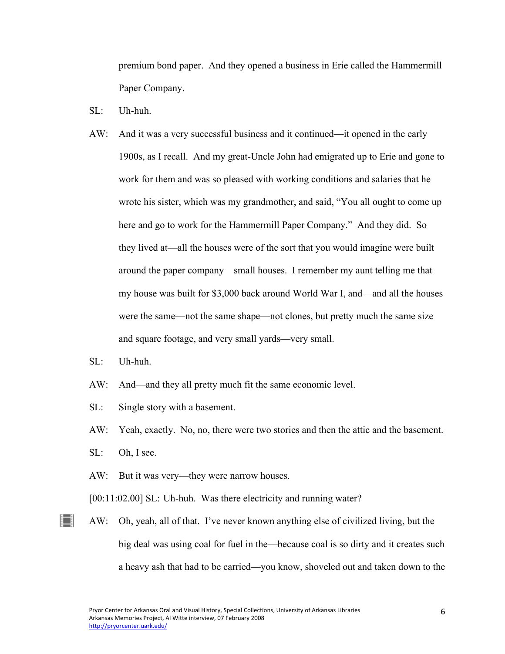premium bond paper. And they opened a business in Erie called the Hammermill Paper Company.

- SL: Uh-huh.
- AW: And it was a very successful business and it continued—it opened in the early 1900s, as I recall. And my great-Uncle John had emigrated up to Erie and gone to work for them and was so pleased with working conditions and salaries that he wrote his sister, which was my grandmother, and said, "You all ought to come up here and go to work for the Hammermill Paper Company." And they did. So they lived at—all the houses were of the sort that you would imagine were built around the paper company—small houses. I remember my aunt telling me that my house was built for \$3,000 back around World War I, and—and all the houses were the same—not the same shape—not clones, but pretty much the same size and square footage, and very small yards—very small.
- SL: Uh-huh.
- AW: And—and they all pretty much fit the same economic level.
- SL: Single story with a basement.
- AW: Yeah, exactly. No, no, there were two stories and then the attic and the basement.
- SL: Oh, I see.

∐

- AW: But it was very—they were narrow houses.
- [00:11:02.00] SL: Uh-huh. Was there electricity and running water?
- AW: Oh, yeah, all of that. I've never known anything else of civilized living, but the big deal was using coal for fuel in the—because coal is so dirty and it creates such a heavy ash that had to be carried—you know, shoveled out and taken down to the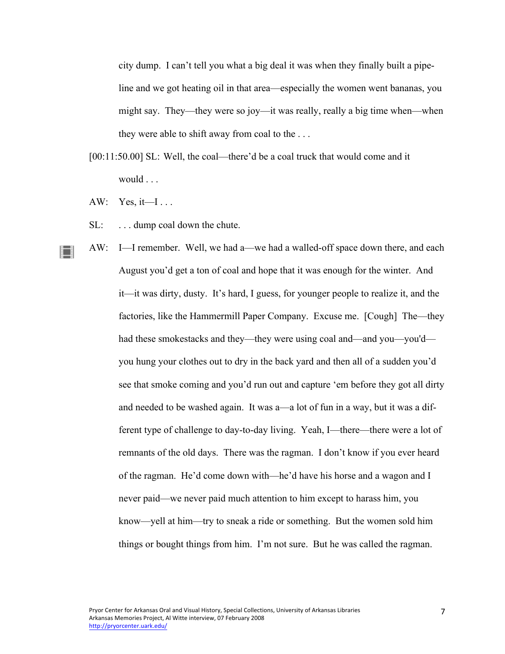city dump. I can't tell you what a big deal it was when they finally built a pipeline and we got heating oil in that area—especially the women went bananas, you might say. They—they were so joy—it was really, really a big time when—when they were able to shift away from coal to the . . .

- [00:11:50.00] SL: Well, the coal—there'd be a coal truck that would come and it would . . .
- AW: Yes, it—I...

 $\blacksquare$ 

- SL: ... dump coal down the chute.
- AW: I—I remember. Well, we had a—we had a walled-off space down there, and each August you'd get a ton of coal and hope that it was enough for the winter. And it—it was dirty, dusty. It's hard, I guess, for younger people to realize it, and the factories, like the Hammermill Paper Company. Excuse me. [Cough] The—they had these smokestacks and they—they were using coal and—and you—you'd you hung your clothes out to dry in the back yard and then all of a sudden you'd see that smoke coming and you'd run out and capture 'em before they got all dirty and needed to be washed again. It was a—a lot of fun in a way, but it was a different type of challenge to day-to-day living. Yeah, I—there—there were a lot of remnants of the old days. There was the ragman. I don't know if you ever heard of the ragman. He'd come down with—he'd have his horse and a wagon and I never paid—we never paid much attention to him except to harass him, you know—yell at him—try to sneak a ride or something. But the women sold him things or bought things from him. I'm not sure. But he was called the ragman.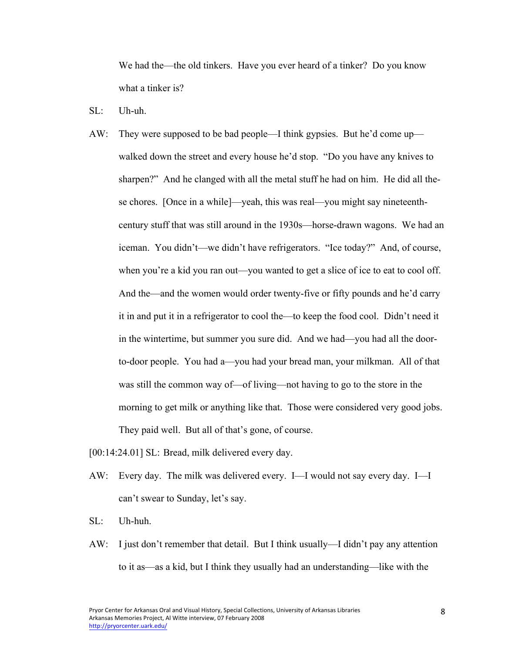We had the—the old tinkers. Have you ever heard of a tinker? Do you know what a tinker is?

- SL: Uh-uh.
- AW: They were supposed to be bad people—I think gypsies. But he'd come up walked down the street and every house he'd stop. "Do you have any knives to sharpen?" And he clanged with all the metal stuff he had on him. He did all these chores. [Once in a while]—yeah, this was real—you might say nineteenthcentury stuff that was still around in the 1930s—horse-drawn wagons. We had an iceman. You didn't—we didn't have refrigerators. "Ice today?" And, of course, when you're a kid you ran out—you wanted to get a slice of ice to eat to cool off. And the—and the women would order twenty-five or fifty pounds and he'd carry it in and put it in a refrigerator to cool the—to keep the food cool. Didn't need it in the wintertime, but summer you sure did. And we had—you had all the doorto-door people. You had a—you had your bread man, your milkman. All of that was still the common way of—of living—not having to go to the store in the morning to get milk or anything like that. Those were considered very good jobs. They paid well. But all of that's gone, of course.

[00:14:24.01] SL: Bread, milk delivered every day.

- AW: Every day. The milk was delivered every. I—I would not say every day. I—I can't swear to Sunday, let's say.
- SL: Uh-huh.
- AW: I just don't remember that detail. But I think usually—I didn't pay any attention to it as—as a kid, but I think they usually had an understanding—like with the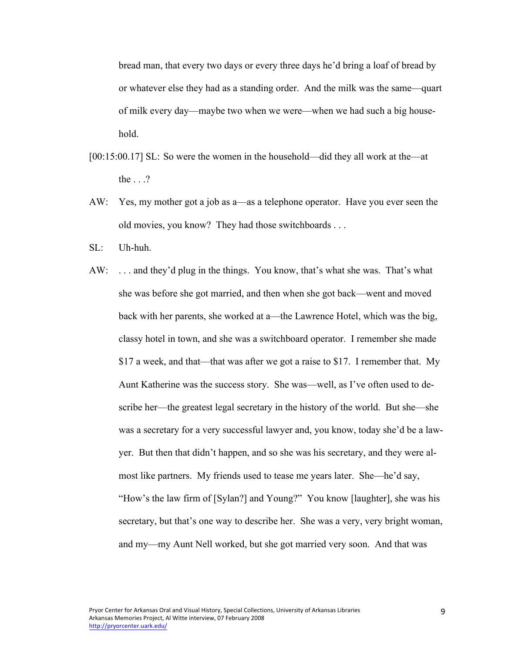bread man, that every two days or every three days he'd bring a loaf of bread by or whatever else they had as a standing order. And the milk was the same—quart of milk every day—maybe two when we were—when we had such a big household.

- [00:15:00.17] SL: So were the women in the household—did they all work at the—at the . . .?
- AW: Yes, my mother got a job as a—as a telephone operator. Have you ever seen the old movies, you know? They had those switchboards . . .
- SL: Uh-huh.
- AW: . . . and they'd plug in the things. You know, that's what she was. That's what she was before she got married, and then when she got back—went and moved back with her parents, she worked at a—the Lawrence Hotel, which was the big, classy hotel in town, and she was a switchboard operator. I remember she made \$17 a week, and that—that was after we got a raise to \$17. I remember that. My Aunt Katherine was the success story. She was—well, as I've often used to describe her—the greatest legal secretary in the history of the world. But she—she was a secretary for a very successful lawyer and, you know, today she'd be a lawyer. But then that didn't happen, and so she was his secretary, and they were almost like partners. My friends used to tease me years later. She—he'd say, "How's the law firm of [Sylan?] and Young?" You know [laughter], she was his secretary, but that's one way to describe her. She was a very, very bright woman, and my—my Aunt Nell worked, but she got married very soon. And that was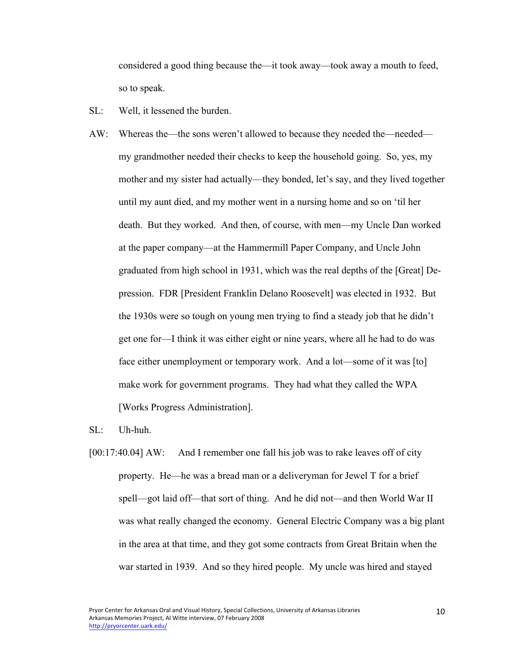considered a good thing because the—it took away—took away a mouth to feed, so to speak.

- SL: Well, it lessened the burden.
- AW: Whereas the—the sons weren't allowed to because they needed the—needed my grandmother needed their checks to keep the household going. So, yes, my mother and my sister had actually—they bonded, let's say, and they lived together until my aunt died, and my mother went in a nursing home and so on 'til her death. But they worked. And then, of course, with men—my Uncle Dan worked at the paper company—at the Hammermill Paper Company, and Uncle John graduated from high school in 1931, which was the real depths of the [Great] Depression. FDR [President Franklin Delano Roosevelt] was elected in 1932. But the 1930s were so tough on young men trying to find a steady job that he didn't get one for—I think it was either eight or nine years, where all he had to do was face either unemployment or temporary work. And a lot—some of it was [to] make work for government programs. They had what they called the WPA [Works Progress Administration].

SL: Uh-huh.

[00:17:40.04] AW: And I remember one fall his job was to rake leaves off of city property. He—he was a bread man or a deliveryman for Jewel T for a brief spell—got laid off—that sort of thing. And he did not—and then World War II was what really changed the economy. General Electric Company was a big plant in the area at that time, and they got some contracts from Great Britain when the war started in 1939. And so they hired people. My uncle was hired and stayed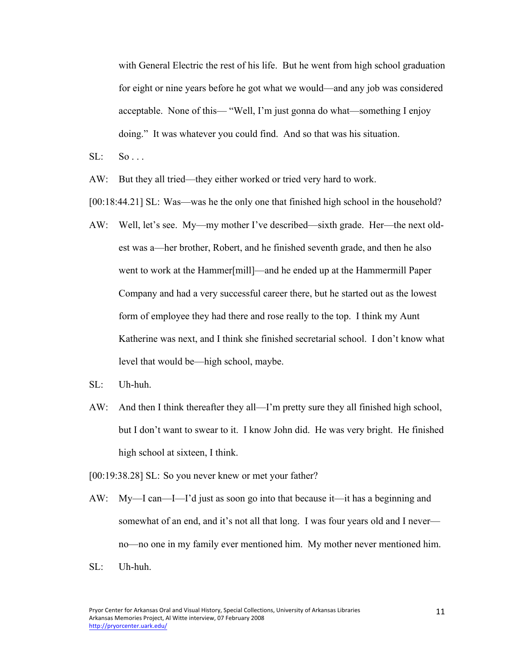with General Electric the rest of his life. But he went from high school graduation for eight or nine years before he got what we would—and any job was considered acceptable. None of this— "Well, I'm just gonna do what—something I enjoy doing." It was whatever you could find. And so that was his situation.

- $SL: So...$
- AW: But they all tried—they either worked or tried very hard to work.

[00:18:44.21] SL: Was—was he the only one that finished high school in the household?

- AW: Well, let's see. My—my mother I've described—sixth grade. Her—the next oldest was a—her brother, Robert, and he finished seventh grade, and then he also went to work at the Hammer[mill]—and he ended up at the Hammermill Paper Company and had a very successful career there, but he started out as the lowest form of employee they had there and rose really to the top. I think my Aunt Katherine was next, and I think she finished secretarial school. I don't know what level that would be—high school, maybe.
- SL: Uh-huh.
- AW: And then I think thereafter they all—I'm pretty sure they all finished high school, but I don't want to swear to it. I know John did. He was very bright. He finished high school at sixteen, I think.
- [00:19:38.28] SL: So you never knew or met your father?
- AW: My—I can—I—I'd just as soon go into that because it—it has a beginning and somewhat of an end, and it's not all that long. I was four years old and I never no—no one in my family ever mentioned him. My mother never mentioned him.
- SL: Uh-huh.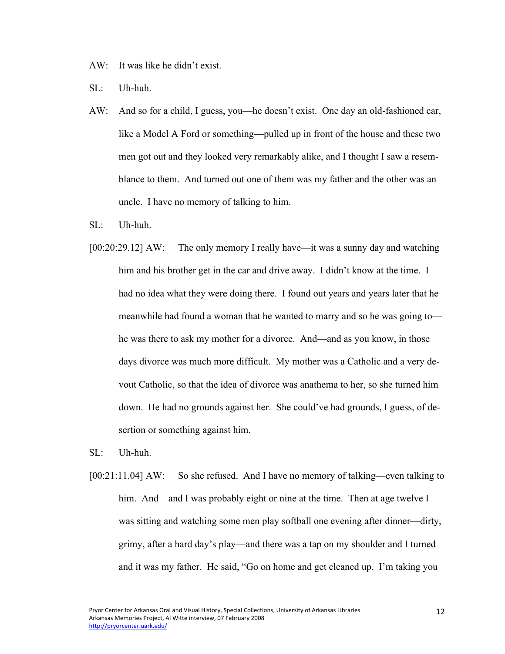- AW: It was like he didn't exist.
- SL: Uh-huh.
- AW: And so for a child, I guess, you—he doesn't exist. One day an old-fashioned car, like a Model A Ford or something—pulled up in front of the house and these two men got out and they looked very remarkably alike, and I thought I saw a resemblance to them. And turned out one of them was my father and the other was an uncle. I have no memory of talking to him.
- $SI:$  Uh-huh.
- [00:20:29.12] AW: The only memory I really have—it was a sunny day and watching him and his brother get in the car and drive away. I didn't know at the time. I had no idea what they were doing there. I found out years and years later that he meanwhile had found a woman that he wanted to marry and so he was going to he was there to ask my mother for a divorce. And—and as you know, in those days divorce was much more difficult. My mother was a Catholic and a very devout Catholic, so that the idea of divorce was anathema to her, so she turned him down. He had no grounds against her. She could've had grounds, I guess, of desertion or something against him.
- $SI:$  Uh-huh.
- [00:21:11.04] AW: So she refused. And I have no memory of talking—even talking to him. And—and I was probably eight or nine at the time. Then at age twelve I was sitting and watching some men play softball one evening after dinner—dirty, grimy, after a hard day's play—and there was a tap on my shoulder and I turned and it was my father. He said, "Go on home and get cleaned up. I'm taking you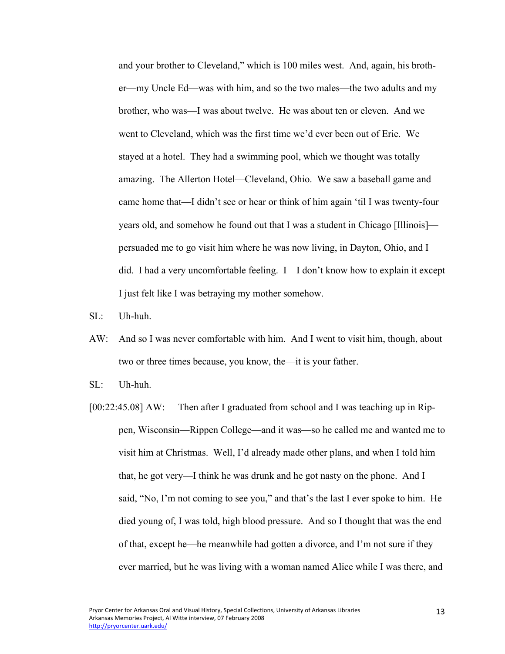and your brother to Cleveland," which is 100 miles west. And, again, his brother—my Uncle Ed—was with him, and so the two males—the two adults and my brother, who was—I was about twelve. He was about ten or eleven. And we went to Cleveland, which was the first time we'd ever been out of Erie. We stayed at a hotel. They had a swimming pool, which we thought was totally amazing. The Allerton Hotel—Cleveland, Ohio. We saw a baseball game and came home that—I didn't see or hear or think of him again 'til I was twenty-four years old, and somehow he found out that I was a student in Chicago [Illinois] persuaded me to go visit him where he was now living, in Dayton, Ohio, and I did. I had a very uncomfortable feeling. I—I don't know how to explain it except I just felt like I was betraying my mother somehow.

- SL: Uh-huh.
- AW: And so I was never comfortable with him. And I went to visit him, though, about two or three times because, you know, the—it is your father.
- $SL:$  Uh-huh.
- [00:22:45.08] AW: Then after I graduated from school and I was teaching up in Rippen, Wisconsin—Rippen College—and it was—so he called me and wanted me to visit him at Christmas. Well, I'd already made other plans, and when I told him that, he got very—I think he was drunk and he got nasty on the phone. And I said, "No, I'm not coming to see you," and that's the last I ever spoke to him. He died young of, I was told, high blood pressure. And so I thought that was the end of that, except he—he meanwhile had gotten a divorce, and I'm not sure if they ever married, but he was living with a woman named Alice while I was there, and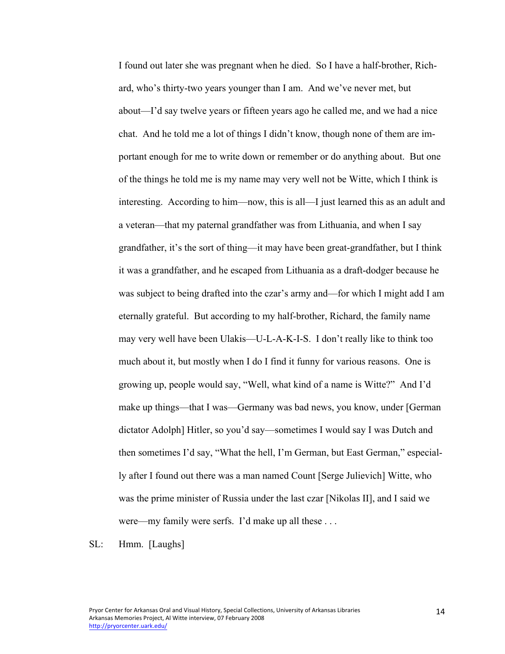I found out later she was pregnant when he died. So I have a half-brother, Richard, who's thirty-two years younger than I am. And we've never met, but about—I'd say twelve years or fifteen years ago he called me, and we had a nice chat. And he told me a lot of things I didn't know, though none of them are important enough for me to write down or remember or do anything about. But one of the things he told me is my name may very well not be Witte, which I think is interesting. According to him—now, this is all—I just learned this as an adult and a veteran—that my paternal grandfather was from Lithuania, and when I say grandfather, it's the sort of thing—it may have been great-grandfather, but I think it was a grandfather, and he escaped from Lithuania as a draft-dodger because he was subject to being drafted into the czar's army and—for which I might add I am eternally grateful. But according to my half-brother, Richard, the family name may very well have been Ulakis—U-L-A-K-I-S. I don't really like to think too much about it, but mostly when I do I find it funny for various reasons. One is growing up, people would say, "Well, what kind of a name is Witte?" And I'd make up things—that I was—Germany was bad news, you know, under [German dictator Adolph] Hitler, so you'd say—sometimes I would say I was Dutch and then sometimes I'd say, "What the hell, I'm German, but East German," especially after I found out there was a man named Count [Serge Julievich] Witte, who was the prime minister of Russia under the last czar [Nikolas II], and I said we were—my family were serfs. I'd make up all these . . .

SL: Hmm. [Laughs]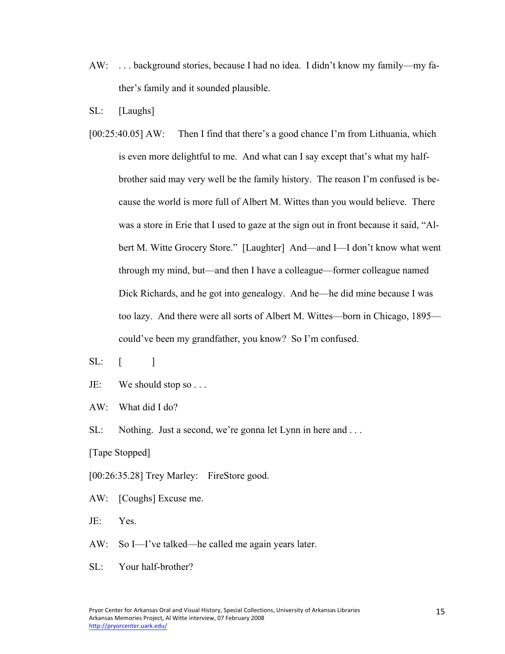- AW: . . . background stories, because I had no idea. I didn't know my family—my father's family and it sounded plausible.
- SL: [Laughs]
- [00:25:40.05] AW: Then I find that there's a good chance I'm from Lithuania, which is even more delightful to me. And what can I say except that's what my halfbrother said may very well be the family history. The reason I'm confused is because the world is more full of Albert M. Wittes than you would believe. There was a store in Erie that I used to gaze at the sign out in front because it said, "Albert M. Witte Grocery Store." [Laughter] And—and I—I don't know what went through my mind, but—and then I have a colleague—former colleague named Dick Richards, and he got into genealogy. And he—he did mine because I was too lazy. And there were all sorts of Albert M. Wittes—born in Chicago, 1895 could've been my grandfather, you know? So I'm confused.
- $SL:$   $\lceil$   $\rceil$
- JE: We should stop so . . .
- AW: What did I do?
- SL: Nothing. Just a second, we're gonna let Lynn in here and ...

[Tape Stopped]

[00:26:35.28] Trey Marley: FireStore good.

- AW: [Coughs] Excuse me.
- JE: Yes.
- AW: So I—I've talked—he called me again years later.
- SL: Your half-brother?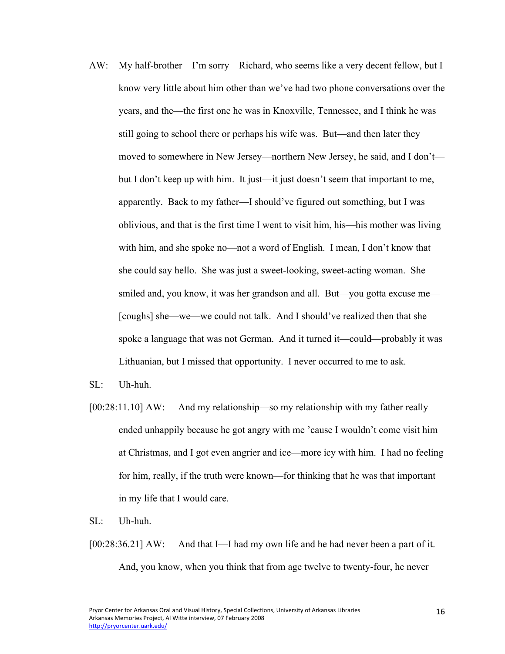AW: My half-brother—I'm sorry—Richard, who seems like a very decent fellow, but I know very little about him other than we've had two phone conversations over the years, and the—the first one he was in Knoxville, Tennessee, and I think he was still going to school there or perhaps his wife was. But—and then later they moved to somewhere in New Jersey—northern New Jersey, he said, and I don't but I don't keep up with him. It just—it just doesn't seem that important to me, apparently. Back to my father—I should've figured out something, but I was oblivious, and that is the first time I went to visit him, his—his mother was living with him, and she spoke no—not a word of English. I mean, I don't know that she could say hello. She was just a sweet-looking, sweet-acting woman. She smiled and, you know, it was her grandson and all. But—you gotta excuse me— [coughs] she—we—we could not talk. And I should've realized then that she spoke a language that was not German. And it turned it—could—probably it was Lithuanian, but I missed that opportunity. I never occurred to me to ask.

 $SL:$  Uh-huh.

[00:28:11.10] AW: And my relationship—so my relationship with my father really ended unhappily because he got angry with me 'cause I wouldn't come visit him at Christmas, and I got even angrier and ice—more icy with him. I had no feeling for him, really, if the truth were known—for thinking that he was that important in my life that I would care.

SL: Uh-huh.

[00:28:36.21] AW: And that I—I had my own life and he had never been a part of it. And, you know, when you think that from age twelve to twenty-four, he never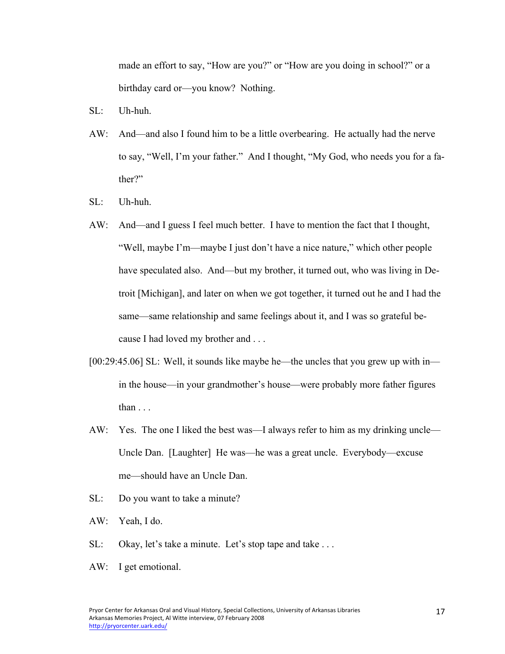made an effort to say, "How are you?" or "How are you doing in school?" or a birthday card or—you know? Nothing.

- SL: Uh-huh.
- AW: And—and also I found him to be a little overbearing. He actually had the nerve to say, "Well, I'm your father." And I thought, "My God, who needs you for a father?"
- SL: Uh-huh.
- AW: And—and I guess I feel much better. I have to mention the fact that I thought, "Well, maybe I'm—maybe I just don't have a nice nature," which other people have speculated also. And—but my brother, it turned out, who was living in Detroit [Michigan], and later on when we got together, it turned out he and I had the same—same relationship and same feelings about it, and I was so grateful because I had loved my brother and . . .
- [00:29:45.06] SL: Well, it sounds like maybe he—the uncles that you grew up with in in the house—in your grandmother's house—were probably more father figures than . . .
- AW: Yes. The one I liked the best was—I always refer to him as my drinking uncle— Uncle Dan. [Laughter] He was—he was a great uncle. Everybody—excuse me—should have an Uncle Dan.
- SL: Do you want to take a minute?
- AW: Yeah, I do.
- SL: Okay, let's take a minute. Let's stop tape and take ...
- AW: I get emotional.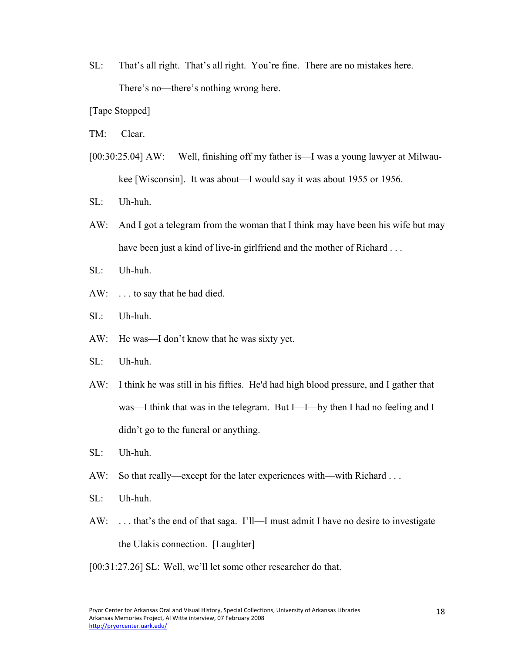- SL: That's all right. That's all right. You're fine. There are no mistakes here. There's no—there's nothing wrong here.
- [Tape Stopped]
- TM: Clear.
- [00:30:25.04] AW: Well, finishing off my father is—I was a young lawyer at Milwaukee [Wisconsin]. It was about—I would say it was about 1955 or 1956.
- SL: Uh-huh.
- AW: And I got a telegram from the woman that I think may have been his wife but may have been just a kind of live-in girlfriend and the mother of Richard . . .
- $SL:$  Uh-huh.
- AW: . . . to say that he had died.
- SL: Uh-huh.
- AW: He was—I don't know that he was sixty yet.
- SL: Uh-huh.
- AW: I think he was still in his fifties. He'd had high blood pressure, and I gather that was—I think that was in the telegram. But I—I—by then I had no feeling and I didn't go to the funeral or anything.
- SL: Uh-huh.
- AW: So that really—except for the later experiences with—with Richard ...
- SL: Uh-huh.
- AW: . . . that's the end of that saga. I'll—I must admit I have no desire to investigate the Ulakis connection. [Laughter]
- [00:31:27.26] SL: Well, we'll let some other researcher do that.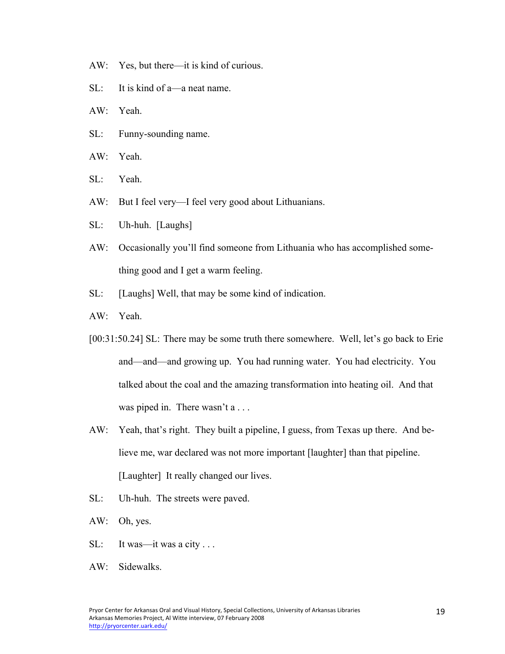- AW: Yes, but there—it is kind of curious.
- SL: It is kind of a—a neat name.
- AW: Yeah.
- SL: Funny-sounding name.
- AW: Yeah.
- SL: Yeah.
- AW: But I feel very—I feel very good about Lithuanians.
- SL: Uh-huh. [Laughs]
- AW: Occasionally you'll find someone from Lithuania who has accomplished something good and I get a warm feeling.
- SL: [Laughs] Well, that may be some kind of indication.
- AW: Yeah.
- [00:31:50.24] SL: There may be some truth there somewhere. Well, let's go back to Erie and—and—and growing up. You had running water. You had electricity. You talked about the coal and the amazing transformation into heating oil. And that was piped in. There wasn't a . . .
- AW: Yeah, that's right. They built a pipeline, I guess, from Texas up there. And believe me, war declared was not more important [laughter] than that pipeline. [Laughter] It really changed our lives.
- SL: Uh-huh. The streets were paved.
- AW: Oh, yes.
- SL: It was—it was a city . . .
- AW: Sidewalks.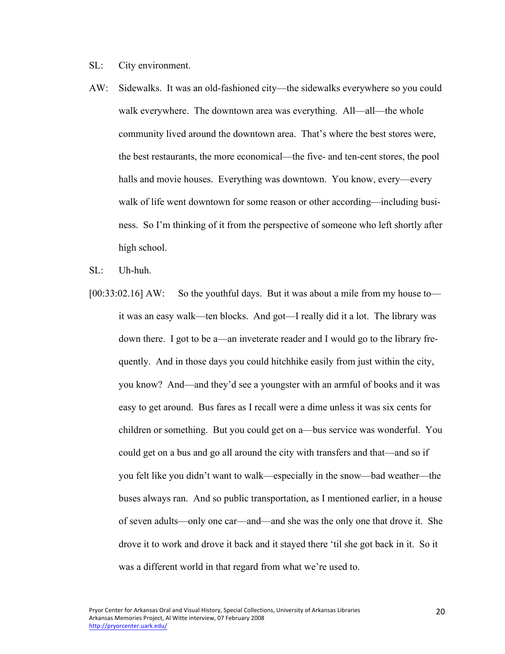SL: City environment.

- AW: Sidewalks. It was an old-fashioned city—the sidewalks everywhere so you could walk everywhere. The downtown area was everything. All—all—the whole community lived around the downtown area. That's where the best stores were, the best restaurants, the more economical—the five- and ten-cent stores, the pool halls and movie houses. Everything was downtown. You know, every—every walk of life went downtown for some reason or other according—including business. So I'm thinking of it from the perspective of someone who left shortly after high school.
- SL: Uh-huh.
- [00:33:02.16] AW: So the youthful days. But it was about a mile from my house to it was an easy walk—ten blocks. And got—I really did it a lot. The library was down there. I got to be a—an inveterate reader and I would go to the library frequently. And in those days you could hitchhike easily from just within the city, you know? And—and they'd see a youngster with an armful of books and it was easy to get around. Bus fares as I recall were a dime unless it was six cents for children or something. But you could get on a—bus service was wonderful. You could get on a bus and go all around the city with transfers and that—and so if you felt like you didn't want to walk—especially in the snow—bad weather—the buses always ran. And so public transportation, as I mentioned earlier, in a house of seven adults—only one car—and—and she was the only one that drove it. She drove it to work and drove it back and it stayed there 'til she got back in it. So it was a different world in that regard from what we're used to.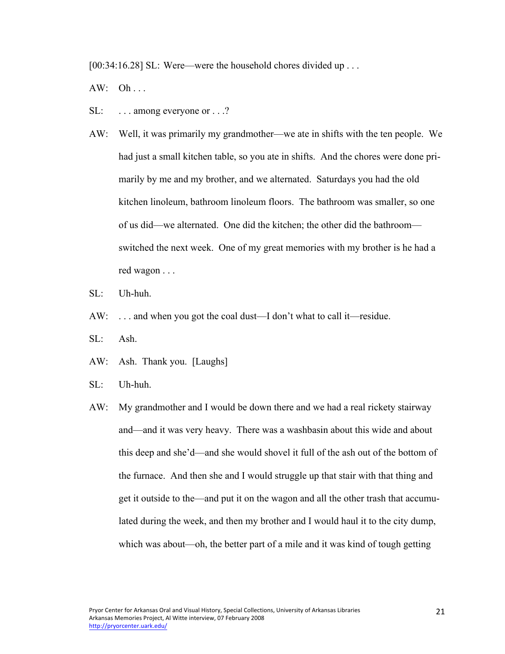[00:34:16.28] SL: Were—were the household chores divided up . . .

 $AW: Oh...$ 

- SL: ... among everyone or ...?
- AW: Well, it was primarily my grandmother—we ate in shifts with the ten people. We had just a small kitchen table, so you ate in shifts. And the chores were done primarily by me and my brother, and we alternated. Saturdays you had the old kitchen linoleum, bathroom linoleum floors. The bathroom was smaller, so one of us did—we alternated. One did the kitchen; the other did the bathroom switched the next week. One of my great memories with my brother is he had a red wagon . . .
- SL: Uh-huh.
- AW: ... and when you got the coal dust—I don't what to call it—residue.
- SL: Ash.
- AW: Ash. Thank you. [Laughs]
- SL: Uh-huh.
- AW: My grandmother and I would be down there and we had a real rickety stairway and—and it was very heavy. There was a washbasin about this wide and about this deep and she'd—and she would shovel it full of the ash out of the bottom of the furnace. And then she and I would struggle up that stair with that thing and get it outside to the—and put it on the wagon and all the other trash that accumulated during the week, and then my brother and I would haul it to the city dump, which was about—oh, the better part of a mile and it was kind of tough getting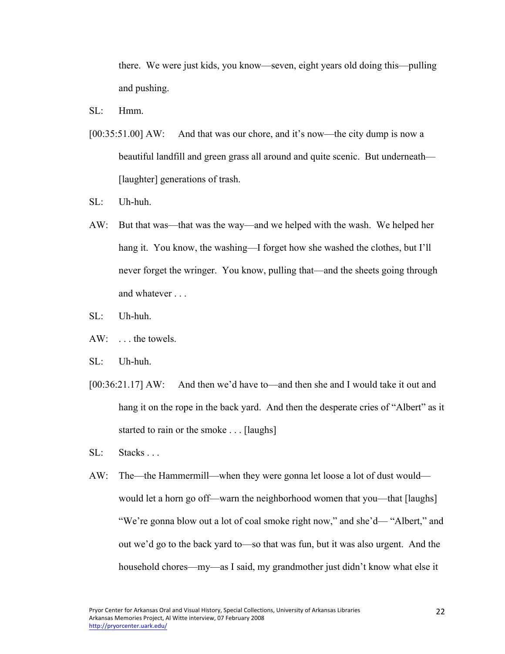there. We were just kids, you know—seven, eight years old doing this—pulling and pushing.

- $SL:$  Hmm
- [00:35:51.00] AW: And that was our chore, and it's now—the city dump is now a beautiful landfill and green grass all around and quite scenic. But underneath— [laughter] generations of trash.
- SL: Uh-huh.
- AW: But that was—that was the way—and we helped with the wash. We helped her hang it. You know, the washing—I forget how she washed the clothes, but I'll never forget the wringer. You know, pulling that—and the sheets going through and whatever . . .
- SL: Uh-huh.
- AW: . . . the towels.
- SL: Uh-huh.
- [00:36:21.17] AW: And then we'd have to—and then she and I would take it out and hang it on the rope in the back yard. And then the desperate cries of "Albert" as it started to rain or the smoke . . . [laughs]
- SL: Stacks . . .
- AW: The—the Hammermill—when they were gonna let loose a lot of dust would would let a horn go off—warn the neighborhood women that you—that [laughs] "We're gonna blow out a lot of coal smoke right now," and she'd— "Albert," and out we'd go to the back yard to—so that was fun, but it was also urgent. And the household chores—my—as I said, my grandmother just didn't know what else it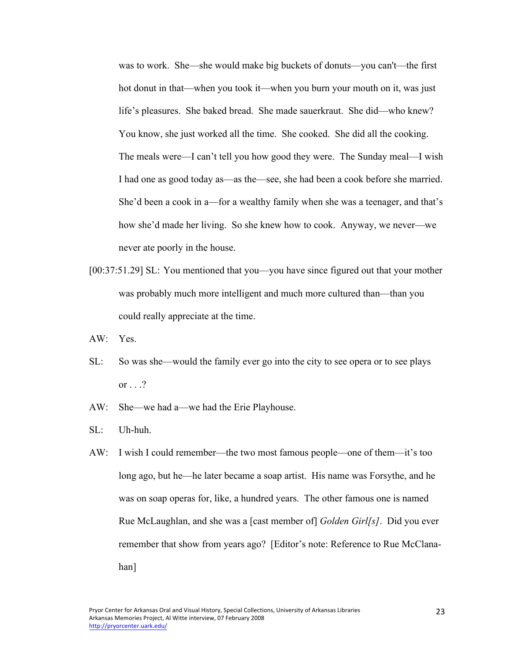was to work. She—she would make big buckets of donuts—you can't—the first hot donut in that—when you took it—when you burn your mouth on it, was just life's pleasures. She baked bread. She made sauerkraut. She did—who knew? You know, she just worked all the time. She cooked. She did all the cooking. The meals were—I can't tell you how good they were. The Sunday meal—I wish I had one as good today as—as the—see, she had been a cook before she married. She'd been a cook in a—for a wealthy family when she was a teenager, and that's how she'd made her living. So she knew how to cook. Anyway, we never—we never ate poorly in the house.

- [00:37:51.29] SL: You mentioned that you—you have since figured out that your mother was probably much more intelligent and much more cultured than—than you could really appreciate at the time.
- AW: Yes.
- SL: So was she—would the family ever go into the city to see opera or to see plays or  $\ldots$  ?
- AW: She—we had a—we had the Erie Playhouse.
- SL: Uh-huh.
- AW: I wish I could remember—the two most famous people—one of them—it's too long ago, but he—he later became a soap artist. His name was Forsythe, and he was on soap operas for, like, a hundred years. The other famous one is named Rue McLaughlan, and she was a [cast member of] *Golden Girl[s]*. Did you ever remember that show from years ago? [Editor's note: Reference to Rue McClanahan]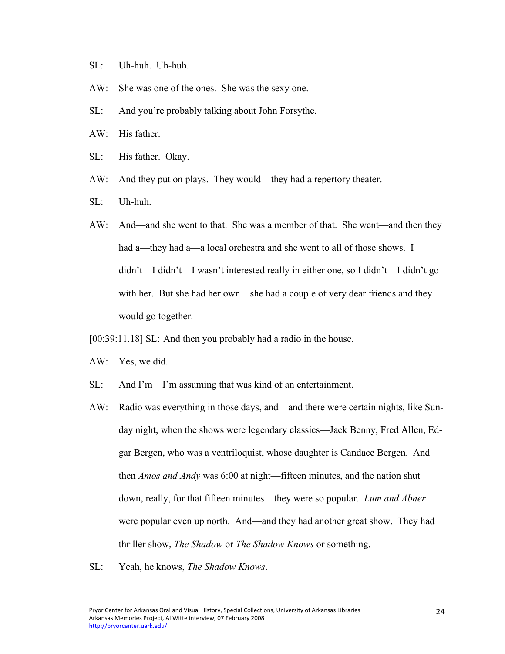- SL: Uh-huh. Uh-huh.
- AW: She was one of the ones. She was the sexy one.
- SL: And you're probably talking about John Forsythe.
- AW: His father.
- SL: His father. Okay.
- AW: And they put on plays. They would—they had a repertory theater.
- SL: Uh-huh.
- AW: And—and she went to that. She was a member of that. She went—and then they had a—they had a—a local orchestra and she went to all of those shows. I didn't—I didn't—I wasn't interested really in either one, so I didn't—I didn't go with her. But she had her own—she had a couple of very dear friends and they would go together.
- [00:39:11.18] SL: And then you probably had a radio in the house.
- AW: Yes, we did.
- SL: And I'm—I'm assuming that was kind of an entertainment.
- AW: Radio was everything in those days, and—and there were certain nights, like Sunday night, when the shows were legendary classics—Jack Benny, Fred Allen, Edgar Bergen, who was a ventriloquist, whose daughter is Candace Bergen. And then *Amos and Andy* was 6:00 at night—fifteen minutes, and the nation shut down, really, for that fifteen minutes—they were so popular. *Lum and Abner* were popular even up north. And—and they had another great show. They had thriller show, *The Shadow* or *The Shadow Knows* or something.
- SL: Yeah, he knows, *The Shadow Knows*.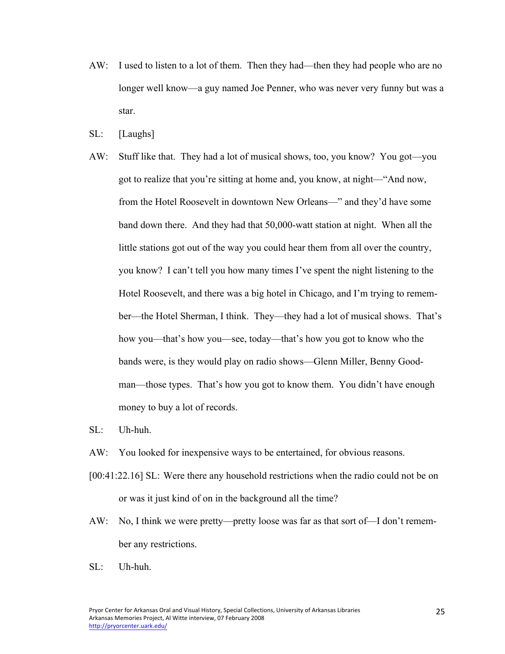- AW: I used to listen to a lot of them. Then they had—then they had people who are no longer well know—a guy named Joe Penner, who was never very funny but was a star.
- SL: [Laughs]
- AW: Stuff like that. They had a lot of musical shows, too, you know? You got—you got to realize that you're sitting at home and, you know, at night—"And now, from the Hotel Roosevelt in downtown New Orleans—" and they'd have some band down there. And they had that 50,000-watt station at night. When all the little stations got out of the way you could hear them from all over the country, you know? I can't tell you how many times I've spent the night listening to the Hotel Roosevelt, and there was a big hotel in Chicago, and I'm trying to remember—the Hotel Sherman, I think. They—they had a lot of musical shows. That's how you—that's how you—see, today—that's how you got to know who the bands were, is they would play on radio shows—Glenn Miller, Benny Goodman—those types. That's how you got to know them. You didn't have enough money to buy a lot of records.
- SL: Uh-huh.
- AW: You looked for inexpensive ways to be entertained, for obvious reasons.
- [00:41:22.16] SL: Were there any household restrictions when the radio could not be on or was it just kind of on in the background all the time?
- AW: No, I think we were pretty—pretty loose was far as that sort of—I don't remember any restrictions.
- SL: Uh-huh.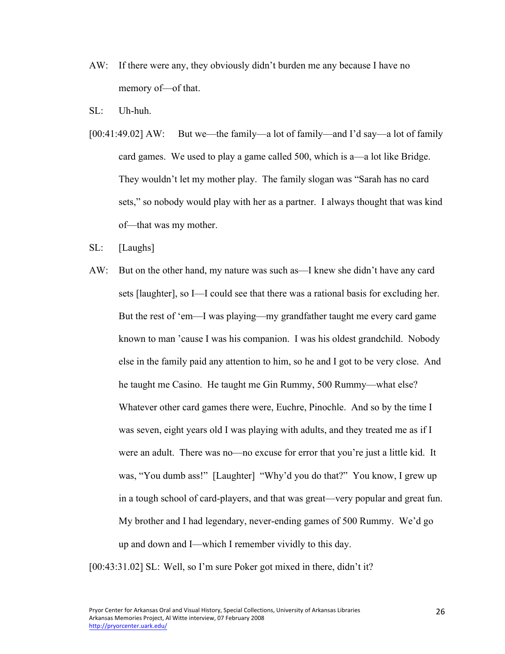- AW: If there were any, they obviously didn't burden me any because I have no memory of—of that.
- SL: Uh-huh.
- [00:41:49.02] AW: But we—the family—a lot of family—and I'd say—a lot of family card games. We used to play a game called 500, which is a—a lot like Bridge. They wouldn't let my mother play. The family slogan was "Sarah has no card sets," so nobody would play with her as a partner. I always thought that was kind of—that was my mother.
- SL: [Laughs]
- AW: But on the other hand, my nature was such as—I knew she didn't have any card sets [laughter], so I—I could see that there was a rational basis for excluding her. But the rest of 'em—I was playing—my grandfather taught me every card game known to man 'cause I was his companion. I was his oldest grandchild. Nobody else in the family paid any attention to him, so he and I got to be very close. And he taught me Casino. He taught me Gin Rummy, 500 Rummy—what else? Whatever other card games there were, Euchre, Pinochle. And so by the time I was seven, eight years old I was playing with adults, and they treated me as if I were an adult. There was no—no excuse for error that you're just a little kid. It was, "You dumb ass!" [Laughter] "Why'd you do that?" You know, I grew up in a tough school of card-players, and that was great—very popular and great fun. My brother and I had legendary, never-ending games of 500 Rummy. We'd go up and down and I—which I remember vividly to this day.

[00:43:31.02] SL: Well, so I'm sure Poker got mixed in there, didn't it?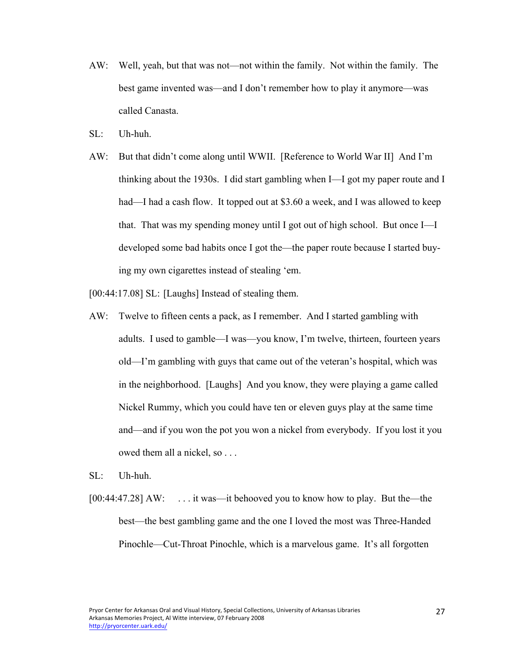- AW: Well, yeah, but that was not—not within the family. Not within the family. The best game invented was—and I don't remember how to play it anymore—was called Canasta.
- $\mathrm{SL}$ : Uh-huh.
- AW: But that didn't come along until WWII. [Reference to World War II] And I'm thinking about the 1930s. I did start gambling when I—I got my paper route and I had—I had a cash flow. It topped out at \$3.60 a week, and I was allowed to keep that. That was my spending money until I got out of high school. But once I—I developed some bad habits once I got the—the paper route because I started buying my own cigarettes instead of stealing 'em.
- [00:44:17.08] SL: [Laughs] Instead of stealing them.
- AW: Twelve to fifteen cents a pack, as I remember. And I started gambling with adults. I used to gamble—I was—you know, I'm twelve, thirteen, fourteen years old—I'm gambling with guys that came out of the veteran's hospital, which was in the neighborhood. [Laughs] And you know, they were playing a game called Nickel Rummy, which you could have ten or eleven guys play at the same time and—and if you won the pot you won a nickel from everybody. If you lost it you owed them all a nickel, so . . .
- SL: Uh-huh.
- [00:44:47.28] AW: ... it was—it behooved you to know how to play. But the—the best—the best gambling game and the one I loved the most was Three-Handed Pinochle—Cut-Throat Pinochle, which is a marvelous game. It's all forgotten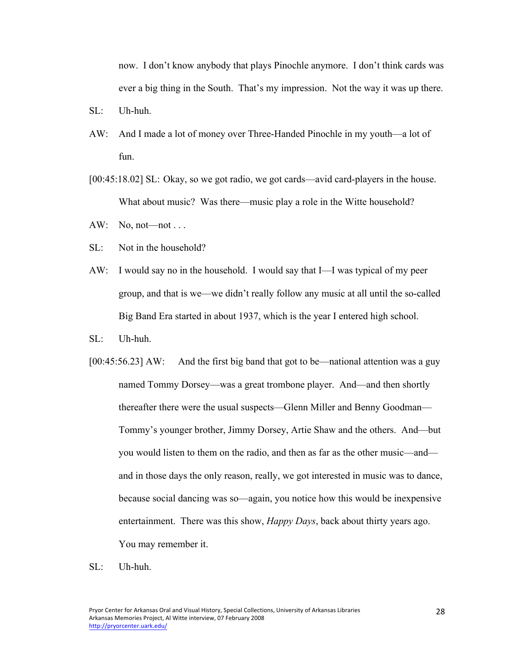now. I don't know anybody that plays Pinochle anymore. I don't think cards was ever a big thing in the South. That's my impression. Not the way it was up there.

- SL: Uh-huh.
- AW: And I made a lot of money over Three-Handed Pinochle in my youth—a lot of fun.
- [00:45:18.02] SL: Okay, so we got radio, we got cards—avid card-players in the house. What about music? Was there—music play a role in the Witte household?
- AW: No,  $not—not \dots$
- SL: Not in the household?
- AW: I would say no in the household. I would say that I—I was typical of my peer group, and that is we—we didn't really follow any music at all until the so-called Big Band Era started in about 1937, which is the year I entered high school.
- SL: Uh-huh.
- [00:45:56.23] AW: And the first big band that got to be—national attention was a guy named Tommy Dorsey—was a great trombone player. And—and then shortly thereafter there were the usual suspects—Glenn Miller and Benny Goodman— Tommy's younger brother, Jimmy Dorsey, Artie Shaw and the others. And—but you would listen to them on the radio, and then as far as the other music—and and in those days the only reason, really, we got interested in music was to dance, because social dancing was so—again, you notice how this would be inexpensive entertainment. There was this show, *Happy Days*, back about thirty years ago. You may remember it.
- SL: Uh-huh.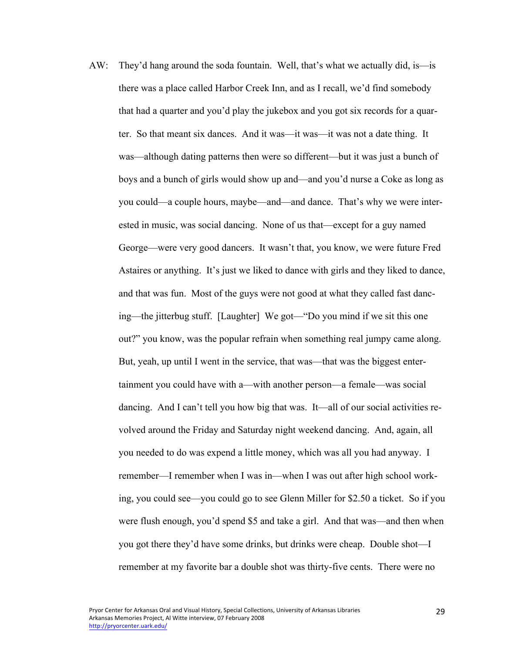AW: They'd hang around the soda fountain. Well, that's what we actually did, is—is there was a place called Harbor Creek Inn, and as I recall, we'd find somebody that had a quarter and you'd play the jukebox and you got six records for a quarter. So that meant six dances. And it was—it was—it was not a date thing. It was—although dating patterns then were so different—but it was just a bunch of boys and a bunch of girls would show up and—and you'd nurse a Coke as long as you could—a couple hours, maybe—and—and dance. That's why we were interested in music, was social dancing. None of us that—except for a guy named George—were very good dancers. It wasn't that, you know, we were future Fred Astaires or anything. It's just we liked to dance with girls and they liked to dance, and that was fun. Most of the guys were not good at what they called fast dancing—the jitterbug stuff. [Laughter] We got—"Do you mind if we sit this one out?" you know, was the popular refrain when something real jumpy came along. But, yeah, up until I went in the service, that was—that was the biggest entertainment you could have with a—with another person—a female—was social dancing. And I can't tell you how big that was. It—all of our social activities revolved around the Friday and Saturday night weekend dancing. And, again, all you needed to do was expend a little money, which was all you had anyway. I remember—I remember when I was in—when I was out after high school working, you could see—you could go to see Glenn Miller for \$2.50 a ticket. So if you were flush enough, you'd spend \$5 and take a girl. And that was—and then when you got there they'd have some drinks, but drinks were cheap. Double shot—I remember at my favorite bar a double shot was thirty-five cents. There were no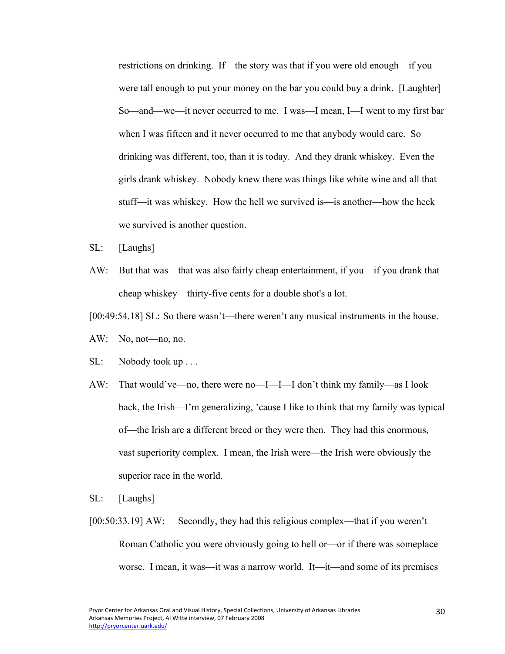restrictions on drinking. If—the story was that if you were old enough—if you were tall enough to put your money on the bar you could buy a drink. [Laughter] So—and—we—it never occurred to me. I was—I mean, I—I went to my first bar when I was fifteen and it never occurred to me that anybody would care. So drinking was different, too, than it is today. And they drank whiskey. Even the girls drank whiskey. Nobody knew there was things like white wine and all that stuff—it was whiskey. How the hell we survived is—is another—how the heck we survived is another question.

- SL: [Laughs]
- AW: But that was—that was also fairly cheap entertainment, if you—if you drank that cheap whiskey—thirty-five cents for a double shot's a lot.

[00:49:54.18] SL: So there wasn't—there weren't any musical instruments in the house.

- AW: No, not—no, no.
- SL: Nobody took up . . .
- AW: That would've—no, there were no—I—I—I don't think my family—as I look back, the Irish—I'm generalizing, 'cause I like to think that my family was typical of—the Irish are a different breed or they were then. They had this enormous, vast superiority complex. I mean, the Irish were—the Irish were obviously the superior race in the world.
- SL: [Laughs]
- [00:50:33.19] AW: Secondly, they had this religious complex—that if you weren't Roman Catholic you were obviously going to hell or—or if there was someplace worse. I mean, it was—it was a narrow world. It—it—and some of its premises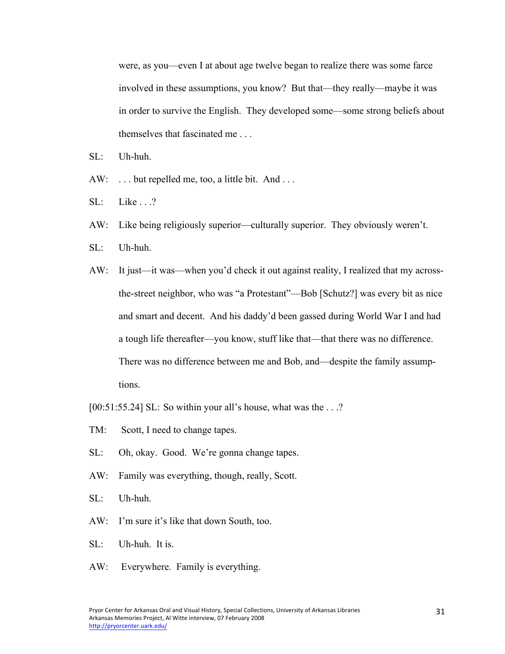were, as you—even I at about age twelve began to realize there was some farce involved in these assumptions, you know? But that—they really—maybe it was in order to survive the English. They developed some—some strong beliefs about themselves that fascinated me . . .

- SL: Uh-huh.
- AW: ... but repelled me, too, a little bit. And ...
- SL: Like . . .?
- AW: Like being religiously superior—culturally superior. They obviously weren't.
- SL: Uh-huh.
- AW: It just—it was—when you'd check it out against reality, I realized that my acrossthe-street neighbor, who was "a Protestant"—Bob [Schutz?] was every bit as nice and smart and decent. And his daddy'd been gassed during World War I and had a tough life thereafter—you know, stuff like that—that there was no difference. There was no difference between me and Bob, and—despite the family assumptions.
- [00:51:55.24] SL: So within your all's house, what was the . . .?
- TM: Scott, I need to change tapes.
- SL: Oh, okay. Good. We're gonna change tapes.
- AW: Family was everything, though, really, Scott.
- SL: Uh-huh.
- AW: I'm sure it's like that down South, too.
- SL: Uh-huh. It is.
- AW: Everywhere. Family is everything.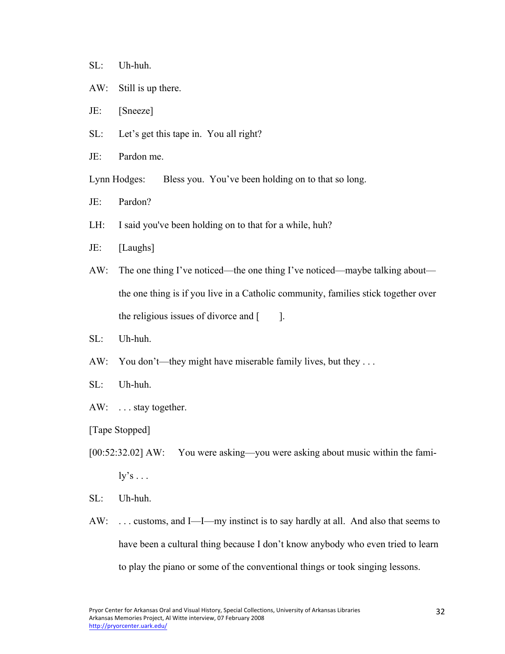## SL: Uh-huh.

- AW: Still is up there.
- JE: [Sneeze]
- SL: Let's get this tape in. You all right?
- JE: Pardon me.

Lynn Hodges: Bless you. You've been holding on to that so long.

- JE: Pardon?
- LH: I said you've been holding on to that for a while, huh?
- JE: [Laughs]
- AW: The one thing I've noticed—the one thing I've noticed—maybe talking about the one thing is if you live in a Catholic community, families stick together over the religious issues of divorce and  $\lceil \cdot \cdot \rceil$ .
- SL: Uh-huh.
- AW: You don't—they might have miserable family lives, but they ...
- SL: Uh-huh.
- AW: ... stay together.
- [Tape Stopped]
- [00:52:32.02] AW: You were asking—you were asking about music within the fami $ly's \dots$
- SL: Uh-huh.
- AW: ... customs, and I—I—my instinct is to say hardly at all. And also that seems to have been a cultural thing because I don't know anybody who even tried to learn to play the piano or some of the conventional things or took singing lessons.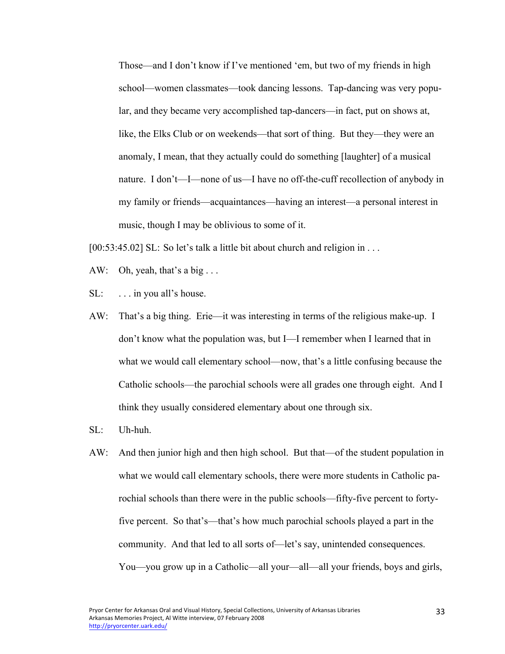Those—and I don't know if I've mentioned 'em, but two of my friends in high school—women classmates—took dancing lessons. Tap-dancing was very popular, and they became very accomplished tap-dancers—in fact, put on shows at, like, the Elks Club or on weekends—that sort of thing. But they—they were an anomaly, I mean, that they actually could do something [laughter] of a musical nature. I don't—I—none of us—I have no off-the-cuff recollection of anybody in my family or friends—acquaintances—having an interest—a personal interest in music, though I may be oblivious to some of it.

[00:53:45.02] SL: So let's talk a little bit about church and religion in . . .

- AW: Oh, yeah, that's a big  $\ldots$
- $SL:$  ... in you all's house.
- AW: That's a big thing. Erie—it was interesting in terms of the religious make-up. I don't know what the population was, but I—I remember when I learned that in what we would call elementary school—now, that's a little confusing because the Catholic schools—the parochial schools were all grades one through eight. And I think they usually considered elementary about one through six.
- SL: Uh-huh.
- AW: And then junior high and then high school. But that—of the student population in what we would call elementary schools, there were more students in Catholic parochial schools than there were in the public schools—fifty-five percent to fortyfive percent. So that's—that's how much parochial schools played a part in the community. And that led to all sorts of—let's say, unintended consequences. You—you grow up in a Catholic—all your—all—all your friends, boys and girls,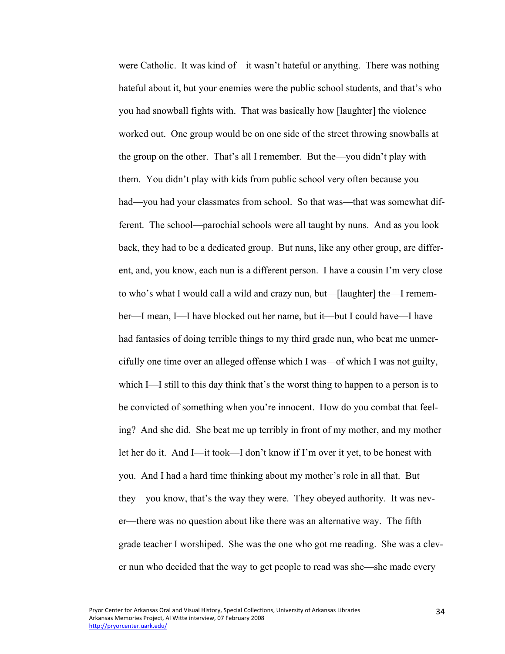were Catholic. It was kind of—it wasn't hateful or anything. There was nothing hateful about it, but your enemies were the public school students, and that's who you had snowball fights with. That was basically how [laughter] the violence worked out. One group would be on one side of the street throwing snowballs at the group on the other. That's all I remember. But the—you didn't play with them. You didn't play with kids from public school very often because you had—you had your classmates from school. So that was—that was somewhat different. The school—parochial schools were all taught by nuns. And as you look back, they had to be a dedicated group. But nuns, like any other group, are different, and, you know, each nun is a different person. I have a cousin I'm very close to who's what I would call a wild and crazy nun, but—[laughter] the—I remember—I mean, I—I have blocked out her name, but it—but I could have—I have had fantasies of doing terrible things to my third grade nun, who beat me unmercifully one time over an alleged offense which I was—of which I was not guilty, which I—I still to this day think that's the worst thing to happen to a person is to be convicted of something when you're innocent. How do you combat that feeling? And she did. She beat me up terribly in front of my mother, and my mother let her do it. And I—it took—I don't know if I'm over it yet, to be honest with you. And I had a hard time thinking about my mother's role in all that. But they—you know, that's the way they were. They obeyed authority. It was never—there was no question about like there was an alternative way. The fifth grade teacher I worshiped. She was the one who got me reading. She was a clever nun who decided that the way to get people to read was she—she made every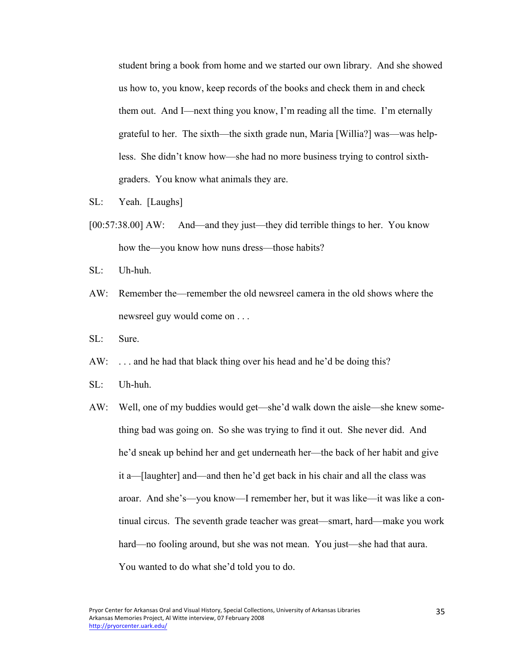student bring a book from home and we started our own library. And she showed us how to, you know, keep records of the books and check them in and check them out. And I—next thing you know, I'm reading all the time. I'm eternally grateful to her. The sixth—the sixth grade nun, Maria [Willia?] was—was helpless. She didn't know how—she had no more business trying to control sixthgraders. You know what animals they are.

- SL: Yeah. [Laughs]
- [00:57:38.00] AW: And—and they just—they did terrible things to her. You know how the—you know how nuns dress—those habits?
- SL: Uh-huh.
- AW: Remember the—remember the old newsreel camera in the old shows where the newsreel guy would come on . . .
- SL: Sure.
- AW: ... and he had that black thing over his head and he'd be doing this?
- SL: Uh-huh.
- AW: Well, one of my buddies would get—she'd walk down the aisle—she knew something bad was going on. So she was trying to find it out. She never did. And he'd sneak up behind her and get underneath her—the back of her habit and give it a—[laughter] and—and then he'd get back in his chair and all the class was aroar. And she's—you know—I remember her, but it was like—it was like a continual circus. The seventh grade teacher was great—smart, hard—make you work hard—no fooling around, but she was not mean. You just—she had that aura. You wanted to do what she'd told you to do.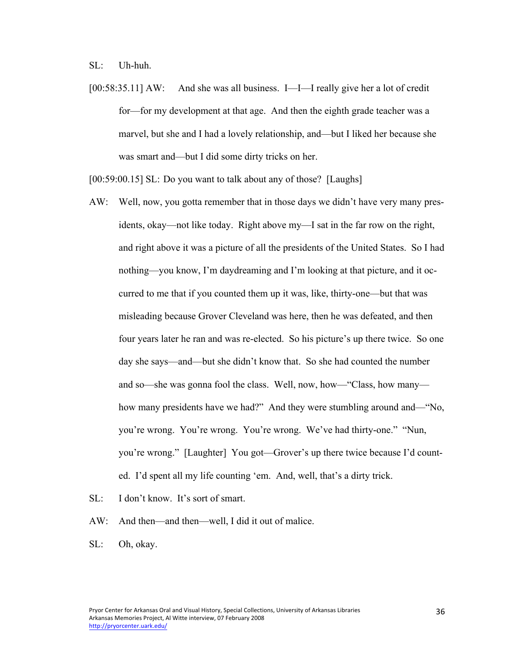SL: Uh-huh.

[00:58:35.11] AW: And she was all business. I—I—I really give her a lot of credit for—for my development at that age. And then the eighth grade teacher was a marvel, but she and I had a lovely relationship, and—but I liked her because she was smart and—but I did some dirty tricks on her.

[00:59:00.15] SL: Do you want to talk about any of those? [Laughs]

- AW: Well, now, you gotta remember that in those days we didn't have very many presidents, okay—not like today. Right above my—I sat in the far row on the right, and right above it was a picture of all the presidents of the United States. So I had nothing—you know, I'm daydreaming and I'm looking at that picture, and it occurred to me that if you counted them up it was, like, thirty-one—but that was misleading because Grover Cleveland was here, then he was defeated, and then four years later he ran and was re-elected. So his picture's up there twice. So one day she says—and—but she didn't know that. So she had counted the number and so—she was gonna fool the class. Well, now, how—"Class, how many how many presidents have we had?" And they were stumbling around and—"No, you're wrong. You're wrong. You're wrong. We've had thirty-one." "Nun, you're wrong." [Laughter] You got—Grover's up there twice because I'd counted. I'd spent all my life counting 'em. And, well, that's a dirty trick.
- SL: I don't know. It's sort of smart.
- AW: And then—and then—well, I did it out of malice.
- SL: Oh, okay.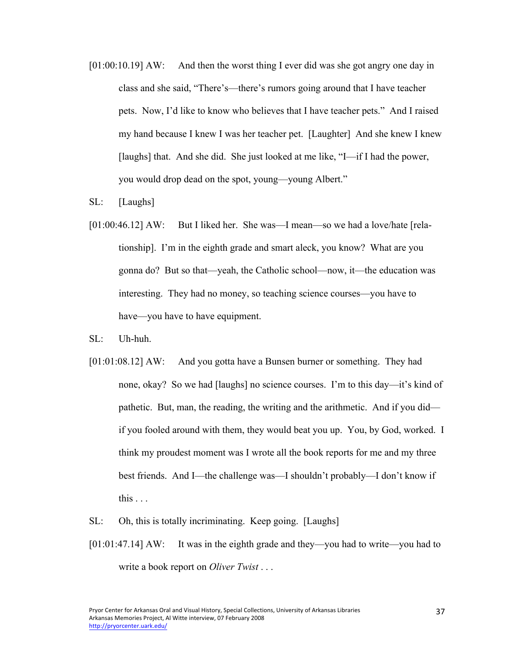- [01:00:10.19] AW: And then the worst thing I ever did was she got angry one day in class and she said, "There's—there's rumors going around that I have teacher pets. Now, I'd like to know who believes that I have teacher pets." And I raised my hand because I knew I was her teacher pet. [Laughter] And she knew I knew [laughs] that. And she did. She just looked at me like, "I—if I had the power, you would drop dead on the spot, young—young Albert."
- SL: [Laughs]
- [01:00:46.12] AW: But I liked her. She was—I mean—so we had a love/hate [relationship]. I'm in the eighth grade and smart aleck, you know? What are you gonna do? But so that—yeah, the Catholic school—now, it—the education was interesting. They had no money, so teaching science courses—you have to have—you have to have equipment.
- SL: Uh-huh.
- [01:01:08.12] AW: And you gotta have a Bunsen burner or something. They had none, okay? So we had [laughs] no science courses. I'm to this day—it's kind of pathetic. But, man, the reading, the writing and the arithmetic. And if you did if you fooled around with them, they would beat you up. You, by God, worked. I think my proudest moment was I wrote all the book reports for me and my three best friends. And I—the challenge was—I shouldn't probably—I don't know if this  $\ldots$
- SL: Oh, this is totally incriminating. Keep going. [Laughs]
- [01:01:47.14] AW: It was in the eighth grade and they—you had to write—you had to write a book report on *Oliver Twist* . . .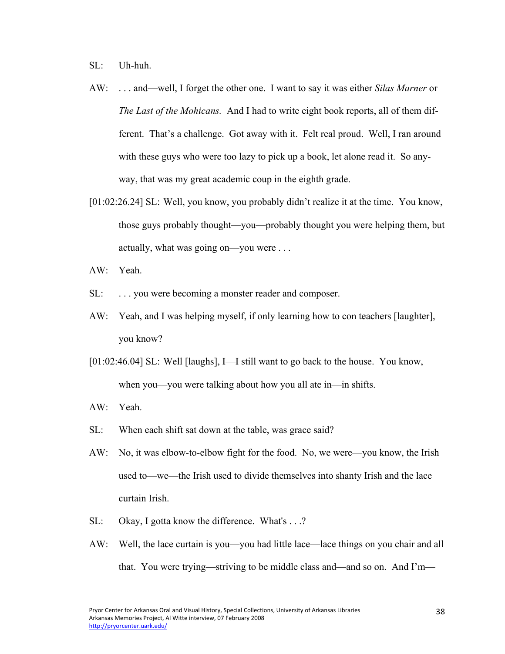SL: Uh-huh.

- AW: . . . and—well, I forget the other one. I want to say it was either *Silas Marner* or *The Last of the Mohicans.* And I had to write eight book reports, all of them different. That's a challenge. Got away with it. Felt real proud. Well, I ran around with these guys who were too lazy to pick up a book, let alone read it. So anyway, that was my great academic coup in the eighth grade.
- [01:02:26.24] SL: Well, you know, you probably didn't realize it at the time. You know, those guys probably thought—you—probably thought you were helping them, but actually, what was going on—you were . . .
- AW: Yeah.
- SL: ... you were becoming a monster reader and composer.
- AW: Yeah, and I was helping myself, if only learning how to con teachers [laughter], you know?
- [01:02:46.04] SL: Well [laughs], I—I still want to go back to the house. You know, when you—you were talking about how you all ate in—in shifts.
- AW: Yeah.
- SL: When each shift sat down at the table, was grace said?
- AW: No, it was elbow-to-elbow fight for the food. No, we were—you know, the Irish used to—we—the Irish used to divide themselves into shanty Irish and the lace curtain Irish.
- SL: Okay, I gotta know the difference. What's . . .?
- AW: Well, the lace curtain is you—you had little lace—lace things on you chair and all that. You were trying—striving to be middle class and—and so on. And I'm—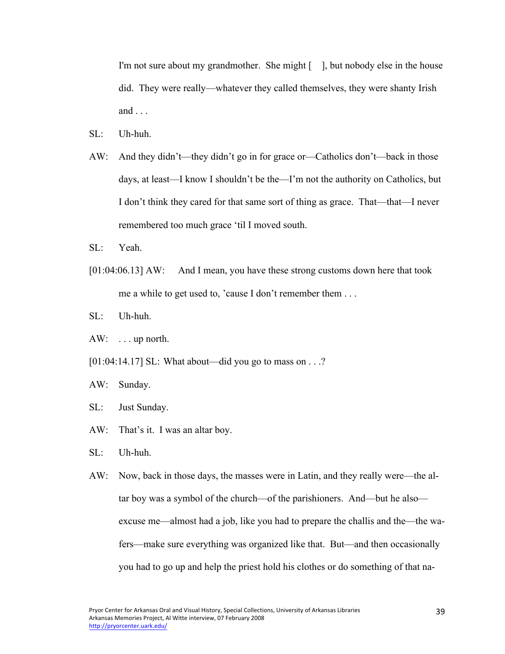I'm not sure about my grandmother. She might [ ], but nobody else in the house did. They were really—whatever they called themselves, they were shanty Irish and  $\ldots$ 

- $SL:$  Uh-huh.
- AW: And they didn't—they didn't go in for grace or—Catholics don't—back in those days, at least—I know I shouldn't be the—I'm not the authority on Catholics, but I don't think they cared for that same sort of thing as grace. That—that—I never remembered too much grace 'til I moved south.
- SL: Yeah.
- [01:04:06.13] AW: And I mean, you have these strong customs down here that took me a while to get used to, 'cause I don't remember them . . .
- SL: Uh-huh.
- AW: . . . up north.
- [01:04:14.17] SL: What about—did you go to mass on . . .?
- AW: Sunday.
- SL: Just Sunday.
- AW: That's it. I was an altar boy.
- SL: Uh-huh.
- AW: Now, back in those days, the masses were in Latin, and they really were—the altar boy was a symbol of the church—of the parishioners. And—but he also excuse me—almost had a job, like you had to prepare the challis and the—the wafers—make sure everything was organized like that. But—and then occasionally you had to go up and help the priest hold his clothes or do something of that na-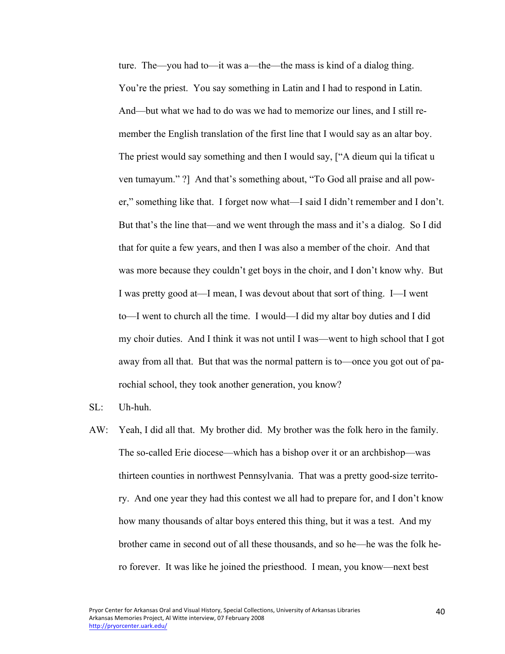ture. The—you had to—it was a—the—the mass is kind of a dialog thing. You're the priest. You say something in Latin and I had to respond in Latin. And—but what we had to do was we had to memorize our lines, and I still remember the English translation of the first line that I would say as an altar boy. The priest would say something and then I would say, ["A dieum qui la tificat u ven tumayum." ?] And that's something about, "To God all praise and all power," something like that. I forget now what—I said I didn't remember and I don't. But that's the line that—and we went through the mass and it's a dialog. So I did that for quite a few years, and then I was also a member of the choir. And that was more because they couldn't get boys in the choir, and I don't know why. But I was pretty good at—I mean, I was devout about that sort of thing. I—I went to—I went to church all the time. I would—I did my altar boy duties and I did my choir duties. And I think it was not until I was—went to high school that I got away from all that. But that was the normal pattern is to—once you got out of parochial school, they took another generation, you know?

- SL: Uh-huh.
- AW: Yeah, I did all that. My brother did. My brother was the folk hero in the family. The so-called Erie diocese—which has a bishop over it or an archbishop—was thirteen counties in northwest Pennsylvania. That was a pretty good-size territory. And one year they had this contest we all had to prepare for, and I don't know how many thousands of altar boys entered this thing, but it was a test. And my brother came in second out of all these thousands, and so he—he was the folk hero forever. It was like he joined the priesthood. I mean, you know—next best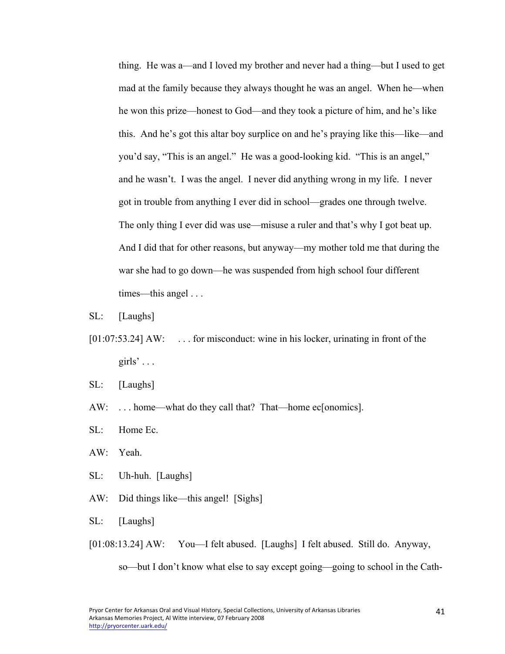thing. He was a—and I loved my brother and never had a thing—but I used to get mad at the family because they always thought he was an angel. When he—when he won this prize—honest to God—and they took a picture of him, and he's like this. And he's got this altar boy surplice on and he's praying like this—like—and you'd say, "This is an angel." He was a good-looking kid. "This is an angel," and he wasn't. I was the angel. I never did anything wrong in my life. I never got in trouble from anything I ever did in school—grades one through twelve. The only thing I ever did was use—misuse a ruler and that's why I got beat up. And I did that for other reasons, but anyway—my mother told me that during the war she had to go down—he was suspended from high school four different times—this angel . . .

- SL: [Laughs]
- [01:07:53.24] AW: ... for misconduct: wine in his locker, urinating in front of the girls'  $\ldots$
- SL: [Laughs]
- AW: ... home—what do they call that? That—home ec[onomics].
- SL: Home Ec.
- AW: Yeah.
- SL: Uh-huh. [Laughs]
- AW: Did things like—this angel! [Sighs]
- SL: [Laughs]
- [01:08:13.24] AW: You—I felt abused. [Laughs] I felt abused. Still do. Anyway,

so—but I don't know what else to say except going—going to school in the Cath-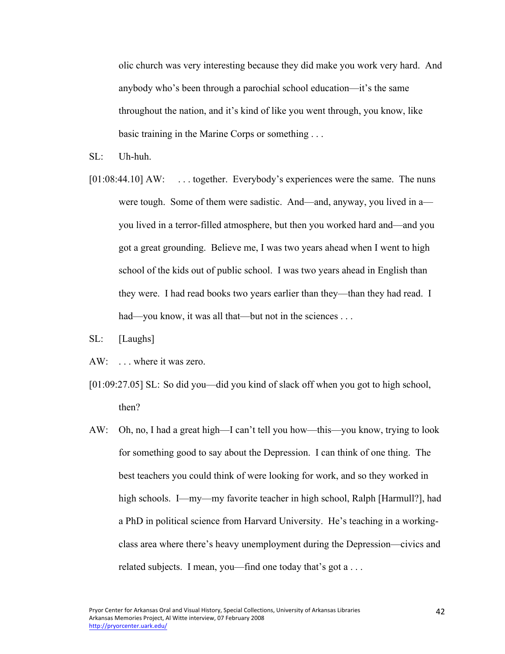olic church was very interesting because they did make you work very hard. And anybody who's been through a parochial school education—it's the same throughout the nation, and it's kind of like you went through, you know, like basic training in the Marine Corps or something . . .

- $SL:$  Uh-huh.
- [01:08:44.10] AW: ... together. Everybody's experiences were the same. The nuns were tough. Some of them were sadistic. And—and, anyway, you lived in a you lived in a terror-filled atmosphere, but then you worked hard and—and you got a great grounding. Believe me, I was two years ahead when I went to high school of the kids out of public school. I was two years ahead in English than they were. I had read books two years earlier than they—than they had read. I had—you know, it was all that—but not in the sciences . . .
- SL: [Laughs]
- AW: . . . where it was zero.
- [01:09:27.05] SL: So did you—did you kind of slack off when you got to high school, then?
- AW: Oh, no, I had a great high—I can't tell you how—this—you know, trying to look for something good to say about the Depression. I can think of one thing. The best teachers you could think of were looking for work, and so they worked in high schools. I—my—my favorite teacher in high school, Ralph [Harmull?], had a PhD in political science from Harvard University. He's teaching in a workingclass area where there's heavy unemployment during the Depression—civics and related subjects. I mean, you—find one today that's got a ...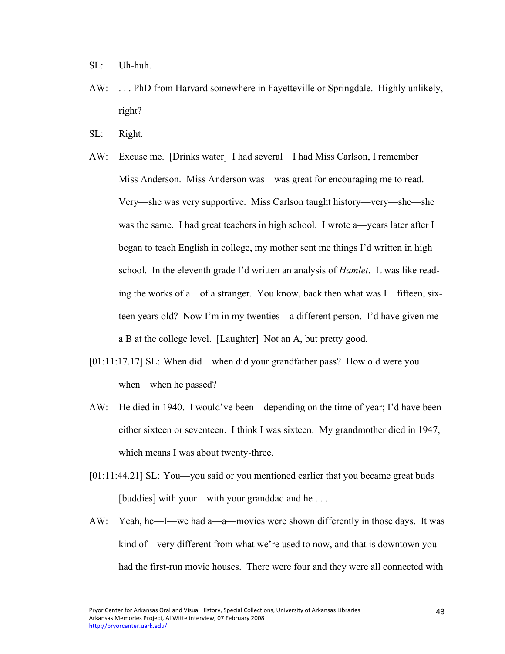- SL: Uh-huh.
- AW: . . . PhD from Harvard somewhere in Fayetteville or Springdale. Highly unlikely, right?
- SL: Right.
- AW: Excuse me. [Drinks water] I had several—I had Miss Carlson, I remember— Miss Anderson. Miss Anderson was—was great for encouraging me to read. Very—she was very supportive. Miss Carlson taught history—very—she—she was the same. I had great teachers in high school. I wrote a—years later after I began to teach English in college, my mother sent me things I'd written in high school. In the eleventh grade I'd written an analysis of *Hamlet*. It was like reading the works of a—of a stranger. You know, back then what was I—fifteen, sixteen years old? Now I'm in my twenties—a different person. I'd have given me a B at the college level. [Laughter] Not an A, but pretty good.
- [01:11:17.17] SL: When did—when did your grandfather pass? How old were you when—when he passed?
- AW: He died in 1940. I would've been—depending on the time of year; I'd have been either sixteen or seventeen. I think I was sixteen. My grandmother died in 1947, which means I was about twenty-three.
- [01:11:44.21] SL: You—you said or you mentioned earlier that you became great buds [buddies] with your—with your granddad and he . . .
- AW: Yeah, he—I—we had a—a—movies were shown differently in those days. It was kind of—very different from what we're used to now, and that is downtown you had the first-run movie houses. There were four and they were all connected with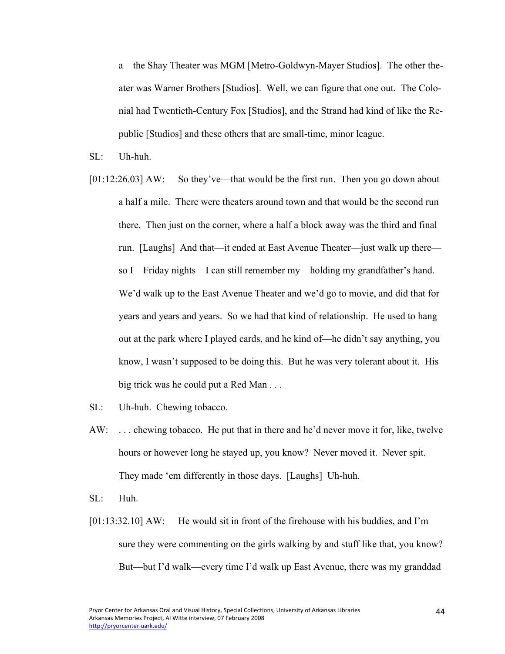a—the Shay Theater was MGM [Metro-Goldwyn-Mayer Studios]. The other theater was Warner Brothers [Studios]. Well, we can figure that one out. The Colonial had Twentieth-Century Fox [Studios], and the Strand had kind of like the Republic [Studios] and these others that are small-time, minor league.

- $SL:$  Uh-huh.
- [01:12:26.03] AW: So they've—that would be the first run. Then you go down about a half a mile. There were theaters around town and that would be the second run there. Then just on the corner, where a half a block away was the third and final run. [Laughs] And that—it ended at East Avenue Theater—just walk up there so I—Friday nights—I can still remember my—holding my grandfather's hand. We'd walk up to the East Avenue Theater and we'd go to movie, and did that for years and years and years. So we had that kind of relationship. He used to hang out at the park where I played cards, and he kind of—he didn't say anything, you know, I wasn't supposed to be doing this. But he was very tolerant about it. His big trick was he could put a Red Man . . .
- SL: Uh-huh. Chewing tobacco.
- AW: . . . chewing tobacco. He put that in there and he'd never move it for, like, twelve hours or however long he stayed up, you know? Never moved it. Never spit. They made 'em differently in those days. [Laughs] Uh-huh.
- SL: Huh.
- [01:13:32.10] AW: He would sit in front of the firehouse with his buddies, and I'm sure they were commenting on the girls walking by and stuff like that, you know? But—but I'd walk—every time I'd walk up East Avenue, there was my granddad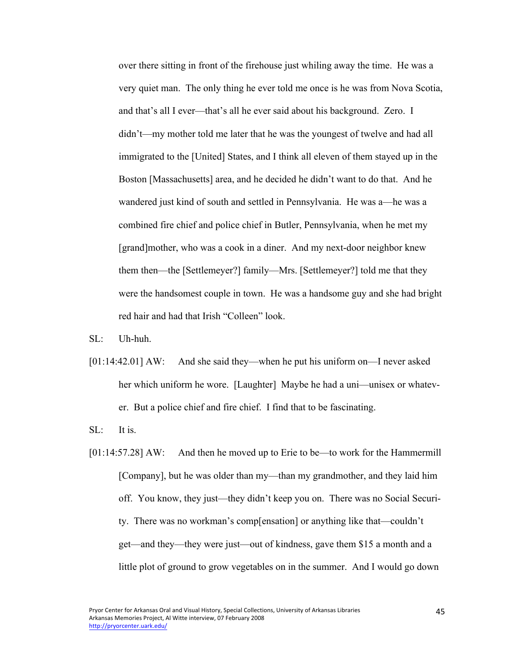over there sitting in front of the firehouse just whiling away the time. He was a very quiet man. The only thing he ever told me once is he was from Nova Scotia, and that's all I ever—that's all he ever said about his background. Zero. I didn't—my mother told me later that he was the youngest of twelve and had all immigrated to the [United] States, and I think all eleven of them stayed up in the Boston [Massachusetts] area, and he decided he didn't want to do that. And he wandered just kind of south and settled in Pennsylvania. He was a—he was a combined fire chief and police chief in Butler, Pennsylvania, when he met my [grand]mother, who was a cook in a diner. And my next-door neighbor knew them then—the [Settlemeyer?] family—Mrs. [Settlemeyer?] told me that they were the handsomest couple in town. He was a handsome guy and she had bright red hair and had that Irish "Colleen" look.

 $SI:$  Uh-huh.

[01:14:42.01] AW: And she said they—when he put his uniform on—I never asked her which uniform he wore. [Laughter] Maybe he had a uni—unisex or whatever. But a police chief and fire chief. I find that to be fascinating.

SL: It is.

[01:14:57.28] AW: And then he moved up to Erie to be—to work for the Hammermill [Company], but he was older than my—than my grandmother, and they laid him off. You know, they just—they didn't keep you on. There was no Social Security. There was no workman's comp[ensation] or anything like that—couldn't get—and they—they were just—out of kindness, gave them \$15 a month and a little plot of ground to grow vegetables on in the summer. And I would go down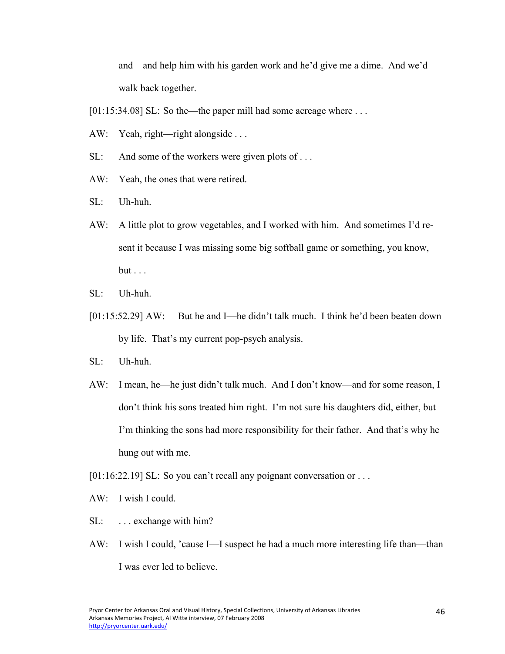and—and help him with his garden work and he'd give me a dime. And we'd walk back together.

[01:15:34.08] SL: So the—the paper mill had some acreage where ...

- AW: Yeah, right—right alongside . . .
- SL: And some of the workers were given plots of ...
- AW: Yeah, the ones that were retired.
- SL: Uh-huh.
- AW: A little plot to grow vegetables, and I worked with him. And sometimes I'd resent it because I was missing some big softball game or something, you know,  $but \ldots$
- SL: Uh-huh.
- [01:15:52.29] AW: But he and I—he didn't talk much. I think he'd been beaten down by life. That's my current pop-psych analysis.
- SL: Uh-huh.
- AW: I mean, he—he just didn't talk much. And I don't know—and for some reason, I don't think his sons treated him right. I'm not sure his daughters did, either, but I'm thinking the sons had more responsibility for their father. And that's why he hung out with me.
- [01:16:22.19] SL: So you can't recall any poignant conversation or ...
- AW: I wish I could.
- SL: ... exchange with him?
- AW: I wish I could, 'cause I—I suspect he had a much more interesting life than—than I was ever led to believe.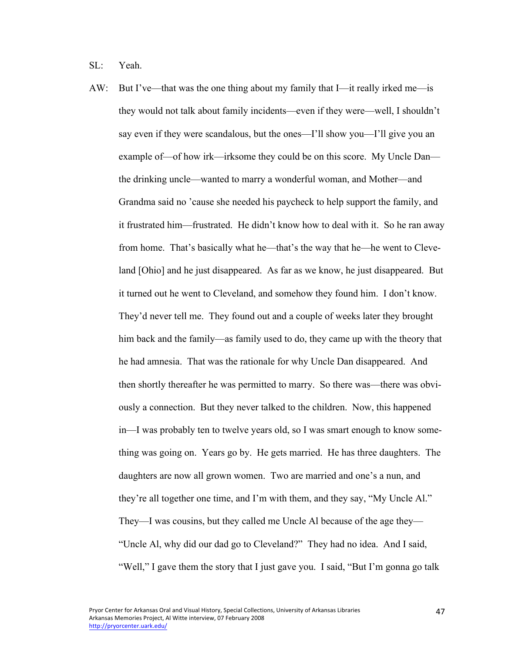SL: Yeah.

AW: But I've—that was the one thing about my family that I—it really irked me—is they would not talk about family incidents—even if they were—well, I shouldn't say even if they were scandalous, but the ones—I'll show you—I'll give you an example of—of how irk—irksome they could be on this score. My Uncle Dan the drinking uncle—wanted to marry a wonderful woman, and Mother—and Grandma said no 'cause she needed his paycheck to help support the family, and it frustrated him—frustrated. He didn't know how to deal with it. So he ran away from home. That's basically what he—that's the way that he—he went to Cleveland [Ohio] and he just disappeared. As far as we know, he just disappeared. But it turned out he went to Cleveland, and somehow they found him. I don't know. They'd never tell me. They found out and a couple of weeks later they brought him back and the family—as family used to do, they came up with the theory that he had amnesia. That was the rationale for why Uncle Dan disappeared. And then shortly thereafter he was permitted to marry. So there was—there was obviously a connection. But they never talked to the children. Now, this happened in—I was probably ten to twelve years old, so I was smart enough to know something was going on. Years go by. He gets married. He has three daughters. The daughters are now all grown women. Two are married and one's a nun, and they're all together one time, and I'm with them, and they say, "My Uncle Al." They—I was cousins, but they called me Uncle Al because of the age they— "Uncle Al, why did our dad go to Cleveland?" They had no idea. And I said, "Well," I gave them the story that I just gave you. I said, "But I'm gonna go talk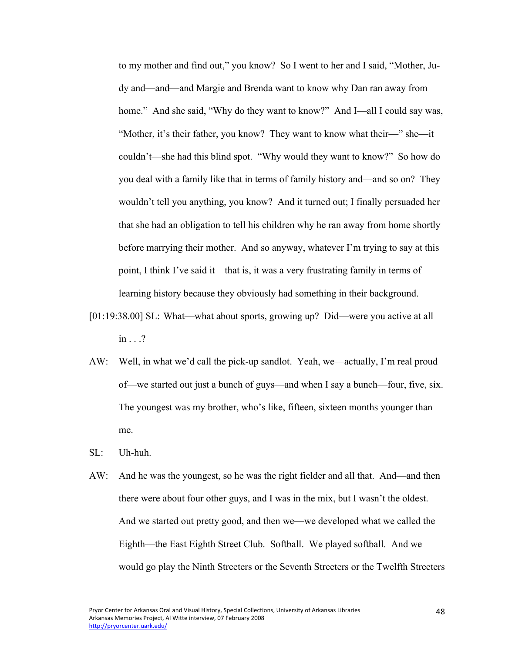to my mother and find out," you know? So I went to her and I said, "Mother, Judy and—and—and Margie and Brenda want to know why Dan ran away from home." And she said, "Why do they want to know?" And I—all I could say was, "Mother, it's their father, you know? They want to know what their—" she—it couldn't—she had this blind spot. "Why would they want to know?" So how do you deal with a family like that in terms of family history and—and so on? They wouldn't tell you anything, you know? And it turned out; I finally persuaded her that she had an obligation to tell his children why he ran away from home shortly before marrying their mother. And so anyway, whatever I'm trying to say at this point, I think I've said it—that is, it was a very frustrating family in terms of learning history because they obviously had something in their background.

- [01:19:38.00] SL: What—what about sports, growing up? Did—were you active at all in . . .?
- AW: Well, in what we'd call the pick-up sandlot. Yeah, we—actually, I'm real proud of—we started out just a bunch of guys—and when I say a bunch—four, five, six. The youngest was my brother, who's like, fifteen, sixteen months younger than me.
- SL: Uh-huh.
- AW: And he was the youngest, so he was the right fielder and all that. And—and then there were about four other guys, and I was in the mix, but I wasn't the oldest. And we started out pretty good, and then we—we developed what we called the Eighth—the East Eighth Street Club. Softball. We played softball. And we would go play the Ninth Streeters or the Seventh Streeters or the Twelfth Streeters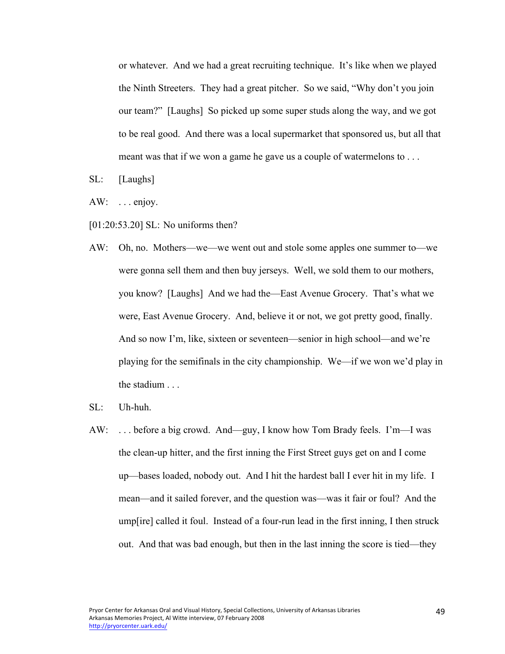or whatever. And we had a great recruiting technique. It's like when we played the Ninth Streeters. They had a great pitcher. So we said, "Why don't you join our team?" [Laughs] So picked up some super studs along the way, and we got to be real good. And there was a local supermarket that sponsored us, but all that meant was that if we won a game he gave us a couple of watermelons to ...

- SL: [Laughs]
- $AW: \dots$  enjoy.
- [01:20:53.20] SL: No uniforms then?
- AW: Oh, no. Mothers—we—we went out and stole some apples one summer to—we were gonna sell them and then buy jerseys. Well, we sold them to our mothers, you know? [Laughs] And we had the—East Avenue Grocery. That's what we were, East Avenue Grocery. And, believe it or not, we got pretty good, finally. And so now I'm, like, sixteen or seventeen—senior in high school—and we're playing for the semifinals in the city championship. We—if we won we'd play in the stadium . . .
- SL: Uh-huh.
- AW: . . . before a big crowd. And—guy, I know how Tom Brady feels. I'm—I was the clean-up hitter, and the first inning the First Street guys get on and I come up—bases loaded, nobody out. And I hit the hardest ball I ever hit in my life. I mean—and it sailed forever, and the question was—was it fair or foul? And the ump[ire] called it foul. Instead of a four-run lead in the first inning, I then struck out. And that was bad enough, but then in the last inning the score is tied—they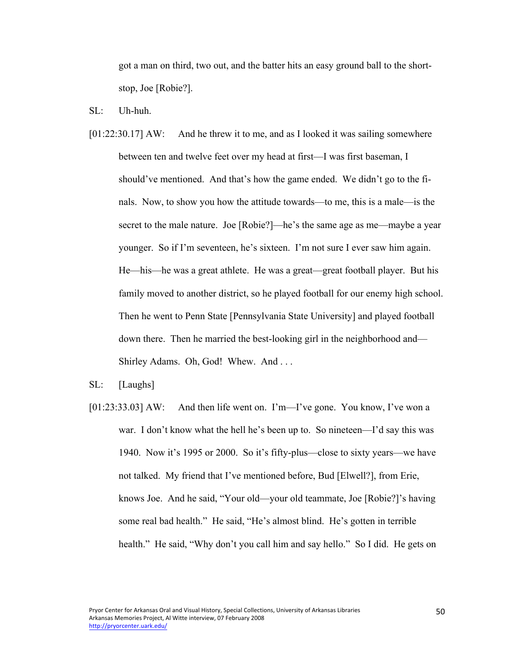got a man on third, two out, and the batter hits an easy ground ball to the shortstop, Joe [Robie?].

- SL: Uh-huh.
- [01:22:30.17] AW: And he threw it to me, and as I looked it was sailing somewhere between ten and twelve feet over my head at first—I was first baseman, I should've mentioned. And that's how the game ended. We didn't go to the finals. Now, to show you how the attitude towards—to me, this is a male—is the secret to the male nature. Joe [Robie?]—he's the same age as me—maybe a year younger. So if I'm seventeen, he's sixteen. I'm not sure I ever saw him again. He—his—he was a great athlete. He was a great—great football player. But his family moved to another district, so he played football for our enemy high school. Then he went to Penn State [Pennsylvania State University] and played football down there. Then he married the best-looking girl in the neighborhood and— Shirley Adams. Oh, God! Whew. And . . .
- SL: [Laughs]
- [01:23:33.03] AW: And then life went on. I'm—I've gone. You know, I've won a war. I don't know what the hell he's been up to. So nineteen—I'd say this was 1940. Now it's 1995 or 2000. So it's fifty-plus—close to sixty years—we have not talked. My friend that I've mentioned before, Bud [Elwell?], from Erie, knows Joe. And he said, "Your old—your old teammate, Joe [Robie?]'s having some real bad health." He said, "He's almost blind. He's gotten in terrible health." He said, "Why don't you call him and say hello." So I did. He gets on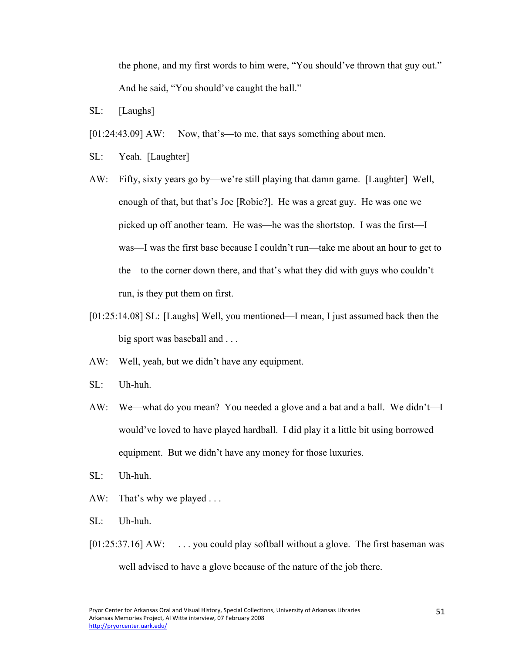the phone, and my first words to him were, "You should've thrown that guy out." And he said, "You should've caught the ball."

- SL: [Laughs]
- [01:24:43.09] AW: Now, that's—to me, that says something about men.
- SL: Yeah. [Laughter]
- AW: Fifty, sixty years go by—we're still playing that damn game. [Laughter] Well, enough of that, but that's Joe [Robie?]. He was a great guy. He was one we picked up off another team. He was—he was the shortstop. I was the first—I was—I was the first base because I couldn't run—take me about an hour to get to the—to the corner down there, and that's what they did with guys who couldn't run, is they put them on first.
- [01:25:14.08] SL: [Laughs] Well, you mentioned—I mean, I just assumed back then the big sport was baseball and . . .
- AW: Well, yeah, but we didn't have any equipment.
- SL: Uh-huh.
- AW: We—what do you mean? You needed a glove and a bat and a ball. We didn't—I would've loved to have played hardball. I did play it a little bit using borrowed equipment. But we didn't have any money for those luxuries.
- SL: Uh-huh.
- AW: That's why we played ...
- SL: Uh-huh.
- [01:25:37.16] AW: ... you could play softball without a glove. The first baseman was well advised to have a glove because of the nature of the job there.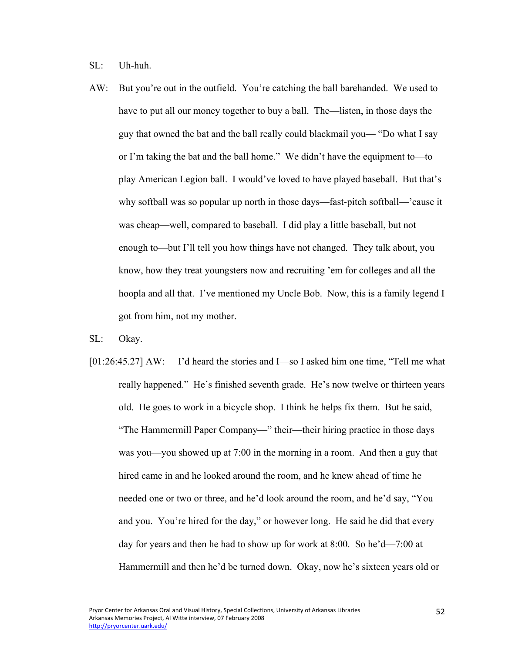SL: Uh-huh.

AW: But you're out in the outfield. You're catching the ball barehanded. We used to have to put all our money together to buy a ball. The—listen, in those days the guy that owned the bat and the ball really could blackmail you— "Do what I say or I'm taking the bat and the ball home." We didn't have the equipment to—to play American Legion ball. I would've loved to have played baseball. But that's why softball was so popular up north in those days—fast-pitch softball—'cause it was cheap—well, compared to baseball. I did play a little baseball, but not enough to—but I'll tell you how things have not changed. They talk about, you know, how they treat youngsters now and recruiting 'em for colleges and all the hoopla and all that. I've mentioned my Uncle Bob. Now, this is a family legend I got from him, not my mother.

SL: Okay.

[01:26:45.27] AW: I'd heard the stories and I—so I asked him one time, "Tell me what really happened." He's finished seventh grade. He's now twelve or thirteen years old. He goes to work in a bicycle shop. I think he helps fix them. But he said, "The Hammermill Paper Company—" their—their hiring practice in those days was you—you showed up at 7:00 in the morning in a room. And then a guy that hired came in and he looked around the room, and he knew ahead of time he needed one or two or three, and he'd look around the room, and he'd say, "You and you. You're hired for the day," or however long. He said he did that every day for years and then he had to show up for work at 8:00. So he'd—7:00 at Hammermill and then he'd be turned down. Okay, now he's sixteen years old or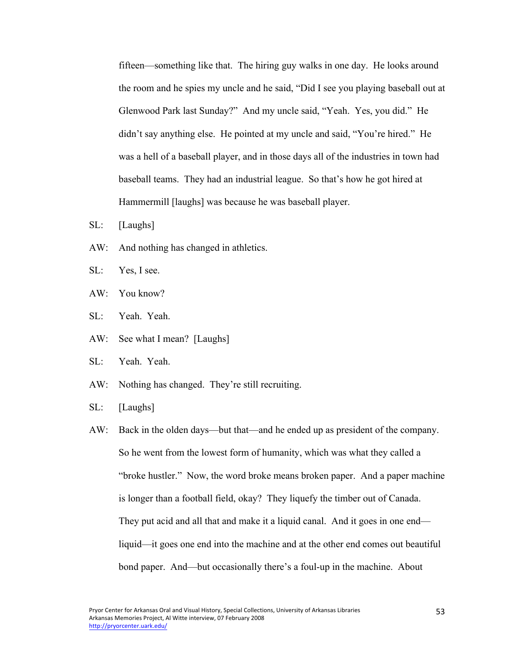fifteen—something like that. The hiring guy walks in one day. He looks around the room and he spies my uncle and he said, "Did I see you playing baseball out at Glenwood Park last Sunday?" And my uncle said, "Yeah. Yes, you did." He didn't say anything else. He pointed at my uncle and said, "You're hired." He was a hell of a baseball player, and in those days all of the industries in town had baseball teams. They had an industrial league. So that's how he got hired at Hammermill [laughs] was because he was baseball player.

- SL: [Laughs]
- AW: And nothing has changed in athletics.
- SL: Yes, I see.
- AW: You know?
- SL: Yeah. Yeah.
- AW: See what I mean? [Laughs]
- SL: Yeah. Yeah.
- AW: Nothing has changed. They're still recruiting.
- SL: [Laughs]
- AW: Back in the olden days—but that—and he ended up as president of the company. So he went from the lowest form of humanity, which was what they called a "broke hustler." Now, the word broke means broken paper. And a paper machine is longer than a football field, okay? They liquefy the timber out of Canada. They put acid and all that and make it a liquid canal. And it goes in one end liquid—it goes one end into the machine and at the other end comes out beautiful bond paper. And—but occasionally there's a foul-up in the machine. About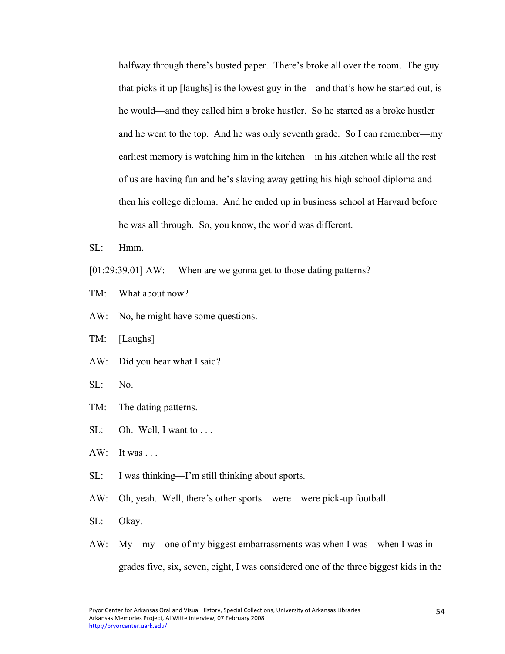halfway through there's busted paper. There's broke all over the room. The guy that picks it up [laughs] is the lowest guy in the—and that's how he started out, is he would—and they called him a broke hustler. So he started as a broke hustler and he went to the top. And he was only seventh grade. So I can remember—my earliest memory is watching him in the kitchen—in his kitchen while all the rest of us are having fun and he's slaving away getting his high school diploma and then his college diploma. And he ended up in business school at Harvard before he was all through. So, you know, the world was different.

- $SL:$  Hmm
- [01:29:39.01] AW: When are we gonna get to those dating patterns?
- TM: What about now?
- AW: No, he might have some questions.
- TM: [Laughs]
- AW: Did you hear what I said?
- SL: No.
- TM: The dating patterns.
- SL: Oh. Well, I want to ...
- $AW: It was ...$
- SL: I was thinking—I'm still thinking about sports.
- AW: Oh, yeah. Well, there's other sports—were—were pick-up football.
- SL: Okay.
- AW: My—my—one of my biggest embarrassments was when I was—when I was in grades five, six, seven, eight, I was considered one of the three biggest kids in the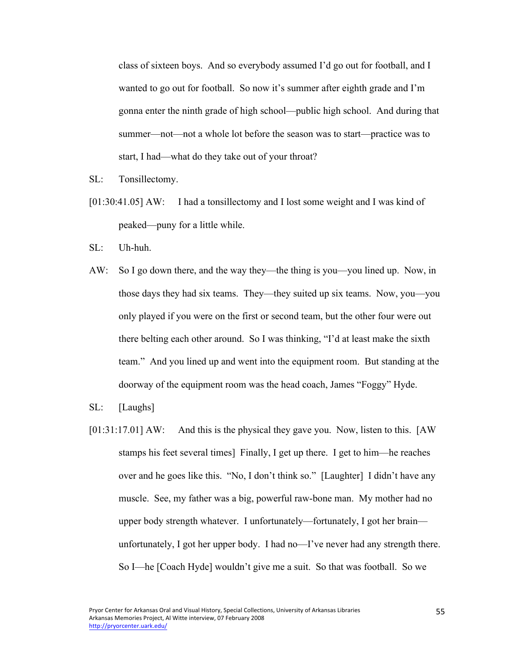class of sixteen boys. And so everybody assumed I'd go out for football, and I wanted to go out for football. So now it's summer after eighth grade and I'm gonna enter the ninth grade of high school—public high school. And during that summer—not—not a whole lot before the season was to start—practice was to start, I had—what do they take out of your throat?

- SL: Tonsillectomy.
- [01:30:41.05] AW: I had a tonsillectomy and I lost some weight and I was kind of peaked—puny for a little while.
- SL: Uh-huh.
- AW: So I go down there, and the way they—the thing is you—you lined up. Now, in those days they had six teams. They—they suited up six teams. Now, you—you only played if you were on the first or second team, but the other four were out there belting each other around. So I was thinking, "I'd at least make the sixth team." And you lined up and went into the equipment room. But standing at the doorway of the equipment room was the head coach, James "Foggy" Hyde.
- SL: [Laughs]
- [01:31:17.01] AW: And this is the physical they gave you. Now, listen to this. [AW stamps his feet several times] Finally, I get up there. I get to him—he reaches over and he goes like this. "No, I don't think so." [Laughter] I didn't have any muscle. See, my father was a big, powerful raw-bone man. My mother had no upper body strength whatever. I unfortunately—fortunately, I got her brain unfortunately, I got her upper body. I had no—I've never had any strength there. So I—he [Coach Hyde] wouldn't give me a suit. So that was football. So we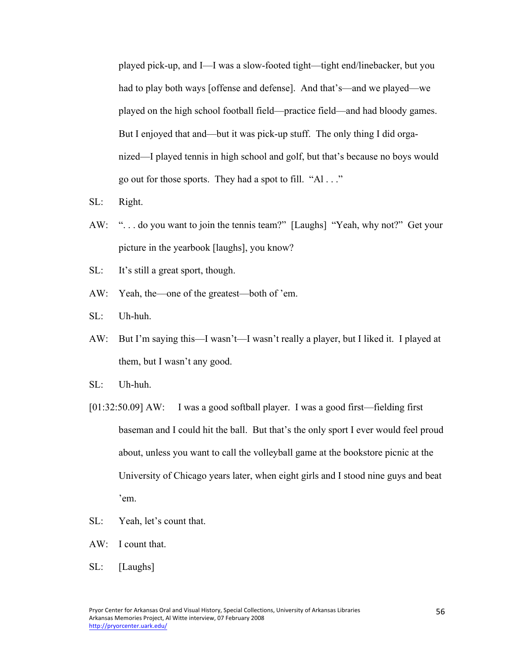played pick-up, and I—I was a slow-footed tight—tight end/linebacker, but you had to play both ways [offense and defense]. And that's—and we played—we played on the high school football field—practice field—and had bloody games. But I enjoyed that and—but it was pick-up stuff. The only thing I did organized—I played tennis in high school and golf, but that's because no boys would go out for those sports. They had a spot to fill. "Al . . ."

- SL: Right.
- AW: ". . . do you want to join the tennis team?" [Laughs] "Yeah, why not?" Get your picture in the yearbook [laughs], you know?
- SL: It's still a great sport, though.
- AW: Yeah, the—one of the greatest—both of 'em.
- SL: Uh-huh.
- AW: But I'm saying this—I wasn't—I wasn't really a player, but I liked it. I played at them, but I wasn't any good.
- SL: Uh-huh.
- [01:32:50.09] AW: I was a good softball player. I was a good first—fielding first baseman and I could hit the ball. But that's the only sport I ever would feel proud about, unless you want to call the volleyball game at the bookstore picnic at the University of Chicago years later, when eight girls and I stood nine guys and beat 'em.
- SL: Yeah, let's count that.
- AW: I count that.
- SL: [Laughs]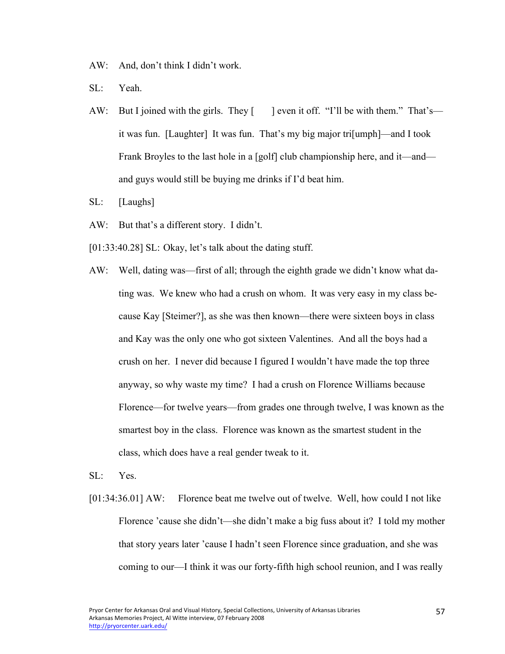AW: And, don't think I didn't work.

- SL: Yeah.
- AW: But I joined with the girls. They  $\lceil \cdot \rceil$  even it off. "I'll be with them." That's it was fun. [Laughter] It was fun. That's my big major tri[umph]—and I took Frank Broyles to the last hole in a [golf] club championship here, and it—and and guys would still be buying me drinks if I'd beat him.
- SL: [Laughs]
- AW: But that's a different story. I didn't.
- [01:33:40.28] SL: Okay, let's talk about the dating stuff.
- AW: Well, dating was—first of all; through the eighth grade we didn't know what dating was. We knew who had a crush on whom. It was very easy in my class because Kay [Steimer?], as she was then known—there were sixteen boys in class and Kay was the only one who got sixteen Valentines. And all the boys had a crush on her. I never did because I figured I wouldn't have made the top three anyway, so why waste my time? I had a crush on Florence Williams because Florence—for twelve years—from grades one through twelve, I was known as the smartest boy in the class. Florence was known as the smartest student in the class, which does have a real gender tweak to it.
- SL: Yes.
- [01:34:36.01] AW: Florence beat me twelve out of twelve. Well, how could I not like Florence 'cause she didn't—she didn't make a big fuss about it? I told my mother that story years later 'cause I hadn't seen Florence since graduation, and she was coming to our—I think it was our forty-fifth high school reunion, and I was really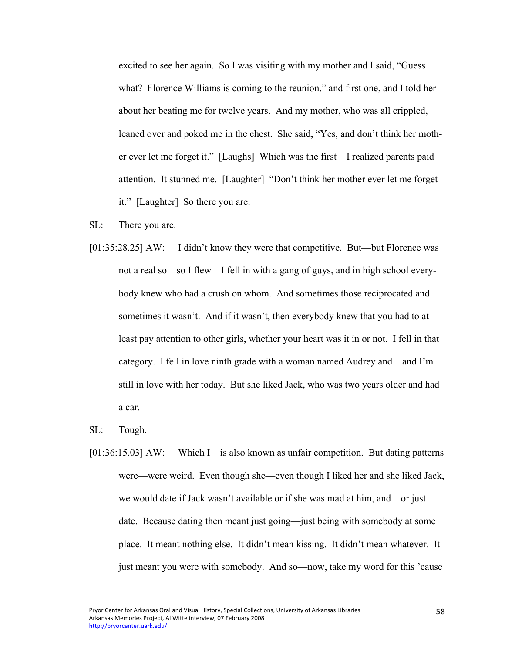excited to see her again. So I was visiting with my mother and I said, "Guess what? Florence Williams is coming to the reunion," and first one, and I told her about her beating me for twelve years. And my mother, who was all crippled, leaned over and poked me in the chest. She said, "Yes, and don't think her mother ever let me forget it." [Laughs] Which was the first—I realized parents paid attention. It stunned me. [Laughter] "Don't think her mother ever let me forget it." [Laughter] So there you are.

- SL: There you are.
- [01:35:28.25] AW: I didn't know they were that competitive. But—but Florence was not a real so—so I flew—I fell in with a gang of guys, and in high school everybody knew who had a crush on whom. And sometimes those reciprocated and sometimes it wasn't. And if it wasn't, then everybody knew that you had to at least pay attention to other girls, whether your heart was it in or not. I fell in that category. I fell in love ninth grade with a woman named Audrey and—and I'm still in love with her today. But she liked Jack, who was two years older and had a car.
- SL: Tough.
- [01:36:15.03] AW: Which I—is also known as unfair competition. But dating patterns were—were weird. Even though she—even though I liked her and she liked Jack, we would date if Jack wasn't available or if she was mad at him, and—or just date. Because dating then meant just going—just being with somebody at some place. It meant nothing else. It didn't mean kissing. It didn't mean whatever. It just meant you were with somebody. And so—now, take my word for this 'cause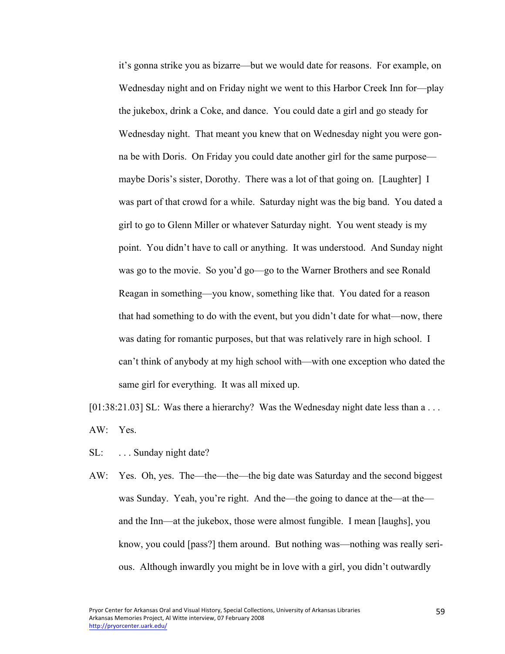it's gonna strike you as bizarre—but we would date for reasons. For example, on Wednesday night and on Friday night we went to this Harbor Creek Inn for—play the jukebox, drink a Coke, and dance. You could date a girl and go steady for Wednesday night. That meant you knew that on Wednesday night you were gonna be with Doris. On Friday you could date another girl for the same purpose maybe Doris's sister, Dorothy. There was a lot of that going on. [Laughter] I was part of that crowd for a while. Saturday night was the big band. You dated a girl to go to Glenn Miller or whatever Saturday night. You went steady is my point. You didn't have to call or anything. It was understood. And Sunday night was go to the movie. So you'd go—go to the Warner Brothers and see Ronald Reagan in something—you know, something like that. You dated for a reason that had something to do with the event, but you didn't date for what—now, there was dating for romantic purposes, but that was relatively rare in high school. I can't think of anybody at my high school with—with one exception who dated the same girl for everything. It was all mixed up.

[01:38:21.03] SL: Was there a hierarchy? Was the Wednesday night date less than a ... AW: Yes.

- SL: ... Sunday night date?
- AW: Yes. Oh, yes. The—the—the—the big date was Saturday and the second biggest was Sunday. Yeah, you're right. And the—the going to dance at the—at the and the Inn—at the jukebox, those were almost fungible. I mean [laughs], you know, you could [pass?] them around. But nothing was—nothing was really serious. Although inwardly you might be in love with a girl, you didn't outwardly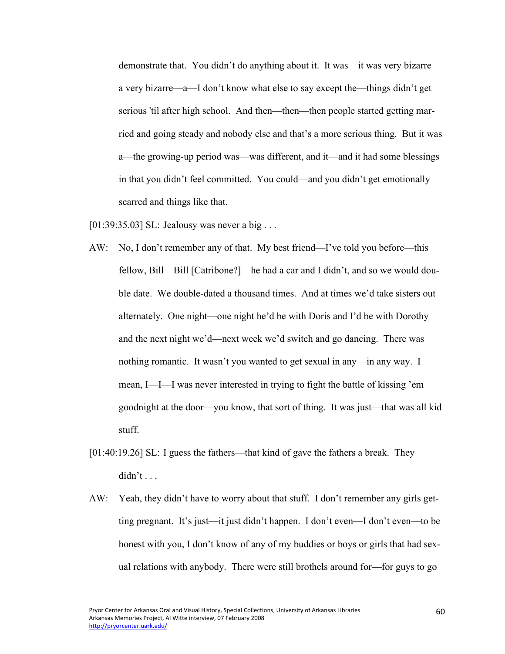demonstrate that. You didn't do anything about it. It was—it was very bizarre a very bizarre—a—I don't know what else to say except the—things didn't get serious 'til after high school. And then—then—then people started getting married and going steady and nobody else and that's a more serious thing. But it was a—the growing-up period was—was different, and it—and it had some blessings in that you didn't feel committed. You could—and you didn't get emotionally scarred and things like that.

[01:39:35.03] SL: Jealousy was never a big . . .

- AW: No, I don't remember any of that. My best friend—I've told you before—this fellow, Bill—Bill [Catribone?]—he had a car and I didn't, and so we would double date. We double-dated a thousand times. And at times we'd take sisters out alternately. One night—one night he'd be with Doris and I'd be with Dorothy and the next night we'd—next week we'd switch and go dancing. There was nothing romantic. It wasn't you wanted to get sexual in any—in any way. I mean, I—I—I was never interested in trying to fight the battle of kissing 'em goodnight at the door—you know, that sort of thing. It was just—that was all kid stuff.
- [01:40:19.26] SL: I guess the fathers—that kind of gave the fathers a break. They  $d$ idn't . . .
- AW: Yeah, they didn't have to worry about that stuff. I don't remember any girls getting pregnant. It's just—it just didn't happen. I don't even—I don't even—to be honest with you, I don't know of any of my buddies or boys or girls that had sexual relations with anybody. There were still brothels around for—for guys to go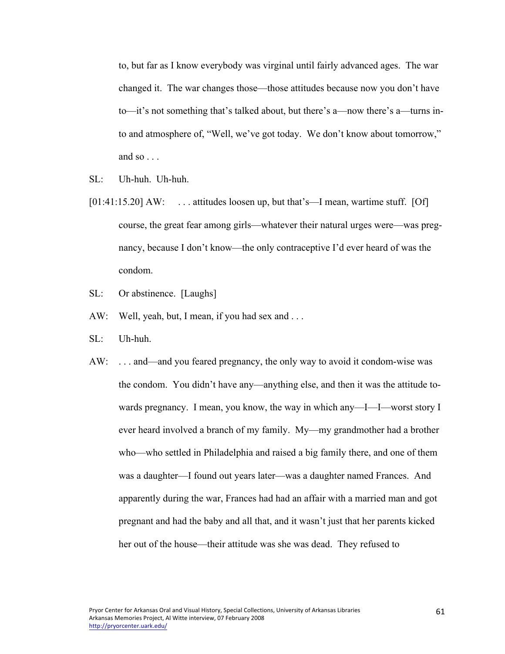to, but far as I know everybody was virginal until fairly advanced ages. The war changed it. The war changes those—those attitudes because now you don't have to—it's not something that's talked about, but there's a—now there's a—turns into and atmosphere of, "Well, we've got today. We don't know about tomorrow," and so  $\ldots$ 

- SL: Uh-huh. Uh-huh.
- [01:41:15.20] AW: ... attitudes loosen up, but that's—I mean, wartime stuff. [Of] course, the great fear among girls—whatever their natural urges were—was pregnancy, because I don't know—the only contraceptive I'd ever heard of was the condom.
- SL: Or abstinence. [Laughs]
- AW: Well, yeah, but, I mean, if you had sex and ...
- SL: Uh-huh.
- AW: ... and—and you feared pregnancy, the only way to avoid it condom-wise was the condom. You didn't have any—anything else, and then it was the attitude towards pregnancy. I mean, you know, the way in which any—I—I—worst story I ever heard involved a branch of my family. My—my grandmother had a brother who—who settled in Philadelphia and raised a big family there, and one of them was a daughter—I found out years later—was a daughter named Frances. And apparently during the war, Frances had had an affair with a married man and got pregnant and had the baby and all that, and it wasn't just that her parents kicked her out of the house—their attitude was she was dead. They refused to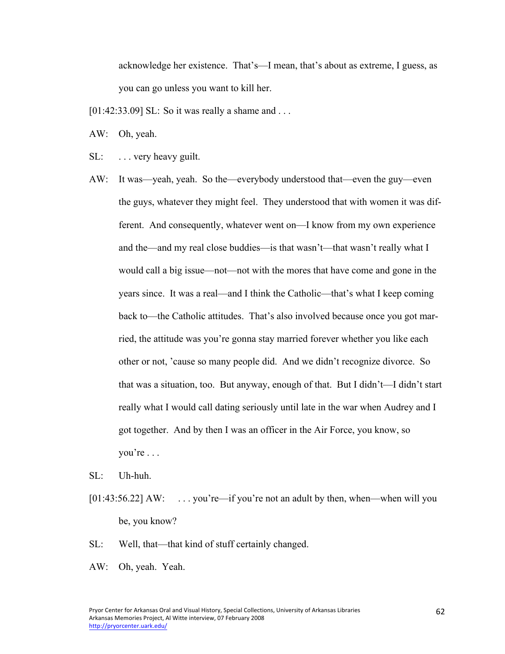acknowledge her existence. That's—I mean, that's about as extreme, I guess, as you can go unless you want to kill her.

- [01:42:33.09] SL: So it was really a shame and . . .
- AW: Oh, yeah.
- SL: ... very heavy guilt.
- AW: It was—yeah, yeah. So the—everybody understood that—even the guy—even the guys, whatever they might feel. They understood that with women it was different. And consequently, whatever went on—I know from my own experience and the—and my real close buddies—is that wasn't—that wasn't really what I would call a big issue—not—not with the mores that have come and gone in the years since. It was a real—and I think the Catholic—that's what I keep coming back to—the Catholic attitudes. That's also involved because once you got married, the attitude was you're gonna stay married forever whether you like each other or not, 'cause so many people did. And we didn't recognize divorce. So that was a situation, too. But anyway, enough of that. But I didn't—I didn't start really what I would call dating seriously until late in the war when Audrey and I got together. And by then I was an officer in the Air Force, you know, so you're . . .
- SL: Uh-huh.
- $[01:43:56.22]$  AW: ... you're—if you're not an adult by then, when—when will you be, you know?
- SL: Well, that—that kind of stuff certainly changed.
- AW: Oh, yeah. Yeah.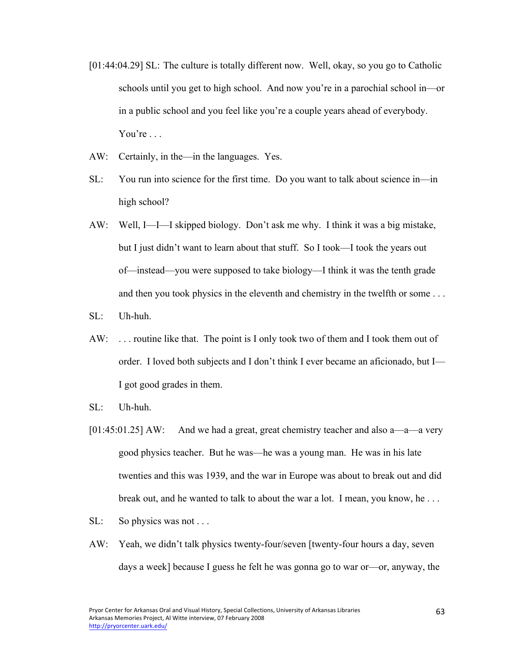- [01:44:04.29] SL: The culture is totally different now. Well, okay, so you go to Catholic schools until you get to high school. And now you're in a parochial school in—or in a public school and you feel like you're a couple years ahead of everybody. You're . . .
- AW: Certainly, in the—in the languages. Yes.
- SL: You run into science for the first time. Do you want to talk about science in—in high school?
- AW: Well, I—I—I skipped biology. Don't ask me why. I think it was a big mistake, but I just didn't want to learn about that stuff. So I took—I took the years out of—instead—you were supposed to take biology—I think it was the tenth grade and then you took physics in the eleventh and chemistry in the twelfth or some . . .
- SL: Uh-huh.
- AW: ... routine like that. The point is I only took two of them and I took them out of order. I loved both subjects and I don't think I ever became an aficionado, but I— I got good grades in them.
- SL: Uh-huh.
- [01:45:01.25] AW: And we had a great, great chemistry teacher and also a—a—a very good physics teacher. But he was—he was a young man. He was in his late twenties and this was 1939, and the war in Europe was about to break out and did break out, and he wanted to talk to about the war a lot. I mean, you know, he . . .
- SL: So physics was not ...
- AW: Yeah, we didn't talk physics twenty-four/seven [twenty-four hours a day, seven days a week] because I guess he felt he was gonna go to war or—or, anyway, the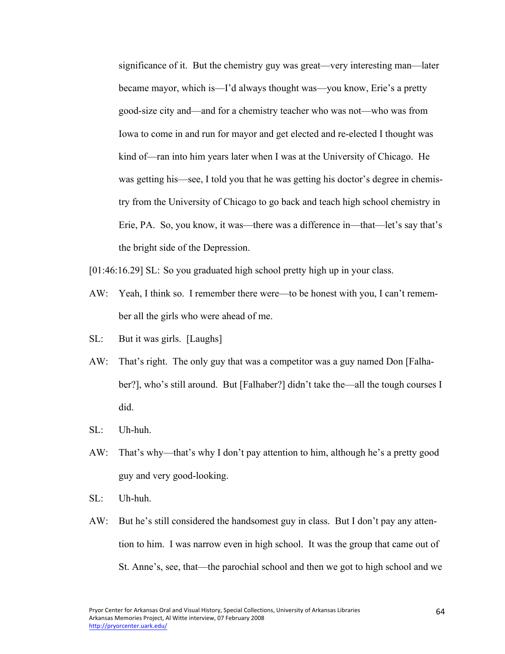significance of it. But the chemistry guy was great—very interesting man—later became mayor, which is—I'd always thought was—you know, Erie's a pretty good-size city and—and for a chemistry teacher who was not—who was from Iowa to come in and run for mayor and get elected and re-elected I thought was kind of—ran into him years later when I was at the University of Chicago. He was getting his—see, I told you that he was getting his doctor's degree in chemistry from the University of Chicago to go back and teach high school chemistry in Erie, PA. So, you know, it was—there was a difference in—that—let's say that's the bright side of the Depression.

- [01:46:16.29] SL: So you graduated high school pretty high up in your class.
- AW: Yeah, I think so. I remember there were—to be honest with you, I can't remember all the girls who were ahead of me.
- SL: But it was girls. [Laughs]
- AW: That's right. The only guy that was a competitor was a guy named Don [Falhaber?], who's still around. But [Falhaber?] didn't take the—all the tough courses I did.
- SL: Uh-huh.
- AW: That's why—that's why I don't pay attention to him, although he's a pretty good guy and very good-looking.
- SL: Uh-huh.
- AW: But he's still considered the handsomest guy in class. But I don't pay any attention to him. I was narrow even in high school. It was the group that came out of St. Anne's, see, that—the parochial school and then we got to high school and we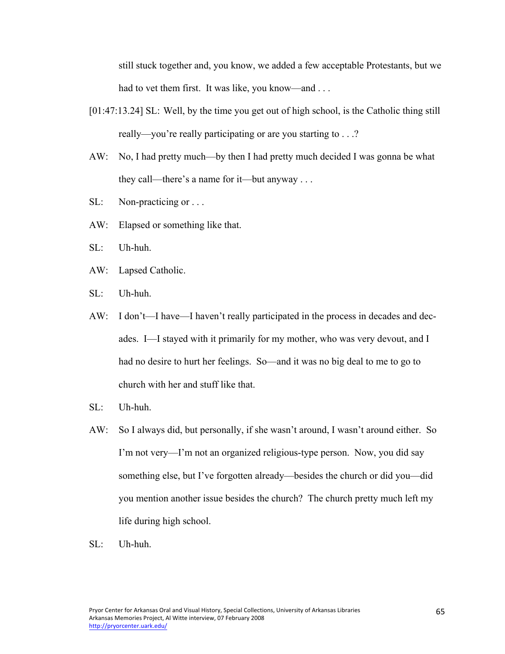still stuck together and, you know, we added a few acceptable Protestants, but we had to vet them first. It was like, you know—and ...

- [01:47:13.24] SL: Well, by the time you get out of high school, is the Catholic thing still really—you're really participating or are you starting to . . .?
- AW: No, I had pretty much—by then I had pretty much decided I was gonna be what they call—there's a name for it—but anyway . . .
- SL: Non-practicing or ...
- AW: Elapsed or something like that.
- SL: Uh-huh.
- AW: Lapsed Catholic.
- SL: Uh-huh.
- AW: I don't—I have—I haven't really participated in the process in decades and decades. I—I stayed with it primarily for my mother, who was very devout, and I had no desire to hurt her feelings. So—and it was no big deal to me to go to church with her and stuff like that.
- SL: Uh-huh.
- AW: So I always did, but personally, if she wasn't around, I wasn't around either. So I'm not very—I'm not an organized religious-type person. Now, you did say something else, but I've forgotten already—besides the church or did you—did you mention another issue besides the church? The church pretty much left my life during high school.
- SL: Uh-huh.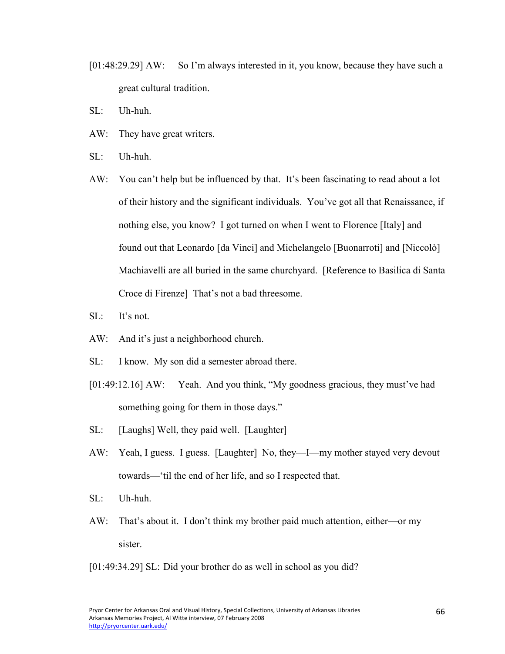- [01:48:29.29] AW: So I'm always interested in it, you know, because they have such a great cultural tradition.
- SL: Uh-huh.
- AW: They have great writers.
- SL: Uh-huh.
- AW: You can't help but be influenced by that. It's been fascinating to read about a lot of their history and the significant individuals. You've got all that Renaissance, if nothing else, you know? I got turned on when I went to Florence [Italy] and found out that Leonardo [da Vinci] and Michelangelo [Buonarroti] and [Niccolò] Machiavelli are all buried in the same churchyard. [Reference to Basilica di Santa Croce di Firenze] That's not a bad threesome.
- SL: It's not.
- AW: And it's just a neighborhood church.
- SL: I know. My son did a semester abroad there.
- [01:49:12.16] AW: Yeah. And you think, "My goodness gracious, they must've had something going for them in those days."
- SL: [Laughs] Well, they paid well. [Laughter]
- AW: Yeah, I guess. I guess. [Laughter] No, they—I—my mother stayed very devout towards—'til the end of her life, and so I respected that.
- SL: Uh-huh.
- AW: That's about it. I don't think my brother paid much attention, either—or my sister.
- [01:49:34.29] SL: Did your brother do as well in school as you did?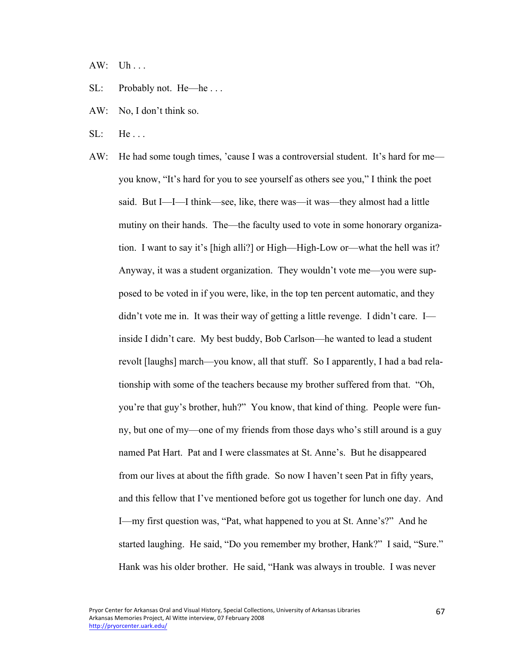AW: Uh . . .

- SL: Probably not. He—he . . .
- AW: No, I don't think so.
- $SL:$  He...
- AW: He had some tough times, 'cause I was a controversial student. It's hard for me you know, "It's hard for you to see yourself as others see you," I think the poet said. But I—I—I think—see, like, there was—it was—they almost had a little mutiny on their hands. The—the faculty used to vote in some honorary organization. I want to say it's [high alli?] or High—High-Low or—what the hell was it? Anyway, it was a student organization. They wouldn't vote me—you were supposed to be voted in if you were, like, in the top ten percent automatic, and they didn't vote me in. It was their way of getting a little revenge. I didn't care. I inside I didn't care. My best buddy, Bob Carlson—he wanted to lead a student revolt [laughs] march—you know, all that stuff. So I apparently, I had a bad relationship with some of the teachers because my brother suffered from that. "Oh, you're that guy's brother, huh?" You know, that kind of thing. People were funny, but one of my—one of my friends from those days who's still around is a guy named Pat Hart. Pat and I were classmates at St. Anne's. But he disappeared from our lives at about the fifth grade. So now I haven't seen Pat in fifty years, and this fellow that I've mentioned before got us together for lunch one day. And I—my first question was, "Pat, what happened to you at St. Anne's?" And he started laughing. He said, "Do you remember my brother, Hank?" I said, "Sure." Hank was his older brother. He said, "Hank was always in trouble. I was never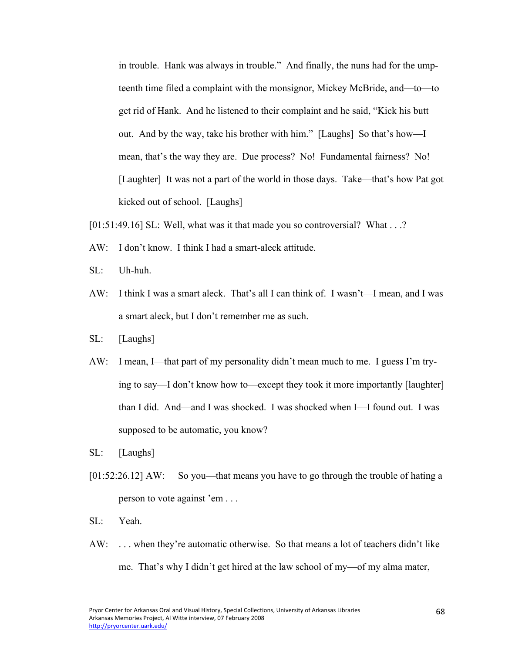in trouble. Hank was always in trouble." And finally, the nuns had for the umpteenth time filed a complaint with the monsignor, Mickey McBride, and—to—to get rid of Hank. And he listened to their complaint and he said, "Kick his butt out. And by the way, take his brother with him." [Laughs] So that's how—I mean, that's the way they are. Due process? No! Fundamental fairness? No! [Laughter] It was not a part of the world in those days. Take—that's how Pat got kicked out of school. [Laughs]

[01:51:49.16] SL: Well, what was it that made you so controversial? What . . .?

- AW: I don't know. I think I had a smart-aleck attitude.
- SL: Uh-huh.
- AW: I think I was a smart aleck. That's all I can think of. I wasn't—I mean, and I was a smart aleck, but I don't remember me as such.
- SL: [Laughs]
- AW: I mean, I—that part of my personality didn't mean much to me. I guess I'm trying to say—I don't know how to—except they took it more importantly [laughter] than I did. And—and I was shocked. I was shocked when I—I found out. I was supposed to be automatic, you know?
- SL: [Laughs]
- [01:52:26.12] AW: So you—that means you have to go through the trouble of hating a person to vote against 'em . . .
- SL: Yeah.
- AW: . . . when they're automatic otherwise. So that means a lot of teachers didn't like me. That's why I didn't get hired at the law school of my—of my alma mater,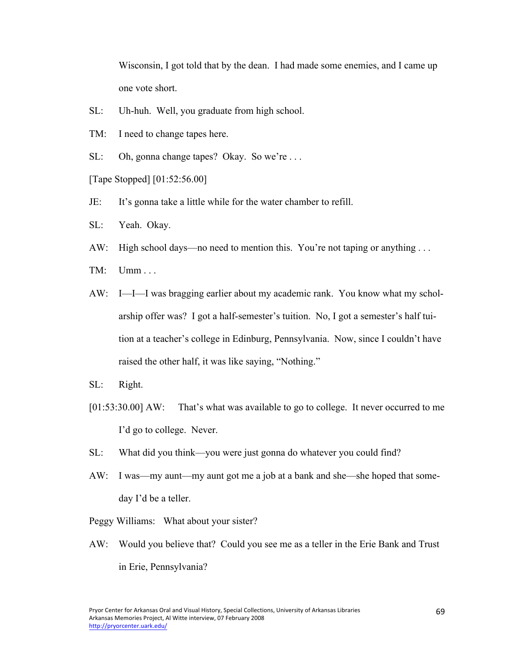Wisconsin, I got told that by the dean. I had made some enemies, and I came up one vote short.

- SL: Uh-huh. Well, you graduate from high school.
- TM: I need to change tapes here.
- SL: Oh, gonna change tapes? Okay. So we're ...

[Tape Stopped] [01:52:56.00]

- JE: It's gonna take a little while for the water chamber to refill.
- SL: Yeah. Okay.
- AW: High school days—no need to mention this. You're not taping or anything ...
- TM: Umm . . .
- AW: I—I—I was bragging earlier about my academic rank. You know what my scholarship offer was? I got a half-semester's tuition. No, I got a semester's half tuition at a teacher's college in Edinburg, Pennsylvania. Now, since I couldn't have raised the other half, it was like saying, "Nothing."
- SL: Right.
- [01:53:30.00] AW: That's what was available to go to college. It never occurred to me I'd go to college. Never.
- SL: What did you think—you were just gonna do whatever you could find?
- AW: I was—my aunt—my aunt got me a job at a bank and she—she hoped that someday I'd be a teller.
- Peggy Williams: What about your sister?
- AW: Would you believe that? Could you see me as a teller in the Erie Bank and Trust in Erie, Pennsylvania?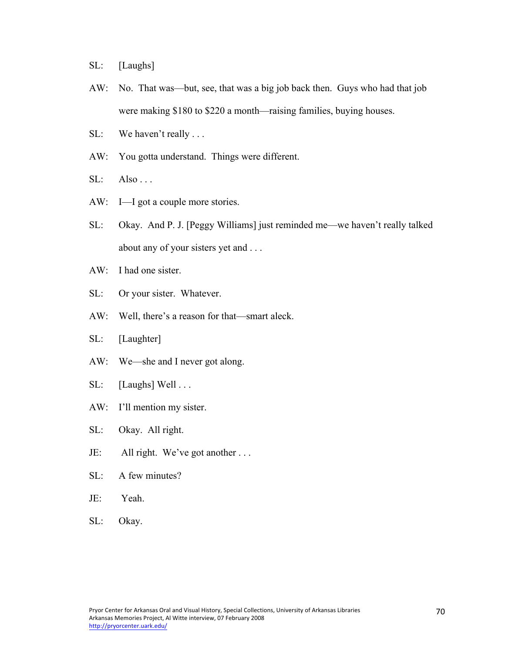SL: [Laughs]

- AW: No. That was—but, see, that was a big job back then. Guys who had that job were making \$180 to \$220 a month—raising families, buying houses.
- SL: We haven't really ...
- AW: You gotta understand. Things were different.
- $SL:$  Also ...
- AW: I—I got a couple more stories.
- SL: Okay. And P. J. [Peggy Williams] just reminded me—we haven't really talked about any of your sisters yet and . . .
- AW: I had one sister.
- SL: Or your sister. Whatever.
- AW: Well, there's a reason for that—smart aleck.
- SL: [Laughter]
- AW: We—she and I never got along.
- SL: [Laughs] Well . . .
- AW: I'll mention my sister.
- SL: Okay. All right.
- JE: All right. We've got another . . .
- SL: A few minutes?
- JE: Yeah.
- SL: Okay.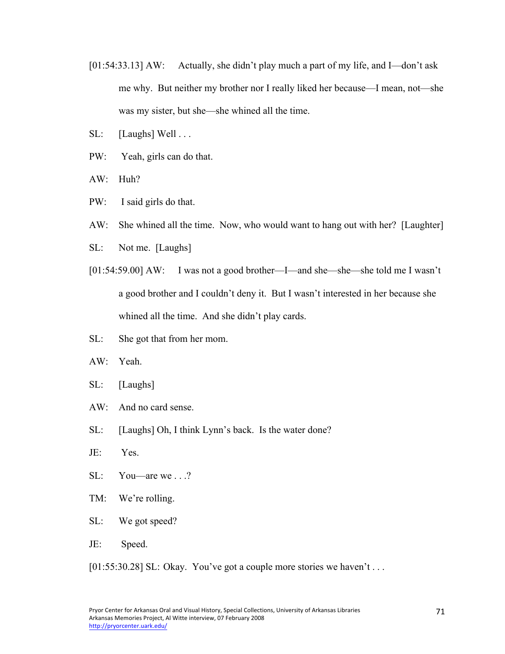- [01:54:33.13] AW: Actually, she didn't play much a part of my life, and I—don't ask me why. But neither my brother nor I really liked her because—I mean, not—she was my sister, but she—she whined all the time.
- SL: [Laughs] Well . . .
- PW: Yeah, girls can do that.
- AW: Huh?
- PW: I said girls do that.
- AW: She whined all the time. Now, who would want to hang out with her? [Laughter]
- SL: Not me. [Laughs]
- [01:54:59.00] AW: I was not a good brother—I—and she—she—she told me I wasn't a good brother and I couldn't deny it. But I wasn't interested in her because she whined all the time. And she didn't play cards.
- SL: She got that from her mom.
- AW: Yeah.
- SL: [Laughs]
- AW: And no card sense.
- SL: [Laughs] Oh, I think Lynn's back. Is the water done?
- JE: Yes.
- SL: You—are we . . .?
- TM: We're rolling.
- SL: We got speed?
- JE: Speed.
- [01:55:30.28] SL: Okay. You've got a couple more stories we haven't ...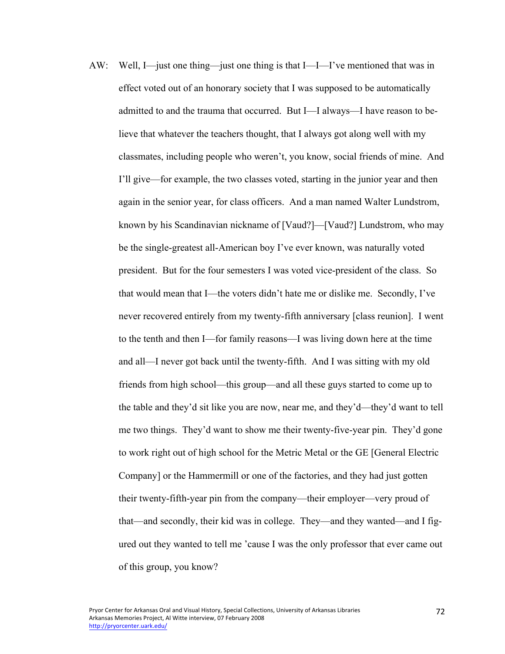AW: Well, I—just one thing—just one thing is that I—I—I've mentioned that was in effect voted out of an honorary society that I was supposed to be automatically admitted to and the trauma that occurred. But I—I always—I have reason to believe that whatever the teachers thought, that I always got along well with my classmates, including people who weren't, you know, social friends of mine. And I'll give—for example, the two classes voted, starting in the junior year and then again in the senior year, for class officers. And a man named Walter Lundstrom, known by his Scandinavian nickname of [Vaud?]—[Vaud?] Lundstrom, who may be the single-greatest all-American boy I've ever known, was naturally voted president. But for the four semesters I was voted vice-president of the class. So that would mean that I—the voters didn't hate me or dislike me. Secondly, I've never recovered entirely from my twenty-fifth anniversary [class reunion]. I went to the tenth and then I—for family reasons—I was living down here at the time and all—I never got back until the twenty-fifth. And I was sitting with my old friends from high school—this group—and all these guys started to come up to the table and they'd sit like you are now, near me, and they'd—they'd want to tell me two things. They'd want to show me their twenty-five-year pin. They'd gone to work right out of high school for the Metric Metal or the GE [General Electric Company] or the Hammermill or one of the factories, and they had just gotten their twenty-fifth-year pin from the company—their employer—very proud of that—and secondly, their kid was in college. They—and they wanted—and I figured out they wanted to tell me 'cause I was the only professor that ever came out of this group, you know?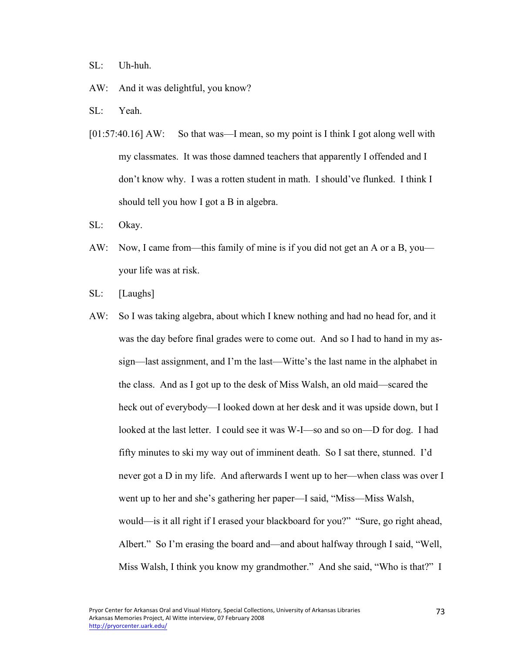SL: Uh-huh.

- AW: And it was delightful, you know?
- SL: Yeah.
- [01:57:40.16] AW: So that was—I mean, so my point is I think I got along well with my classmates. It was those damned teachers that apparently I offended and I don't know why. I was a rotten student in math. I should've flunked. I think I should tell you how I got a B in algebra.
- SL: Okay.
- AW: Now, I came from—this family of mine is if you did not get an A or a B, you your life was at risk.
- SL: [Laughs]
- AW: So I was taking algebra, about which I knew nothing and had no head for, and it was the day before final grades were to come out. And so I had to hand in my assign—last assignment, and I'm the last—Witte's the last name in the alphabet in the class. And as I got up to the desk of Miss Walsh, an old maid—scared the heck out of everybody—I looked down at her desk and it was upside down, but I looked at the last letter. I could see it was W-I—so and so on—D for dog. I had fifty minutes to ski my way out of imminent death. So I sat there, stunned. I'd never got a D in my life. And afterwards I went up to her—when class was over I went up to her and she's gathering her paper—I said, "Miss—Miss Walsh, would—is it all right if I erased your blackboard for you?" "Sure, go right ahead, Albert." So I'm erasing the board and—and about halfway through I said, "Well, Miss Walsh, I think you know my grandmother." And she said, "Who is that?" I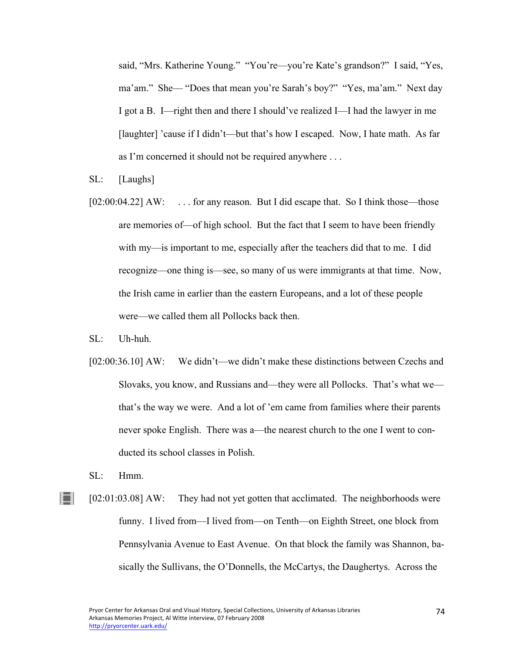said, "Mrs. Katherine Young." "You're—you're Kate's grandson?" I said, "Yes, ma'am." She— "Does that mean you're Sarah's boy?" "Yes, ma'am." Next day I got a B. I—right then and there I should've realized I—I had the lawyer in me [laughter] 'cause if I didn't—but that's how I escaped. Now, I hate math. As far as I'm concerned it should not be required anywhere . . .

- SL: [Laughs]
- [02:00:04.22] AW: ... for any reason. But I did escape that. So I think those—those are memories of—of high school. But the fact that I seem to have been friendly with my—is important to me, especially after the teachers did that to me. I did recognize—one thing is—see, so many of us were immigrants at that time. Now, the Irish came in earlier than the eastern Europeans, and a lot of these people were—we called them all Pollocks back then.
- SL: Uh-huh.
- [02:00:36.10] AW: We didn't—we didn't make these distinctions between Czechs and Slovaks, you know, and Russians and—they were all Pollocks. That's what we that's the way we were. And a lot of 'em came from families where their parents never spoke English. There was a—the nearest church to the one I went to conducted its school classes in Polish.
- SL: Hmm.
- ∐ [02:01:03.08] AW: They had not yet gotten that acclimated. The neighborhoods were funny. I lived from—I lived from—on Tenth—on Eighth Street, one block from Pennsylvania Avenue to East Avenue. On that block the family was Shannon, basically the Sullivans, the O'Donnells, the McCartys, the Daughertys. Across the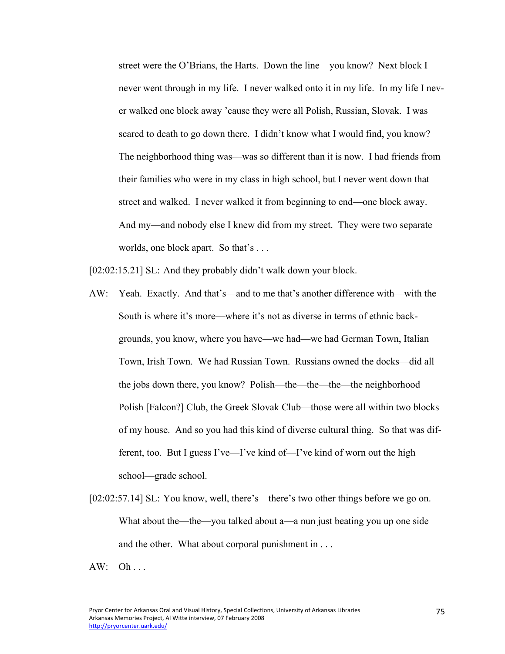street were the O'Brians, the Harts. Down the line—you know? Next block I never went through in my life. I never walked onto it in my life. In my life I never walked one block away 'cause they were all Polish, Russian, Slovak. I was scared to death to go down there. I didn't know what I would find, you know? The neighborhood thing was—was so different than it is now. I had friends from their families who were in my class in high school, but I never went down that street and walked. I never walked it from beginning to end—one block away. And my—and nobody else I knew did from my street. They were two separate worlds, one block apart. So that's . . .

[02:02:15.21] SL: And they probably didn't walk down your block.

- AW: Yeah. Exactly. And that's—and to me that's another difference with—with the South is where it's more—where it's not as diverse in terms of ethnic backgrounds, you know, where you have—we had—we had German Town, Italian Town, Irish Town. We had Russian Town. Russians owned the docks—did all the jobs down there, you know? Polish—the—the—the—the neighborhood Polish [Falcon?] Club, the Greek Slovak Club—those were all within two blocks of my house. And so you had this kind of diverse cultural thing. So that was different, too. But I guess I've—I've kind of—I've kind of worn out the high school—grade school.
- [02:02:57.14] SL: You know, well, there's—there's two other things before we go on. What about the—the—you talked about a—a nun just beating you up one side and the other. What about corporal punishment in . . .

 $AW: Oh...$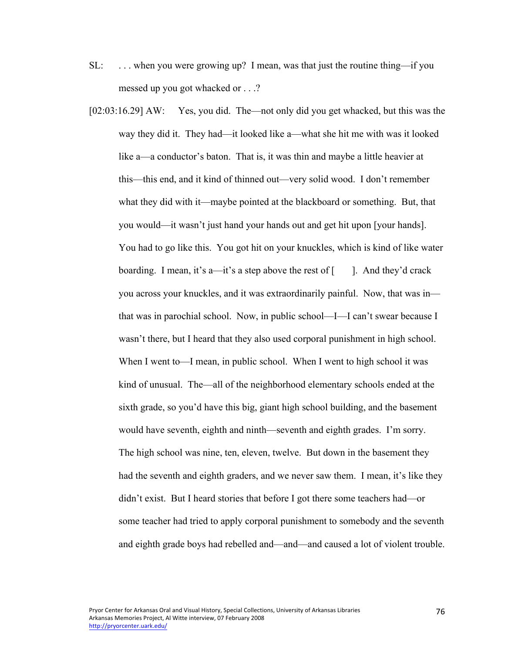- SL: . . . when you were growing up? I mean, was that just the routine thing—if you messed up you got whacked or . . .?
- [02:03:16.29] AW: Yes, you did. The—not only did you get whacked, but this was the way they did it. They had—it looked like a—what she hit me with was it looked like a—a conductor's baton. That is, it was thin and maybe a little heavier at this—this end, and it kind of thinned out—very solid wood. I don't remember what they did with it—maybe pointed at the blackboard or something. But, that you would—it wasn't just hand your hands out and get hit upon [your hands]. You had to go like this. You got hit on your knuckles, which is kind of like water boarding. I mean, it's a—it's a step above the rest of  $\lceil \cdot \rceil$ . And they'd crack you across your knuckles, and it was extraordinarily painful. Now, that was in that was in parochial school. Now, in public school—I—I can't swear because I wasn't there, but I heard that they also used corporal punishment in high school. When I went to—I mean, in public school. When I went to high school it was kind of unusual. The—all of the neighborhood elementary schools ended at the sixth grade, so you'd have this big, giant high school building, and the basement would have seventh, eighth and ninth—seventh and eighth grades. I'm sorry. The high school was nine, ten, eleven, twelve. But down in the basement they had the seventh and eighth graders, and we never saw them. I mean, it's like they didn't exist. But I heard stories that before I got there some teachers had—or some teacher had tried to apply corporal punishment to somebody and the seventh and eighth grade boys had rebelled and—and—and caused a lot of violent trouble.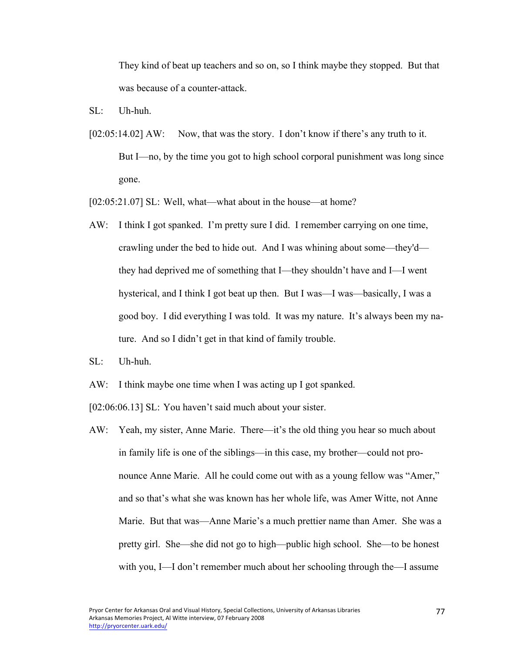They kind of beat up teachers and so on, so I think maybe they stopped. But that was because of a counter-attack.

- $SL:$  Uh-huh.
- [02:05:14.02] AW: Now, that was the story. I don't know if there's any truth to it. But I—no, by the time you got to high school corporal punishment was long since gone.

[02:05:21.07] SL: Well, what—what about in the house—at home?

- AW: I think I got spanked. I'm pretty sure I did. I remember carrying on one time, crawling under the bed to hide out. And I was whining about some—they'd they had deprived me of something that I—they shouldn't have and I—I went hysterical, and I think I got beat up then. But I was—I was—basically, I was a good boy. I did everything I was told. It was my nature. It's always been my nature. And so I didn't get in that kind of family trouble.
- SL: Uh-huh.
- AW: I think maybe one time when I was acting up I got spanked.

[02:06:06.13] SL: You haven't said much about your sister.

AW: Yeah, my sister, Anne Marie. There—it's the old thing you hear so much about in family life is one of the siblings—in this case, my brother—could not pronounce Anne Marie. All he could come out with as a young fellow was "Amer," and so that's what she was known has her whole life, was Amer Witte, not Anne Marie. But that was—Anne Marie's a much prettier name than Amer. She was a pretty girl. She—she did not go to high—public high school. She—to be honest with you, I—I don't remember much about her schooling through the—I assume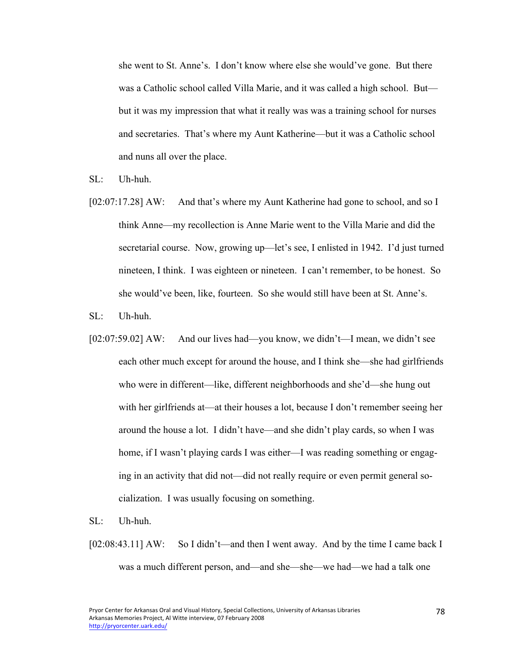she went to St. Anne's. I don't know where else she would've gone. But there was a Catholic school called Villa Marie, and it was called a high school. But but it was my impression that what it really was was a training school for nurses and secretaries. That's where my Aunt Katherine—but it was a Catholic school and nuns all over the place.

SL: Uh-huh.

- [02:07:17.28] AW: And that's where my Aunt Katherine had gone to school, and so I think Anne—my recollection is Anne Marie went to the Villa Marie and did the secretarial course. Now, growing up—let's see, I enlisted in 1942. I'd just turned nineteen, I think. I was eighteen or nineteen. I can't remember, to be honest. So she would've been, like, fourteen. So she would still have been at St. Anne's.
- SL: Uh-huh.
- [02:07:59.02] AW: And our lives had—you know, we didn't—I mean, we didn't see each other much except for around the house, and I think she—she had girlfriends who were in different—like, different neighborhoods and she'd—she hung out with her girlfriends at—at their houses a lot, because I don't remember seeing her around the house a lot. I didn't have—and she didn't play cards, so when I was home, if I wasn't playing cards I was either—I was reading something or engaging in an activity that did not—did not really require or even permit general socialization. I was usually focusing on something.
- SL: Uh-huh.
- [02:08:43.11] AW: So I didn't—and then I went away. And by the time I came back I was a much different person, and—and she—she—we had—we had a talk one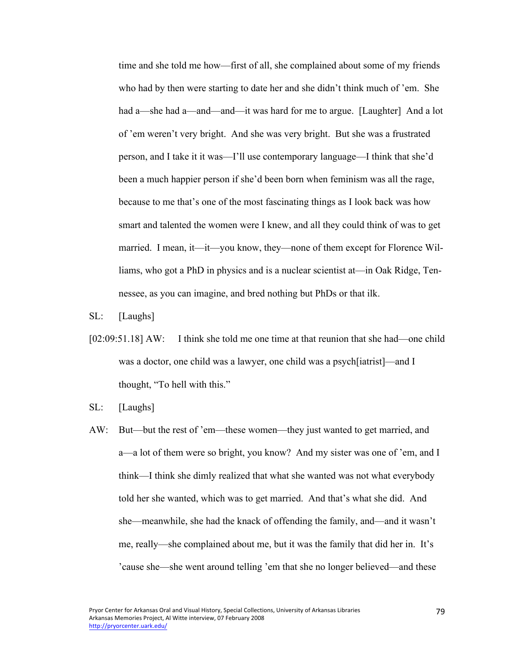time and she told me how—first of all, she complained about some of my friends who had by then were starting to date her and she didn't think much of 'em. She had a—she had a—and—and—it was hard for me to argue. [Laughter] And a lot of 'em weren't very bright. And she was very bright. But she was a frustrated person, and I take it it was—I'll use contemporary language—I think that she'd been a much happier person if she'd been born when feminism was all the rage, because to me that's one of the most fascinating things as I look back was how smart and talented the women were I knew, and all they could think of was to get married. I mean, it—it—you know, they—none of them except for Florence Williams, who got a PhD in physics and is a nuclear scientist at—in Oak Ridge, Tennessee, as you can imagine, and bred nothing but PhDs or that ilk.

- SL: [Laughs]
- [02:09:51.18] AW: I think she told me one time at that reunion that she had—one child was a doctor, one child was a lawyer, one child was a psych[iatrist]—and I thought, "To hell with this."
- SL: [Laughs]
- AW: But—but the rest of 'em—these women—they just wanted to get married, and a—a lot of them were so bright, you know? And my sister was one of 'em, and I think—I think she dimly realized that what she wanted was not what everybody told her she wanted, which was to get married. And that's what she did. And she—meanwhile, she had the knack of offending the family, and—and it wasn't me, really—she complained about me, but it was the family that did her in. It's 'cause she—she went around telling 'em that she no longer believed—and these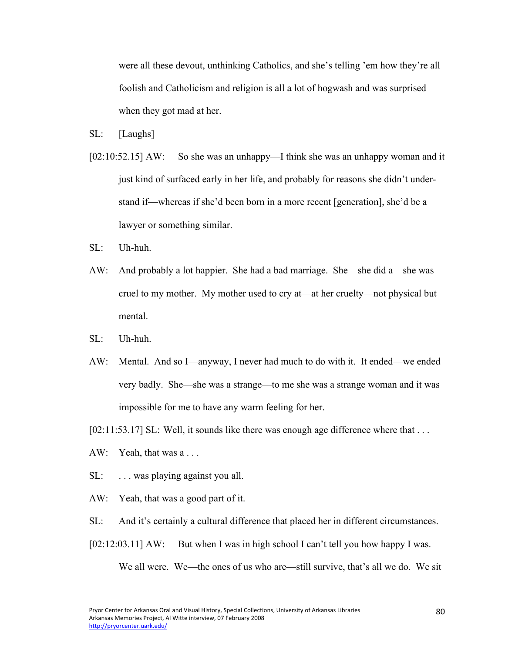were all these devout, unthinking Catholics, and she's telling 'em how they're all foolish and Catholicism and religion is all a lot of hogwash and was surprised when they got mad at her.

- SL: [Laughs]
- [02:10:52.15] AW: So she was an unhappy—I think she was an unhappy woman and it just kind of surfaced early in her life, and probably for reasons she didn't understand if—whereas if she'd been born in a more recent [generation], she'd be a lawyer or something similar.
- $\mathrm{SL}$ : Uh-huh.
- AW: And probably a lot happier. She had a bad marriage. She—she did a—she was cruel to my mother. My mother used to cry at—at her cruelty—not physical but mental.
- $SL:$  Uh-huh.
- AW: Mental. And so I—anyway, I never had much to do with it. It ended—we ended very badly. She—she was a strange—to me she was a strange woman and it was impossible for me to have any warm feeling for her.

[02:11:53.17] SL: Well, it sounds like there was enough age difference where that ...

- AW: Yeah, that was a . . .
- SL: ... was playing against you all.
- AW: Yeah, that was a good part of it.
- SL: And it's certainly a cultural difference that placed her in different circumstances.
- [02:12:03.11] AW: But when I was in high school I can't tell you how happy I was.

We all were. We—the ones of us who are—still survive, that's all we do. We sit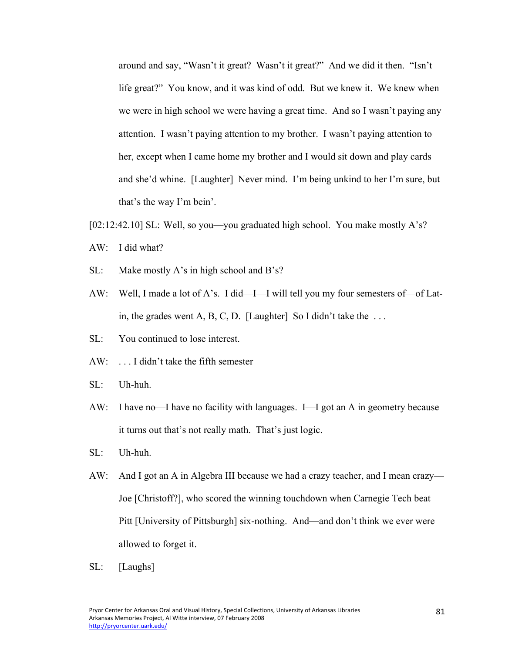around and say, "Wasn't it great? Wasn't it great?" And we did it then. "Isn't life great?" You know, and it was kind of odd. But we knew it. We knew when we were in high school we were having a great time. And so I wasn't paying any attention. I wasn't paying attention to my brother. I wasn't paying attention to her, except when I came home my brother and I would sit down and play cards and she'd whine. [Laughter] Never mind. I'm being unkind to her I'm sure, but that's the way I'm bein'.

- [02:12:42.10] SL: Well, so you—you graduated high school. You make mostly A's?
- AW: I did what?
- SL: Make mostly A's in high school and B's?
- AW: Well, I made a lot of A's. I did—I—I will tell you my four semesters of—of Latin, the grades went A, B, C, D. [Laughter] So I didn't take the  $\dots$
- SL: You continued to lose interest.
- AW: . . . I didn't take the fifth semester
- SL: Uh-huh.
- AW: I have no—I have no facility with languages. I—I got an A in geometry because it turns out that's not really math. That's just logic.
- SL: Uh-huh.
- AW: And I got an A in Algebra III because we had a crazy teacher, and I mean crazy— Joe [Christoff?], who scored the winning touchdown when Carnegie Tech beat Pitt [University of Pittsburgh] six-nothing. And—and don't think we ever were allowed to forget it.
- SL: [Laughs]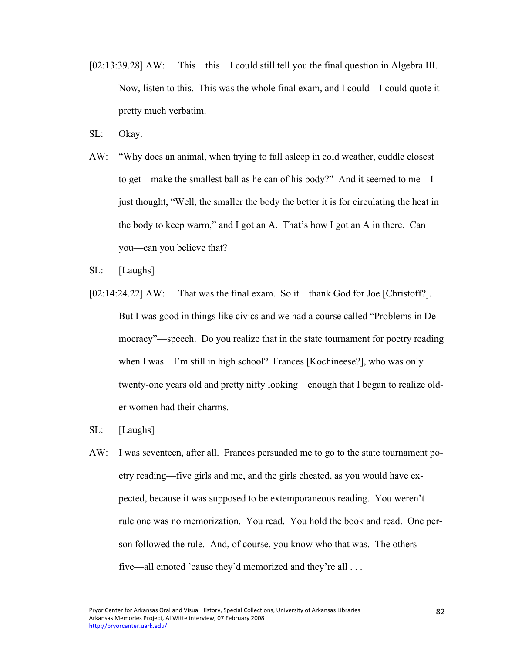- [02:13:39.28] AW: This—this—I could still tell you the final question in Algebra III. Now, listen to this. This was the whole final exam, and I could—I could quote it pretty much verbatim.
- SL: Okay.
- AW: "Why does an animal, when trying to fall asleep in cold weather, cuddle closest to get—make the smallest ball as he can of his body?" And it seemed to me—I just thought, "Well, the smaller the body the better it is for circulating the heat in the body to keep warm," and I got an A. That's how I got an A in there. Can you—can you believe that?
- SL: [Laughs]
- [02:14:24.22] AW: That was the final exam. So it—thank God for Joe [Christoff?]. But I was good in things like civics and we had a course called "Problems in Democracy"—speech. Do you realize that in the state tournament for poetry reading when I was—I'm still in high school? Frances [Kochineese?], who was only twenty-one years old and pretty nifty looking—enough that I began to realize older women had their charms.
- SL: [Laughs]
- AW: I was seventeen, after all. Frances persuaded me to go to the state tournament poetry reading—five girls and me, and the girls cheated, as you would have expected, because it was supposed to be extemporaneous reading. You weren't rule one was no memorization. You read. You hold the book and read. One person followed the rule. And, of course, you know who that was. The others five—all emoted 'cause they'd memorized and they're all . . .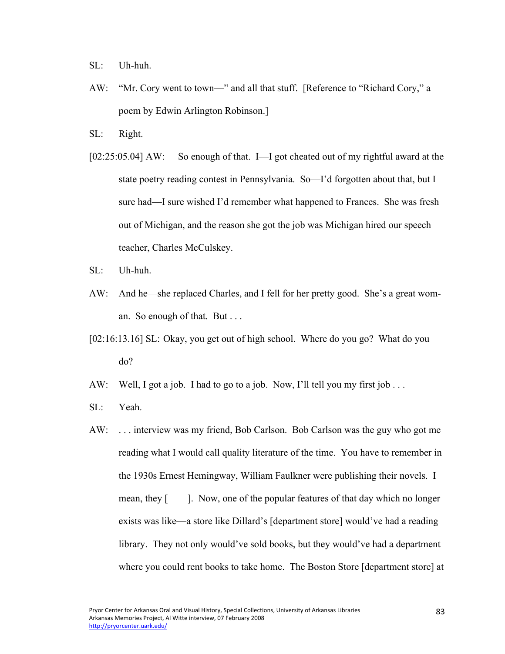SL: Uh-huh.

- AW: "Mr. Cory went to town—" and all that stuff. [Reference to "Richard Cory," a poem by Edwin Arlington Robinson.]
- SL: Right.
- [02:25:05.04] AW: So enough of that. I—I got cheated out of my rightful award at the state poetry reading contest in Pennsylvania. So—I'd forgotten about that, but I sure had—I sure wished I'd remember what happened to Frances. She was fresh out of Michigan, and the reason she got the job was Michigan hired our speech teacher, Charles McCulskey.
- SL: Uh-huh.
- AW: And he—she replaced Charles, and I fell for her pretty good. She's a great woman. So enough of that. But . . .
- [02:16:13.16] SL: Okay, you get out of high school. Where do you go? What do you do?
- AW: Well, I got a job. I had to go to a job. Now, I'll tell you my first job ...
- SL: Yeah.
- AW: . . . interview was my friend, Bob Carlson. Bob Carlson was the guy who got me reading what I would call quality literature of the time. You have to remember in the 1930s Ernest Hemingway, William Faulkner were publishing their novels. I mean, they [ ]. Now, one of the popular features of that day which no longer exists was like—a store like Dillard's [department store] would've had a reading library. They not only would've sold books, but they would've had a department where you could rent books to take home. The Boston Store [department store] at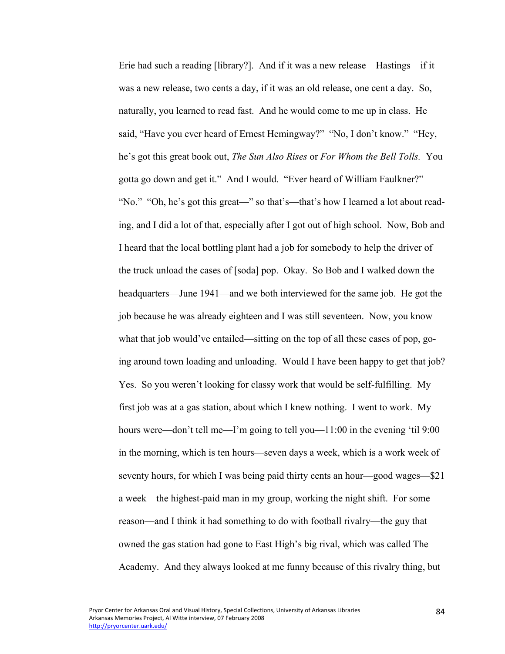Erie had such a reading [library?]. And if it was a new release—Hastings—if it was a new release, two cents a day, if it was an old release, one cent a day. So, naturally, you learned to read fast. And he would come to me up in class. He said, "Have you ever heard of Ernest Hemingway?" "No, I don't know." "Hey, he's got this great book out, *The Sun Also Rises* or *For Whom the Bell Tolls.* You gotta go down and get it." And I would. "Ever heard of William Faulkner?" "No." "Oh, he's got this great—" so that's—that's how I learned a lot about reading, and I did a lot of that, especially after I got out of high school. Now, Bob and I heard that the local bottling plant had a job for somebody to help the driver of the truck unload the cases of [soda] pop. Okay. So Bob and I walked down the headquarters—June 1941—and we both interviewed for the same job. He got the job because he was already eighteen and I was still seventeen. Now, you know what that job would've entailed—sitting on the top of all these cases of pop, going around town loading and unloading. Would I have been happy to get that job? Yes. So you weren't looking for classy work that would be self-fulfilling. My first job was at a gas station, about which I knew nothing. I went to work. My hours were—don't tell me—I'm going to tell you—11:00 in the evening 'til 9:00 in the morning, which is ten hours—seven days a week, which is a work week of seventy hours, for which I was being paid thirty cents an hour—good wages—\$21 a week—the highest-paid man in my group, working the night shift. For some reason—and I think it had something to do with football rivalry—the guy that owned the gas station had gone to East High's big rival, which was called The Academy. And they always looked at me funny because of this rivalry thing, but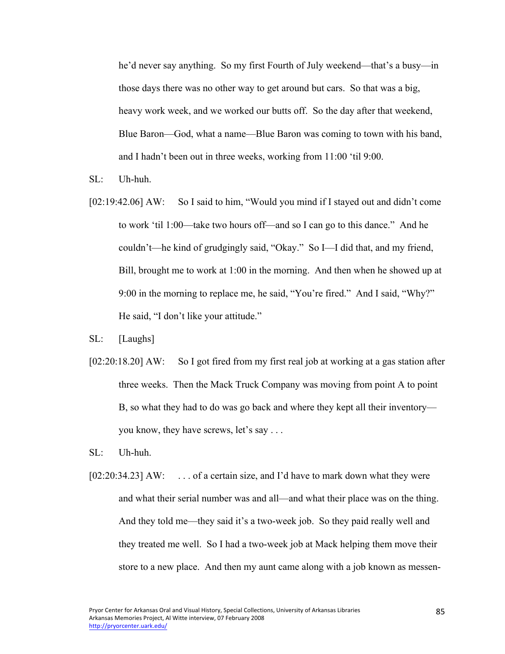he'd never say anything. So my first Fourth of July weekend—that's a busy—in those days there was no other way to get around but cars. So that was a big, heavy work week, and we worked our butts off. So the day after that weekend, Blue Baron—God, what a name—Blue Baron was coming to town with his band, and I hadn't been out in three weeks, working from 11:00 'til 9:00.

- SL: Uh-huh.
- [02:19:42.06] AW: So I said to him, "Would you mind if I stayed out and didn't come to work 'til 1:00—take two hours off—and so I can go to this dance." And he couldn't—he kind of grudgingly said, "Okay." So I—I did that, and my friend, Bill, brought me to work at 1:00 in the morning. And then when he showed up at 9:00 in the morning to replace me, he said, "You're fired." And I said, "Why?" He said, "I don't like your attitude."
- SL: [Laughs]
- [02:20:18.20] AW: So I got fired from my first real job at working at a gas station after three weeks. Then the Mack Truck Company was moving from point A to point B, so what they had to do was go back and where they kept all their inventory you know, they have screws, let's say . . .
- SL: Uh-huh.
- [02:20:34.23] AW: . . . . of a certain size, and I'd have to mark down what they were and what their serial number was and all—and what their place was on the thing. And they told me—they said it's a two-week job. So they paid really well and they treated me well. So I had a two-week job at Mack helping them move their store to a new place. And then my aunt came along with a job known as messen-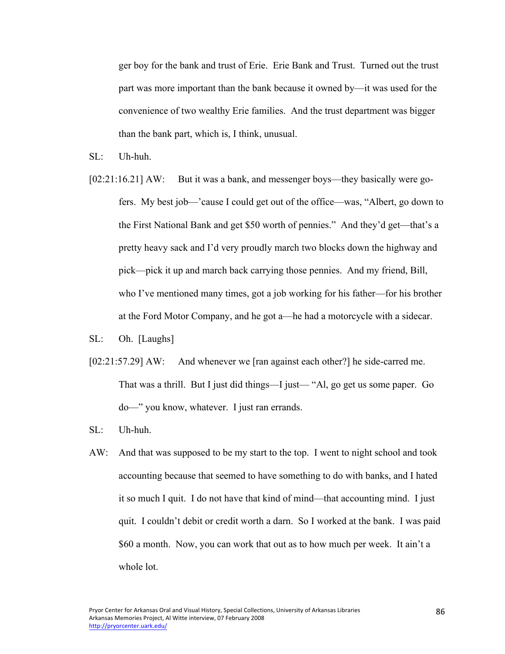ger boy for the bank and trust of Erie. Erie Bank and Trust. Turned out the trust part was more important than the bank because it owned by—it was used for the convenience of two wealthy Erie families. And the trust department was bigger than the bank part, which is, I think, unusual.

- SL: Uh-huh.
- [02:21:16.21] AW: But it was a bank, and messenger boys—they basically were gofers. My best job—'cause I could get out of the office—was, "Albert, go down to the First National Bank and get \$50 worth of pennies." And they'd get—that's a pretty heavy sack and I'd very proudly march two blocks down the highway and pick—pick it up and march back carrying those pennies. And my friend, Bill, who I've mentioned many times, got a job working for his father—for his brother at the Ford Motor Company, and he got a—he had a motorcycle with a sidecar.
- SL: Oh. [Laughs]
- [02:21:57.29] AW: And whenever we [ran against each other?] he side-carred me. That was a thrill. But I just did things—I just— "Al, go get us some paper. Go do—" you know, whatever. I just ran errands.
- SL: Uh-huh.
- AW: And that was supposed to be my start to the top. I went to night school and took accounting because that seemed to have something to do with banks, and I hated it so much I quit. I do not have that kind of mind—that accounting mind. I just quit. I couldn't debit or credit worth a darn. So I worked at the bank. I was paid \$60 a month. Now, you can work that out as to how much per week. It ain't a whole lot.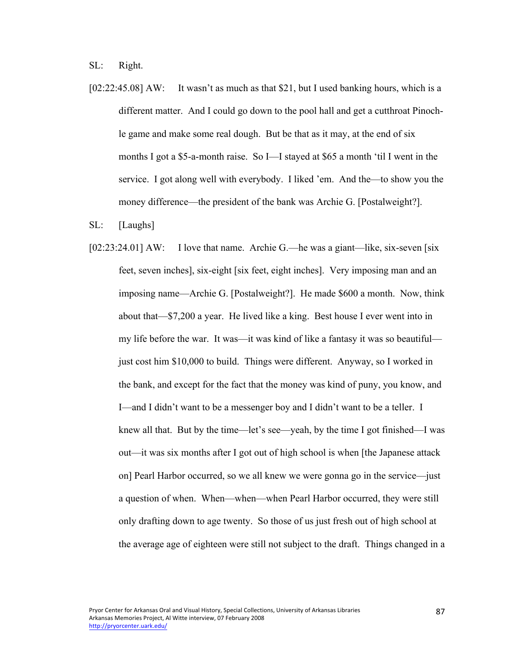SL: Right.

- [02:22:45.08] AW: It wasn't as much as that \$21, but I used banking hours, which is a different matter. And I could go down to the pool hall and get a cutthroat Pinochle game and make some real dough. But be that as it may, at the end of six months I got a \$5-a-month raise. So I—I stayed at \$65 a month 'til I went in the service. I got along well with everybody. I liked 'em. And the—to show you the money difference—the president of the bank was Archie G. [Postalweight?].
- SL: [Laughs]
- [02:23:24.01] AW: I love that name. Archie G.—he was a giant—like, six-seven [six feet, seven inches], six-eight [six feet, eight inches]. Very imposing man and an imposing name—Archie G. [Postalweight?]. He made \$600 a month. Now, think about that—\$7,200 a year. He lived like a king. Best house I ever went into in my life before the war. It was—it was kind of like a fantasy it was so beautiful just cost him \$10,000 to build. Things were different. Anyway, so I worked in the bank, and except for the fact that the money was kind of puny, you know, and I—and I didn't want to be a messenger boy and I didn't want to be a teller. I knew all that. But by the time—let's see—yeah, by the time I got finished—I was out—it was six months after I got out of high school is when [the Japanese attack on] Pearl Harbor occurred, so we all knew we were gonna go in the service—just a question of when. When—when—when Pearl Harbor occurred, they were still only drafting down to age twenty. So those of us just fresh out of high school at the average age of eighteen were still not subject to the draft. Things changed in a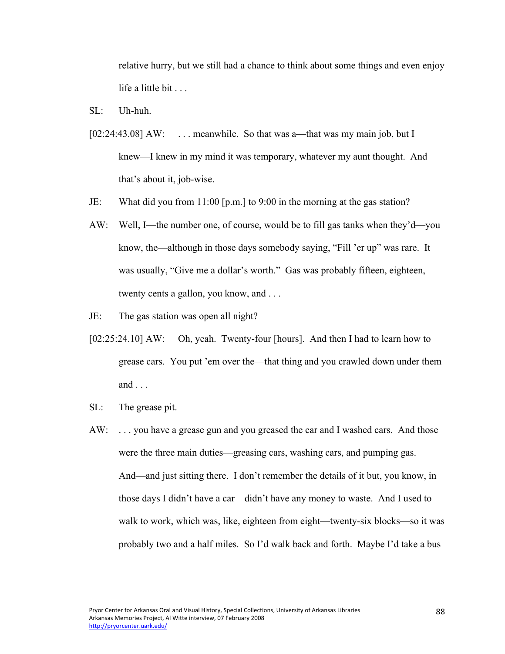relative hurry, but we still had a chance to think about some things and even enjoy life a little bit . . .

- SL: Uh-huh.
- [02:24:43.08] AW: ... meanwhile. So that was a—that was my main job, but I knew—I knew in my mind it was temporary, whatever my aunt thought. And that's about it, job-wise.
- JE: What did you from 11:00 [p.m.] to 9:00 in the morning at the gas station?
- AW: Well, I—the number one, of course, would be to fill gas tanks when they'd—you know, the—although in those days somebody saying, "Fill 'er up" was rare. It was usually, "Give me a dollar's worth." Gas was probably fifteen, eighteen, twenty cents a gallon, you know, and . . .
- JE: The gas station was open all night?
- [02:25:24.10] AW: Oh, yeah. Twenty-four [hours]. And then I had to learn how to grease cars. You put 'em over the—that thing and you crawled down under them and . . .
- SL: The grease pit.
- AW: . . . you have a grease gun and you greased the car and I washed cars. And those were the three main duties—greasing cars, washing cars, and pumping gas. And—and just sitting there. I don't remember the details of it but, you know, in those days I didn't have a car—didn't have any money to waste. And I used to walk to work, which was, like, eighteen from eight—twenty-six blocks—so it was probably two and a half miles. So I'd walk back and forth. Maybe I'd take a bus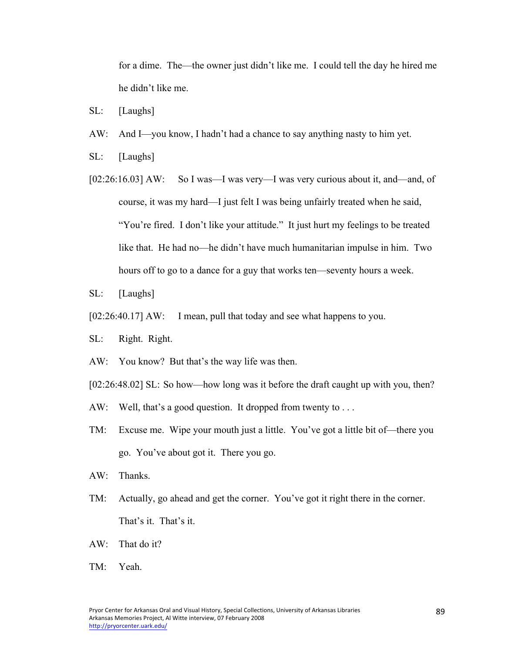for a dime. The—the owner just didn't like me. I could tell the day he hired me he didn't like me.

- SL: [Laughs]
- AW: And I—you know, I hadn't had a chance to say anything nasty to him yet.
- SL: [Laughs]
- [02:26:16.03] AW: So I was—I was very—I was very curious about it, and—and, of course, it was my hard—I just felt I was being unfairly treated when he said, "You're fired. I don't like your attitude." It just hurt my feelings to be treated like that. He had no—he didn't have much humanitarian impulse in him. Two hours off to go to a dance for a guy that works ten—seventy hours a week.
- SL: [Laughs]
- [02:26:40.17] AW: I mean, pull that today and see what happens to you.
- SL: Right. Right.
- AW: You know? But that's the way life was then.
- [02:26:48.02] SL: So how—how long was it before the draft caught up with you, then?
- AW: Well, that's a good question. It dropped from twenty to ...
- TM: Excuse me. Wipe your mouth just a little. You've got a little bit of—there you go. You've about got it. There you go.
- AW: Thanks.
- TM: Actually, go ahead and get the corner. You've got it right there in the corner. That's it. That's it.
- AW: That do it?
- TM: Yeah.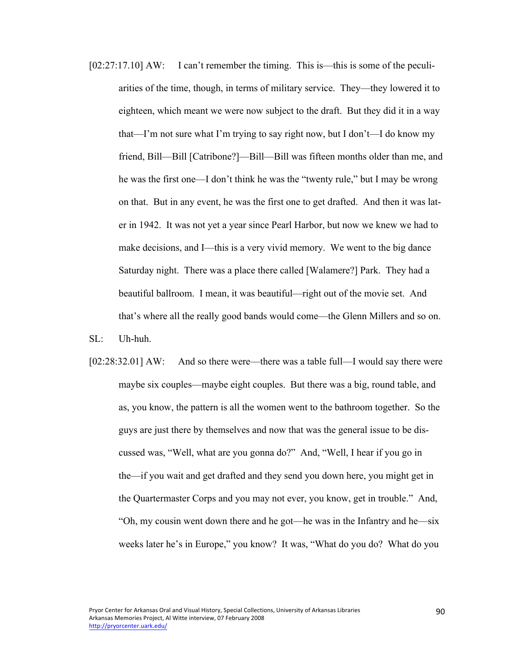[02:27:17.10] AW: I can't remember the timing. This is—this is some of the peculiarities of the time, though, in terms of military service. They—they lowered it to eighteen, which meant we were now subject to the draft. But they did it in a way that—I'm not sure what I'm trying to say right now, but I don't—I do know my friend, Bill—Bill [Catribone?]—Bill—Bill was fifteen months older than me, and he was the first one—I don't think he was the "twenty rule," but I may be wrong on that. But in any event, he was the first one to get drafted. And then it was later in 1942. It was not yet a year since Pearl Harbor, but now we knew we had to make decisions, and I—this is a very vivid memory. We went to the big dance Saturday night. There was a place there called [Walamere?] Park. They had a beautiful ballroom. I mean, it was beautiful—right out of the movie set. And that's where all the really good bands would come—the Glenn Millers and so on.

SL: Uh-huh.

[02:28:32.01] AW: And so there were—there was a table full—I would say there were maybe six couples—maybe eight couples. But there was a big, round table, and as, you know, the pattern is all the women went to the bathroom together. So the guys are just there by themselves and now that was the general issue to be discussed was, "Well, what are you gonna do?" And, "Well, I hear if you go in the—if you wait and get drafted and they send you down here, you might get in the Quartermaster Corps and you may not ever, you know, get in trouble." And, "Oh, my cousin went down there and he got—he was in the Infantry and he—six weeks later he's in Europe," you know? It was, "What do you do? What do you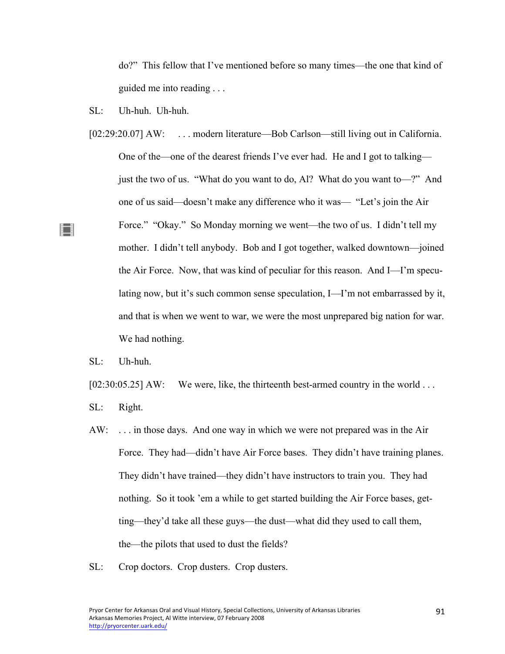do?" This fellow that I've mentioned before so many times—the one that kind of guided me into reading . . .

- SL: Uh-huh. Uh-huh.
- [02:29:20.07] AW: ... modern literature—Bob Carlson—still living out in California. One of the—one of the dearest friends I've ever had. He and I got to talking just the two of us. "What do you want to do, Al? What do you want to—?" And one of us said—doesn't make any difference who it was— "Let's join the Air Force." "Okay." So Monday morning we went—the two of us. I didn't tell my mother. I didn't tell anybody. Bob and I got together, walked downtown—joined the Air Force. Now, that was kind of peculiar for this reason. And I—I'm speculating now, but it's such common sense speculation, I—I'm not embarrassed by it, and that is when we went to war, we were the most unprepared big nation for war. We had nothing.
- SL: Uh-huh.

▐▔▌

[02:30:05.25] AW: We were, like, the thirteenth best-armed country in the world ...

- SL: Right.
- AW: . . . in those days. And one way in which we were not prepared was in the Air Force. They had—didn't have Air Force bases. They didn't have training planes. They didn't have trained—they didn't have instructors to train you. They had nothing. So it took 'em a while to get started building the Air Force bases, getting—they'd take all these guys—the dust—what did they used to call them, the—the pilots that used to dust the fields?
- SL: Crop doctors. Crop dusters. Crop dusters.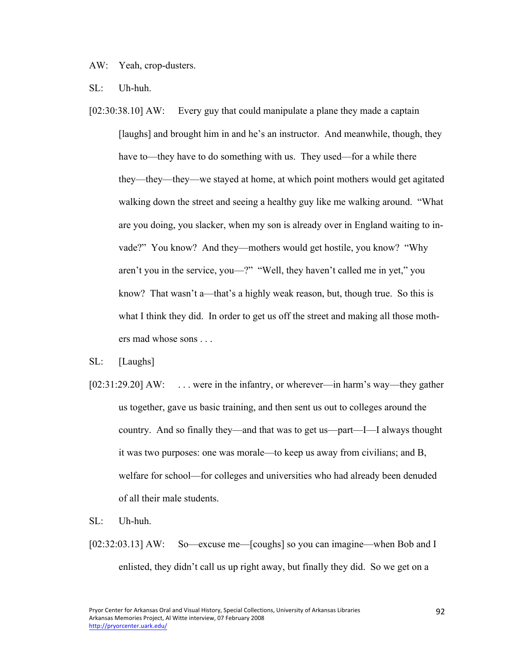AW: Yeah, crop-dusters.

SL: Uh-huh.

[02:30:38.10] AW: Every guy that could manipulate a plane they made a captain [laughs] and brought him in and he's an instructor. And meanwhile, though, they have to—they have to do something with us. They used—for a while there they—they—they—we stayed at home, at which point mothers would get agitated walking down the street and seeing a healthy guy like me walking around. "What are you doing, you slacker, when my son is already over in England waiting to invade?" You know? And they—mothers would get hostile, you know? "Why aren't you in the service, you—?" "Well, they haven't called me in yet," you know? That wasn't a—that's a highly weak reason, but, though true. So this is what I think they did. In order to get us off the street and making all those mothers mad whose sons . . .

SL: [Laughs]

[02:31:29.20] AW: ... were in the infantry, or wherever—in harm's way—they gather us together, gave us basic training, and then sent us out to colleges around the country. And so finally they—and that was to get us—part—I—I always thought it was two purposes: one was morale—to keep us away from civilians; and B, welfare for school—for colleges and universities who had already been denuded of all their male students.

SL: Uh-huh.

[02:32:03.13] AW: So—excuse me—[coughs] so you can imagine—when Bob and I enlisted, they didn't call us up right away, but finally they did. So we get on a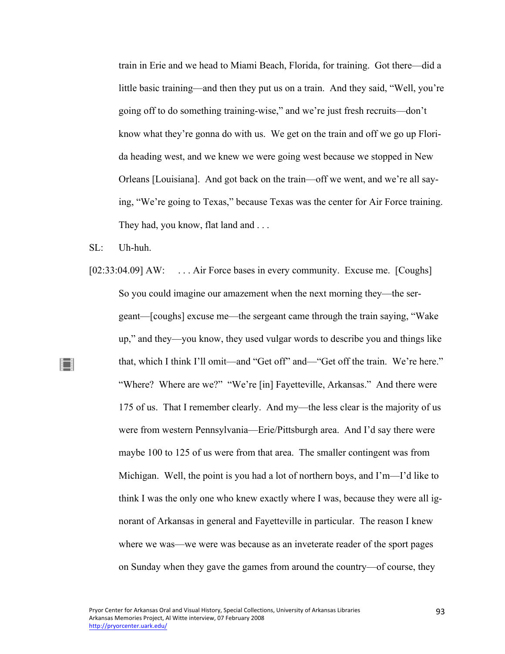train in Erie and we head to Miami Beach, Florida, for training. Got there—did a little basic training—and then they put us on a train. And they said, "Well, you're going off to do something training-wise," and we're just fresh recruits—don't know what they're gonna do with us. We get on the train and off we go up Florida heading west, and we knew we were going west because we stopped in New Orleans [Louisiana]. And got back on the train—off we went, and we're all saying, "We're going to Texas," because Texas was the center for Air Force training. They had, you know, flat land and ...

 $\mathrm{SL}$ : Uh-huh.

∐

[02:33:04.09] AW: ... Air Force bases in every community. Excuse me. [Coughs] So you could imagine our amazement when the next morning they—the sergeant—[coughs] excuse me—the sergeant came through the train saying, "Wake up," and they—you know, they used vulgar words to describe you and things like that, which I think I'll omit—and "Get off" and—"Get off the train. We're here." "Where? Where are we?" "We're [in] Fayetteville, Arkansas." And there were 175 of us. That I remember clearly. And my—the less clear is the majority of us were from western Pennsylvania—Erie/Pittsburgh area. And I'd say there were maybe 100 to 125 of us were from that area. The smaller contingent was from Michigan. Well, the point is you had a lot of northern boys, and I'm—I'd like to think I was the only one who knew exactly where I was, because they were all ignorant of Arkansas in general and Fayetteville in particular. The reason I knew where we was—we were was because as an inveterate reader of the sport pages on Sunday when they gave the games from around the country—of course, they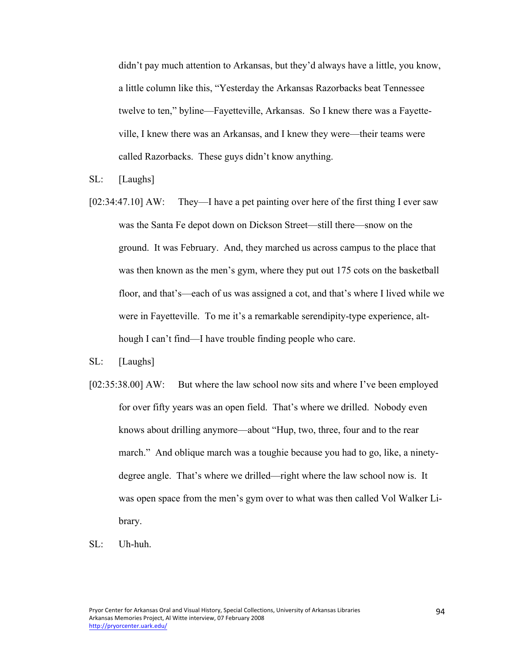didn't pay much attention to Arkansas, but they'd always have a little, you know, a little column like this, "Yesterday the Arkansas Razorbacks beat Tennessee twelve to ten," byline—Fayetteville, Arkansas. So I knew there was a Fayetteville, I knew there was an Arkansas, and I knew they were—their teams were called Razorbacks. These guys didn't know anything.

- SL: [Laughs]
- [02:34:47.10] AW: They—I have a pet painting over here of the first thing I ever saw was the Santa Fe depot down on Dickson Street—still there—snow on the ground. It was February. And, they marched us across campus to the place that was then known as the men's gym, where they put out 175 cots on the basketball floor, and that's—each of us was assigned a cot, and that's where I lived while we were in Fayetteville. To me it's a remarkable serendipity-type experience, although I can't find—I have trouble finding people who care.
- SL: [Laughs]
- [02:35:38.00] AW: But where the law school now sits and where I've been employed for over fifty years was an open field. That's where we drilled. Nobody even knows about drilling anymore—about "Hup, two, three, four and to the rear march." And oblique march was a toughie because you had to go, like, a ninetydegree angle. That's where we drilled—right where the law school now is. It was open space from the men's gym over to what was then called Vol Walker Library.
- SL: Uh-huh.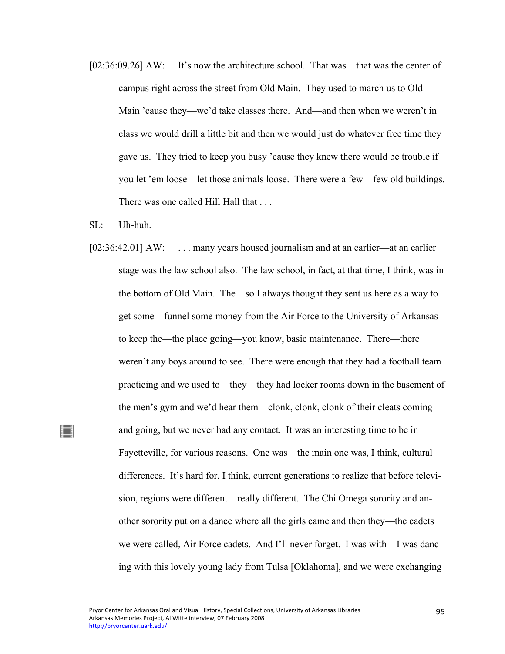- [02:36:09.26] AW: It's now the architecture school. That was—that was the center of campus right across the street from Old Main. They used to march us to Old Main 'cause they—we'd take classes there. And—and then when we weren't in class we would drill a little bit and then we would just do whatever free time they gave us. They tried to keep you busy 'cause they knew there would be trouble if you let 'em loose—let those animals loose. There were a few—few old buildings. There was one called Hill Hall that ...
- $SI:$  Uh-huh.

▐▔▌

[02:36:42.01] AW: ... many years housed journalism and at an earlier—at an earlier stage was the law school also. The law school, in fact, at that time, I think, was in the bottom of Old Main. The—so I always thought they sent us here as a way to get some—funnel some money from the Air Force to the University of Arkansas to keep the—the place going—you know, basic maintenance. There—there weren't any boys around to see. There were enough that they had a football team practicing and we used to—they—they had locker rooms down in the basement of the men's gym and we'd hear them—clonk, clonk, clonk of their cleats coming and going, but we never had any contact. It was an interesting time to be in Fayetteville, for various reasons. One was—the main one was, I think, cultural differences. It's hard for, I think, current generations to realize that before television, regions were different—really different. The Chi Omega sorority and another sorority put on a dance where all the girls came and then they—the cadets we were called, Air Force cadets. And I'll never forget. I was with—I was dancing with this lovely young lady from Tulsa [Oklahoma], and we were exchanging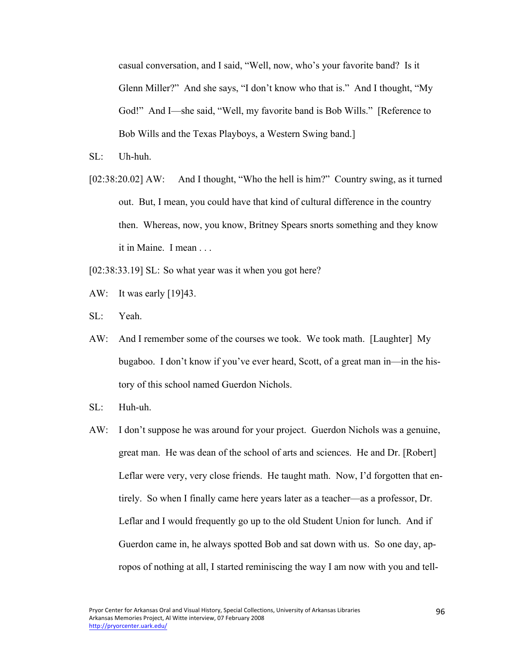casual conversation, and I said, "Well, now, who's your favorite band? Is it Glenn Miller?" And she says, "I don't know who that is." And I thought, "My God!" And I—she said, "Well, my favorite band is Bob Wills." [Reference to Bob Wills and the Texas Playboys, a Western Swing band.]

- $\mathrm{SL}$ : Uh-huh.
- [02:38:20.02] AW: And I thought, "Who the hell is him?" Country swing, as it turned out. But, I mean, you could have that kind of cultural difference in the country then. Whereas, now, you know, Britney Spears snorts something and they know it in Maine. I mean . . .
- [02:38:33.19] SL: So what year was it when you got here?
- AW: It was early [19]43.
- SL: Yeah.
- AW: And I remember some of the courses we took. We took math. [Laughter] My bugaboo. I don't know if you've ever heard, Scott, of a great man in—in the history of this school named Guerdon Nichols.
- SL: Huh-uh.
- AW: I don't suppose he was around for your project. Guerdon Nichols was a genuine, great man. He was dean of the school of arts and sciences. He and Dr. [Robert] Leflar were very, very close friends. He taught math. Now, I'd forgotten that entirely. So when I finally came here years later as a teacher—as a professor, Dr. Leflar and I would frequently go up to the old Student Union for lunch. And if Guerdon came in, he always spotted Bob and sat down with us. So one day, apropos of nothing at all, I started reminiscing the way I am now with you and tell-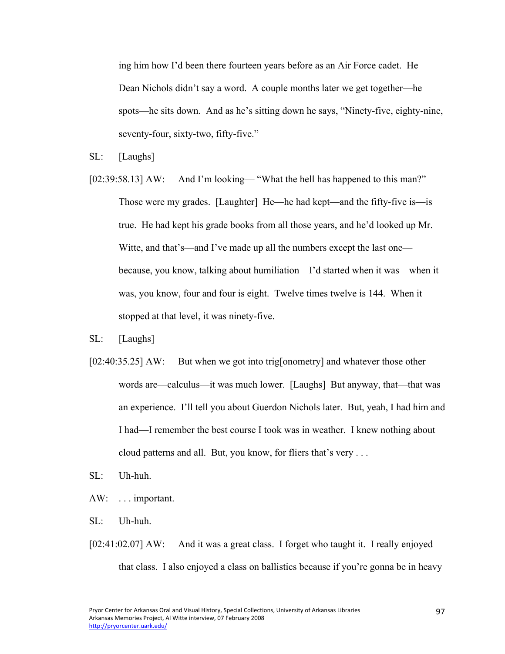ing him how I'd been there fourteen years before as an Air Force cadet. He— Dean Nichols didn't say a word. A couple months later we get together—he spots—he sits down. And as he's sitting down he says, "Ninety-five, eighty-nine, seventy-four, sixty-two, fifty-five."

- SL: [Laughs]
- [02:39:58.13] AW: And I'm looking— "What the hell has happened to this man?" Those were my grades. [Laughter] He—he had kept—and the fifty-five is—is true. He had kept his grade books from all those years, and he'd looked up Mr. Witte, and that's—and I've made up all the numbers except the last one because, you know, talking about humiliation—I'd started when it was—when it was, you know, four and four is eight. Twelve times twelve is 144. When it stopped at that level, it was ninety-five.
- SL: [Laughs]
- [02:40:35.25] AW: But when we got into trig[onometry] and whatever those other words are—calculus—it was much lower. [Laughs] But anyway, that—that was an experience. I'll tell you about Guerdon Nichols later. But, yeah, I had him and I had—I remember the best course I took was in weather. I knew nothing about cloud patterns and all. But, you know, for fliers that's very . . .
- SL: Uh-huh.
- AW: . . . important.
- SL: Uh-huh.
- [02:41:02.07] AW: And it was a great class. I forget who taught it. I really enjoyed that class. I also enjoyed a class on ballistics because if you're gonna be in heavy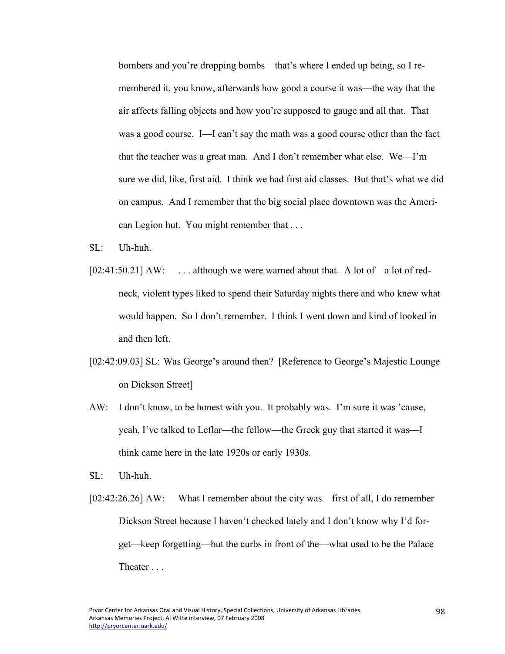bombers and you're dropping bombs—that's where I ended up being, so I remembered it, you know, afterwards how good a course it was—the way that the air affects falling objects and how you're supposed to gauge and all that. That was a good course. I—I can't say the math was a good course other than the fact that the teacher was a great man. And I don't remember what else. We—I'm sure we did, like, first aid. I think we had first aid classes. But that's what we did on campus. And I remember that the big social place downtown was the American Legion hut. You might remember that . . .

- $\mathrm{SL}$ : Uh-huh.
- [02:41:50.21] AW: ... although we were warned about that. A lot of—a lot of redneck, violent types liked to spend their Saturday nights there and who knew what would happen. So I don't remember. I think I went down and kind of looked in and then left.
- [02:42:09.03] SL: Was George's around then? [Reference to George's Majestic Lounge on Dickson Street]
- AW: I don't know, to be honest with you. It probably was. I'm sure it was 'cause, yeah, I've talked to Leflar—the fellow—the Greek guy that started it was—I think came here in the late 1920s or early 1930s.
- SL: Uh-huh.
- [02:42:26.26] AW: What I remember about the city was—first of all, I do remember Dickson Street because I haven't checked lately and I don't know why I'd forget—keep forgetting—but the curbs in front of the—what used to be the Palace Theater . . .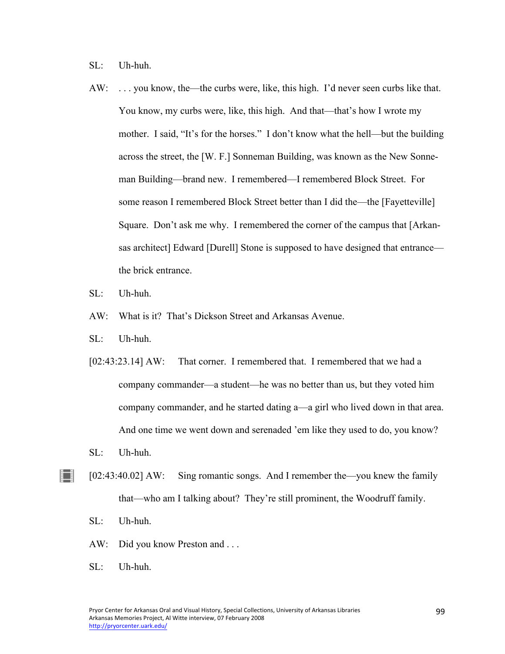SL: Uh-huh.

- AW: . . . you know, the—the curbs were, like, this high. I'd never seen curbs like that. You know, my curbs were, like, this high. And that—that's how I wrote my mother. I said, "It's for the horses." I don't know what the hell—but the building across the street, the [W. F.] Sonneman Building, was known as the New Sonneman Building—brand new. I remembered—I remembered Block Street. For some reason I remembered Block Street better than I did the—the [Fayetteville] Square. Don't ask me why. I remembered the corner of the campus that [Arkansas architect] Edward [Durell] Stone is supposed to have designed that entrance the brick entrance.
- SL: Uh-huh.
- AW: What is it? That's Dickson Street and Arkansas Avenue.
- SL: Uh-huh.
- [02:43:23.14] AW: That corner. I remembered that. I remembered that we had a company commander—a student—he was no better than us, but they voted him company commander, and he started dating a—a girl who lived down in that area. And one time we went down and serenaded 'em like they used to do, you know?
- SL: Uh-huh.

▐▔▌

- [02:43:40.02] AW: Sing romantic songs. And I remember the—you knew the family that—who am I talking about? They're still prominent, the Woodruff family.
	- SL: Uh-huh.
	- AW: Did you know Preston and ...
	- SL: Uh-huh.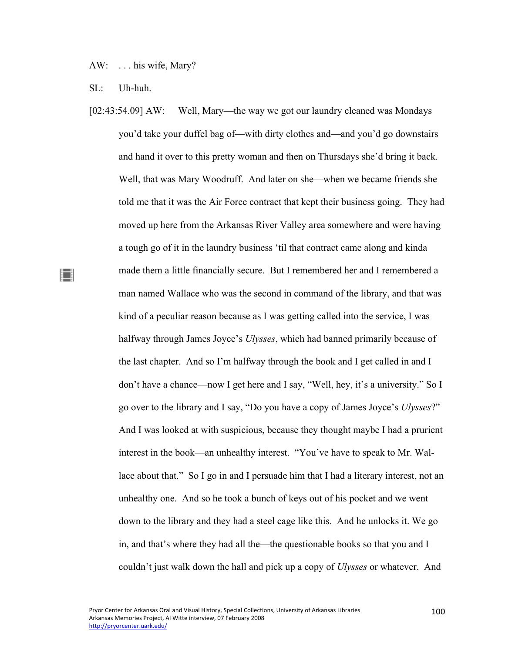AW: . . . his wife, Mary?

SL: Uh-huh.

▌▌

[02:43:54.09] AW: Well, Mary—the way we got our laundry cleaned was Mondays you'd take your duffel bag of—with dirty clothes and—and you'd go downstairs and hand it over to this pretty woman and then on Thursdays she'd bring it back. Well, that was Mary Woodruff. And later on she—when we became friends she told me that it was the Air Force contract that kept their business going. They had moved up here from the Arkansas River Valley area somewhere and were having a tough go of it in the laundry business 'til that contract came along and kinda made them a little financially secure. But I remembered her and I remembered a man named Wallace who was the second in command of the library, and that was kind of a peculiar reason because as I was getting called into the service, I was halfway through James Joyce's *Ulysses*, which had banned primarily because of the last chapter. And so I'm halfway through the book and I get called in and I don't have a chance—now I get here and I say, "Well, hey, it's a university." So I go over to the library and I say, "Do you have a copy of James Joyce's *Ulysses*?" And I was looked at with suspicious, because they thought maybe I had a prurient interest in the book—an unhealthy interest. "You've have to speak to Mr. Wallace about that." So I go in and I persuade him that I had a literary interest, not an unhealthy one. And so he took a bunch of keys out of his pocket and we went down to the library and they had a steel cage like this. And he unlocks it. We go in, and that's where they had all the—the questionable books so that you and I couldn't just walk down the hall and pick up a copy of *Ulysses* or whatever. And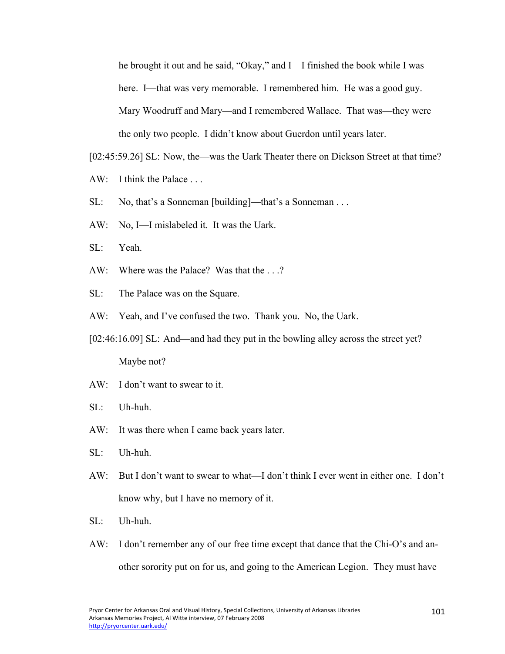he brought it out and he said, "Okay," and I—I finished the book while I was here. I—that was very memorable. I remembered him. He was a good guy. Mary Woodruff and Mary—and I remembered Wallace. That was—they were the only two people. I didn't know about Guerdon until years later.

[02:45:59.26] SL: Now, the—was the Uark Theater there on Dickson Street at that time?

- AW: I think the Palace ...
- SL: No, that's a Sonneman [building]—that's a Sonneman . . .
- AW: No, I—I mislabeled it. It was the Uark.
- SL: Yeah.
- AW: Where was the Palace? Was that the . . .?
- SL: The Palace was on the Square.
- AW: Yeah, and I've confused the two. Thank you. No, the Uark.
- [02:46:16.09] SL: And—and had they put in the bowling alley across the street yet? Maybe not?
- AW: I don't want to swear to it.
- SL: Uh-huh.
- AW: It was there when I came back years later.
- SL: Uh-huh.
- AW: But I don't want to swear to what—I don't think I ever went in either one. I don't know why, but I have no memory of it.
- SL: Uh-huh.
- AW: I don't remember any of our free time except that dance that the Chi-O's and another sorority put on for us, and going to the American Legion. They must have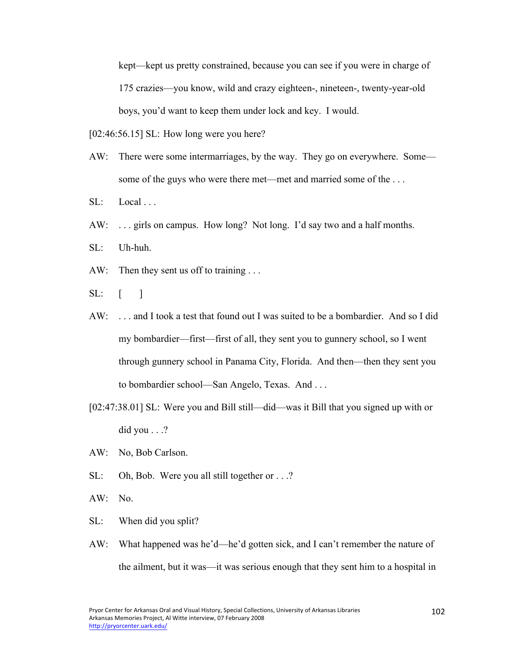kept—kept us pretty constrained, because you can see if you were in charge of 175 crazies—you know, wild and crazy eighteen-, nineteen-, twenty-year-old boys, you'd want to keep them under lock and key. I would.

[02:46:56.15] SL: How long were you here?

- AW: There were some intermarriages, by the way. They go on everywhere. Some some of the guys who were there met—met and married some of the . . .
- $SL:$  Local ...
- AW: . . . girls on campus. How long? Not long. I'd say two and a half months.
- SL: Uh-huh.
- AW: Then they sent us off to training ...
- $SL: \quad \lceil \quad \rceil$
- AW: . . . and I took a test that found out I was suited to be a bombardier. And so I did my bombardier—first—first of all, they sent you to gunnery school, so I went through gunnery school in Panama City, Florida. And then—then they sent you to bombardier school—San Angelo, Texas. And . . .
- [02:47:38.01] SL: Were you and Bill still—did—was it Bill that you signed up with or did you  $\ldots$  ?
- AW: No, Bob Carlson.
- SL: Oh, Bob. Were you all still together or . . .?
- AW: No.
- SL: When did you split?
- AW: What happened was he'd—he'd gotten sick, and I can't remember the nature of the ailment, but it was—it was serious enough that they sent him to a hospital in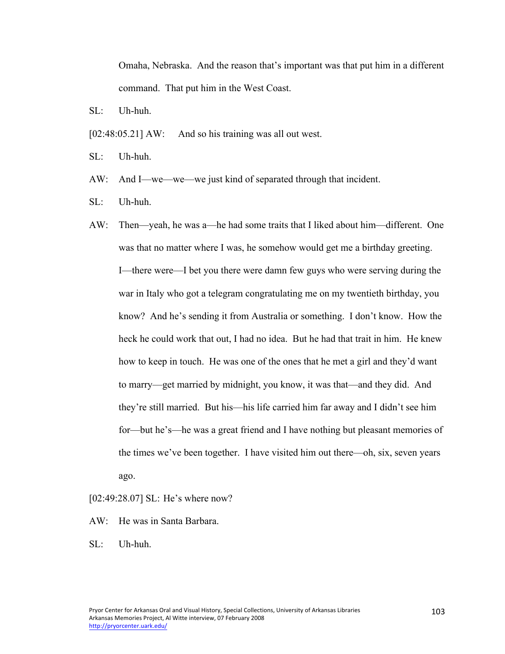Omaha, Nebraska. And the reason that's important was that put him in a different command. That put him in the West Coast.

 $SI:$  Uh-huh.

[02:48:05.21] AW: And so his training was all out west.

SL: Uh-huh.

AW: And I—we—we—we just kind of separated through that incident.

SL: Uh-huh.

AW: Then—yeah, he was a—he had some traits that I liked about him—different. One was that no matter where I was, he somehow would get me a birthday greeting. I—there were—I bet you there were damn few guys who were serving during the war in Italy who got a telegram congratulating me on my twentieth birthday, you know? And he's sending it from Australia or something. I don't know. How the heck he could work that out, I had no idea. But he had that trait in him. He knew how to keep in touch. He was one of the ones that he met a girl and they'd want to marry—get married by midnight, you know, it was that—and they did. And they're still married. But his—his life carried him far away and I didn't see him for—but he's—he was a great friend and I have nothing but pleasant memories of the times we've been together. I have visited him out there—oh, six, seven years ago.

[02:49:28.07] SL: He's where now?

AW: He was in Santa Barbara.

SL: Uh-huh.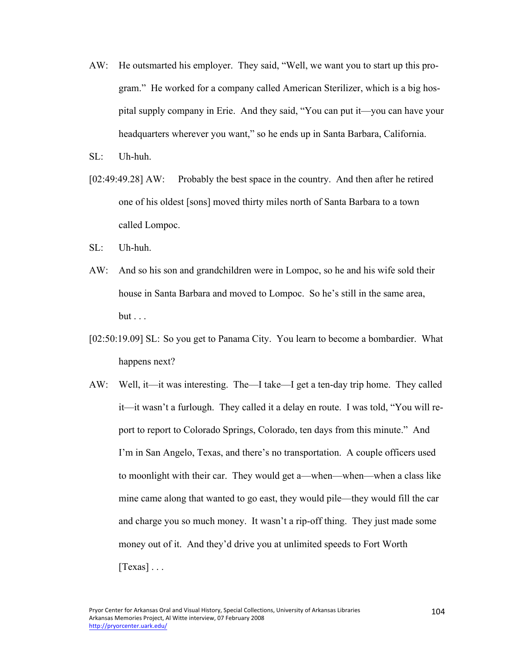AW: He outsmarted his employer. They said, "Well, we want you to start up this program." He worked for a company called American Sterilizer, which is a big hospital supply company in Erie. And they said, "You can put it—you can have your headquarters wherever you want," so he ends up in Santa Barbara, California.

SL: Uh-huh.

- [02:49:49.28] AW: Probably the best space in the country. And then after he retired one of his oldest [sons] moved thirty miles north of Santa Barbara to a town called Lompoc.
- SL: Uh-huh.
- AW: And so his son and grandchildren were in Lompoc, so he and his wife sold their house in Santa Barbara and moved to Lompoc. So he's still in the same area,  $but \ldots$
- [02:50:19.09] SL: So you get to Panama City. You learn to become a bombardier. What happens next?
- AW: Well, it—it was interesting. The—I take—I get a ten-day trip home. They called it—it wasn't a furlough. They called it a delay en route. I was told, "You will report to report to Colorado Springs, Colorado, ten days from this minute." And I'm in San Angelo, Texas, and there's no transportation. A couple officers used to moonlight with their car. They would get a—when—when—when a class like mine came along that wanted to go east, they would pile—they would fill the car and charge you so much money. It wasn't a rip-off thing. They just made some money out of it. And they'd drive you at unlimited speeds to Fort Worth  $[Texas] \ldots$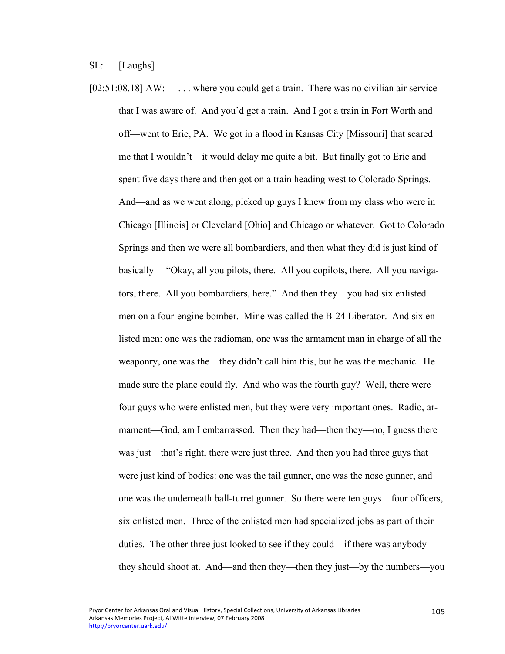[02:51:08.18] AW: ... where you could get a train. There was no civilian air service that I was aware of. And you'd get a train. And I got a train in Fort Worth and off—went to Erie, PA. We got in a flood in Kansas City [Missouri] that scared me that I wouldn't—it would delay me quite a bit. But finally got to Erie and spent five days there and then got on a train heading west to Colorado Springs. And—and as we went along, picked up guys I knew from my class who were in Chicago [Illinois] or Cleveland [Ohio] and Chicago or whatever. Got to Colorado Springs and then we were all bombardiers, and then what they did is just kind of basically— "Okay, all you pilots, there. All you copilots, there. All you navigators, there. All you bombardiers, here." And then they—you had six enlisted men on a four-engine bomber. Mine was called the B-24 Liberator. And six enlisted men: one was the radioman, one was the armament man in charge of all the weaponry, one was the—they didn't call him this, but he was the mechanic. He made sure the plane could fly. And who was the fourth guy? Well, there were four guys who were enlisted men, but they were very important ones. Radio, armament—God, am I embarrassed. Then they had—then they—no, I guess there was just—that's right, there were just three. And then you had three guys that were just kind of bodies: one was the tail gunner, one was the nose gunner, and one was the underneath ball-turret gunner. So there were ten guys—four officers, six enlisted men. Three of the enlisted men had specialized jobs as part of their duties. The other three just looked to see if they could—if there was anybody they should shoot at. And—and then they—then they just—by the numbers—you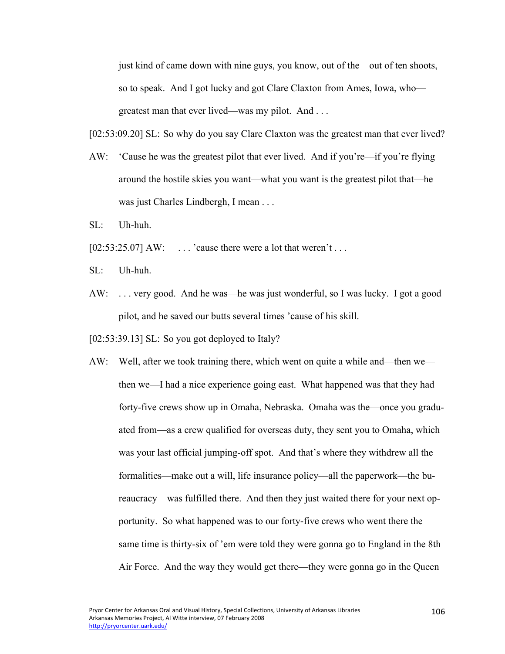just kind of came down with nine guys, you know, out of the—out of ten shoots, so to speak. And I got lucky and got Clare Claxton from Ames, Iowa, who greatest man that ever lived—was my pilot. And . . .

[02:53:09.20] SL: So why do you say Clare Claxton was the greatest man that ever lived?

- AW: 'Cause he was the greatest pilot that ever lived. And if you're—if you're flying around the hostile skies you want—what you want is the greatest pilot that—he was just Charles Lindbergh, I mean . . .
- $SI:$  Uh-huh.
- $[02:53:25.07]$  AW: ... 'cause there were a lot that weren't ...
- SL: Uh-huh.
- AW: . . . very good. And he was—he was just wonderful, so I was lucky. I got a good pilot, and he saved our butts several times 'cause of his skill.

[02:53:39.13] SL: So you got deployed to Italy?

AW: Well, after we took training there, which went on quite a while and—then we then we—I had a nice experience going east. What happened was that they had forty-five crews show up in Omaha, Nebraska. Omaha was the—once you graduated from—as a crew qualified for overseas duty, they sent you to Omaha, which was your last official jumping-off spot. And that's where they withdrew all the formalities—make out a will, life insurance policy—all the paperwork—the bureaucracy—was fulfilled there. And then they just waited there for your next opportunity. So what happened was to our forty-five crews who went there the same time is thirty-six of 'em were told they were gonna go to England in the 8th Air Force. And the way they would get there—they were gonna go in the Queen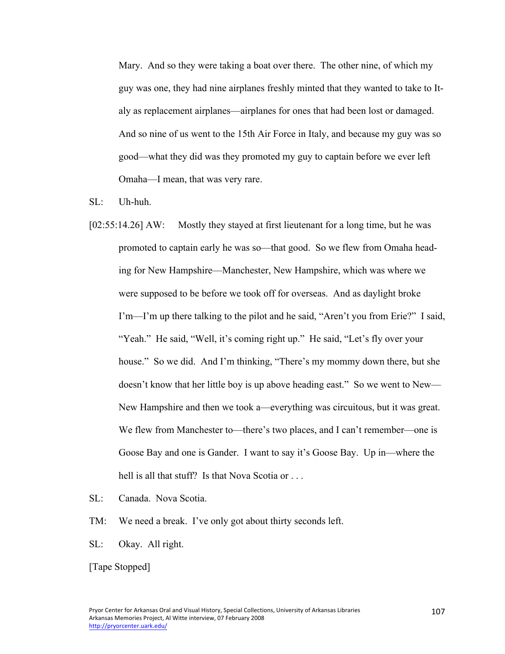Mary. And so they were taking a boat over there. The other nine, of which my guy was one, they had nine airplanes freshly minted that they wanted to take to Italy as replacement airplanes—airplanes for ones that had been lost or damaged. And so nine of us went to the 15th Air Force in Italy, and because my guy was so good—what they did was they promoted my guy to captain before we ever left Omaha—I mean, that was very rare.

- SL: Uh-huh.
- [02:55:14.26] AW: Mostly they stayed at first lieutenant for a long time, but he was promoted to captain early he was so—that good. So we flew from Omaha heading for New Hampshire—Manchester, New Hampshire, which was where we were supposed to be before we took off for overseas. And as daylight broke I'm—I'm up there talking to the pilot and he said, "Aren't you from Erie?" I said, "Yeah." He said, "Well, it's coming right up." He said, "Let's fly over your house." So we did. And I'm thinking, "There's my mommy down there, but she doesn't know that her little boy is up above heading east." So we went to New— New Hampshire and then we took a—everything was circuitous, but it was great. We flew from Manchester to—there's two places, and I can't remember—one is Goose Bay and one is Gander. I want to say it's Goose Bay. Up in—where the hell is all that stuff? Is that Nova Scotia or ...
- SL: Canada. Nova Scotia.
- TM: We need a break. I've only got about thirty seconds left.
- SL: Okay. All right.

[Tape Stopped]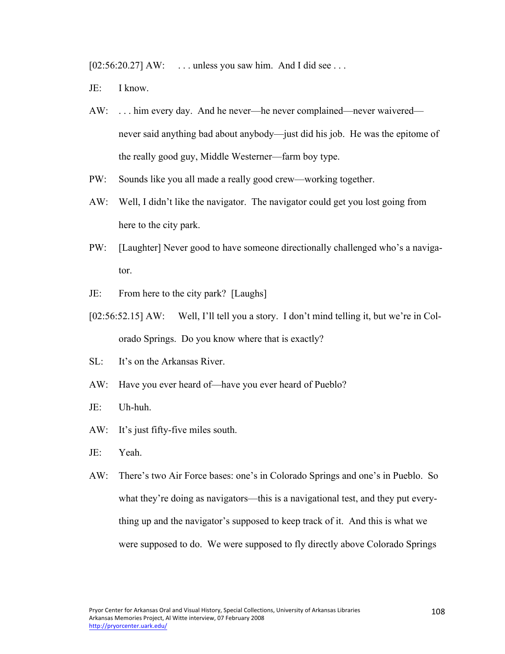[02:56:20.27] AW: ... unless you saw him. And I did see ...

- JE: I know.
- AW: ... him every day. And he never—he never complained—never waivered never said anything bad about anybody—just did his job. He was the epitome of the really good guy, Middle Westerner—farm boy type.
- PW: Sounds like you all made a really good crew—working together.
- AW: Well, I didn't like the navigator. The navigator could get you lost going from here to the city park.
- PW: [Laughter] Never good to have someone directionally challenged who's a navigator.
- JE: From here to the city park? [Laughs]
- [02:56:52.15] AW: Well, I'll tell you a story. I don't mind telling it, but we're in Colorado Springs. Do you know where that is exactly?
- SL: It's on the Arkansas River.
- AW: Have you ever heard of—have you ever heard of Pueblo?
- JE: Uh-huh.
- AW: It's just fifty-five miles south.
- JE: Yeah.
- AW: There's two Air Force bases: one's in Colorado Springs and one's in Pueblo. So what they're doing as navigators—this is a navigational test, and they put everything up and the navigator's supposed to keep track of it. And this is what we were supposed to do. We were supposed to fly directly above Colorado Springs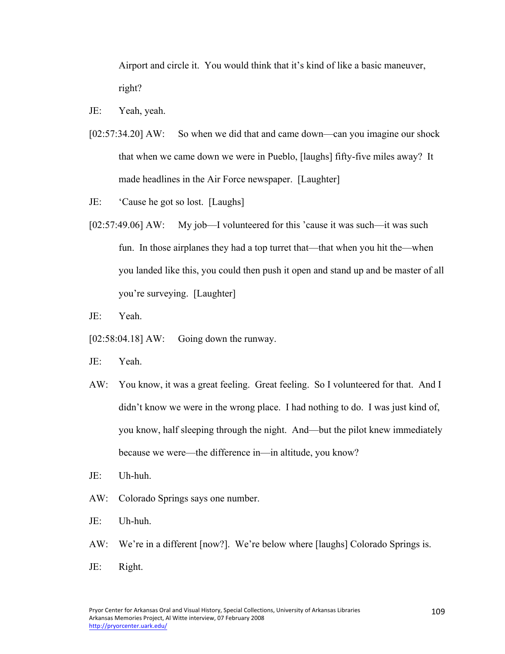Airport and circle it. You would think that it's kind of like a basic maneuver, right?

- JE: Yeah, yeah.
- [02:57:34.20] AW: So when we did that and came down—can you imagine our shock that when we came down we were in Pueblo, [laughs] fifty-five miles away? It made headlines in the Air Force newspaper. [Laughter]
- JE: 'Cause he got so lost. [Laughs]
- [02:57:49.06] AW: My job—I volunteered for this 'cause it was such—it was such fun. In those airplanes they had a top turret that—that when you hit the—when you landed like this, you could then push it open and stand up and be master of all you're surveying. [Laughter]
- JE: Yeah.
- $[02:58:04.18]$  AW: Going down the runway.
- JE: Yeah.
- AW: You know, it was a great feeling. Great feeling. So I volunteered for that. And I didn't know we were in the wrong place. I had nothing to do. I was just kind of, you know, half sleeping through the night. And—but the pilot knew immediately because we were—the difference in—in altitude, you know?
- JE: Uh-huh.
- AW: Colorado Springs says one number.
- JE: Uh-huh.
- AW: We're in a different [now?]. We're below where [laughs] Colorado Springs is.
- JE: Right.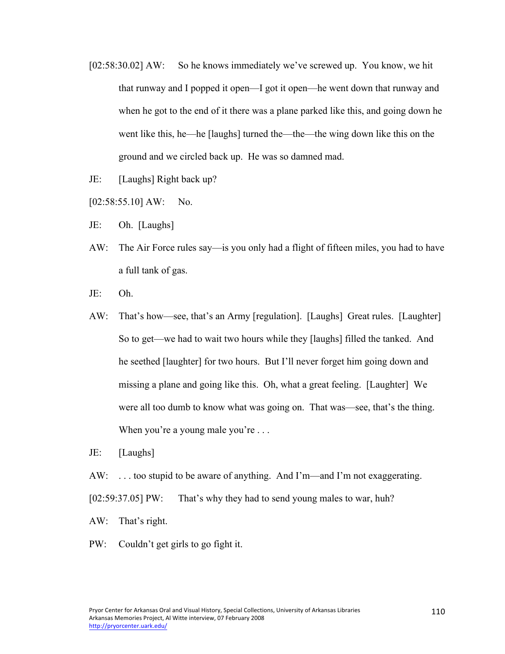- [02:58:30.02] AW: So he knows immediately we've screwed up. You know, we hit that runway and I popped it open—I got it open—he went down that runway and when he got to the end of it there was a plane parked like this, and going down he went like this, he—he [laughs] turned the—the—the wing down like this on the ground and we circled back up. He was so damned mad.
- JE: [Laughs] Right back up?
- $[02:58:55.10]$  AW: No.
- JE: Oh. [Laughs]
- AW: The Air Force rules say—is you only had a flight of fifteen miles, you had to have a full tank of gas.
- JE: Oh.
- AW: That's how—see, that's an Army [regulation]. [Laughs] Great rules. [Laughter] So to get—we had to wait two hours while they [laughs] filled the tanked. And he seethed [laughter] for two hours. But I'll never forget him going down and missing a plane and going like this. Oh, what a great feeling. [Laughter] We were all too dumb to know what was going on. That was—see, that's the thing. When you're a young male you're ...
- JE: [Laughs]
- AW: . . . too stupid to be aware of anything. And I'm—and I'm not exaggerating.
- [02:59:37.05] PW: That's why they had to send young males to war, huh?
- AW: That's right.
- PW: Couldn't get girls to go fight it.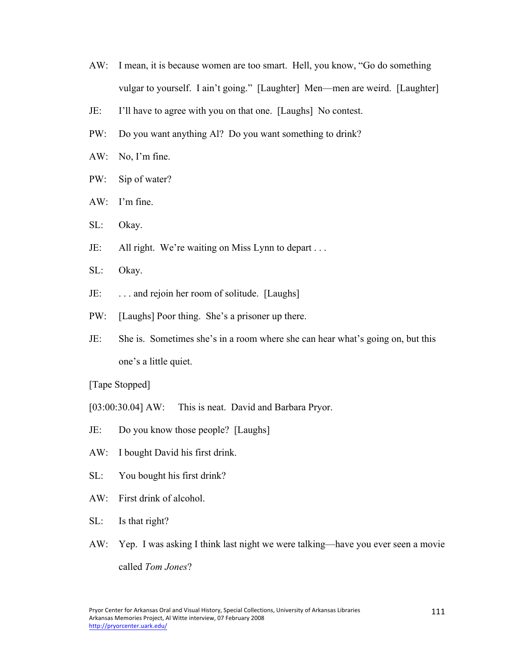- AW: I mean, it is because women are too smart. Hell, you know, "Go do something vulgar to yourself. I ain't going." [Laughter] Men—men are weird. [Laughter]
- JE: I'll have to agree with you on that one. [Laughs] No contest.
- PW: Do you want anything Al? Do you want something to drink?
- AW: No, I'm fine.
- PW: Sip of water?
- AW: I'm fine.
- SL: Okay.
- JE: All right. We're waiting on Miss Lynn to depart . . .
- SL: Okay.
- JE: . . . and rejoin her room of solitude. [Laughs]
- PW: [Laughs] Poor thing. She's a prisoner up there.
- JE: She is. Sometimes she's in a room where she can hear what's going on, but this one's a little quiet.

[Tape Stopped]

- [03:00:30.04] AW: This is neat. David and Barbara Pryor.
- JE: Do you know those people? [Laughs]
- AW: I bought David his first drink.
- SL: You bought his first drink?
- AW: First drink of alcohol.
- SL: Is that right?
- AW: Yep. I was asking I think last night we were talking—have you ever seen a movie called *Tom Jones*?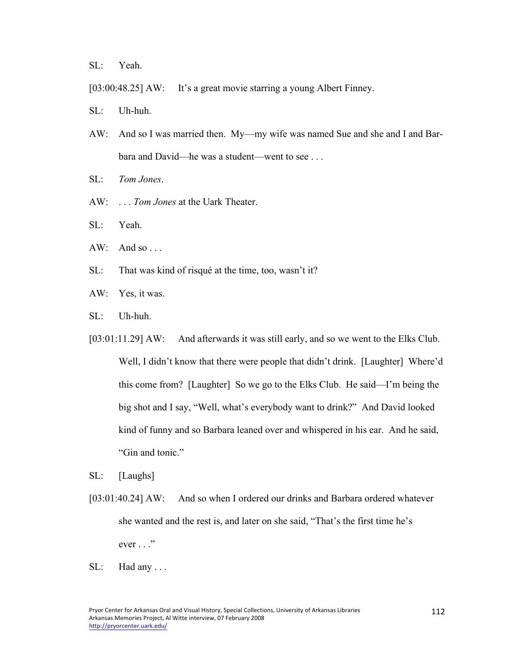SL: Yeah.

- [03:00:48.25] AW: It's a great movie starring a young Albert Finney.
- SL: Uh-huh.
- AW: And so I was married then. My—my wife was named Sue and she and I and Barbara and David—he was a student—went to see . . .
- SL: *Tom Jones*.
- AW: . . . *Tom Jones* at the Uark Theater.
- SL: Yeah.
- $AW:$  And so ...
- SL: That was kind of risqué at the time, too, wasn't it?
- AW: Yes, it was.
- SL: Uh-huh.
- [03:01:11.29] AW: And afterwards it was still early, and so we went to the Elks Club. Well, I didn't know that there were people that didn't drink. [Laughter] Where'd this come from? [Laughter] So we go to the Elks Club. He said—I'm being the big shot and I say, "Well, what's everybody want to drink?" And David looked kind of funny and so Barbara leaned over and whispered in his ear. And he said, "Gin and tonic."
- SL: [Laughs]
- [03:01:40.24] AW: And so when I ordered our drinks and Barbara ordered whatever she wanted and the rest is, and later on she said, "That's the first time he's  $ever \dots$ "
- $SL:$  Had any ...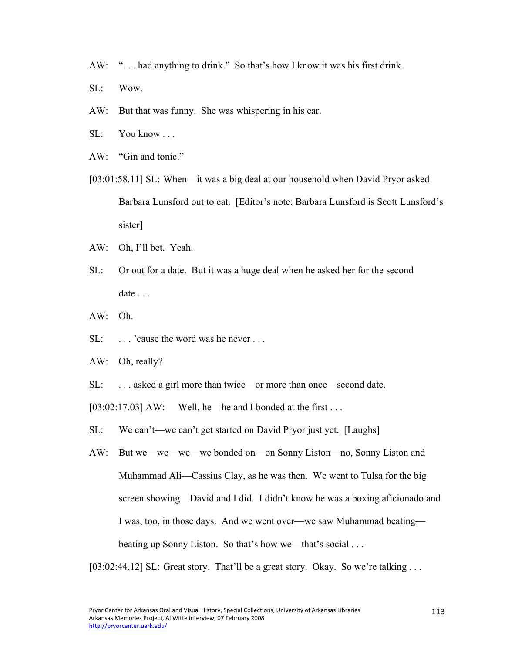- AW: "... had anything to drink." So that's how I know it was his first drink.
- SL: Wow.
- AW: But that was funny. She was whispering in his ear.
- SL: You know . . .
- AW: "Gin and tonic."
- [03:01:58.11] SL: When—it was a big deal at our household when David Pryor asked Barbara Lunsford out to eat. [Editor's note: Barbara Lunsford is Scott Lunsford's sister]
- AW: Oh, I'll bet. Yeah.
- SL: Or out for a date. But it was a huge deal when he asked her for the second date . . .
- AW: Oh.
- SL: ... 'cause the word was he never ...
- AW: Oh, really?
- SL: . . . asked a girl more than twice—or more than once—second date.

 $[03:02:17.03]$  AW: Well, he—he and I bonded at the first ...

- SL: We can't—we can't get started on David Pryor just yet. [Laughs]
- AW: But we—we—we—we bonded on—on Sonny Liston—no, Sonny Liston and Muhammad Ali—Cassius Clay, as he was then. We went to Tulsa for the big screen showing—David and I did. I didn't know he was a boxing aficionado and I was, too, in those days. And we went over—we saw Muhammad beating beating up Sonny Liston. So that's how we—that's social . . .

[03:02:44.12] SL: Great story. That'll be a great story. Okay. So we're talking ...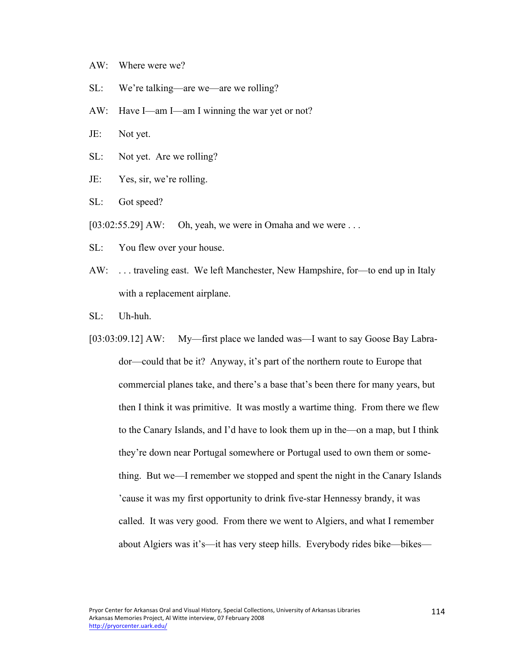- AW: Where were we?
- SL: We're talking—are we—are we rolling?
- AW: Have I—am I—am I winning the war yet or not?
- JE: Not yet.
- SL: Not yet. Are we rolling?
- JE: Yes, sir, we're rolling.
- SL: Got speed?
- $[03:02:55.29]$  AW: Oh, yeah, we were in Omaha and we were ...
- SL: You flew over your house.
- AW: . . . traveling east. We left Manchester, New Hampshire, for—to end up in Italy with a replacement airplane.
- SL: Uh-huh.
- [03:03:09.12] AW: My—first place we landed was—I want to say Goose Bay Labrador—could that be it? Anyway, it's part of the northern route to Europe that commercial planes take, and there's a base that's been there for many years, but then I think it was primitive. It was mostly a wartime thing. From there we flew to the Canary Islands, and I'd have to look them up in the—on a map, but I think they're down near Portugal somewhere or Portugal used to own them or something. But we—I remember we stopped and spent the night in the Canary Islands 'cause it was my first opportunity to drink five-star Hennessy brandy, it was called. It was very good. From there we went to Algiers, and what I remember about Algiers was it's—it has very steep hills. Everybody rides bike—bikes—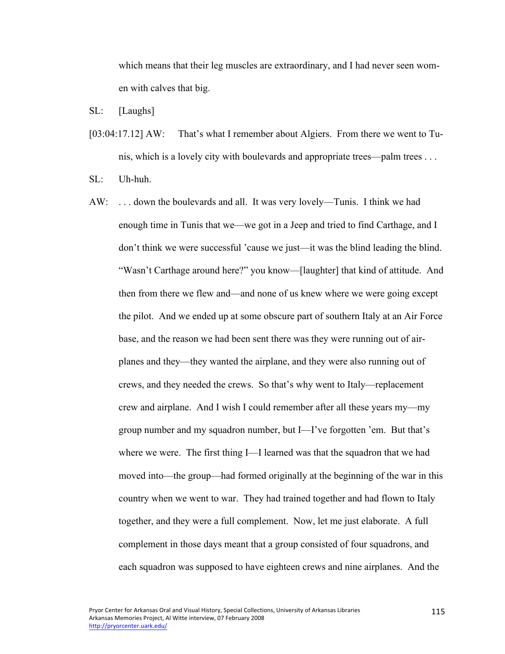which means that their leg muscles are extraordinary, and I had never seen women with calves that big.

SL: [Laughs]

[03:04:17.12] AW: That's what I remember about Algiers. From there we went to Tunis, which is a lovely city with boulevards and appropriate trees—palm trees . . .

SL: Uh-huh.

AW: . . . down the boulevards and all. It was very lovely—Tunis. I think we had enough time in Tunis that we—we got in a Jeep and tried to find Carthage, and I don't think we were successful 'cause we just—it was the blind leading the blind. "Wasn't Carthage around here?" you know—[laughter] that kind of attitude. And then from there we flew and—and none of us knew where we were going except the pilot. And we ended up at some obscure part of southern Italy at an Air Force base, and the reason we had been sent there was they were running out of airplanes and they—they wanted the airplane, and they were also running out of crews, and they needed the crews. So that's why went to Italy—replacement crew and airplane. And I wish I could remember after all these years my—my group number and my squadron number, but I—I've forgotten 'em. But that's where we were. The first thing I—I learned was that the squadron that we had moved into—the group—had formed originally at the beginning of the war in this country when we went to war. They had trained together and had flown to Italy together, and they were a full complement. Now, let me just elaborate. A full complement in those days meant that a group consisted of four squadrons, and each squadron was supposed to have eighteen crews and nine airplanes. And the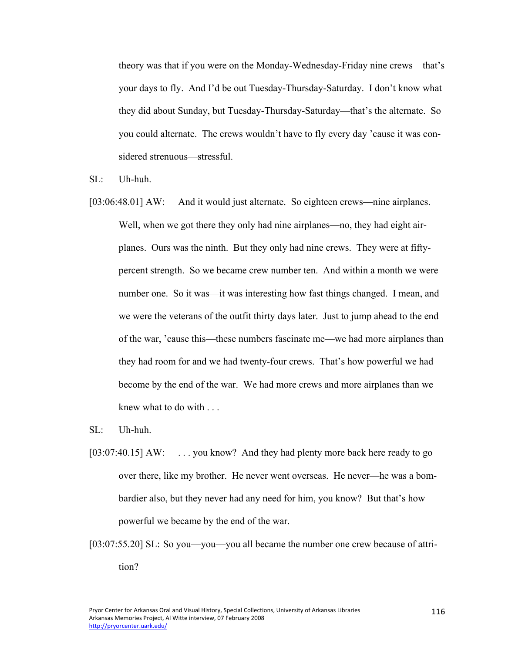theory was that if you were on the Monday-Wednesday-Friday nine crews—that's your days to fly. And I'd be out Tuesday-Thursday-Saturday. I don't know what they did about Sunday, but Tuesday-Thursday-Saturday—that's the alternate. So you could alternate. The crews wouldn't have to fly every day 'cause it was considered strenuous—stressful.

SL: Uh-huh.

[03:06:48.01] AW: And it would just alternate. So eighteen crews—nine airplanes. Well, when we got there they only had nine airplanes—no, they had eight airplanes. Ours was the ninth. But they only had nine crews. They were at fiftypercent strength. So we became crew number ten. And within a month we were number one. So it was—it was interesting how fast things changed. I mean, and we were the veterans of the outfit thirty days later. Just to jump ahead to the end of the war, 'cause this—these numbers fascinate me—we had more airplanes than they had room for and we had twenty-four crews. That's how powerful we had become by the end of the war. We had more crews and more airplanes than we knew what to do with . . .

SL: Uh-huh.

- [03:07:40.15] AW: ... you know? And they had plenty more back here ready to go over there, like my brother. He never went overseas. He never—he was a bombardier also, but they never had any need for him, you know? But that's how powerful we became by the end of the war.
- [03:07:55.20] SL: So you—you—you all became the number one crew because of attrition?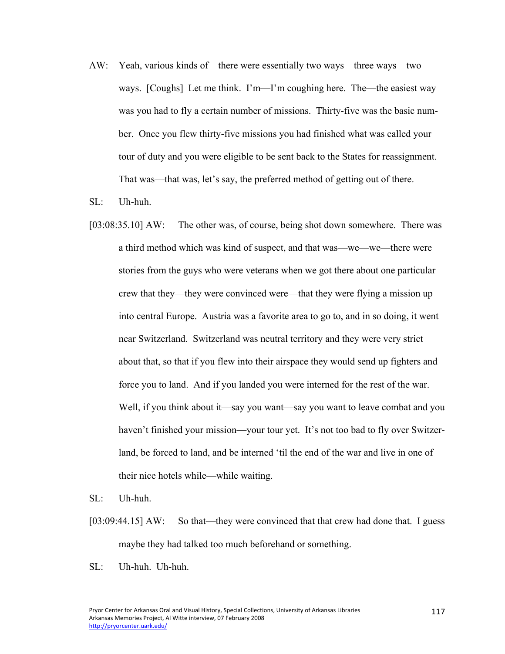- AW: Yeah, various kinds of—there were essentially two ways—three ways—two ways. [Coughs] Let me think. I'm—I'm coughing here. The—the easiest way was you had to fly a certain number of missions. Thirty-five was the basic number. Once you flew thirty-five missions you had finished what was called your tour of duty and you were eligible to be sent back to the States for reassignment. That was—that was, let's say, the preferred method of getting out of there.
- SL: Uh-huh.
- [03:08:35.10] AW: The other was, of course, being shot down somewhere. There was a third method which was kind of suspect, and that was—we—we—there were stories from the guys who were veterans when we got there about one particular crew that they—they were convinced were—that they were flying a mission up into central Europe. Austria was a favorite area to go to, and in so doing, it went near Switzerland. Switzerland was neutral territory and they were very strict about that, so that if you flew into their airspace they would send up fighters and force you to land. And if you landed you were interned for the rest of the war. Well, if you think about it—say you want—say you want to leave combat and you haven't finished your mission—your tour yet. It's not too bad to fly over Switzerland, be forced to land, and be interned 'til the end of the war and live in one of their nice hotels while—while waiting.
- SL: Uh-huh.
- [03:09:44.15] AW: So that—they were convinced that that crew had done that. I guess maybe they had talked too much beforehand or something.
- SL: Uh-huh. Uh-huh.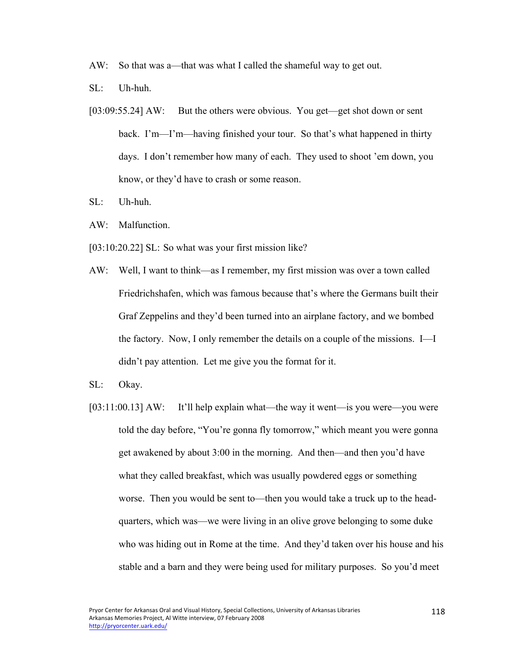- AW: So that was a—that was what I called the shameful way to get out.
- SL: Uh-huh.
- [03:09:55.24] AW: But the others were obvious. You get—get shot down or sent back. I'm—I'm—having finished your tour. So that's what happened in thirty days. I don't remember how many of each. They used to shoot 'em down, you know, or they'd have to crash or some reason.
- SL: Uh-huh.
- AW: Malfunction.
- [03:10:20.22] SL: So what was your first mission like?
- AW: Well, I want to think—as I remember, my first mission was over a town called Friedrichshafen, which was famous because that's where the Germans built their Graf Zeppelins and they'd been turned into an airplane factory, and we bombed the factory. Now, I only remember the details on a couple of the missions. I—I didn't pay attention. Let me give you the format for it.
- SL: Okay.
- [03:11:00.13] AW: It'll help explain what—the way it went—is you were—you were told the day before, "You're gonna fly tomorrow," which meant you were gonna get awakened by about 3:00 in the morning. And then—and then you'd have what they called breakfast, which was usually powdered eggs or something worse. Then you would be sent to—then you would take a truck up to the headquarters, which was—we were living in an olive grove belonging to some duke who was hiding out in Rome at the time. And they'd taken over his house and his stable and a barn and they were being used for military purposes. So you'd meet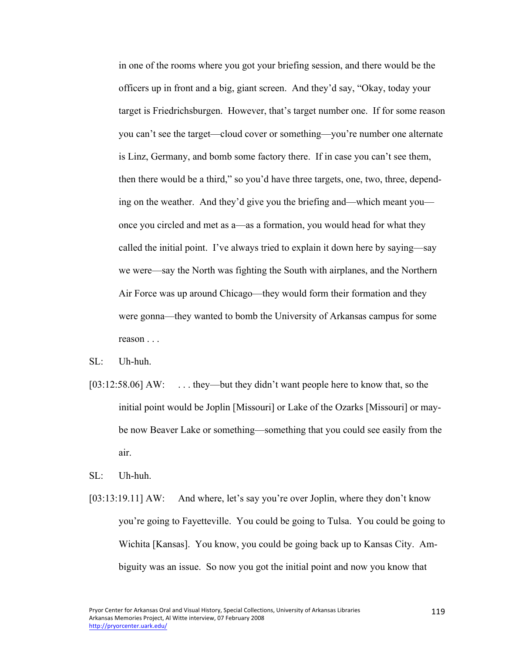in one of the rooms where you got your briefing session, and there would be the officers up in front and a big, giant screen. And they'd say, "Okay, today your target is Friedrichsburgen. However, that's target number one. If for some reason you can't see the target—cloud cover or something—you're number one alternate is Linz, Germany, and bomb some factory there. If in case you can't see them, then there would be a third," so you'd have three targets, one, two, three, depending on the weather. And they'd give you the briefing and—which meant you once you circled and met as a—as a formation, you would head for what they called the initial point. I've always tried to explain it down here by saying—say we were—say the North was fighting the South with airplanes, and the Northern Air Force was up around Chicago—they would form their formation and they were gonna—they wanted to bomb the University of Arkansas campus for some reason . . .

- SL: Uh-huh.
- [03:12:58.06] AW: ... they—but they didn't want people here to know that, so the initial point would be Joplin [Missouri] or Lake of the Ozarks [Missouri] or maybe now Beaver Lake or something—something that you could see easily from the air.

SL: Uh-huh.

[03:13:19.11] AW: And where, let's say you're over Joplin, where they don't know you're going to Fayetteville. You could be going to Tulsa. You could be going to Wichita [Kansas]. You know, you could be going back up to Kansas City. Ambiguity was an issue. So now you got the initial point and now you know that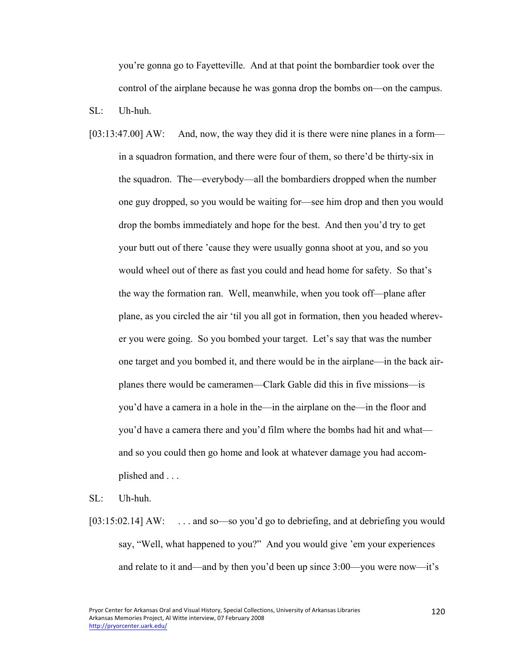you're gonna go to Fayetteville. And at that point the bombardier took over the control of the airplane because he was gonna drop the bombs on—on the campus.

SL: Uh-huh.

[03:13:47.00] AW: And, now, the way they did it is there were nine planes in a form in a squadron formation, and there were four of them, so there'd be thirty-six in the squadron. The—everybody—all the bombardiers dropped when the number one guy dropped, so you would be waiting for—see him drop and then you would drop the bombs immediately and hope for the best. And then you'd try to get your butt out of there 'cause they were usually gonna shoot at you, and so you would wheel out of there as fast you could and head home for safety. So that's the way the formation ran. Well, meanwhile, when you took off—plane after plane, as you circled the air 'til you all got in formation, then you headed wherever you were going. So you bombed your target. Let's say that was the number one target and you bombed it, and there would be in the airplane—in the back airplanes there would be cameramen—Clark Gable did this in five missions—is you'd have a camera in a hole in the—in the airplane on the—in the floor and you'd have a camera there and you'd film where the bombs had hit and what and so you could then go home and look at whatever damage you had accomplished and . . .

SL: Uh-huh.

[03:15:02.14] AW: ... and so—so you'd go to debriefing, and at debriefing you would say, "Well, what happened to you?" And you would give 'em your experiences and relate to it and—and by then you'd been up since 3:00—you were now—it's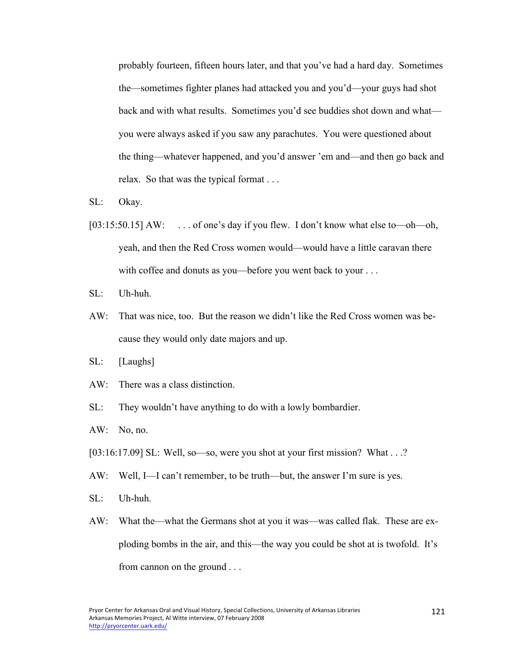probably fourteen, fifteen hours later, and that you've had a hard day. Sometimes the—sometimes fighter planes had attacked you and you'd—your guys had shot back and with what results. Sometimes you'd see buddies shot down and what you were always asked if you saw any parachutes. You were questioned about the thing—whatever happened, and you'd answer 'em and—and then go back and relax. So that was the typical format . . .

- SL: Okay.
- [03:15:50.15] AW: . . . . of one's day if you flew. I don't know what else to—oh—oh, yeah, and then the Red Cross women would—would have a little caravan there with coffee and donuts as you—before you went back to your . . .
- SL: Uh-huh.
- AW: That was nice, too. But the reason we didn't like the Red Cross women was because they would only date majors and up.
- SL: [Laughs]
- AW: There was a class distinction.
- SL: They wouldn't have anything to do with a lowly bombardier.
- AW: No, no.
- [03:16:17.09] SL: Well, so—so, were you shot at your first mission? What . . .?
- AW: Well, I—I can't remember, to be truth—but, the answer I'm sure is yes.
- SL: Uh-huh.
- AW: What the—what the Germans shot at you it was—was called flak. These are exploding bombs in the air, and this—the way you could be shot at is twofold. It's from cannon on the ground . . .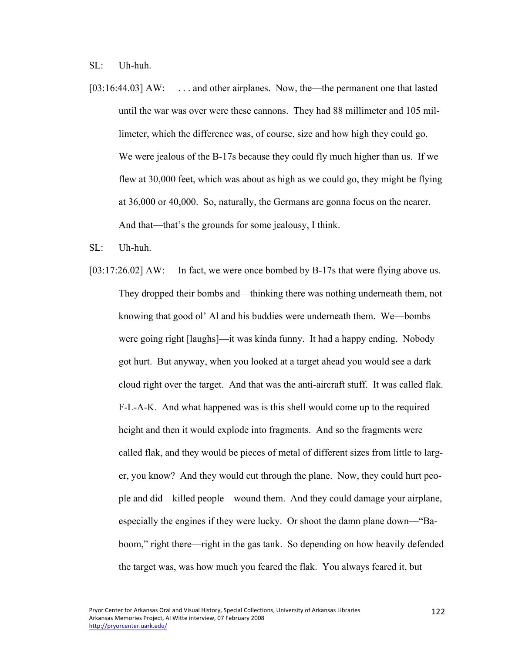SL: Uh-huh.

- [03:16:44.03] AW: ... and other airplanes. Now, the—the permanent one that lasted until the war was over were these cannons. They had 88 millimeter and 105 millimeter, which the difference was, of course, size and how high they could go. We were jealous of the B-17s because they could fly much higher than us. If we flew at 30,000 feet, which was about as high as we could go, they might be flying at 36,000 or 40,000. So, naturally, the Germans are gonna focus on the nearer. And that—that's the grounds for some jealousy, I think.
- SL: Uh-huh.
- [03:17:26.02] AW: In fact, we were once bombed by B-17s that were flying above us. They dropped their bombs and—thinking there was nothing underneath them, not knowing that good ol' Al and his buddies were underneath them. We—bombs were going right [laughs]—it was kinda funny. It had a happy ending. Nobody got hurt. But anyway, when you looked at a target ahead you would see a dark cloud right over the target. And that was the anti-aircraft stuff. It was called flak. F-L-A-K. And what happened was is this shell would come up to the required height and then it would explode into fragments. And so the fragments were called flak, and they would be pieces of metal of different sizes from little to larger, you know? And they would cut through the plane. Now, they could hurt people and did—killed people—wound them. And they could damage your airplane, especially the engines if they were lucky. Or shoot the damn plane down—"Baboom," right there—right in the gas tank. So depending on how heavily defended the target was, was how much you feared the flak. You always feared it, but

122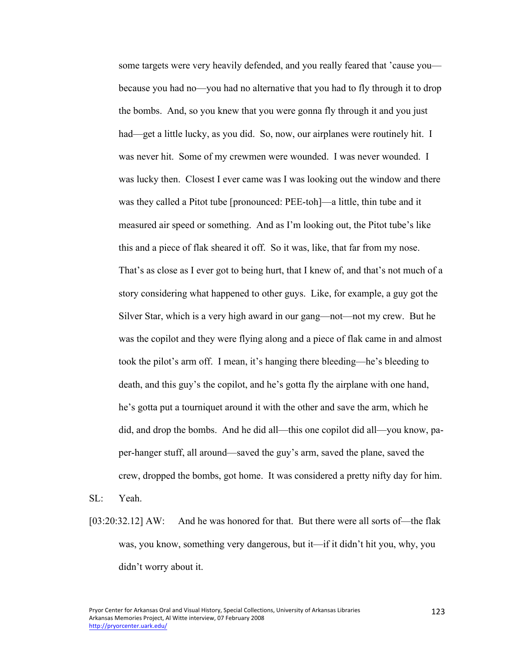some targets were very heavily defended, and you really feared that 'cause you because you had no—you had no alternative that you had to fly through it to drop the bombs. And, so you knew that you were gonna fly through it and you just had—get a little lucky, as you did. So, now, our airplanes were routinely hit. I was never hit. Some of my crewmen were wounded. I was never wounded. I was lucky then. Closest I ever came was I was looking out the window and there was they called a Pitot tube [pronounced: PEE-toh]—a little, thin tube and it measured air speed or something. And as I'm looking out, the Pitot tube's like this and a piece of flak sheared it off. So it was, like, that far from my nose. That's as close as I ever got to being hurt, that I knew of, and that's not much of a story considering what happened to other guys. Like, for example, a guy got the Silver Star, which is a very high award in our gang—not—not my crew. But he was the copilot and they were flying along and a piece of flak came in and almost took the pilot's arm off. I mean, it's hanging there bleeding—he's bleeding to death, and this guy's the copilot, and he's gotta fly the airplane with one hand, he's gotta put a tourniquet around it with the other and save the arm, which he did, and drop the bombs. And he did all—this one copilot did all—you know, paper-hanger stuff, all around—saved the guy's arm, saved the plane, saved the crew, dropped the bombs, got home. It was considered a pretty nifty day for him.

- SL: Yeah.
- [03:20:32.12] AW: And he was honored for that. But there were all sorts of—the flak was, you know, something very dangerous, but it—if it didn't hit you, why, you didn't worry about it.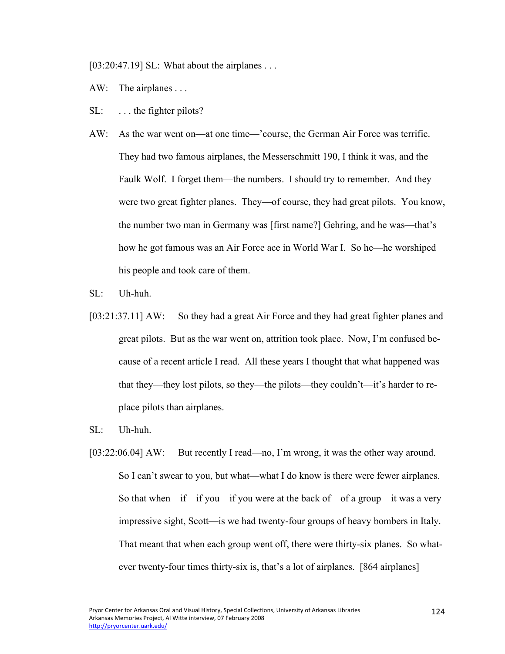[03:20:47.19] SL: What about the airplanes . . .

- AW: The airplanes ...
- SL: ... the fighter pilots?
- AW: As the war went on—at one time—'course, the German Air Force was terrific. They had two famous airplanes, the Messerschmitt 190, I think it was, and the Faulk Wolf. I forget them—the numbers. I should try to remember. And they were two great fighter planes. They—of course, they had great pilots. You know, the number two man in Germany was [first name?] Gehring, and he was—that's how he got famous was an Air Force ace in World War I. So he—he worshiped his people and took care of them.
- SL: Uh-huh.
- [03:21:37.11] AW: So they had a great Air Force and they had great fighter planes and great pilots. But as the war went on, attrition took place. Now, I'm confused because of a recent article I read. All these years I thought that what happened was that they—they lost pilots, so they—the pilots—they couldn't—it's harder to replace pilots than airplanes.
- SL: Uh-huh.
- [03:22:06.04] AW: But recently I read—no, I'm wrong, it was the other way around. So I can't swear to you, but what—what I do know is there were fewer airplanes. So that when—if—if you—if you were at the back of—of a group—it was a very impressive sight, Scott—is we had twenty-four groups of heavy bombers in Italy. That meant that when each group went off, there were thirty-six planes. So whatever twenty-four times thirty-six is, that's a lot of airplanes. [864 airplanes]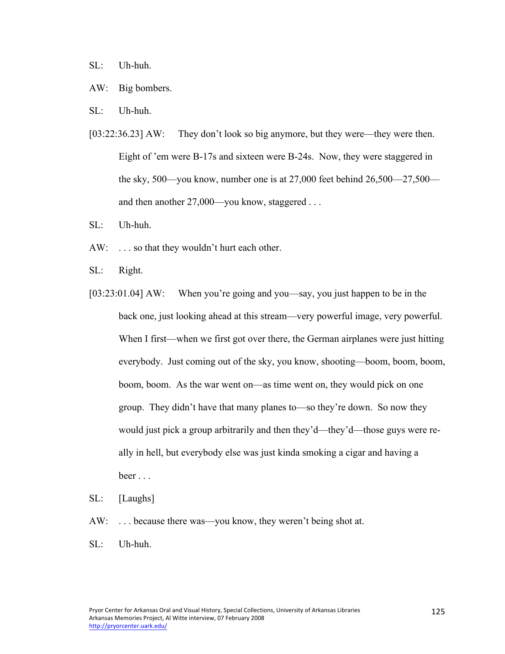SL: Uh-huh.

- AW: Big bombers.
- SL: Uh-huh.
- [03:22:36.23] AW: They don't look so big anymore, but they were—they were then. Eight of 'em were B-17s and sixteen were B-24s. Now, they were staggered in the sky, 500—you know, number one is at 27,000 feet behind 26,500—27,500 and then another 27,000—you know, staggered . . .
- SL: Uh-huh.
- AW: . . . so that they wouldn't hurt each other.
- SL: Right.
- [03:23:01.04] AW: When you're going and you—say, you just happen to be in the back one, just looking ahead at this stream—very powerful image, very powerful. When I first—when we first got over there, the German airplanes were just hitting everybody. Just coming out of the sky, you know, shooting—boom, boom, boom, boom, boom. As the war went on—as time went on, they would pick on one group. They didn't have that many planes to—so they're down. So now they would just pick a group arbitrarily and then they'd—they'd—those guys were really in hell, but everybody else was just kinda smoking a cigar and having a beer . . .
- SL: [Laughs]
- AW: ... because there was—you know, they weren't being shot at.
- SL: Uh-huh.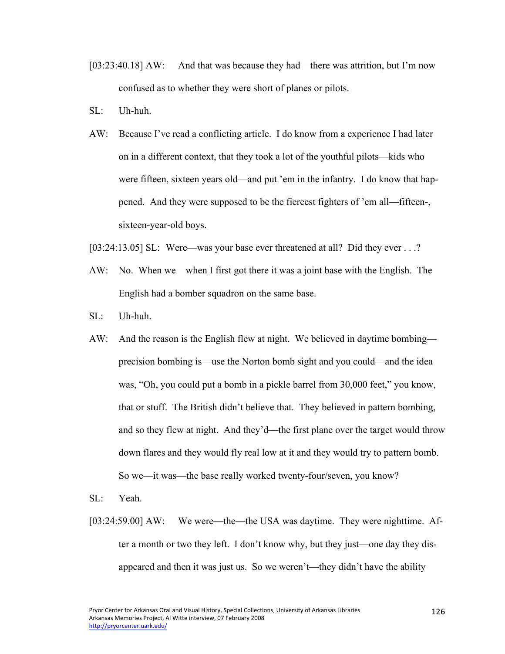- [03:23:40.18] AW: And that was because they had—there was attrition, but I'm now confused as to whether they were short of planes or pilots.
- SL: Uh-huh.
- AW: Because I've read a conflicting article. I do know from a experience I had later on in a different context, that they took a lot of the youthful pilots—kids who were fifteen, sixteen years old—and put 'em in the infantry. I do know that happened. And they were supposed to be the fiercest fighters of 'em all—fifteen-, sixteen-year-old boys.
- [03:24:13.05] SL: Were—was your base ever threatened at all? Did they ever . . .?
- AW: No. When we—when I first got there it was a joint base with the English. The English had a bomber squadron on the same base.
- SL: Uh-huh.
- AW: And the reason is the English flew at night. We believed in daytime bombing precision bombing is—use the Norton bomb sight and you could—and the idea was, "Oh, you could put a bomb in a pickle barrel from 30,000 feet," you know, that or stuff. The British didn't believe that. They believed in pattern bombing, and so they flew at night. And they'd—the first plane over the target would throw down flares and they would fly real low at it and they would try to pattern bomb. So we—it was—the base really worked twenty-four/seven, you know?
- SL: Yeah.
- [03:24:59.00] AW: We were—the—the USA was daytime. They were nighttime. After a month or two they left. I don't know why, but they just—one day they disappeared and then it was just us. So we weren't—they didn't have the ability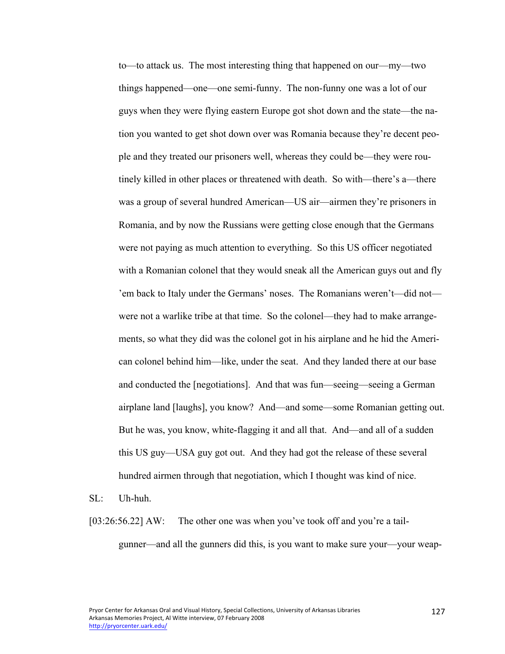to—to attack us. The most interesting thing that happened on our—my—two things happened—one—one semi-funny. The non-funny one was a lot of our guys when they were flying eastern Europe got shot down and the state—the nation you wanted to get shot down over was Romania because they're decent people and they treated our prisoners well, whereas they could be—they were routinely killed in other places or threatened with death. So with—there's a—there was a group of several hundred American—US air—airmen they're prisoners in Romania, and by now the Russians were getting close enough that the Germans were not paying as much attention to everything. So this US officer negotiated with a Romanian colonel that they would sneak all the American guys out and fly 'em back to Italy under the Germans' noses. The Romanians weren't—did not were not a warlike tribe at that time. So the colonel—they had to make arrangements, so what they did was the colonel got in his airplane and he hid the American colonel behind him—like, under the seat. And they landed there at our base and conducted the [negotiations]. And that was fun—seeing—seeing a German airplane land [laughs], you know? And—and some—some Romanian getting out. But he was, you know, white-flagging it and all that. And—and all of a sudden this US guy—USA guy got out. And they had got the release of these several hundred airmen through that negotiation, which I thought was kind of nice.

- SL: Uh-huh.
- [03:26:56.22] AW: The other one was when you've took off and you're a tailgunner—and all the gunners did this, is you want to make sure your—your weap-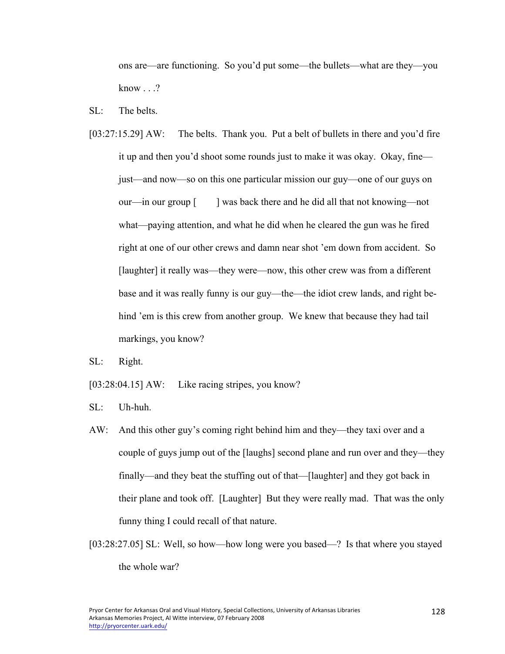ons are—are functioning. So you'd put some—the bullets—what are they—you know . . .?

- SL: The belts.
- [03:27:15.29] AW: The belts. Thank you. Put a belt of bullets in there and you'd fire it up and then you'd shoot some rounds just to make it was okay. Okay, fine just—and now—so on this one particular mission our guy—one of our guys on our—in our group [ ] was back there and he did all that not knowing—not what—paying attention, and what he did when he cleared the gun was he fired right at one of our other crews and damn near shot 'em down from accident. So [laughter] it really was—they were—now, this other crew was from a different base and it was really funny is our guy—the—the idiot crew lands, and right behind 'em is this crew from another group. We knew that because they had tail markings, you know?
- SL: Right.
- [03:28:04.15] AW: Like racing stripes, you know?
- SL: Uh-huh.
- AW: And this other guy's coming right behind him and they—they taxi over and a couple of guys jump out of the [laughs] second plane and run over and they—they finally—and they beat the stuffing out of that—[laughter] and they got back in their plane and took off. [Laughter] But they were really mad. That was the only funny thing I could recall of that nature.
- [03:28:27.05] SL: Well, so how—how long were you based—? Is that where you stayed the whole war?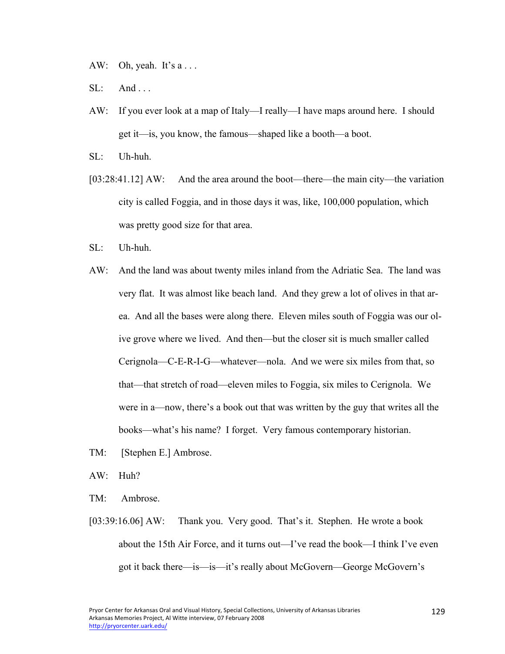AW: Oh, yeah. It's  $a \dots$ 

- $SL:$  And ...
- AW: If you ever look at a map of Italy—I really—I have maps around here. I should get it—is, you know, the famous—shaped like a booth—a boot.
- SL: Uh-huh.
- [03:28:41.12] AW: And the area around the boot—there—the main city—the variation city is called Foggia, and in those days it was, like, 100,000 population, which was pretty good size for that area.
- SL: Uh-huh.
- AW: And the land was about twenty miles inland from the Adriatic Sea. The land was very flat. It was almost like beach land. And they grew a lot of olives in that area. And all the bases were along there. Eleven miles south of Foggia was our olive grove where we lived. And then—but the closer sit is much smaller called Cerignola—C-E-R-I-G—whatever—nola. And we were six miles from that, so that—that stretch of road—eleven miles to Foggia, six miles to Cerignola. We were in a—now, there's a book out that was written by the guy that writes all the books—what's his name? I forget. Very famous contemporary historian.
- TM: [Stephen E.] Ambrose.
- AW: Huh?
- TM: Ambrose.
- [03:39:16.06] AW: Thank you. Very good. That's it. Stephen. He wrote a book about the 15th Air Force, and it turns out—I've read the book—I think I've even got it back there—is—is—it's really about McGovern—George McGovern's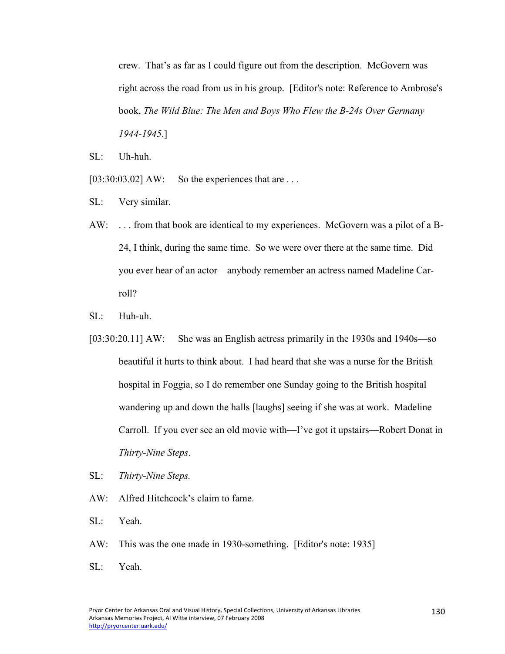crew. That's as far as I could figure out from the description. McGovern was right across the road from us in his group. [Editor's note: Reference to Ambrose's book, *The Wild Blue: The Men and Boys Who Flew the B-24s Over Germany 1944-1945*.]

SL: Uh-huh.

 $[03:30:03.02]$  AW: So the experiences that are ...

- SL: Very similar.
- AW: . . . from that book are identical to my experiences. McGovern was a pilot of a B-24, I think, during the same time. So we were over there at the same time. Did you ever hear of an actor—anybody remember an actress named Madeline Carroll?
- SL: Huh-uh.
- [03:30:20.11] AW: She was an English actress primarily in the 1930s and 1940s—so beautiful it hurts to think about. I had heard that she was a nurse for the British hospital in Foggia, so I do remember one Sunday going to the British hospital wandering up and down the halls [laughs] seeing if she was at work. Madeline Carroll. If you ever see an old movie with—I've got it upstairs—Robert Donat in *Thirty-Nine Steps*.
- SL: *Thirty-Nine Steps.*
- AW: Alfred Hitchcock's claim to fame.
- SL: Yeah.
- AW: This was the one made in 1930-something. [Editor's note: 1935]
- SL: Yeah.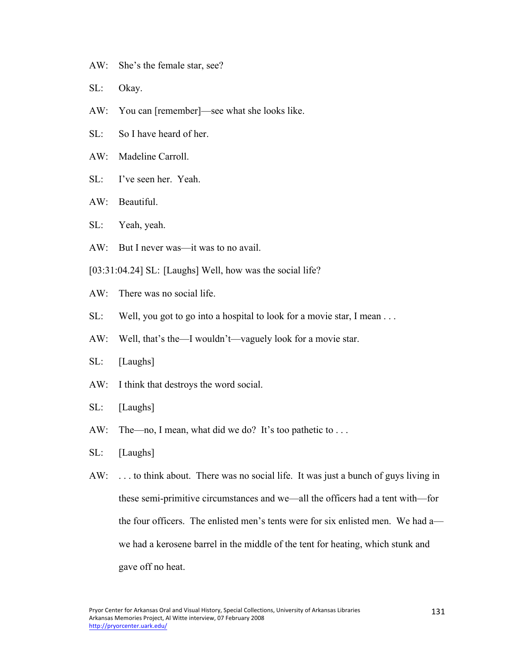- AW: She's the female star, see?
- SL: Okay.
- AW: You can [remember]—see what she looks like.
- SL: So I have heard of her.
- AW: Madeline Carroll.
- SL: I've seen her. Yeah.
- AW: Beautiful.
- SL: Yeah, yeah.
- AW: But I never was—it was to no avail.
- [03:31:04.24] SL: [Laughs] Well, how was the social life?
- AW: There was no social life.
- SL: Well, you got to go into a hospital to look for a movie star, I mean ...
- AW: Well, that's the—I wouldn't—vaguely look for a movie star.
- SL: [Laughs]
- AW: I think that destroys the word social.
- SL: [Laughs]
- AW: The—no, I mean, what did we do? It's too pathetic to ...
- SL: [Laughs]
- AW: . . . to think about. There was no social life. It was just a bunch of guys living in these semi-primitive circumstances and we—all the officers had a tent with—for the four officers. The enlisted men's tents were for six enlisted men. We had a we had a kerosene barrel in the middle of the tent for heating, which stunk and gave off no heat.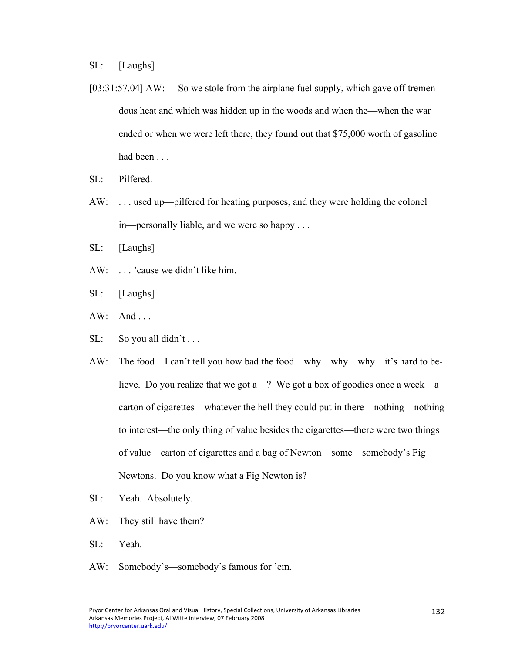SL: [Laughs]

- [03:31:57.04] AW: So we stole from the airplane fuel supply, which gave off tremendous heat and which was hidden up in the woods and when the—when the war ended or when we were left there, they found out that \$75,000 worth of gasoline had been . . .
- SL: Pilfered.
- AW: . . . used up—pilfered for heating purposes, and they were holding the colonel in—personally liable, and we were so happy . . .
- SL: [Laughs]
- AW: . . . 'cause we didn't like him.
- SL: [Laughs]
- $AW: And...$
- SL: So you all didn't ...
- AW: The food—I can't tell you how bad the food—why—why—why—it's hard to believe. Do you realize that we got a—? We got a box of goodies once a week—a carton of cigarettes—whatever the hell they could put in there—nothing—nothing to interest—the only thing of value besides the cigarettes—there were two things of value—carton of cigarettes and a bag of Newton—some—somebody's Fig Newtons. Do you know what a Fig Newton is?
- SL: Yeah. Absolutely.
- AW: They still have them?
- SL: Yeah.
- AW: Somebody's—somebody's famous for 'em.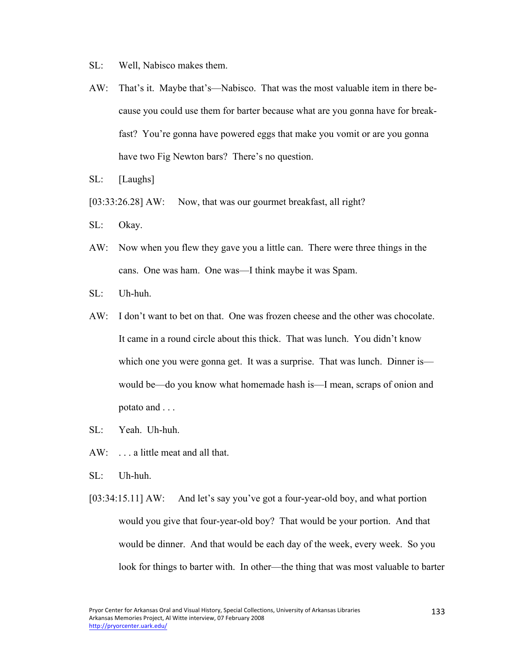- SL: Well, Nabisco makes them.
- AW: That's it. Maybe that's—Nabisco. That was the most valuable item in there because you could use them for barter because what are you gonna have for breakfast? You're gonna have powered eggs that make you vomit or are you gonna have two Fig Newton bars? There's no question.
- SL: [Laughs]
- [03:33:26.28] AW: Now, that was our gourmet breakfast, all right?
- SL: Okay.
- AW: Now when you flew they gave you a little can. There were three things in the cans. One was ham. One was—I think maybe it was Spam.
- SL: Uh-huh.
- AW: I don't want to bet on that. One was frozen cheese and the other was chocolate. It came in a round circle about this thick. That was lunch. You didn't know which one you were gonna get. It was a surprise. That was lunch. Dinner is would be—do you know what homemade hash is—I mean, scraps of onion and potato and . . .
- SL: Yeah. Uh-huh.
- AW: . . . a little meat and all that.
- SL: Uh-huh.
- [03:34:15.11] AW: And let's say you've got a four-year-old boy, and what portion would you give that four-year-old boy? That would be your portion. And that would be dinner. And that would be each day of the week, every week. So you look for things to barter with. In other—the thing that was most valuable to barter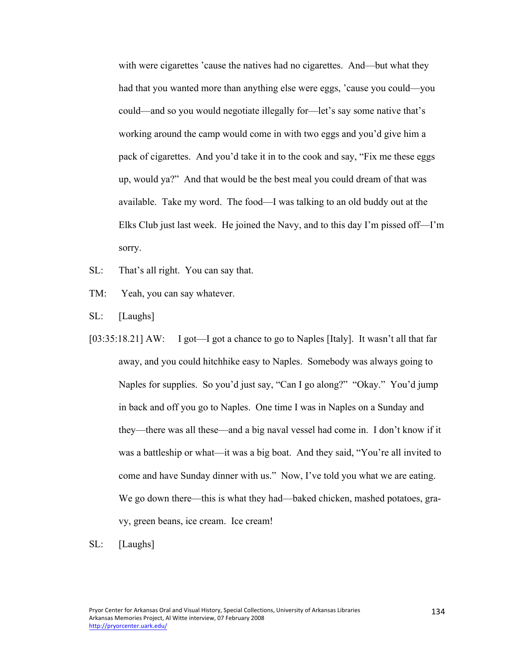with were cigarettes 'cause the natives had no cigarettes. And—but what they had that you wanted more than anything else were eggs, 'cause you could—you could—and so you would negotiate illegally for—let's say some native that's working around the camp would come in with two eggs and you'd give him a pack of cigarettes. And you'd take it in to the cook and say, "Fix me these eggs up, would ya?" And that would be the best meal you could dream of that was available. Take my word. The food—I was talking to an old buddy out at the Elks Club just last week. He joined the Navy, and to this day I'm pissed off—I'm sorry.

- SL: That's all right. You can say that.
- TM: Yeah, you can say whatever.
- SL: [Laughs]
- [03:35:18.21] AW: I got—I got a chance to go to Naples [Italy]. It wasn't all that far away, and you could hitchhike easy to Naples. Somebody was always going to Naples for supplies. So you'd just say, "Can I go along?" "Okay." You'd jump in back and off you go to Naples. One time I was in Naples on a Sunday and they—there was all these—and a big naval vessel had come in. I don't know if it was a battleship or what—it was a big boat. And they said, "You're all invited to come and have Sunday dinner with us." Now, I've told you what we are eating. We go down there—this is what they had—baked chicken, mashed potatoes, gravy, green beans, ice cream. Ice cream!
- SL: [Laughs]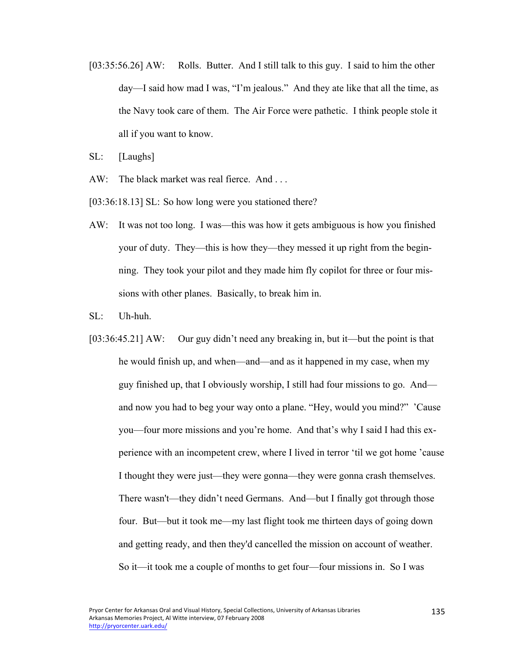[03:35:56.26] AW: Rolls. Butter. And I still talk to this guy. I said to him the other day—I said how mad I was, "I'm jealous." And they ate like that all the time, as the Navy took care of them. The Air Force were pathetic. I think people stole it all if you want to know.

SL: [Laughs]

- AW: The black market was real fierce. And ...
- [03:36:18.13] SL: So how long were you stationed there?
- AW: It was not too long. I was—this was how it gets ambiguous is how you finished your of duty. They—this is how they—they messed it up right from the beginning. They took your pilot and they made him fly copilot for three or four missions with other planes. Basically, to break him in.
- SL: Uh-huh.
- [03:36:45.21] AW: Our guy didn't need any breaking in, but it—but the point is that he would finish up, and when—and—and as it happened in my case, when my guy finished up, that I obviously worship, I still had four missions to go. And and now you had to beg your way onto a plane. "Hey, would you mind?" 'Cause you—four more missions and you're home. And that's why I said I had this experience with an incompetent crew, where I lived in terror 'til we got home 'cause I thought they were just—they were gonna—they were gonna crash themselves. There wasn't—they didn't need Germans. And—but I finally got through those four. But—but it took me—my last flight took me thirteen days of going down and getting ready, and then they'd cancelled the mission on account of weather. So it—it took me a couple of months to get four—four missions in. So I was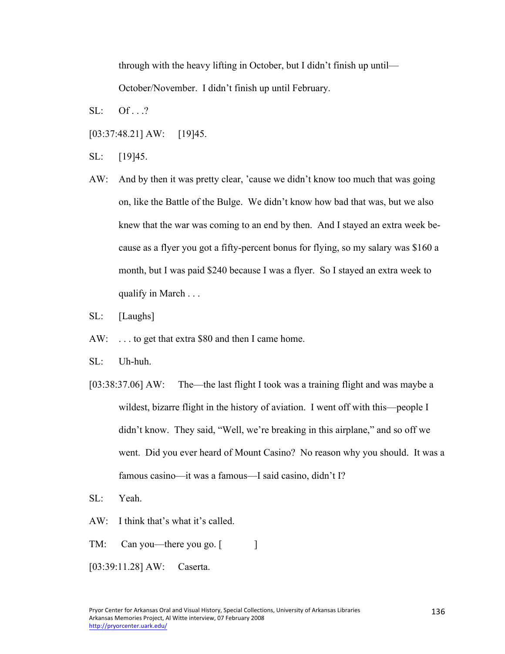through with the heavy lifting in October, but I didn't finish up until—

October/November. I didn't finish up until February.

 $SL:$  Of  $.$  .?

- [03:37:48.21] AW: [19]45.
- SL: [19]45.
- AW: And by then it was pretty clear, 'cause we didn't know too much that was going on, like the Battle of the Bulge. We didn't know how bad that was, but we also knew that the war was coming to an end by then. And I stayed an extra week because as a flyer you got a fifty-percent bonus for flying, so my salary was \$160 a month, but I was paid \$240 because I was a flyer. So I stayed an extra week to qualify in March . . .
- SL: [Laughs]
- AW: . . . to get that extra \$80 and then I came home.
- SL: Uh-huh.
- [03:38:37.06] AW: The—the last flight I took was a training flight and was maybe a wildest, bizarre flight in the history of aviation. I went off with this—people I didn't know. They said, "Well, we're breaking in this airplane," and so off we went. Did you ever heard of Mount Casino? No reason why you should. It was a famous casino—it was a famous—I said casino, didn't I?
- SL: Yeah.
- AW: I think that's what it's called.
- TM: Can you—there you go. [
- [03:39:11.28] AW: Caserta.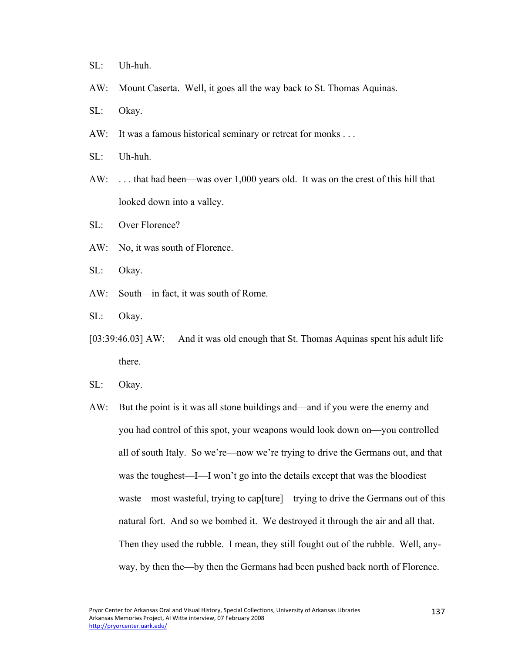- SL: Uh-huh.
- AW: Mount Caserta. Well, it goes all the way back to St. Thomas Aquinas.

SL: Okay.

- AW: It was a famous historical seminary or retreat for monks ...
- SL: Uh-huh.
- AW: . . . that had been—was over 1,000 years old. It was on the crest of this hill that looked down into a valley.
- SL: Over Florence?
- AW: No, it was south of Florence.
- SL: Okay.
- AW: South—in fact, it was south of Rome.
- SL: Okay.
- [03:39:46.03] AW: And it was old enough that St. Thomas Aquinas spent his adult life there.
- SL: Okay.
- AW: But the point is it was all stone buildings and—and if you were the enemy and you had control of this spot, your weapons would look down on—you controlled all of south Italy. So we're—now we're trying to drive the Germans out, and that was the toughest—I—I won't go into the details except that was the bloodiest waste—most wasteful, trying to cap[ture]—trying to drive the Germans out of this natural fort. And so we bombed it. We destroyed it through the air and all that. Then they used the rubble. I mean, they still fought out of the rubble. Well, anyway, by then the—by then the Germans had been pushed back north of Florence.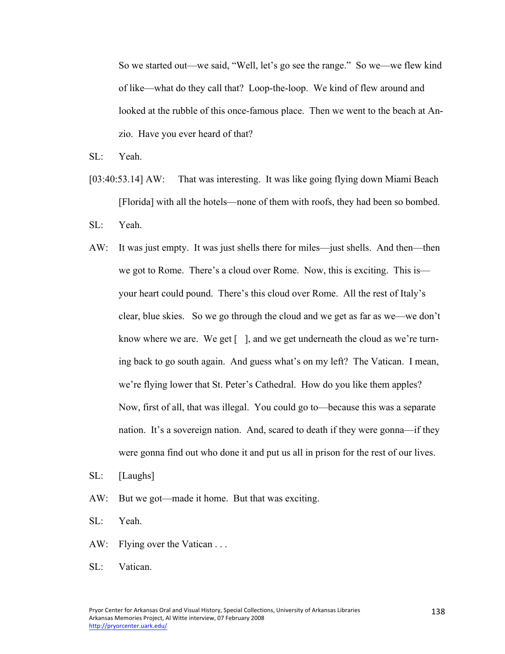So we started out—we said, "Well, let's go see the range." So we—we flew kind of like—what do they call that? Loop-the-loop. We kind of flew around and looked at the rubble of this once-famous place. Then we went to the beach at Anzio. Have you ever heard of that?

SL: Yeah.

- [03:40:53.14] AW: That was interesting. It was like going flying down Miami Beach [Florida] with all the hotels—none of them with roofs, they had been so bombed.
- SL: Yeah.
- AW: It was just empty. It was just shells there for miles—just shells. And then—then we got to Rome. There's a cloud over Rome. Now, this is exciting. This is your heart could pound. There's this cloud over Rome. All the rest of Italy's clear, blue skies. So we go through the cloud and we get as far as we—we don't know where we are. We get  $\lceil \cdot \rceil$ , and we get underneath the cloud as we're turning back to go south again. And guess what's on my left? The Vatican. I mean, we're flying lower that St. Peter's Cathedral. How do you like them apples? Now, first of all, that was illegal. You could go to—because this was a separate nation. It's a sovereign nation. And, scared to death if they were gonna—if they were gonna find out who done it and put us all in prison for the rest of our lives.
- SL: [Laughs]
- AW: But we got—made it home. But that was exciting.
- SL: Yeah.
- AW: Flying over the Vatican ...

SL: Vatican.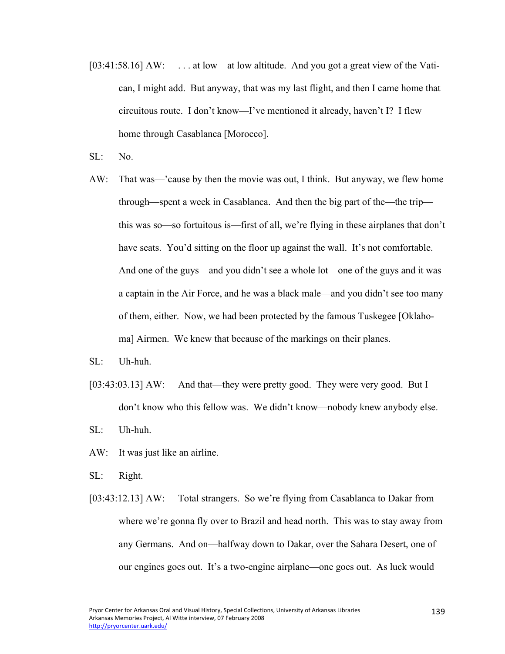- [03:41:58.16] AW: ... at low—at low altitude. And you got a great view of the Vatican, I might add. But anyway, that was my last flight, and then I came home that circuitous route. I don't know—I've mentioned it already, haven't I? I flew home through Casablanca [Morocco].
- SL: No.
- AW: That was—'cause by then the movie was out, I think. But anyway, we flew home through—spent a week in Casablanca. And then the big part of the—the trip this was so—so fortuitous is—first of all, we're flying in these airplanes that don't have seats. You'd sitting on the floor up against the wall. It's not comfortable. And one of the guys—and you didn't see a whole lot—one of the guys and it was a captain in the Air Force, and he was a black male—and you didn't see too many of them, either. Now, we had been protected by the famous Tuskegee [Oklahoma] Airmen. We knew that because of the markings on their planes.
- SL: Uh-huh.
- [03:43:03.13] AW: And that—they were pretty good. They were very good. But I don't know who this fellow was. We didn't know—nobody knew anybody else.
- SL: Uh-huh.
- AW: It was just like an airline.
- SL: Right.
- [03:43:12.13] AW: Total strangers. So we're flying from Casablanca to Dakar from where we're gonna fly over to Brazil and head north. This was to stay away from any Germans. And on—halfway down to Dakar, over the Sahara Desert, one of our engines goes out. It's a two-engine airplane—one goes out. As luck would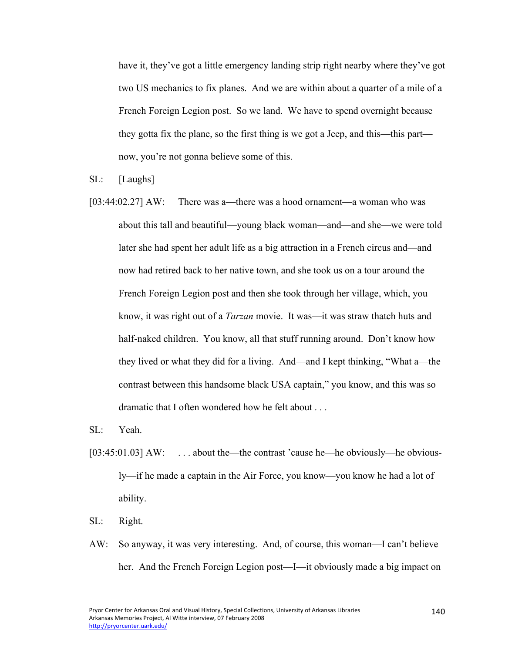have it, they've got a little emergency landing strip right nearby where they've got two US mechanics to fix planes. And we are within about a quarter of a mile of a French Foreign Legion post. So we land. We have to spend overnight because they gotta fix the plane, so the first thing is we got a Jeep, and this—this part now, you're not gonna believe some of this.

SL: [Laughs]

[03:44:02.27] AW: There was a—there was a hood ornament—a woman who was about this tall and beautiful—young black woman—and—and she—we were told later she had spent her adult life as a big attraction in a French circus and—and now had retired back to her native town, and she took us on a tour around the French Foreign Legion post and then she took through her village, which, you know, it was right out of a *Tarzan* movie. It was—it was straw thatch huts and half-naked children. You know, all that stuff running around. Don't know how they lived or what they did for a living. And—and I kept thinking, "What a—the contrast between this handsome black USA captain," you know, and this was so dramatic that I often wondered how he felt about . . .

SL: Yeah.

- [03:45:01.03] AW: ... about the—the contrast 'cause he—he obviously—he obviously—if he made a captain in the Air Force, you know—you know he had a lot of ability.
- SL: Right.
- AW: So anyway, it was very interesting. And, of course, this woman—I can't believe her. And the French Foreign Legion post—I—it obviously made a big impact on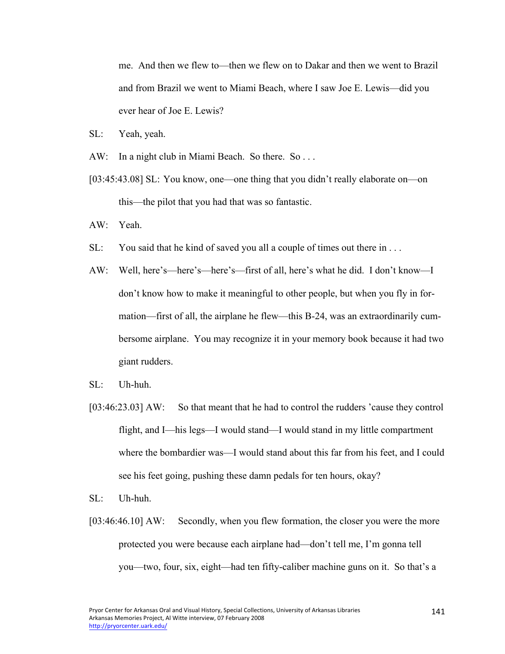me. And then we flew to—then we flew on to Dakar and then we went to Brazil and from Brazil we went to Miami Beach, where I saw Joe E. Lewis—did you ever hear of Joe E. Lewis?

- SL: Yeah, yeah.
- AW: In a night club in Miami Beach. So there. So...
- [03:45:43.08] SL: You know, one—one thing that you didn't really elaborate on—on this—the pilot that you had that was so fantastic.
- AW: Yeah.
- SL: You said that he kind of saved you all a couple of times out there in ...
- AW: Well, here's—here's—here's—first of all, here's what he did. I don't know—I don't know how to make it meaningful to other people, but when you fly in formation—first of all, the airplane he flew—this B-24, was an extraordinarily cumbersome airplane. You may recognize it in your memory book because it had two giant rudders.
- $SL:$  Uh-huh.
- [03:46:23.03] AW: So that meant that he had to control the rudders 'cause they control flight, and I—his legs—I would stand—I would stand in my little compartment where the bombardier was—I would stand about this far from his feet, and I could see his feet going, pushing these damn pedals for ten hours, okay?
- SL: Uh-huh.
- [03:46:46.10] AW: Secondly, when you flew formation, the closer you were the more protected you were because each airplane had—don't tell me, I'm gonna tell you—two, four, six, eight—had ten fifty-caliber machine guns on it. So that's a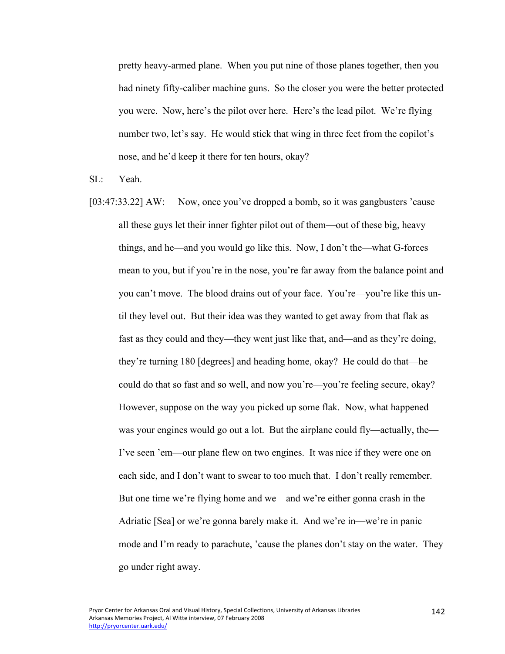pretty heavy-armed plane. When you put nine of those planes together, then you had ninety fifty-caliber machine guns. So the closer you were the better protected you were. Now, here's the pilot over here. Here's the lead pilot. We're flying number two, let's say. He would stick that wing in three feet from the copilot's nose, and he'd keep it there for ten hours, okay?

SL: Yeah.

[03:47:33.22] AW: Now, once you've dropped a bomb, so it was gangbusters 'cause all these guys let their inner fighter pilot out of them—out of these big, heavy things, and he—and you would go like this. Now, I don't the—what G-forces mean to you, but if you're in the nose, you're far away from the balance point and you can't move. The blood drains out of your face. You're—you're like this until they level out. But their idea was they wanted to get away from that flak as fast as they could and they—they went just like that, and—and as they're doing, they're turning 180 [degrees] and heading home, okay? He could do that—he could do that so fast and so well, and now you're—you're feeling secure, okay? However, suppose on the way you picked up some flak. Now, what happened was your engines would go out a lot. But the airplane could fly—actually, the— I've seen 'em—our plane flew on two engines. It was nice if they were one on each side, and I don't want to swear to too much that. I don't really remember. But one time we're flying home and we—and we're either gonna crash in the Adriatic [Sea] or we're gonna barely make it. And we're in—we're in panic mode and I'm ready to parachute, 'cause the planes don't stay on the water. They go under right away.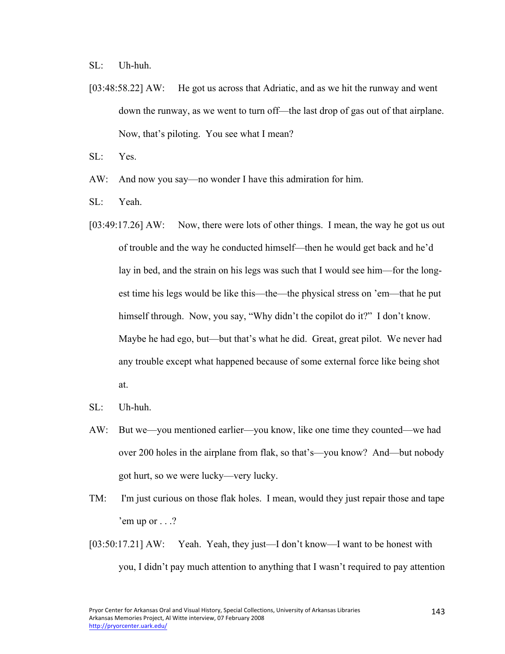SL: Uh-huh.

[03:48:58.22] AW: He got us across that Adriatic, and as we hit the runway and went down the runway, as we went to turn off—the last drop of gas out of that airplane. Now, that's piloting. You see what I mean?

SL: Yes.

- AW: And now you say—no wonder I have this admiration for him.
- SL: Yeah.
- [03:49:17.26] AW: Now, there were lots of other things. I mean, the way he got us out of trouble and the way he conducted himself—then he would get back and he'd lay in bed, and the strain on his legs was such that I would see him—for the longest time his legs would be like this—the—the physical stress on 'em—that he put himself through. Now, you say, "Why didn't the copilot do it?" I don't know. Maybe he had ego, but—but that's what he did. Great, great pilot. We never had any trouble except what happened because of some external force like being shot at.
- SL: Uh-huh.
- AW: But we—you mentioned earlier—you know, like one time they counted—we had over 200 holes in the airplane from flak, so that's—you know? And—but nobody got hurt, so we were lucky—very lucky.
- TM: I'm just curious on those flak holes. I mean, would they just repair those and tape 'em up or  $\ldots$ ?
- [03:50:17.21] AW: Yeah. Yeah, they just—I don't know—I want to be honest with you, I didn't pay much attention to anything that I wasn't required to pay attention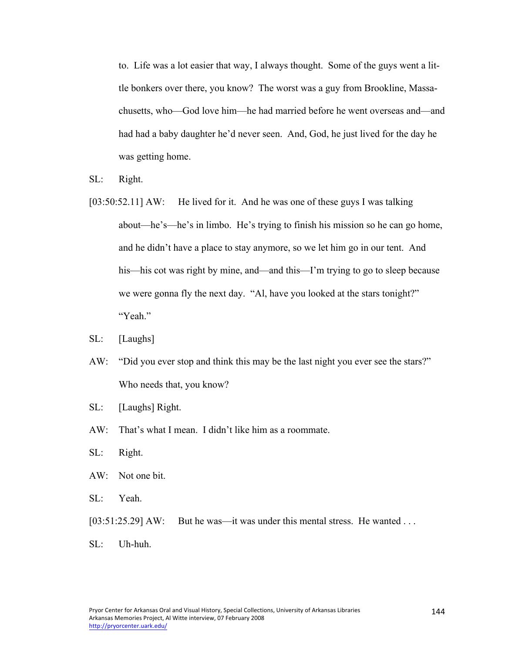to. Life was a lot easier that way, I always thought. Some of the guys went a little bonkers over there, you know? The worst was a guy from Brookline, Massachusetts, who—God love him—he had married before he went overseas and—and had had a baby daughter he'd never seen. And, God, he just lived for the day he was getting home.

- SL: Right.
- [03:50:52.11] AW: He lived for it. And he was one of these guys I was talking about—he's—he's in limbo. He's trying to finish his mission so he can go home, and he didn't have a place to stay anymore, so we let him go in our tent. And his—his cot was right by mine, and—and this—I'm trying to go to sleep because we were gonna fly the next day. "Al, have you looked at the stars tonight?" "Yeah."
- SL: [Laughs]
- AW: "Did you ever stop and think this may be the last night you ever see the stars?" Who needs that, you know?
- SL: [Laughs] Right.
- AW: That's what I mean. I didn't like him as a roommate.
- SL: Right.
- AW: Not one bit.
- SL: Yeah.
- [03:51:25.29] AW: But he was—it was under this mental stress. He wanted ...
- SL: Uh-huh.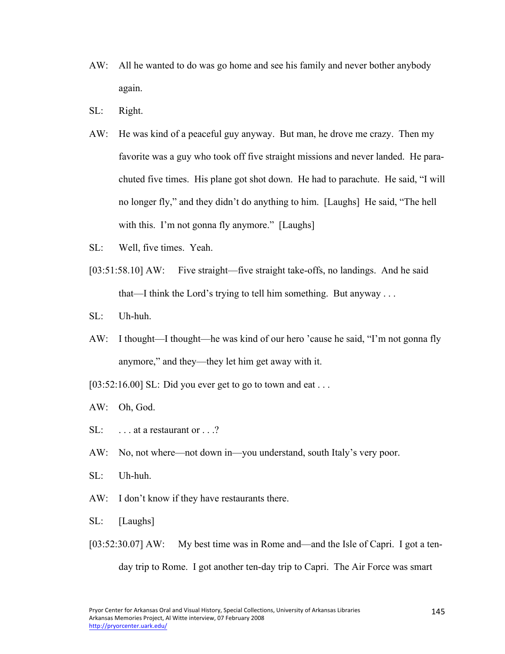- AW: All he wanted to do was go home and see his family and never bother anybody again.
- SL: Right.
- AW: He was kind of a peaceful guy anyway. But man, he drove me crazy. Then my favorite was a guy who took off five straight missions and never landed. He parachuted five times. His plane got shot down. He had to parachute. He said, "I will no longer fly," and they didn't do anything to him. [Laughs] He said, "The hell with this. I'm not gonna fly anymore." [Laughs]
- SL: Well, five times. Yeah.
- [03:51:58.10] AW: Five straight—five straight take-offs, no landings. And he said that—I think the Lord's trying to tell him something. But anyway . . .
- SL: Uh-huh.
- AW: I thought—I thought—he was kind of our hero 'cause he said, "I'm not gonna fly anymore," and they—they let him get away with it.
- $[03:52:16.00]$  SL: Did you ever get to go to town and eat ...
- AW: Oh, God.
- SL: ... at a restaurant or ...?
- AW: No, not where—not down in—you understand, south Italy's very poor.
- SL: Uh-huh.
- AW: I don't know if they have restaurants there.
- SL: [Laughs]
- [03:52:30.07] AW: My best time was in Rome and—and the Isle of Capri. I got a tenday trip to Rome. I got another ten-day trip to Capri. The Air Force was smart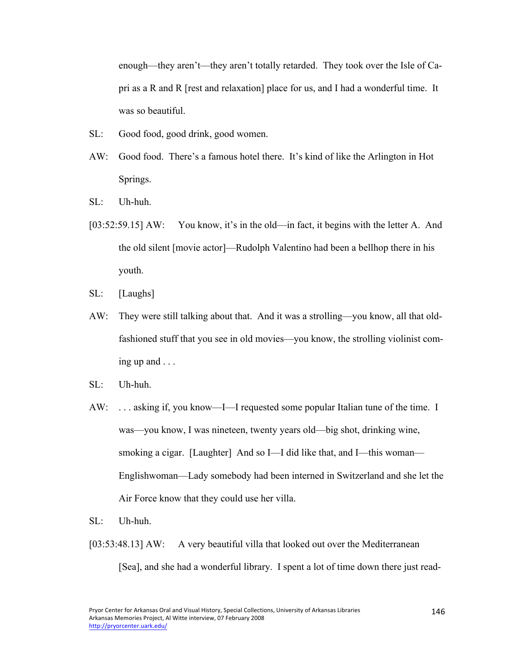enough—they aren't—they aren't totally retarded. They took over the Isle of Capri as a R and R [rest and relaxation] place for us, and I had a wonderful time. It was so beautiful.

- SL: Good food, good drink, good women.
- AW: Good food. There's a famous hotel there. It's kind of like the Arlington in Hot Springs.
- SL: Uh-huh.
- [03:52:59.15] AW: You know, it's in the old—in fact, it begins with the letter A. And the old silent [movie actor]—Rudolph Valentino had been a bellhop there in his youth.
- SL: [Laughs]
- AW: They were still talking about that. And it was a strolling—you know, all that oldfashioned stuff that you see in old movies—you know, the strolling violinist coming up and . . .
- $SL:$  Uh-huh.
- AW: . . . asking if, you know—I—I requested some popular Italian tune of the time. I was—you know, I was nineteen, twenty years old—big shot, drinking wine, smoking a cigar. [Laughter] And so I—I did like that, and I—this woman— Englishwoman—Lady somebody had been interned in Switzerland and she let the Air Force know that they could use her villa.
- SL: Uh-huh.
- [03:53:48.13] AW: A very beautiful villa that looked out over the Mediterranean [Sea], and she had a wonderful library. I spent a lot of time down there just read-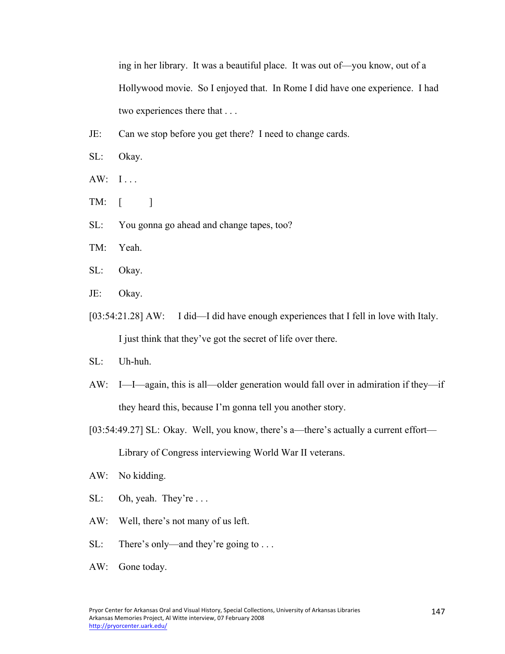ing in her library. It was a beautiful place. It was out of—you know, out of a Hollywood movie. So I enjoyed that. In Rome I did have one experience. I had two experiences there that . . .

- JE: Can we stop before you get there? I need to change cards.
- SL: Okay.
- AW: I...
- TM:  $\lceil$   $\rceil$
- SL: You gonna go ahead and change tapes, too?
- TM: Yeah.
- SL: Okay.
- JE: Okay.
- [03:54:21.28] AW: I did—I did have enough experiences that I fell in love with Italy. I just think that they've got the secret of life over there.
- SL: Uh-huh.
- AW: I—I—again, this is all—older generation would fall over in admiration if they—if they heard this, because I'm gonna tell you another story.
- [03:54:49.27] SL: Okay. Well, you know, there's a—there's actually a current effort— Library of Congress interviewing World War II veterans.
- AW: No kidding.
- SL: Oh, yeah. They're ...
- AW: Well, there's not many of us left.
- SL: There's only—and they're going to . . .
- AW: Gone today.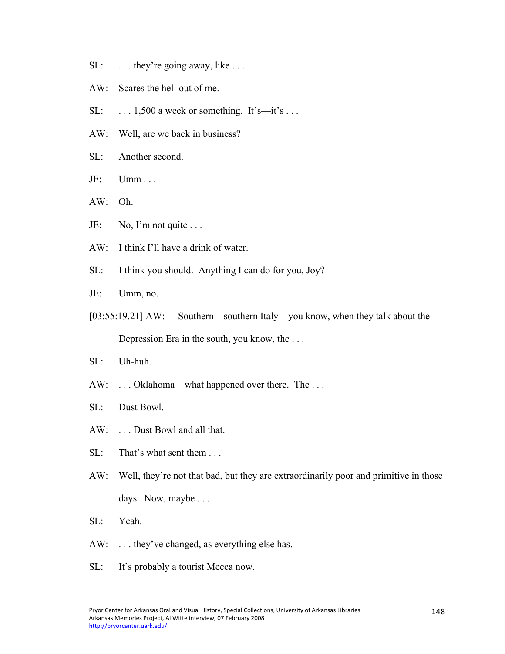- SL: ... they're going away, like ...
- AW: Scares the hell out of me.
- SL:  $\ldots$  1,500 a week or something. It's—it's  $\ldots$
- AW: Well, are we back in business?
- SL: Another second.
- $JE:$   $Umm...$
- AW: Oh.
- JE: No, I'm not quite ...
- AW: I think I'll have a drink of water.
- SL: I think you should. Anything I can do for you, Joy?
- JE: Umm, no.
- [03:55:19.21] AW: Southern—southern Italy—you know, when they talk about the Depression Era in the south, you know, the . . .
- SL: Uh-huh.
- AW: ... Oklahoma—what happened over there. The ...
- SL: Dust Bowl.
- AW: . . . Dust Bowl and all that.
- SL: That's what sent them . . .
- AW: Well, they're not that bad, but they are extraordinarily poor and primitive in those days. Now, maybe . . .
- SL: Yeah.
- AW: ... they've changed, as everything else has.
- SL: It's probably a tourist Mecca now.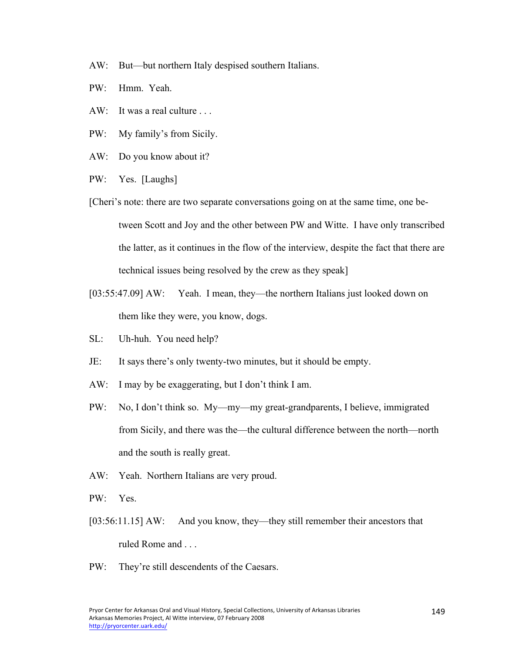- AW: But—but northern Italy despised southern Italians.
- PW: Hmm. Yeah.
- AW: It was a real culture ...
- PW: My family's from Sicily.
- AW: Do you know about it?
- PW: Yes. [Laughs]
- [Cheri's note: there are two separate conversations going on at the same time, one between Scott and Joy and the other between PW and Witte. I have only transcribed the latter, as it continues in the flow of the interview, despite the fact that there are technical issues being resolved by the crew as they speak]
- [03:55:47.09] AW: Yeah. I mean, they—the northern Italians just looked down on them like they were, you know, dogs.
- SL: Uh-huh. You need help?
- JE: It says there's only twenty-two minutes, but it should be empty.
- AW: I may by be exaggerating, but I don't think I am.
- PW: No, I don't think so. My—my—my great-grandparents, I believe, immigrated from Sicily, and there was the—the cultural difference between the north—north and the south is really great.
- AW: Yeah. Northern Italians are very proud.
- PW: Yes.
- [03:56:11.15] AW: And you know, they—they still remember their ancestors that ruled Rome and . . .
- PW: They're still descendents of the Caesars.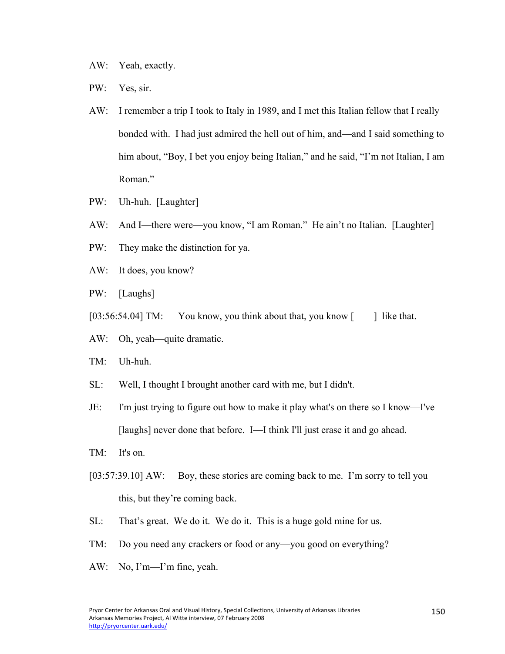- AW: Yeah, exactly.
- PW: Yes, sir.
- AW: I remember a trip I took to Italy in 1989, and I met this Italian fellow that I really bonded with. I had just admired the hell out of him, and—and I said something to him about, "Boy, I bet you enjoy being Italian," and he said, "I'm not Italian, I am Roman."
- PW: Uh-huh. [Laughter]
- AW: And I—there were—you know, "I am Roman." He ain't no Italian. [Laughter]
- PW: They make the distinction for ya.
- AW: It does, you know?
- PW: [Laughs]
- $[03:56:54.04]$  TM: You know, you think about that, you know  $\lceil \cdot \rceil$  like that.
- AW: Oh, yeah—quite dramatic.
- TM: Uh-huh.
- SL: Well, I thought I brought another card with me, but I didn't.
- JE: I'm just trying to figure out how to make it play what's on there so I know—I've [laughs] never done that before. I—I think I'll just erase it and go ahead.
- TM: It's on.
- [03:57:39.10] AW: Boy, these stories are coming back to me. I'm sorry to tell you this, but they're coming back.
- SL: That's great. We do it. We do it. This is a huge gold mine for us.
- TM: Do you need any crackers or food or any—you good on everything?
- AW: No, I'm—I'm fine, yeah.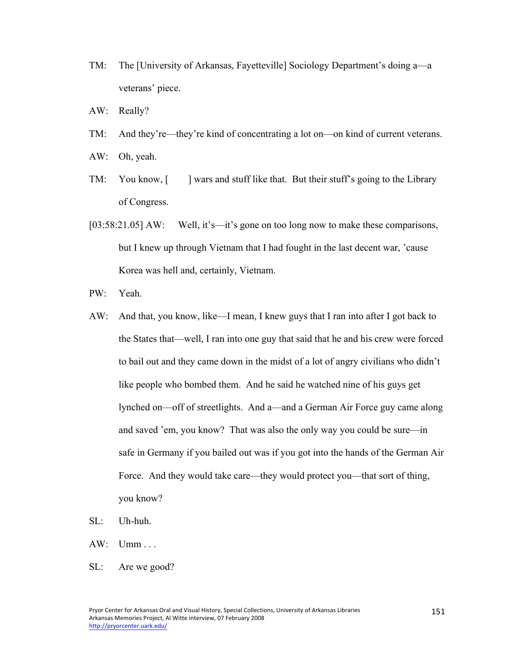- TM: The [University of Arkansas, Fayetteville] Sociology Department's doing a—a veterans' piece.
- AW: Really?
- TM: And they're—they're kind of concentrating a lot on—on kind of current veterans.
- AW: Oh, yeah.
- TM: You know, [ ] wars and stuff like that. But their stuff's going to the Library of Congress.
- [03:58:21.05] AW: Well, it's—it's gone on too long now to make these comparisons, but I knew up through Vietnam that I had fought in the last decent war, 'cause Korea was hell and, certainly, Vietnam.
- PW: Yeah.
- AW: And that, you know, like—I mean, I knew guys that I ran into after I got back to the States that—well, I ran into one guy that said that he and his crew were forced to bail out and they came down in the midst of a lot of angry civilians who didn't like people who bombed them. And he said he watched nine of his guys get lynched on—off of streetlights. And a—and a German Air Force guy came along and saved 'em, you know? That was also the only way you could be sure—in safe in Germany if you bailed out was if you got into the hands of the German Air Force. And they would take care—they would protect you—that sort of thing, you know?
- SL: Uh-huh.
- AW: Umm . . .
- SL: Are we good?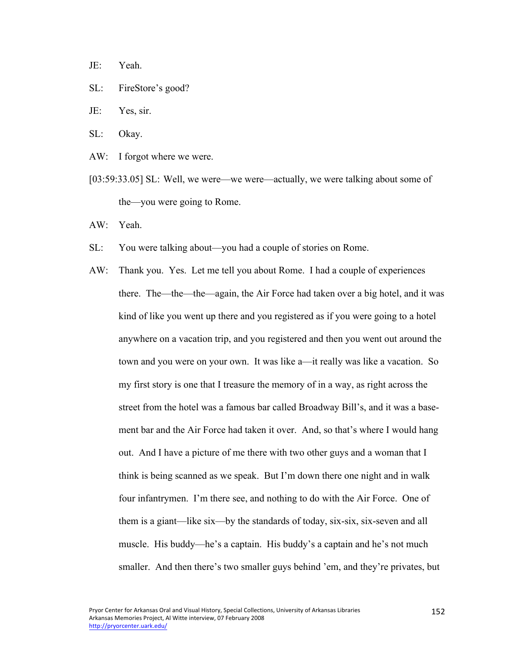- JE: Yeah.
- SL: FireStore's good?
- JE: Yes, sir.
- SL: Okay.
- AW: I forgot where we were.
- [03:59:33.05] SL: Well, we were—we were—actually, we were talking about some of the—you were going to Rome.
- AW: Yeah.
- SL: You were talking about—you had a couple of stories on Rome.
- AW: Thank you. Yes. Let me tell you about Rome. I had a couple of experiences there. The—the—the—again, the Air Force had taken over a big hotel, and it was kind of like you went up there and you registered as if you were going to a hotel anywhere on a vacation trip, and you registered and then you went out around the town and you were on your own. It was like a—it really was like a vacation. So my first story is one that I treasure the memory of in a way, as right across the street from the hotel was a famous bar called Broadway Bill's, and it was a basement bar and the Air Force had taken it over. And, so that's where I would hang out. And I have a picture of me there with two other guys and a woman that I think is being scanned as we speak. But I'm down there one night and in walk four infantrymen. I'm there see, and nothing to do with the Air Force. One of them is a giant—like six—by the standards of today, six-six, six-seven and all muscle. His buddy—he's a captain. His buddy's a captain and he's not much smaller. And then there's two smaller guys behind 'em, and they're privates, but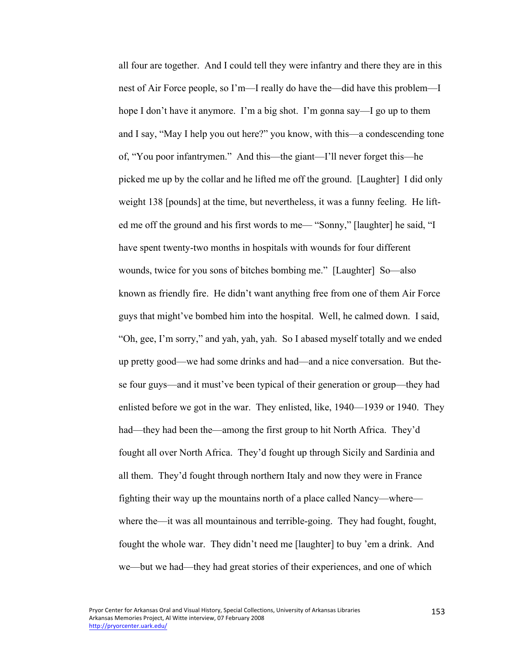all four are together. And I could tell they were infantry and there they are in this nest of Air Force people, so I'm—I really do have the—did have this problem—I hope I don't have it anymore. I'm a big shot. I'm gonna say—I go up to them and I say, "May I help you out here?" you know, with this—a condescending tone of, "You poor infantrymen." And this—the giant—I'll never forget this—he picked me up by the collar and he lifted me off the ground. [Laughter] I did only weight 138 [pounds] at the time, but nevertheless, it was a funny feeling. He lifted me off the ground and his first words to me— "Sonny," [laughter] he said, "I have spent twenty-two months in hospitals with wounds for four different wounds, twice for you sons of bitches bombing me." [Laughter] So—also known as friendly fire. He didn't want anything free from one of them Air Force guys that might've bombed him into the hospital. Well, he calmed down. I said, "Oh, gee, I'm sorry," and yah, yah, yah. So I abased myself totally and we ended up pretty good—we had some drinks and had—and a nice conversation. But these four guys—and it must've been typical of their generation or group—they had enlisted before we got in the war. They enlisted, like, 1940—1939 or 1940. They had—they had been the—among the first group to hit North Africa. They'd fought all over North Africa. They'd fought up through Sicily and Sardinia and all them. They'd fought through northern Italy and now they were in France fighting their way up the mountains north of a place called Nancy—where where the—it was all mountainous and terrible-going. They had fought, fought, fought the whole war. They didn't need me [laughter] to buy 'em a drink. And we—but we had—they had great stories of their experiences, and one of which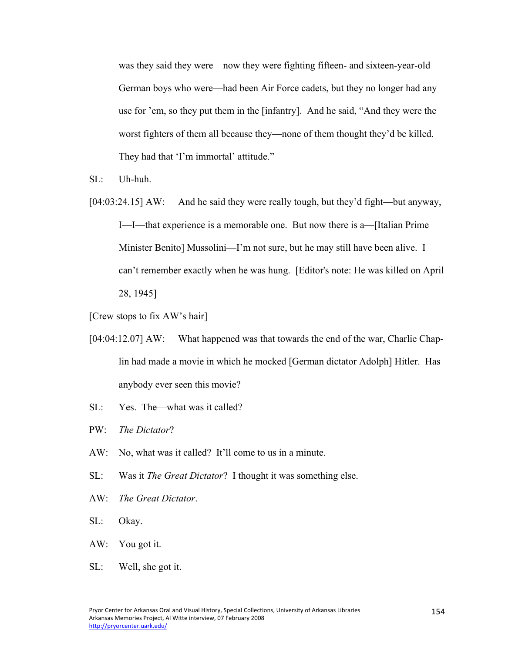was they said they were—now they were fighting fifteen- and sixteen-year-old German boys who were—had been Air Force cadets, but they no longer had any use for 'em, so they put them in the [infantry]. And he said, "And they were the worst fighters of them all because they—none of them thought they'd be killed. They had that 'I'm immortal' attitude."

- SL: Uh-huh.
- [04:03:24.15] AW: And he said they were really tough, but they'd fight—but anyway, I—I—that experience is a memorable one. But now there is a—[Italian Prime Minister Benito] Mussolini—I'm not sure, but he may still have been alive. I can't remember exactly when he was hung. [Editor's note: He was killed on April 28, 1945]
- [Crew stops to fix AW's hair]
- [04:04:12.07] AW: What happened was that towards the end of the war, Charlie Chaplin had made a movie in which he mocked [German dictator Adolph] Hitler. Has anybody ever seen this movie?
- SL: Yes. The—what was it called?
- PW: *The Dictator*?
- AW: No, what was it called? It'll come to us in a minute.
- SL: Was it *The Great Dictator*? I thought it was something else.
- AW: *The Great Dictator*.
- SL: Okay.
- AW: You got it.
- SL: Well, she got it.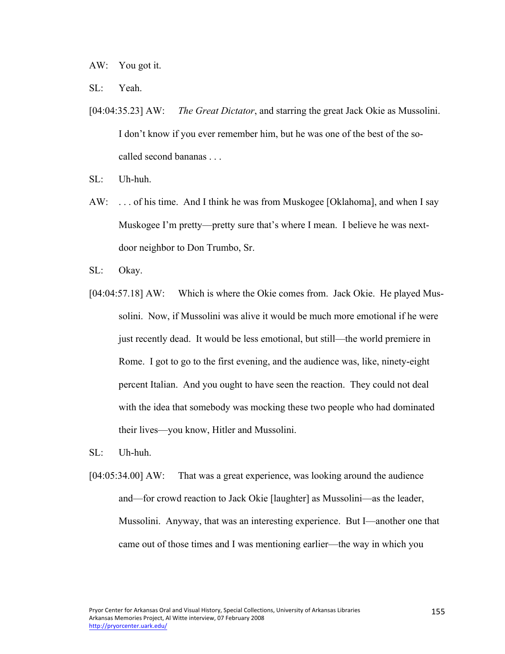AW: You got it.

SL: Yeah.

- [04:04:35.23] AW: *The Great Dictator*, and starring the great Jack Okie as Mussolini. I don't know if you ever remember him, but he was one of the best of the socalled second bananas . . .
- SL: Uh-huh.
- AW: . . . of his time. And I think he was from Muskogee [Oklahoma], and when I say Muskogee I'm pretty—pretty sure that's where I mean. I believe he was nextdoor neighbor to Don Trumbo, Sr.
- SL: Okay.
- [04:04:57.18] AW: Which is where the Okie comes from. Jack Okie. He played Mussolini. Now, if Mussolini was alive it would be much more emotional if he were just recently dead. It would be less emotional, but still—the world premiere in Rome. I got to go to the first evening, and the audience was, like, ninety-eight percent Italian. And you ought to have seen the reaction. They could not deal with the idea that somebody was mocking these two people who had dominated their lives—you know, Hitler and Mussolini.
- SL: Uh-huh.
- [04:05:34.00] AW: That was a great experience, was looking around the audience and—for crowd reaction to Jack Okie [laughter] as Mussolini—as the leader, Mussolini. Anyway, that was an interesting experience. But I—another one that came out of those times and I was mentioning earlier—the way in which you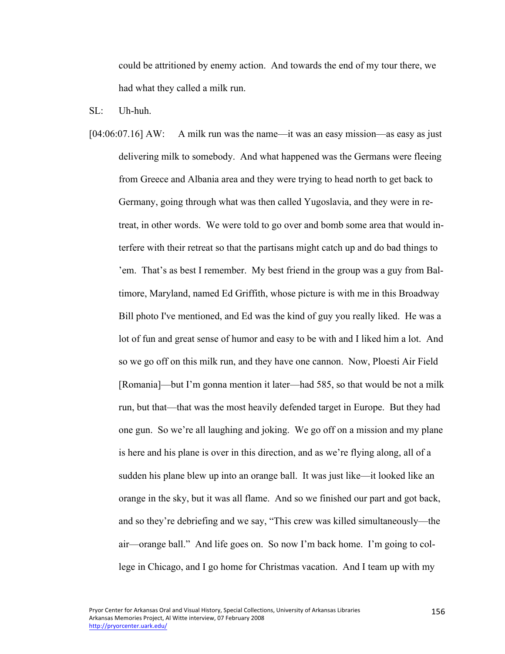could be attritioned by enemy action. And towards the end of my tour there, we had what they called a milk run.

 $SL:$  Uh-huh.

[04:06:07.16] AW: A milk run was the name—it was an easy mission—as easy as just delivering milk to somebody. And what happened was the Germans were fleeing from Greece and Albania area and they were trying to head north to get back to Germany, going through what was then called Yugoslavia, and they were in retreat, in other words. We were told to go over and bomb some area that would interfere with their retreat so that the partisans might catch up and do bad things to 'em. That's as best I remember. My best friend in the group was a guy from Baltimore, Maryland, named Ed Griffith, whose picture is with me in this Broadway Bill photo I've mentioned, and Ed was the kind of guy you really liked. He was a lot of fun and great sense of humor and easy to be with and I liked him a lot. And so we go off on this milk run, and they have one cannon. Now, Ploesti Air Field [Romania]—but I'm gonna mention it later—had 585, so that would be not a milk run, but that—that was the most heavily defended target in Europe. But they had one gun. So we're all laughing and joking. We go off on a mission and my plane is here and his plane is over in this direction, and as we're flying along, all of a sudden his plane blew up into an orange ball. It was just like—it looked like an orange in the sky, but it was all flame. And so we finished our part and got back, and so they're debriefing and we say, "This crew was killed simultaneously—the air—orange ball." And life goes on. So now I'm back home. I'm going to college in Chicago, and I go home for Christmas vacation. And I team up with my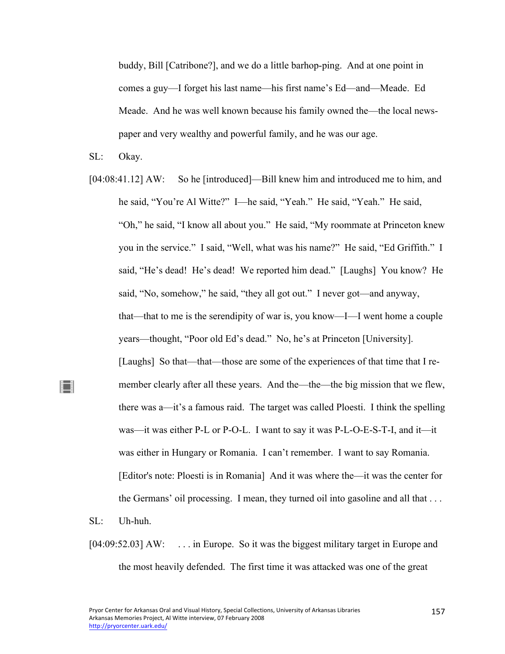buddy, Bill [Catribone?], and we do a little barhop-ping. And at one point in comes a guy—I forget his last name—his first name's Ed—and—Meade. Ed Meade. And he was well known because his family owned the—the local newspaper and very wealthy and powerful family, and he was our age.

SL: Okay.

[04:08:41.12] AW: So he [introduced]—Bill knew him and introduced me to him, and he said, "You're Al Witte?" I—he said, "Yeah." He said, "Yeah." He said, "Oh," he said, "I know all about you." He said, "My roommate at Princeton knew you in the service." I said, "Well, what was his name?" He said, "Ed Griffith." I said, "He's dead! He's dead! We reported him dead." [Laughs] You know? He said, "No, somehow," he said, "they all got out." I never got—and anyway, that—that to me is the serendipity of war is, you know—I—I went home a couple years—thought, "Poor old Ed's dead." No, he's at Princeton [University]. [Laughs] So that—that—those are some of the experiences of that time that I remember clearly after all these years. And the—the—the big mission that we flew, there was a—it's a famous raid. The target was called Ploesti. I think the spelling was—it was either P-L or P-O-L. I want to say it was P-L-O-E-S-T-I, and it—it was either in Hungary or Romania. I can't remember. I want to say Romania. [Editor's note: Ploesti is in Romania] And it was where the—it was the center for the Germans' oil processing. I mean, they turned oil into gasoline and all that . . .

SL: Uh-huh.

∐

[04:09:52.03] AW: ... in Europe. So it was the biggest military target in Europe and the most heavily defended. The first time it was attacked was one of the great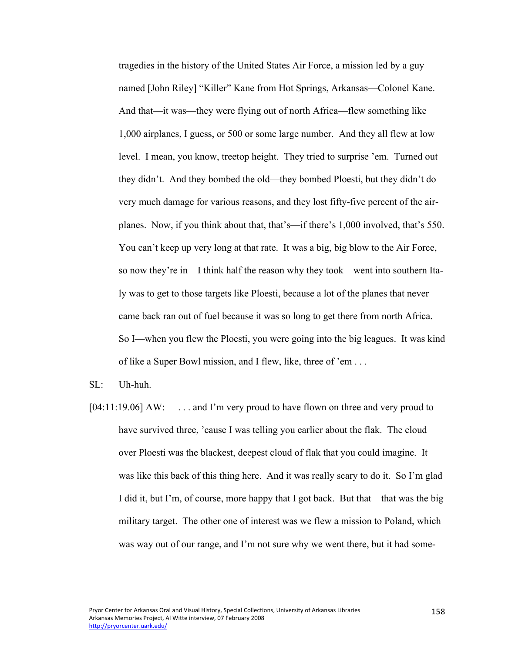tragedies in the history of the United States Air Force, a mission led by a guy named [John Riley] "Killer" Kane from Hot Springs, Arkansas—Colonel Kane. And that—it was—they were flying out of north Africa—flew something like 1,000 airplanes, I guess, or 500 or some large number. And they all flew at low level. I mean, you know, treetop height. They tried to surprise 'em. Turned out they didn't. And they bombed the old—they bombed Ploesti, but they didn't do very much damage for various reasons, and they lost fifty-five percent of the airplanes. Now, if you think about that, that's—if there's 1,000 involved, that's 550. You can't keep up very long at that rate. It was a big, big blow to the Air Force, so now they're in—I think half the reason why they took—went into southern Italy was to get to those targets like Ploesti, because a lot of the planes that never came back ran out of fuel because it was so long to get there from north Africa. So I—when you flew the Ploesti, you were going into the big leagues. It was kind of like a Super Bowl mission, and I flew, like, three of 'em . . .

 $\mathrm{SL}$ : Uh-huh.

[04:11:19.06] AW: ... and I'm very proud to have flown on three and very proud to have survived three, 'cause I was telling you earlier about the flak. The cloud over Ploesti was the blackest, deepest cloud of flak that you could imagine. It was like this back of this thing here. And it was really scary to do it. So I'm glad I did it, but I'm, of course, more happy that I got back. But that—that was the big military target. The other one of interest was we flew a mission to Poland, which was way out of our range, and I'm not sure why we went there, but it had some-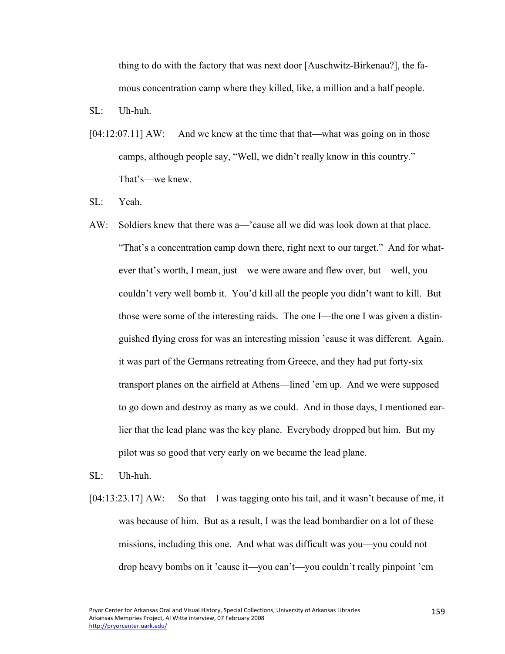thing to do with the factory that was next door [Auschwitz-Birkenau?], the famous concentration camp where they killed, like, a million and a half people.

SL: Uh-huh.

- $[04:12:07.11]$  AW: And we knew at the time that that—what was going on in those camps, although people say, "Well, we didn't really know in this country." That's—we knew.
- SL: Yeah.
- AW: Soldiers knew that there was a—'cause all we did was look down at that place. "That's a concentration camp down there, right next to our target." And for whatever that's worth, I mean, just—we were aware and flew over, but—well, you couldn't very well bomb it. You'd kill all the people you didn't want to kill. But those were some of the interesting raids. The one I—the one I was given a distinguished flying cross for was an interesting mission 'cause it was different. Again, it was part of the Germans retreating from Greece, and they had put forty-six transport planes on the airfield at Athens—lined 'em up. And we were supposed to go down and destroy as many as we could. And in those days, I mentioned earlier that the lead plane was the key plane. Everybody dropped but him. But my pilot was so good that very early on we became the lead plane.
- SL: Uh-huh.
- [04:13:23.17] AW: So that—I was tagging onto his tail, and it wasn't because of me, it was because of him. But as a result, I was the lead bombardier on a lot of these missions, including this one. And what was difficult was you—you could not drop heavy bombs on it 'cause it—you can't—you couldn't really pinpoint 'em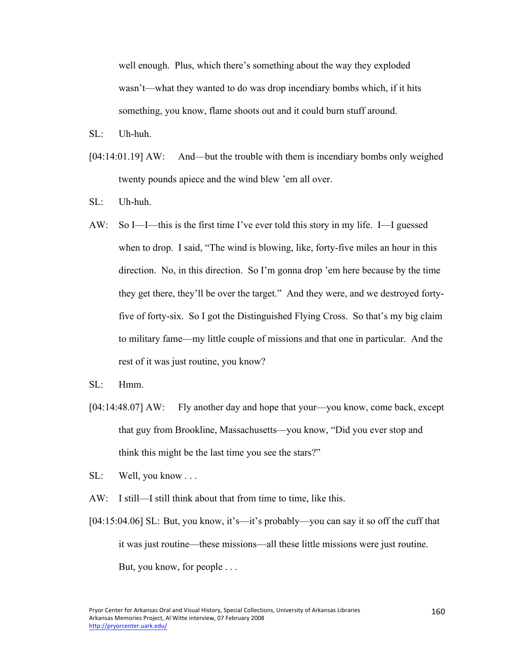well enough. Plus, which there's something about the way they exploded wasn't—what they wanted to do was drop incendiary bombs which, if it hits something, you know, flame shoots out and it could burn stuff around.

- SL: Uh-huh.
- [04:14:01.19] AW: And—but the trouble with them is incendiary bombs only weighed twenty pounds apiece and the wind blew 'em all over.
- SL: Uh-huh.
- AW: So I—I—this is the first time I've ever told this story in my life. I—I guessed when to drop. I said, "The wind is blowing, like, forty-five miles an hour in this direction. No, in this direction. So I'm gonna drop 'em here because by the time they get there, they'll be over the target." And they were, and we destroyed fortyfive of forty-six. So I got the Distinguished Flying Cross. So that's my big claim to military fame—my little couple of missions and that one in particular. And the rest of it was just routine, you know?
- $SL^+$  Hmm
- [04:14:48.07] AW: Fly another day and hope that your—you know, come back, except that guy from Brookline, Massachusetts—you know, "Did you ever stop and think this might be the last time you see the stars?"
- SL: Well, you know . . .
- AW: I still—I still think about that from time to time, like this.
- [04:15:04.06] SL: But, you know, it's—it's probably—you can say it so off the cuff that it was just routine—these missions—all these little missions were just routine. But, you know, for people . . .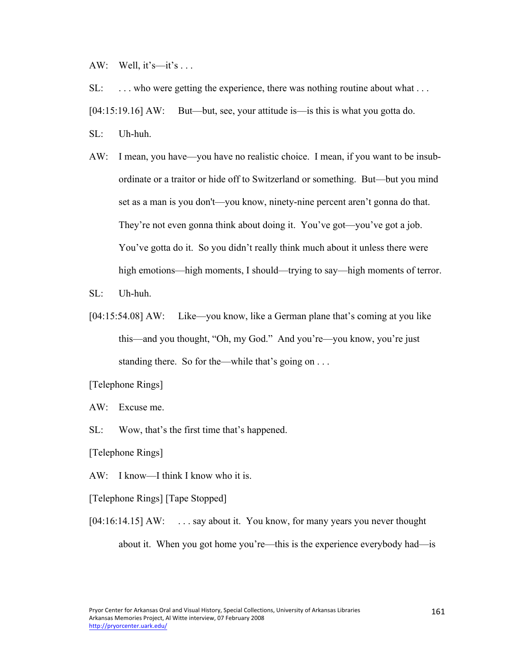AW: Well,  $it's$ — $it's$ ...

SL: . . . who were getting the experience, there was nothing routine about what . . .

[04:15:19.16] AW: But—but, see, your attitude is—is this is what you gotta do.

SL: Uh-huh.

AW: I mean, you have—you have no realistic choice. I mean, if you want to be insubordinate or a traitor or hide off to Switzerland or something. But—but you mind set as a man is you don't—you know, ninety-nine percent aren't gonna do that. They're not even gonna think about doing it. You've got—you've got a job. You've gotta do it. So you didn't really think much about it unless there were high emotions—high moments, I should—trying to say—high moments of terror.

SL: Uh-huh.

[04:15:54.08] AW: Like—you know, like a German plane that's coming at you like this—and you thought, "Oh, my God." And you're—you know, you're just standing there. So for the—while that's going on . . .

[Telephone Rings]

AW: Excuse me.

SL: Wow, that's the first time that's happened.

[Telephone Rings]

AW: I know—I think I know who it is.

[Telephone Rings] [Tape Stopped]

[04:16:14.15] AW: ... say about it. You know, for many years you never thought about it. When you got home you're—this is the experience everybody had—is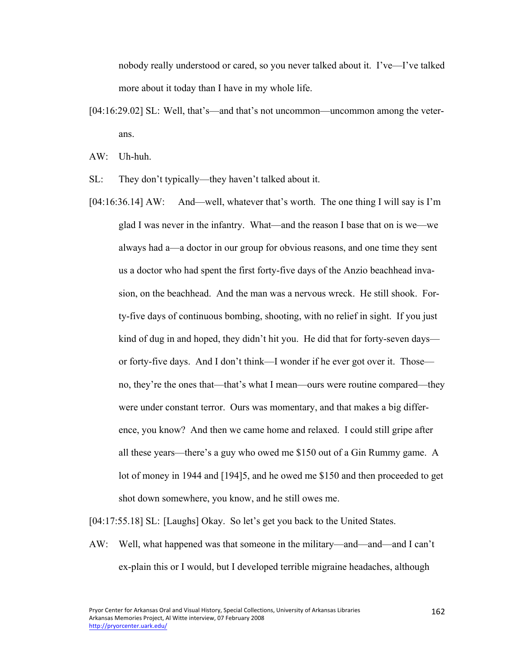nobody really understood or cared, so you never talked about it. I've—I've talked more about it today than I have in my whole life.

[04:16:29.02] SL: Well, that's—and that's not uncommon—uncommon among the veterans.

AW: Uh-huh.

SL: They don't typically—they haven't talked about it.

[04:16:36.14] AW: And—well, whatever that's worth. The one thing I will say is I'm glad I was never in the infantry. What—and the reason I base that on is we—we always had a—a doctor in our group for obvious reasons, and one time they sent us a doctor who had spent the first forty-five days of the Anzio beachhead invasion, on the beachhead. And the man was a nervous wreck. He still shook. Forty-five days of continuous bombing, shooting, with no relief in sight. If you just kind of dug in and hoped, they didn't hit you. He did that for forty-seven days or forty-five days. And I don't think—I wonder if he ever got over it. Those no, they're the ones that—that's what I mean—ours were routine compared—they were under constant terror. Ours was momentary, and that makes a big difference, you know? And then we came home and relaxed. I could still gripe after all these years—there's a guy who owed me \$150 out of a Gin Rummy game. A lot of money in 1944 and [194]5, and he owed me \$150 and then proceeded to get shot down somewhere, you know, and he still owes me.

[04:17:55.18] SL: [Laughs] Okay. So let's get you back to the United States.

AW: Well, what happened was that someone in the military—and—and—and I can't ex-plain this or I would, but I developed terrible migraine headaches, although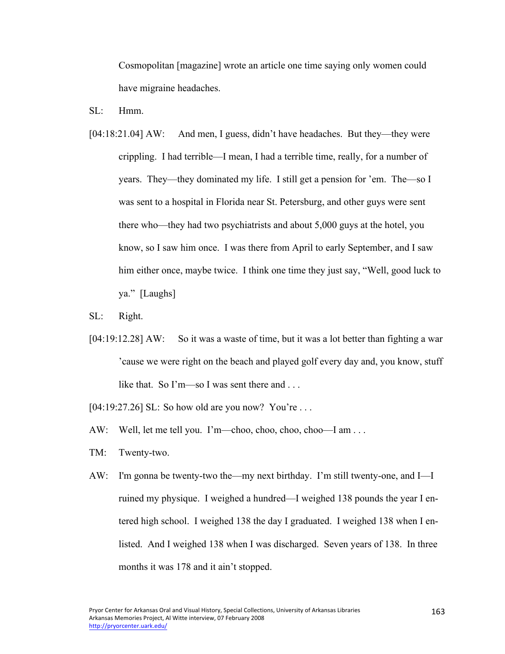Cosmopolitan [magazine] wrote an article one time saying only women could have migraine headaches.

- $SL:$  Hmm
- [04:18:21.04] AW: And men, I guess, didn't have headaches. But they—they were crippling. I had terrible—I mean, I had a terrible time, really, for a number of years. They—they dominated my life. I still get a pension for 'em. The—so I was sent to a hospital in Florida near St. Petersburg, and other guys were sent there who—they had two psychiatrists and about 5,000 guys at the hotel, you know, so I saw him once. I was there from April to early September, and I saw him either once, maybe twice. I think one time they just say, "Well, good luck to ya." [Laughs]
- SL: Right.
- [04:19:12.28] AW: So it was a waste of time, but it was a lot better than fighting a war 'cause we were right on the beach and played golf every day and, you know, stuff like that. So I'm—so I was sent there and ...
- [04:19:27.26] SL: So how old are you now? You're ...
- AW: Well, let me tell you. I'm—choo, choo, choo, choo—I am . . .
- TM: Twenty-two.
- AW: I'm gonna be twenty-two the—my next birthday. I'm still twenty-one, and I—I ruined my physique. I weighed a hundred—I weighed 138 pounds the year I entered high school. I weighed 138 the day I graduated. I weighed 138 when I enlisted. And I weighed 138 when I was discharged. Seven years of 138. In three months it was 178 and it ain't stopped.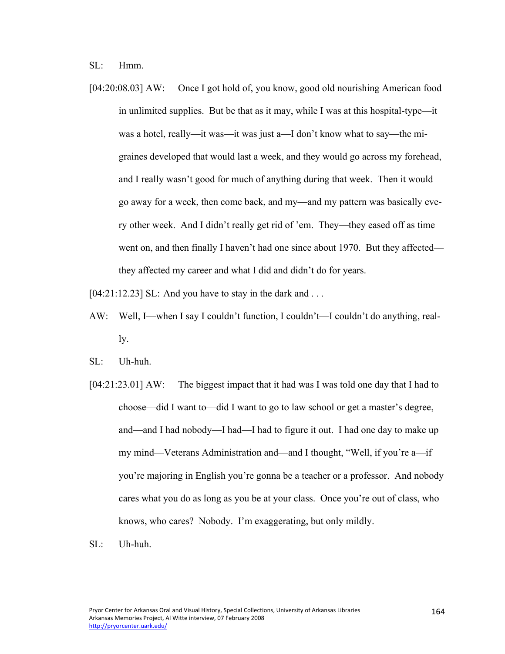SL: Hmm.

[04:20:08.03] AW: Once I got hold of, you know, good old nourishing American food in unlimited supplies. But be that as it may, while I was at this hospital-type—it was a hotel, really—it was—it was just a—I don't know what to say—the migraines developed that would last a week, and they would go across my forehead, and I really wasn't good for much of anything during that week. Then it would go away for a week, then come back, and my—and my pattern was basically every other week. And I didn't really get rid of 'em. They—they eased off as time went on, and then finally I haven't had one since about 1970. But they affected they affected my career and what I did and didn't do for years.

 $[04:21:12.23]$  SL: And you have to stay in the dark and ...

- AW: Well, I—when I say I couldn't function, I couldn't—I couldn't do anything, really.
- SL: Uh-huh.
- [04:21:23.01] AW: The biggest impact that it had was I was told one day that I had to choose—did I want to—did I want to go to law school or get a master's degree, and—and I had nobody—I had—I had to figure it out. I had one day to make up my mind—Veterans Administration and—and I thought, "Well, if you're a—if you're majoring in English you're gonna be a teacher or a professor. And nobody cares what you do as long as you be at your class. Once you're out of class, who knows, who cares? Nobody. I'm exaggerating, but only mildly.
- SL: Uh-huh.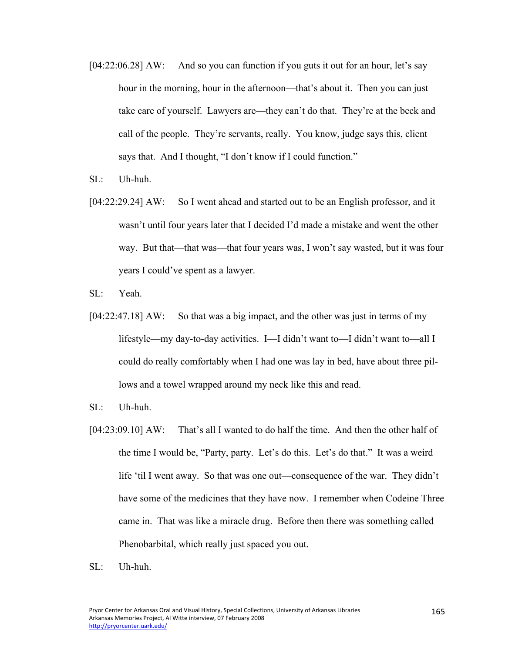- [04:22:06.28] AW: And so you can function if you guts it out for an hour, let's say hour in the morning, hour in the afternoon—that's about it. Then you can just take care of yourself. Lawyers are—they can't do that. They're at the beck and call of the people. They're servants, really. You know, judge says this, client says that. And I thought, "I don't know if I could function."
- SL: Uh-huh.
- [04:22:29.24] AW: So I went ahead and started out to be an English professor, and it wasn't until four years later that I decided I'd made a mistake and went the other way. But that—that was—that four years was, I won't say wasted, but it was four years I could've spent as a lawyer.
- SL: Yeah.
- [04:22:47.18] AW: So that was a big impact, and the other was just in terms of my lifestyle—my day-to-day activities. I—I didn't want to—I didn't want to—all I could do really comfortably when I had one was lay in bed, have about three pillows and a towel wrapped around my neck like this and read.
- SL: Uh-huh.
- [04:23:09.10] AW: That's all I wanted to do half the time. And then the other half of the time I would be, "Party, party. Let's do this. Let's do that." It was a weird life 'til I went away. So that was one out—consequence of the war. They didn't have some of the medicines that they have now. I remember when Codeine Three came in. That was like a miracle drug. Before then there was something called Phenobarbital, which really just spaced you out.
- SL: Uh-huh.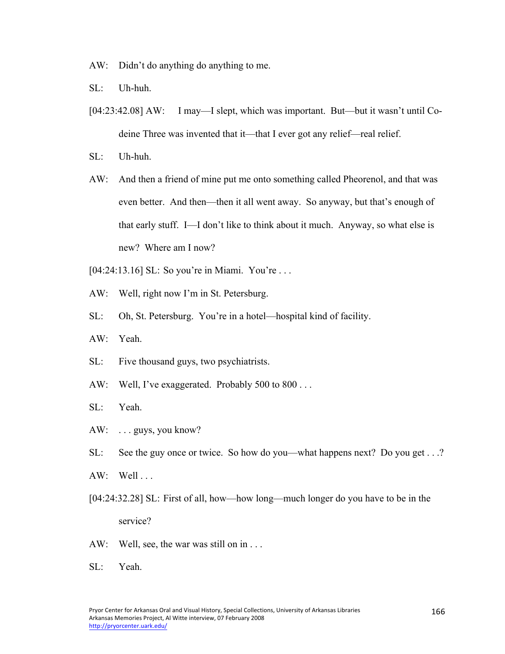AW: Didn't do anything do anything to me.

- SL: Uh-huh.
- [04:23:42.08] AW: I may—I slept, which was important. But—but it wasn't until Codeine Three was invented that it—that I ever got any relief—real relief.
- SL: Uh-huh.
- AW: And then a friend of mine put me onto something called Pheorenol, and that was even better. And then—then it all went away. So anyway, but that's enough of that early stuff. I—I don't like to think about it much. Anyway, so what else is new? Where am I now?
- [04:24:13.16] SL: So you're in Miami. You're . . .
- AW: Well, right now I'm in St. Petersburg.
- SL: Oh, St. Petersburg. You're in a hotel—hospital kind of facility.
- AW: Yeah.
- SL: Five thousand guys, two psychiatrists.
- AW: Well, I've exaggerated. Probably 500 to 800 . . .
- SL: Yeah.
- AW: ... guys, you know?
- SL: See the guy once or twice. So how do you—what happens next? Do you get . . .?
- $AW: Well...$
- [04:24:32.28] SL: First of all, how—how long—much longer do you have to be in the service?
- AW: Well, see, the war was still on in . . .
- SL: Yeah.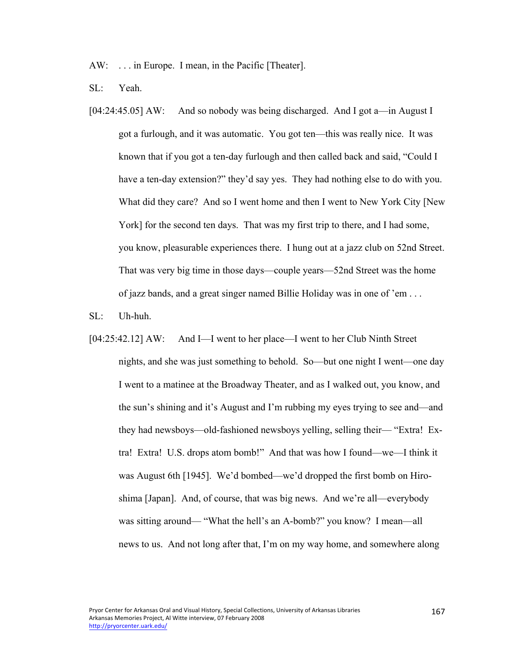AW: . . . in Europe. I mean, in the Pacific [Theater].

- SL: Yeah.
- [04:24:45.05] AW: And so nobody was being discharged. And I got a—in August I got a furlough, and it was automatic. You got ten—this was really nice. It was known that if you got a ten-day furlough and then called back and said, "Could I have a ten-day extension?" they'd say yes. They had nothing else to do with you. What did they care? And so I went home and then I went to New York City [New York] for the second ten days. That was my first trip to there, and I had some, you know, pleasurable experiences there. I hung out at a jazz club on 52nd Street. That was very big time in those days—couple years—52nd Street was the home of jazz bands, and a great singer named Billie Holiday was in one of 'em . . .
- SL: Uh-huh.
- [04:25:42.12] AW: And I—I went to her place—I went to her Club Ninth Street nights, and she was just something to behold. So—but one night I went—one day I went to a matinee at the Broadway Theater, and as I walked out, you know, and the sun's shining and it's August and I'm rubbing my eyes trying to see and—and they had newsboys—old-fashioned newsboys yelling, selling their— "Extra! Extra! Extra! U.S. drops atom bomb!" And that was how I found—we—I think it was August 6th [1945]. We'd bombed—we'd dropped the first bomb on Hiroshima [Japan]. And, of course, that was big news. And we're all—everybody was sitting around— "What the hell's an A-bomb?" you know? I mean—all news to us. And not long after that, I'm on my way home, and somewhere along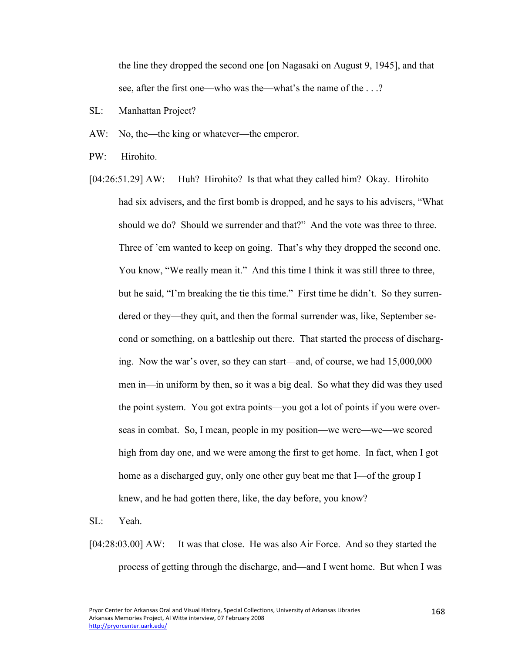the line they dropped the second one [on Nagasaki on August 9, 1945], and that see, after the first one—who was the—what's the name of the . . .?

- SL: Manhattan Project?
- AW: No, the—the king or whatever—the emperor.
- PW: Hirohito.
- [04:26:51.29] AW: Huh? Hirohito? Is that what they called him? Okay. Hirohito had six advisers, and the first bomb is dropped, and he says to his advisers, "What should we do? Should we surrender and that?" And the vote was three to three. Three of 'em wanted to keep on going. That's why they dropped the second one. You know, "We really mean it." And this time I think it was still three to three, but he said, "I'm breaking the tie this time." First time he didn't. So they surrendered or they—they quit, and then the formal surrender was, like, September second or something, on a battleship out there. That started the process of discharging. Now the war's over, so they can start—and, of course, we had 15,000,000 men in—in uniform by then, so it was a big deal. So what they did was they used the point system. You got extra points—you got a lot of points if you were overseas in combat. So, I mean, people in my position—we were—we—we scored high from day one, and we were among the first to get home. In fact, when I got home as a discharged guy, only one other guy beat me that I—of the group I knew, and he had gotten there, like, the day before, you know?
- SL: Yeah.
- [04:28:03.00] AW: It was that close. He was also Air Force. And so they started the process of getting through the discharge, and—and I went home. But when I was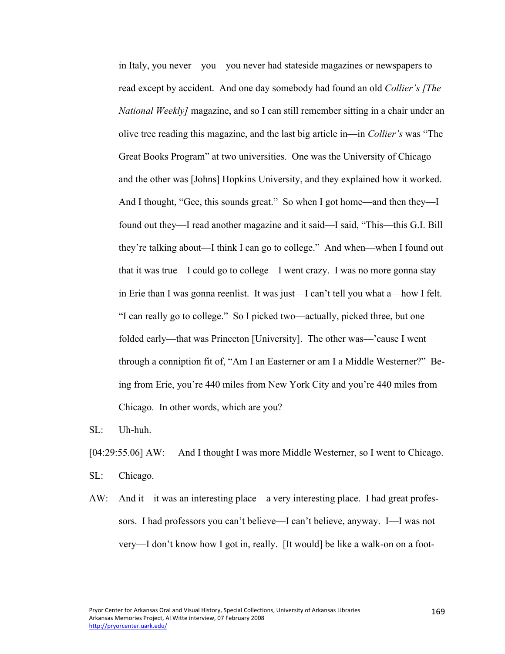in Italy, you never—you—you never had stateside magazines or newspapers to read except by accident. And one day somebody had found an old *Collier's [The National Weekly]* magazine, and so I can still remember sitting in a chair under an olive tree reading this magazine, and the last big article in—in *Collier's* was "The Great Books Program" at two universities. One was the University of Chicago and the other was [Johns] Hopkins University, and they explained how it worked. And I thought, "Gee, this sounds great." So when I got home—and then they—I found out they—I read another magazine and it said—I said, "This—this G.I. Bill they're talking about—I think I can go to college." And when—when I found out that it was true—I could go to college—I went crazy. I was no more gonna stay in Erie than I was gonna reenlist. It was just—I can't tell you what a—how I felt. "I can really go to college." So I picked two—actually, picked three, but one folded early—that was Princeton [University]. The other was—'cause I went through a conniption fit of, "Am I an Easterner or am I a Middle Westerner?" Being from Erie, you're 440 miles from New York City and you're 440 miles from Chicago. In other words, which are you?

SL: Uh-huh.

[04:29:55.06] AW: And I thought I was more Middle Westerner, so I went to Chicago.

SL: Chicago.

AW: And it—it was an interesting place—a very interesting place. I had great professors. I had professors you can't believe—I can't believe, anyway. I—I was not very—I don't know how I got in, really. [It would] be like a walk-on on a foot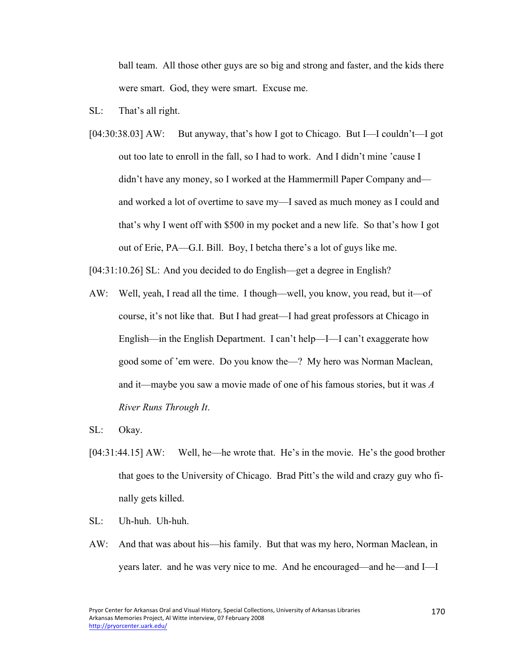ball team. All those other guys are so big and strong and faster, and the kids there were smart. God, they were smart. Excuse me.

- SL: That's all right.
- [04:30:38.03] AW: But anyway, that's how I got to Chicago. But I—I couldn't—I got out too late to enroll in the fall, so I had to work. And I didn't mine 'cause I didn't have any money, so I worked at the Hammermill Paper Company and and worked a lot of overtime to save my—I saved as much money as I could and that's why I went off with \$500 in my pocket and a new life. So that's how I got out of Erie, PA—G.I. Bill. Boy, I betcha there's a lot of guys like me.
- [04:31:10.26] SL: And you decided to do English—get a degree in English?
- AW: Well, yeah, I read all the time. I though—well, you know, you read, but it—of course, it's not like that. But I had great—I had great professors at Chicago in English—in the English Department. I can't help—I—I can't exaggerate how good some of 'em were. Do you know the—? My hero was Norman Maclean, and it—maybe you saw a movie made of one of his famous stories, but it was *A River Runs Through It*.
- SL: Okay.
- [04:31:44.15] AW: Well, he—he wrote that. He's in the movie. He's the good brother that goes to the University of Chicago. Brad Pitt's the wild and crazy guy who finally gets killed.
- SL: Uh-huh. Uh-huh.
- AW: And that was about his—his family. But that was my hero, Norman Maclean, in years later. and he was very nice to me. And he encouraged—and he—and I—I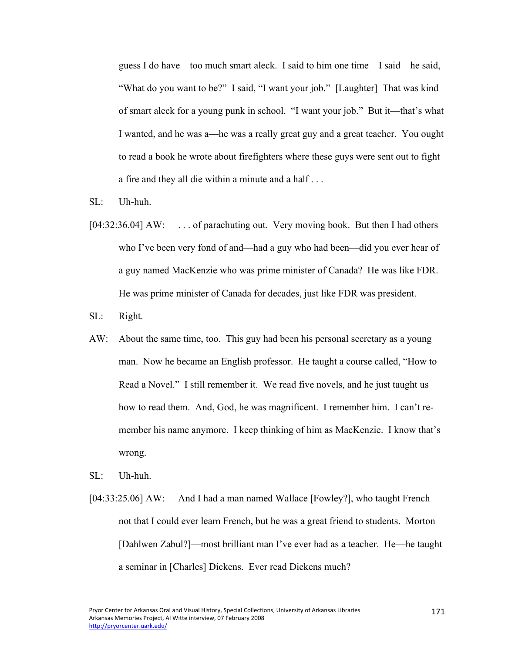guess I do have—too much smart aleck. I said to him one time—I said—he said, "What do you want to be?" I said, "I want your job." [Laughter] That was kind of smart aleck for a young punk in school. "I want your job." But it—that's what I wanted, and he was a—he was a really great guy and a great teacher. You ought to read a book he wrote about firefighters where these guys were sent out to fight a fire and they all die within a minute and a half . . .

- SL: Uh-huh.
- [04:32:36.04] AW: ... of parachuting out. Very moving book. But then I had others who I've been very fond of and—had a guy who had been—did you ever hear of a guy named MacKenzie who was prime minister of Canada? He was like FDR. He was prime minister of Canada for decades, just like FDR was president.
- SL: Right.
- AW: About the same time, too. This guy had been his personal secretary as a young man. Now he became an English professor. He taught a course called, "How to Read a Novel." I still remember it. We read five novels, and he just taught us how to read them. And, God, he was magnificent. I remember him. I can't remember his name anymore. I keep thinking of him as MacKenzie. I know that's wrong.
- SL: Uh-huh.
- [04:33:25.06] AW: And I had a man named Wallace [Fowley?], who taught French not that I could ever learn French, but he was a great friend to students. Morton [Dahlwen Zabul?]—most brilliant man I've ever had as a teacher. He—he taught a seminar in [Charles] Dickens. Ever read Dickens much?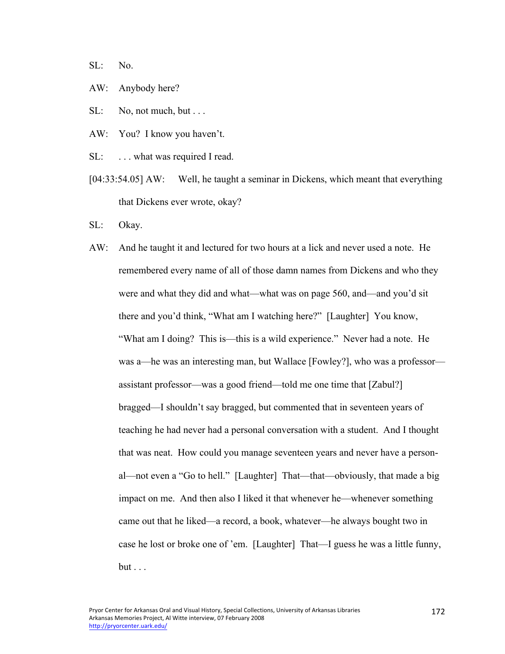SL: No.

- AW: Anybody here?
- $SL:$  No, not much, but . . .
- AW: You? I know you haven't.
- SL: ... what was required I read.
- [04:33:54.05] AW: Well, he taught a seminar in Dickens, which meant that everything that Dickens ever wrote, okay?
- SL: Okay.
- AW: And he taught it and lectured for two hours at a lick and never used a note. He remembered every name of all of those damn names from Dickens and who they were and what they did and what—what was on page 560, and—and you'd sit there and you'd think, "What am I watching here?" [Laughter] You know, "What am I doing? This is—this is a wild experience." Never had a note. He was a—he was an interesting man, but Wallace [Fowley?], who was a professor assistant professor—was a good friend—told me one time that [Zabul?] bragged—I shouldn't say bragged, but commented that in seventeen years of teaching he had never had a personal conversation with a student. And I thought that was neat. How could you manage seventeen years and never have a personal—not even a "Go to hell." [Laughter] That—that—obviously, that made a big impact on me. And then also I liked it that whenever he—whenever something came out that he liked—a record, a book, whatever—he always bought two in case he lost or broke one of 'em. [Laughter] That—I guess he was a little funny,  $but \dots$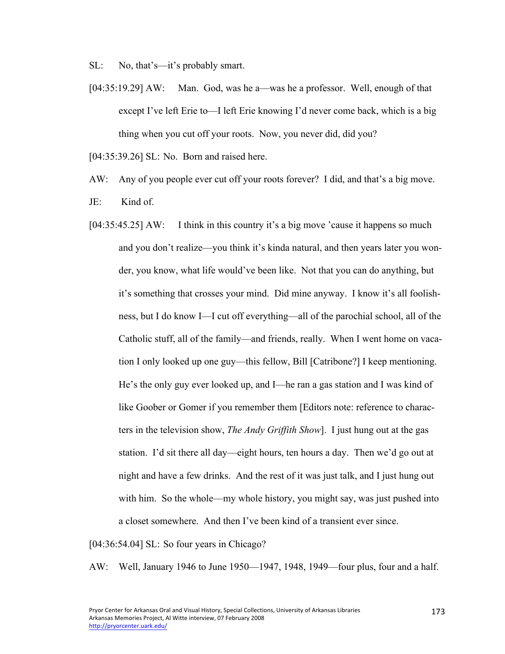SL: No, that's—it's probably smart.

[04:35:19.29] AW: Man. God, was he a—was he a professor. Well, enough of that except I've left Erie to—I left Erie knowing I'd never come back, which is a big thing when you cut off your roots. Now, you never did, did you?

[04:35:39.26] SL: No. Born and raised here.

AW: Any of you people ever cut off your roots forever? I did, and that's a big move.

- JE: Kind of.
- [04:35:45.25] AW: I think in this country it's a big move 'cause it happens so much and you don't realize—you think it's kinda natural, and then years later you wonder, you know, what life would've been like. Not that you can do anything, but it's something that crosses your mind. Did mine anyway. I know it's all foolishness, but I do know I—I cut off everything—all of the parochial school, all of the Catholic stuff, all of the family—and friends, really. When I went home on vacation I only looked up one guy—this fellow, Bill [Catribone?] I keep mentioning. He's the only guy ever looked up, and I—he ran a gas station and I was kind of like Goober or Gomer if you remember them [Editors note: reference to characters in the television show, *The Andy Griffith Show*]. I just hung out at the gas station. I'd sit there all day—eight hours, ten hours a day. Then we'd go out at night and have a few drinks. And the rest of it was just talk, and I just hung out with him. So the whole—my whole history, you might say, was just pushed into a closet somewhere. And then I've been kind of a transient ever since.

[04:36:54.04] SL: So four years in Chicago?

AW: Well, January 1946 to June 1950—1947, 1948, 1949—four plus, four and a half.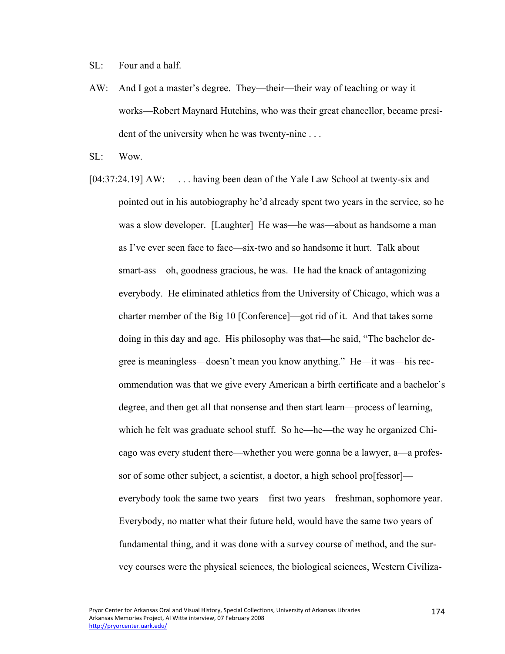SL: Four and a half.

AW: And I got a master's degree. They—their—their way of teaching or way it works—Robert Maynard Hutchins, who was their great chancellor, became president of the university when he was twenty-nine . . .

SL: Wow.

[04:37:24.19] AW: ... having been dean of the Yale Law School at twenty-six and pointed out in his autobiography he'd already spent two years in the service, so he was a slow developer. [Laughter] He was—he was—about as handsome a man as I've ever seen face to face—six-two and so handsome it hurt. Talk about smart-ass—oh, goodness gracious, he was. He had the knack of antagonizing everybody. He eliminated athletics from the University of Chicago, which was a charter member of the Big 10 [Conference]—got rid of it. And that takes some doing in this day and age. His philosophy was that—he said, "The bachelor degree is meaningless—doesn't mean you know anything." He—it was—his recommendation was that we give every American a birth certificate and a bachelor's degree, and then get all that nonsense and then start learn—process of learning, which he felt was graduate school stuff. So he—he—the way he organized Chicago was every student there—whether you were gonna be a lawyer, a—a professor of some other subject, a scientist, a doctor, a high school pro[fessor] everybody took the same two years—first two years—freshman, sophomore year. Everybody, no matter what their future held, would have the same two years of fundamental thing, and it was done with a survey course of method, and the survey courses were the physical sciences, the biological sciences, Western Civiliza-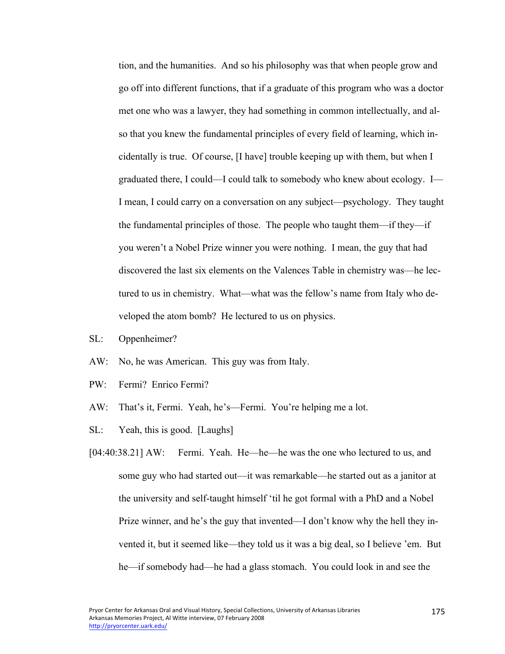tion, and the humanities. And so his philosophy was that when people grow and go off into different functions, that if a graduate of this program who was a doctor met one who was a lawyer, they had something in common intellectually, and also that you knew the fundamental principles of every field of learning, which incidentally is true. Of course, [I have] trouble keeping up with them, but when I graduated there, I could—I could talk to somebody who knew about ecology. I— I mean, I could carry on a conversation on any subject—psychology. They taught the fundamental principles of those. The people who taught them—if they—if you weren't a Nobel Prize winner you were nothing. I mean, the guy that had discovered the last six elements on the Valences Table in chemistry was—he lectured to us in chemistry. What—what was the fellow's name from Italy who developed the atom bomb? He lectured to us on physics.

- SL: Oppenheimer?
- AW: No, he was American. This guy was from Italy.
- PW: Fermi? Enrico Fermi?
- AW: That's it, Fermi. Yeah, he's—Fermi. You're helping me a lot.
- SL: Yeah, this is good. [Laughs]
- [04:40:38.21] AW: Fermi. Yeah. He—he—he was the one who lectured to us, and some guy who had started out—it was remarkable—he started out as a janitor at the university and self-taught himself 'til he got formal with a PhD and a Nobel Prize winner, and he's the guy that invented—I don't know why the hell they invented it, but it seemed like—they told us it was a big deal, so I believe 'em. But he—if somebody had—he had a glass stomach. You could look in and see the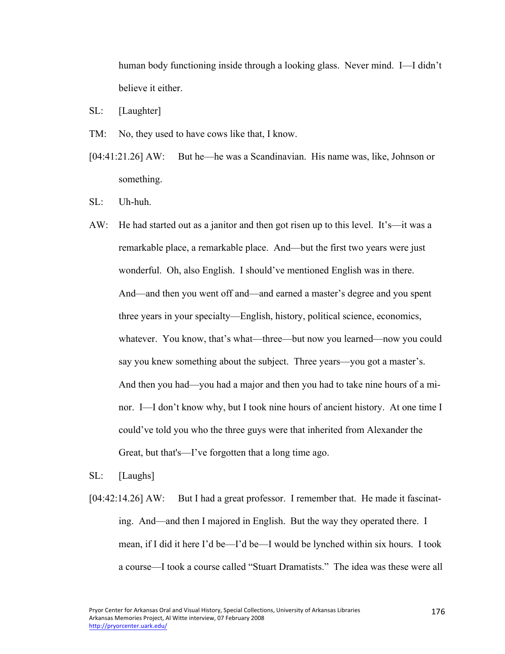human body functioning inside through a looking glass. Never mind. I—I didn't believe it either.

- SL: [Laughter]
- TM: No, they used to have cows like that, I know.
- [04:41:21.26] AW: But he—he was a Scandinavian. His name was, like, Johnson or something.
- SL: Uh-huh.
- AW: He had started out as a janitor and then got risen up to this level. It's—it was a remarkable place, a remarkable place. And—but the first two years were just wonderful. Oh, also English. I should've mentioned English was in there. And—and then you went off and—and earned a master's degree and you spent three years in your specialty—English, history, political science, economics, whatever. You know, that's what—three—but now you learned—now you could say you knew something about the subject. Three years—you got a master's. And then you had—you had a major and then you had to take nine hours of a minor. I—I don't know why, but I took nine hours of ancient history. At one time I could've told you who the three guys were that inherited from Alexander the Great, but that's—I've forgotten that a long time ago.
- SL: [Laughs]
- [04:42:14.26] AW: But I had a great professor. I remember that. He made it fascinating. And—and then I majored in English. But the way they operated there. I mean, if I did it here I'd be—I'd be—I would be lynched within six hours. I took a course—I took a course called "Stuart Dramatists." The idea was these were all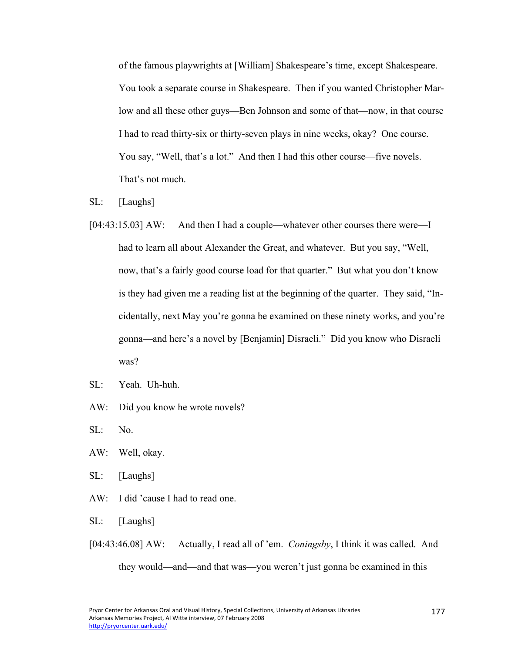of the famous playwrights at [William] Shakespeare's time, except Shakespeare. You took a separate course in Shakespeare. Then if you wanted Christopher Marlow and all these other guys—Ben Johnson and some of that—now, in that course I had to read thirty-six or thirty-seven plays in nine weeks, okay? One course. You say, "Well, that's a lot." And then I had this other course—five novels. That's not much.

- SL: [Laughs]
- [04:43:15.03] AW: And then I had a couple—whatever other courses there were—I had to learn all about Alexander the Great, and whatever. But you say, "Well, now, that's a fairly good course load for that quarter." But what you don't know is they had given me a reading list at the beginning of the quarter. They said, "Incidentally, next May you're gonna be examined on these ninety works, and you're gonna—and here's a novel by [Benjamin] Disraeli." Did you know who Disraeli was?
- SL: Yeah. Uh-huh.
- AW: Did you know he wrote novels?

SL: No.

- AW: Well, okay.
- SL: [Laughs]
- AW: I did 'cause I had to read one.
- SL: [Laughs]
- [04:43:46.08] AW: Actually, I read all of 'em. *Coningsby*, I think it was called. And they would—and—and that was—you weren't just gonna be examined in this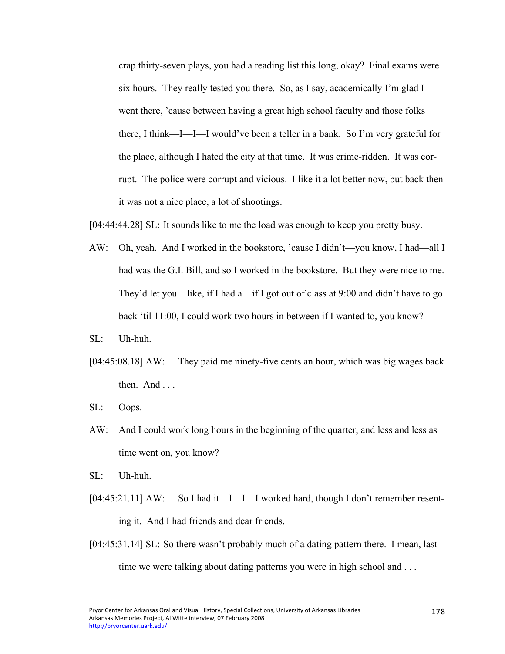crap thirty-seven plays, you had a reading list this long, okay? Final exams were six hours. They really tested you there. So, as I say, academically I'm glad I went there, 'cause between having a great high school faculty and those folks there, I think—I—I—I would've been a teller in a bank. So I'm very grateful for the place, although I hated the city at that time. It was crime-ridden. It was corrupt. The police were corrupt and vicious. I like it a lot better now, but back then it was not a nice place, a lot of shootings.

[04:44:44.28] SL: It sounds like to me the load was enough to keep you pretty busy.

- AW: Oh, yeah. And I worked in the bookstore, 'cause I didn't—you know, I had—all I had was the G.I. Bill, and so I worked in the bookstore. But they were nice to me. They'd let you—like, if I had a—if I got out of class at 9:00 and didn't have to go back 'til 11:00, I could work two hours in between if I wanted to, you know?
- SL: Uh-huh.
- [04:45:08.18] AW: They paid me ninety-five cents an hour, which was big wages back then. And . . .
- SL: Oops.
- AW: And I could work long hours in the beginning of the quarter, and less and less as time went on, you know?
- SL: Uh-huh.
- [04:45:21.11] AW: So I had it—I—I—I worked hard, though I don't remember resenting it. And I had friends and dear friends.
- [04:45:31.14] SL: So there wasn't probably much of a dating pattern there. I mean, last time we were talking about dating patterns you were in high school and . . .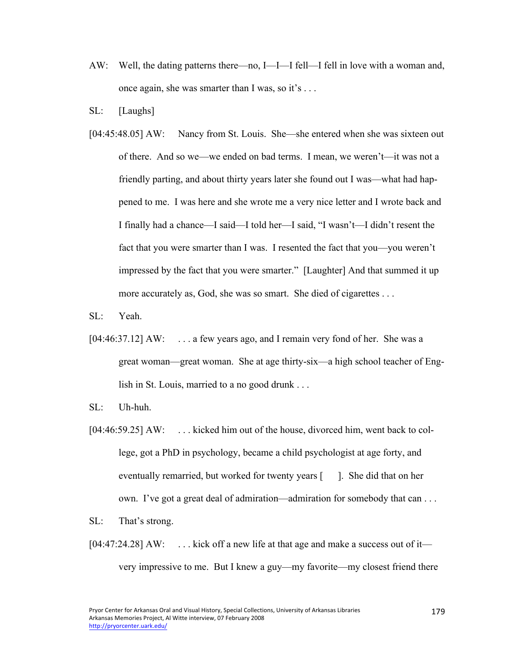- AW: Well, the dating patterns there—no, I—I—I fell—I fell in love with a woman and, once again, she was smarter than I was, so it's . . .
- SL: [Laughs]
- [04:45:48.05] AW: Nancy from St. Louis. She—she entered when she was sixteen out of there. And so we—we ended on bad terms. I mean, we weren't—it was not a friendly parting, and about thirty years later she found out I was—what had happened to me. I was here and she wrote me a very nice letter and I wrote back and I finally had a chance—I said—I told her—I said, "I wasn't—I didn't resent the fact that you were smarter than I was. I resented the fact that you—you weren't impressed by the fact that you were smarter." [Laughter] And that summed it up more accurately as, God, she was so smart. She died of cigarettes . . .
- SL: Yeah.
- [04:46:37.12] AW: ... a few years ago, and I remain very fond of her. She was a great woman—great woman. She at age thirty-six—a high school teacher of English in St. Louis, married to a no good drunk . . .
- SL: Uh-huh.
- [04:46:59.25] AW: ... kicked him out of the house, divorced him, went back to college, got a PhD in psychology, became a child psychologist at age forty, and eventually remarried, but worked for twenty years [ ]. She did that on her own. I've got a great deal of admiration—admiration for somebody that can . . .
- SL: That's strong.
- $[04:47:24.28]$  AW: ... kick off a new life at that age and make a success out of it very impressive to me. But I knew a guy—my favorite—my closest friend there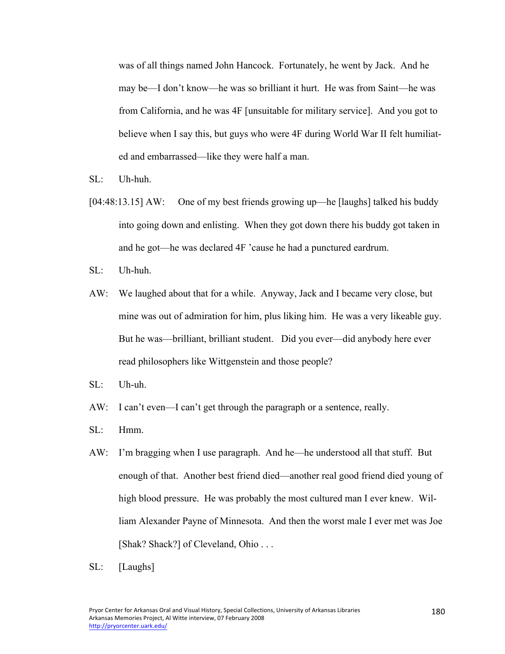was of all things named John Hancock. Fortunately, he went by Jack. And he may be—I don't know—he was so brilliant it hurt. He was from Saint—he was from California, and he was 4F [unsuitable for military service]. And you got to believe when I say this, but guys who were 4F during World War II felt humiliated and embarrassed—like they were half a man.

- SL: Uh-huh.
- [04:48:13.15] AW: One of my best friends growing up—he [laughs] talked his buddy into going down and enlisting. When they got down there his buddy got taken in and he got—he was declared 4F 'cause he had a punctured eardrum.
- SL: Uh-huh.
- AW: We laughed about that for a while. Anyway, Jack and I became very close, but mine was out of admiration for him, plus liking him. He was a very likeable guy. But he was—brilliant, brilliant student. Did you ever—did anybody here ever read philosophers like Wittgenstein and those people?
- SL: Uh-uh.
- AW: I can't even—I can't get through the paragraph or a sentence, really.
- SL: Hmm.
- AW: I'm bragging when I use paragraph. And he—he understood all that stuff. But enough of that. Another best friend died—another real good friend died young of high blood pressure. He was probably the most cultured man I ever knew. William Alexander Payne of Minnesota. And then the worst male I ever met was Joe [Shak? Shack?] of Cleveland, Ohio . . .
- SL: [Laughs]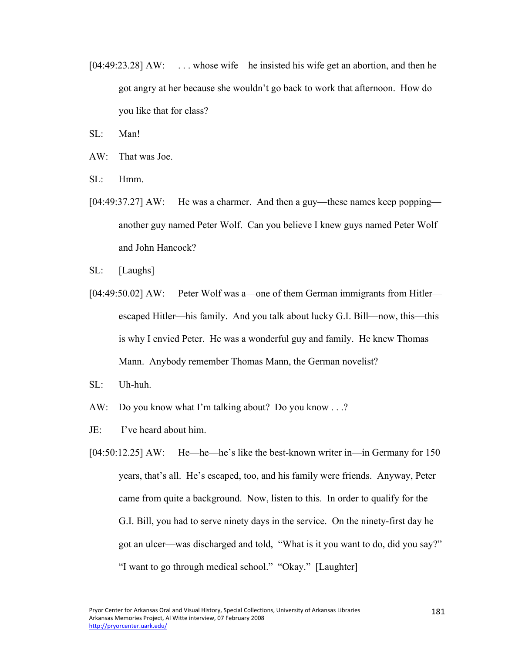- [04:49:23.28] AW: ... whose wife—he insisted his wife get an abortion, and then he got angry at her because she wouldn't go back to work that afternoon. How do you like that for class?
- $SI:$  Man!
- AW: That was Joe.
- SL: Hmm.
- [04:49:37.27] AW: He was a charmer. And then a guy—these names keep popping another guy named Peter Wolf. Can you believe I knew guys named Peter Wolf and John Hancock?
- SL: [Laughs]
- [04:49:50.02] AW: Peter Wolf was a—one of them German immigrants from Hitler escaped Hitler—his family. And you talk about lucky G.I. Bill—now, this—this is why I envied Peter. He was a wonderful guy and family. He knew Thomas Mann. Anybody remember Thomas Mann, the German novelist?
- SL: Uh-huh.
- AW: Do you know what I'm talking about? Do you know . . .?
- JE: I've heard about him.
- [04:50:12.25] AW: He—he—he's like the best-known writer in—in Germany for 150 years, that's all. He's escaped, too, and his family were friends. Anyway, Peter came from quite a background. Now, listen to this. In order to qualify for the G.I. Bill, you had to serve ninety days in the service. On the ninety-first day he got an ulcer—was discharged and told, "What is it you want to do, did you say?" "I want to go through medical school." "Okay." [Laughter]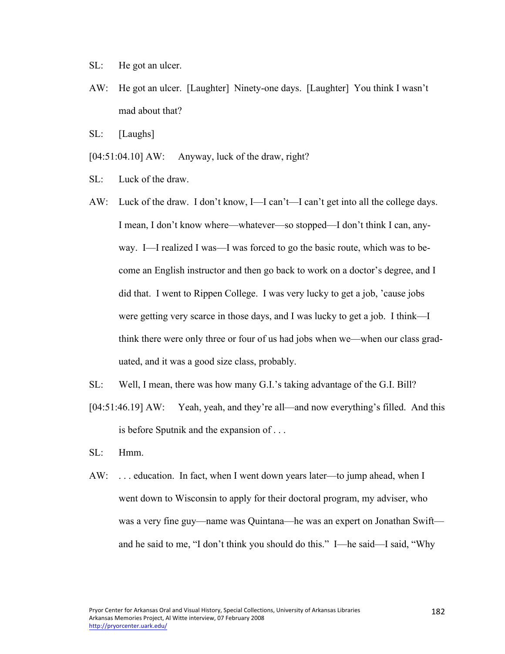- SL: He got an ulcer.
- AW: He got an ulcer. [Laughter] Ninety-one days. [Laughter] You think I wasn't mad about that?
- SL: [Laughs]
- $[04:51:04.10]$  AW: Anyway, luck of the draw, right?
- SL: Luck of the draw.
- AW: Luck of the draw. I don't know, I—I can't—I can't get into all the college days. I mean, I don't know where—whatever—so stopped—I don't think I can, anyway. I—I realized I was—I was forced to go the basic route, which was to become an English instructor and then go back to work on a doctor's degree, and I did that. I went to Rippen College. I was very lucky to get a job, 'cause jobs were getting very scarce in those days, and I was lucky to get a job. I think—I think there were only three or four of us had jobs when we—when our class graduated, and it was a good size class, probably.
- SL: Well, I mean, there was how many G.I.'s taking advantage of the G.I. Bill?
- [04:51:46.19] AW: Yeah, yeah, and they're all—and now everything's filled. And this is before Sputnik and the expansion of . . .
- SL: Hmm.
- AW: . . . education. In fact, when I went down years later—to jump ahead, when I went down to Wisconsin to apply for their doctoral program, my adviser, who was a very fine guy—name was Quintana—he was an expert on Jonathan Swift and he said to me, "I don't think you should do this." I—he said—I said, "Why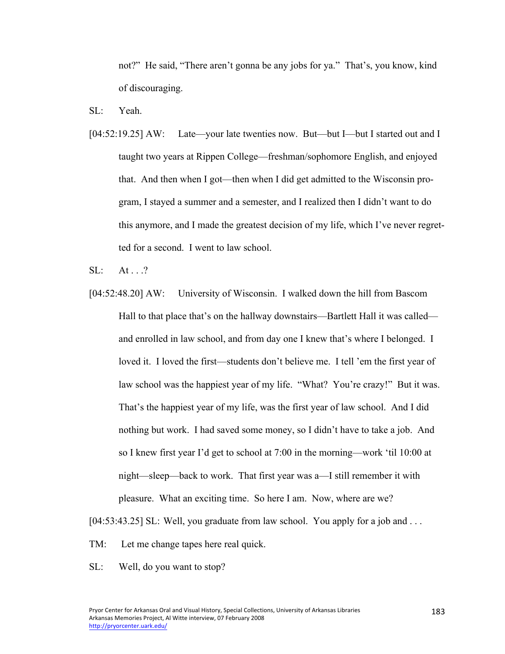not?" He said, "There aren't gonna be any jobs for ya." That's, you know, kind of discouraging.

SL: Yeah.

[04:52:19.25] AW: Late—your late twenties now. But—but I—but I started out and I taught two years at Rippen College—freshman/sophomore English, and enjoyed that. And then when I got—then when I did get admitted to the Wisconsin program, I stayed a summer and a semester, and I realized then I didn't want to do this anymore, and I made the greatest decision of my life, which I've never regretted for a second. I went to law school.

 $SI: At 2$ 

[04:52:48.20] AW: University of Wisconsin. I walked down the hill from Bascom Hall to that place that's on the hallway downstairs—Bartlett Hall it was called and enrolled in law school, and from day one I knew that's where I belonged. I loved it. I loved the first—students don't believe me. I tell 'em the first year of law school was the happiest year of my life. "What? You're crazy!" But it was. That's the happiest year of my life, was the first year of law school. And I did nothing but work. I had saved some money, so I didn't have to take a job. And so I knew first year I'd get to school at 7:00 in the morning—work 'til 10:00 at night—sleep—back to work. That first year was a—I still remember it with pleasure. What an exciting time. So here I am. Now, where are we?

[04:53:43.25] SL: Well, you graduate from law school. You apply for a job and . . .

- TM: Let me change tapes here real quick.
- SL: Well, do you want to stop?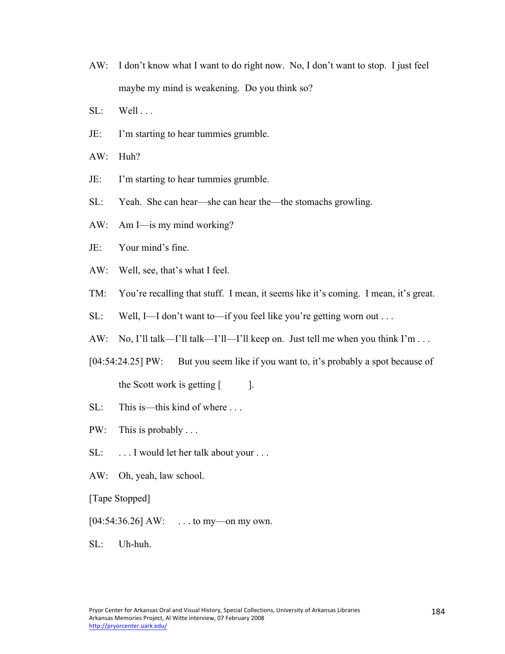- AW: I don't know what I want to do right now. No, I don't want to stop. I just feel maybe my mind is weakening. Do you think so?
- $SL:$  Well  $\ldots$
- JE: I'm starting to hear tummies grumble.
- AW: Huh?
- JE: I'm starting to hear tummies grumble.
- SL: Yeah. She can hear—she can hear the—the stomachs growling.
- AW: Am I—is my mind working?
- JE: Your mind's fine.
- AW: Well, see, that's what I feel.
- TM: You're recalling that stuff. I mean, it seems like it's coming. I mean, it's great.
- SL: Well, I—I don't want to—if you feel like you're getting worn out . . .
- AW: No, I'll talk—I'll talk—I'll—I'll keep on. Just tell me when you think I'm . . .
- [04:54:24.25] PW: But you seem like if you want to, it's probably a spot because of the Scott work is getting  $\lceil \cdot \cdot \rceil$ .
- SL: This is—this kind of where ...
- PW: This is probably . . .
- SL: ... I would let her talk about your ...
- AW: Oh, yeah, law school.
- [Tape Stopped]
- $[04:54:36.26]$  AW: ... to my—on my own.
- SL: Uh-huh.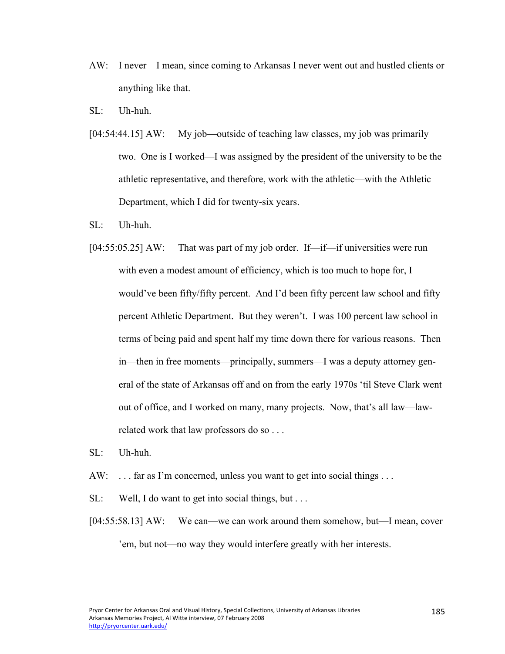- AW: I never—I mean, since coming to Arkansas I never went out and hustled clients or anything like that.
- $SL:$  Uh-huh.
- [04:54:44.15] AW: My job—outside of teaching law classes, my job was primarily two. One is I worked—I was assigned by the president of the university to be the athletic representative, and therefore, work with the athletic—with the Athletic Department, which I did for twenty-six years.
- $SL:$  Uh-huh.
- [04:55:05.25] AW: That was part of my job order. If—if—if universities were run with even a modest amount of efficiency, which is too much to hope for, I would've been fifty/fifty percent. And I'd been fifty percent law school and fifty percent Athletic Department. But they weren't. I was 100 percent law school in terms of being paid and spent half my time down there for various reasons. Then in—then in free moments—principally, summers—I was a deputy attorney general of the state of Arkansas off and on from the early 1970s 'til Steve Clark went out of office, and I worked on many, many projects. Now, that's all law—lawrelated work that law professors do so . . .
- SL: Uh-huh.
- AW: ... far as I'm concerned, unless you want to get into social things ...
- SL: Well, I do want to get into social things, but . . .
- [04:55:58.13] AW: We can—we can work around them somehow, but—I mean, cover 'em, but not—no way they would interfere greatly with her interests.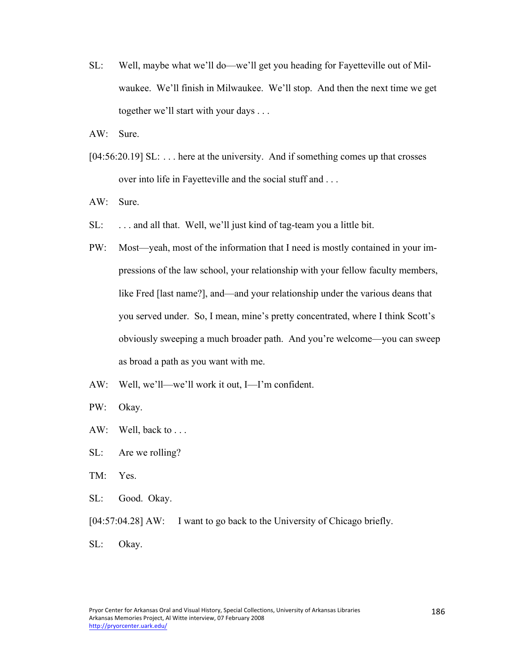- SL: Well, maybe what we'll do—we'll get you heading for Fayetteville out of Milwaukee. We'll finish in Milwaukee. We'll stop. And then the next time we get together we'll start with your days . . .
- AW: Sure.
- [04:56:20.19] SL: ... here at the university. And if something comes up that crosses over into life in Fayetteville and the social stuff and . . .
- AW: Sure.
- SL: ... and all that. Well, we'll just kind of tag-team you a little bit.
- PW: Most—yeah, most of the information that I need is mostly contained in your impressions of the law school, your relationship with your fellow faculty members, like Fred [last name?], and—and your relationship under the various deans that you served under. So, I mean, mine's pretty concentrated, where I think Scott's obviously sweeping a much broader path. And you're welcome—you can sweep as broad a path as you want with me.
- AW: Well, we'll—we'll work it out, I—I'm confident.
- PW: Okay.
- AW: Well, back to ...
- SL: Are we rolling?
- TM: Yes.
- SL: Good. Okay.
- [04:57:04.28] AW: I want to go back to the University of Chicago briefly.
- SL: Okay.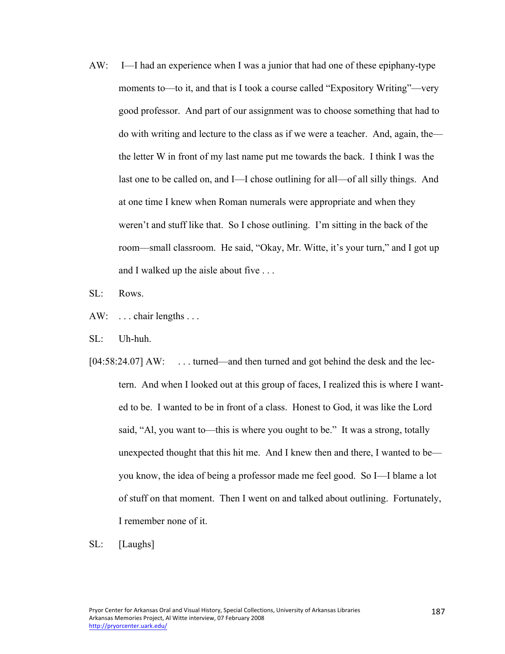- AW: I—I had an experience when I was a junior that had one of these epiphany-type moments to—to it, and that is I took a course called "Expository Writing"—very good professor. And part of our assignment was to choose something that had to do with writing and lecture to the class as if we were a teacher. And, again, the the letter W in front of my last name put me towards the back. I think I was the last one to be called on, and I—I chose outlining for all—of all silly things. And at one time I knew when Roman numerals were appropriate and when they weren't and stuff like that. So I chose outlining. I'm sitting in the back of the room—small classroom. He said, "Okay, Mr. Witte, it's your turn," and I got up and I walked up the aisle about five . . .
- SL: Rows.
- AW: ... chair lengths ...
- SL: Uh-huh.
- [04:58:24.07] AW: ... turned—and then turned and got behind the desk and the lectern. And when I looked out at this group of faces, I realized this is where I wanted to be. I wanted to be in front of a class. Honest to God, it was like the Lord said, "Al, you want to—this is where you ought to be." It was a strong, totally unexpected thought that this hit me. And I knew then and there, I wanted to be you know, the idea of being a professor made me feel good. So I—I blame a lot of stuff on that moment. Then I went on and talked about outlining. Fortunately, I remember none of it.
- SL: [Laughs]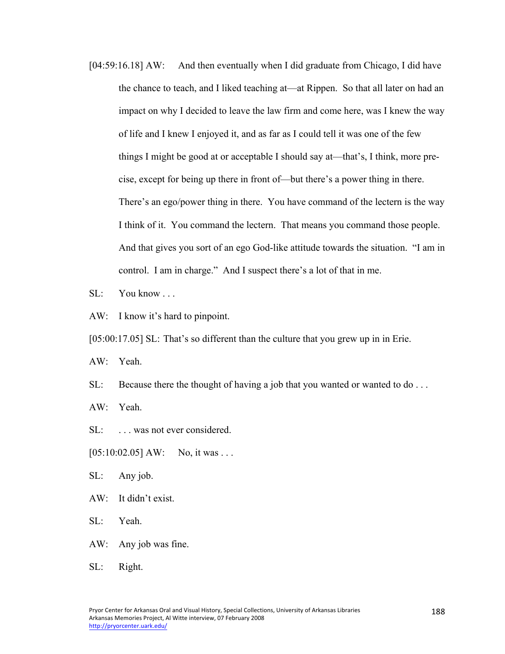[04:59:16.18] AW: And then eventually when I did graduate from Chicago, I did have the chance to teach, and I liked teaching at—at Rippen. So that all later on had an impact on why I decided to leave the law firm and come here, was I knew the way of life and I knew I enjoyed it, and as far as I could tell it was one of the few things I might be good at or acceptable I should say at—that's, I think, more precise, except for being up there in front of—but there's a power thing in there. There's an ego/power thing in there. You have command of the lectern is the way I think of it. You command the lectern. That means you command those people. And that gives you sort of an ego God-like attitude towards the situation. "I am in control. I am in charge." And I suspect there's a lot of that in me.

SL: You know ...

AW: I know it's hard to pinpoint.

[05:00:17.05] SL: That's so different than the culture that you grew up in in Erie.

AW: Yeah.

SL: Because there the thought of having a job that you wanted or wanted to do ...

AW: Yeah.

SL: ... was not ever considered.

 $[05:10:02.05]$  AW: No, it was ...

SL: Any job.

AW: It didn't exist.

SL: Yeah.

AW: Any job was fine.

SL: Right.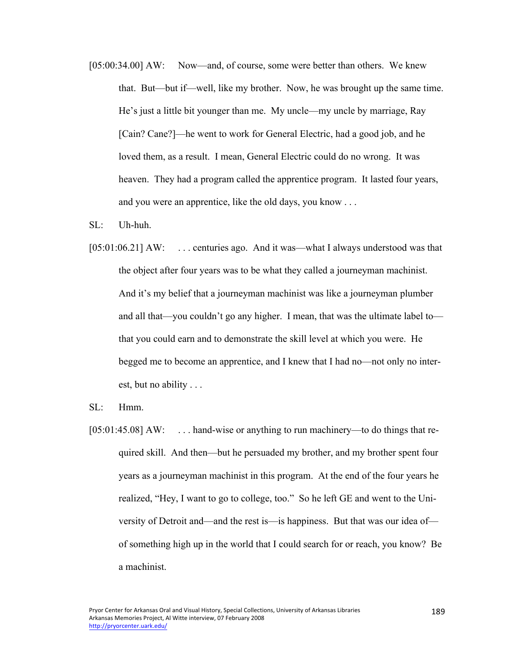- [05:00:34.00] AW: Now—and, of course, some were better than others. We knew that. But—but if—well, like my brother. Now, he was brought up the same time. He's just a little bit younger than me. My uncle—my uncle by marriage, Ray [Cain? Cane?]—he went to work for General Electric, had a good job, and he loved them, as a result. I mean, General Electric could do no wrong. It was heaven. They had a program called the apprentice program. It lasted four years, and you were an apprentice, like the old days, you know . . .
- $SL:$  Uh-huh.
- [05:01:06.21] AW: ... centuries ago. And it was—what I always understood was that the object after four years was to be what they called a journeyman machinist. And it's my belief that a journeyman machinist was like a journeyman plumber and all that—you couldn't go any higher. I mean, that was the ultimate label to that you could earn and to demonstrate the skill level at which you were. He begged me to become an apprentice, and I knew that I had no—not only no interest, but no ability . . .
- SL: Hmm.
- [05:01:45.08] AW: ... hand-wise or anything to run machinery—to do things that required skill. And then—but he persuaded my brother, and my brother spent four years as a journeyman machinist in this program. At the end of the four years he realized, "Hey, I want to go to college, too." So he left GE and went to the University of Detroit and—and the rest is—is happiness. But that was our idea of of something high up in the world that I could search for or reach, you know? Be a machinist.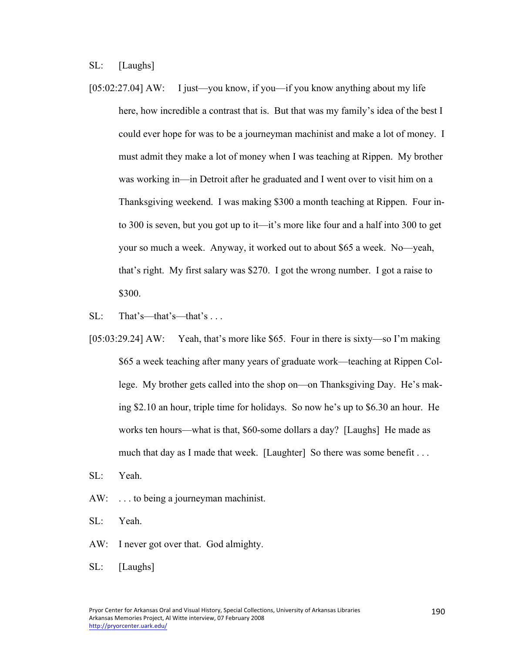SL: [Laughs]

- [05:02:27.04] AW: I just—you know, if you—if you know anything about my life here, how incredible a contrast that is. But that was my family's idea of the best I could ever hope for was to be a journeyman machinist and make a lot of money. I must admit they make a lot of money when I was teaching at Rippen. My brother was working in—in Detroit after he graduated and I went over to visit him on a Thanksgiving weekend. I was making \$300 a month teaching at Rippen. Four into 300 is seven, but you got up to it—it's more like four and a half into 300 to get your so much a week. Anyway, it worked out to about \$65 a week. No—yeah, that's right. My first salary was \$270. I got the wrong number. I got a raise to \$300.
- SL: That's—that's—that's . . .
- [05:03:29.24] AW: Yeah, that's more like \$65. Four in there is sixty—so I'm making \$65 a week teaching after many years of graduate work—teaching at Rippen College. My brother gets called into the shop on—on Thanksgiving Day. He's making \$2.10 an hour, triple time for holidays. So now he's up to \$6.30 an hour. He works ten hours—what is that, \$60-some dollars a day? [Laughs] He made as much that day as I made that week. [Laughter] So there was some benefit . . .
- SL: Yeah.
- AW: . . . to being a journeyman machinist.
- SL: Yeah.
- AW: I never got over that. God almighty.
- SL: [Laughs]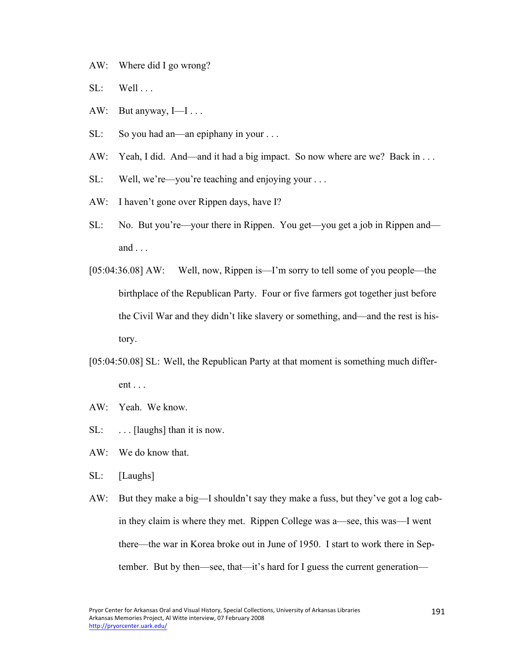- AW: Where did I go wrong?
- $SL:$  Well ...
- AW: But anyway, I-I...
- SL: So you had an—an epiphany in your . . .
- AW: Yeah, I did. And—and it had a big impact. So now where are we? Back in ...
- SL: Well, we're—you're teaching and enjoying your . . .
- AW: I haven't gone over Rippen days, have I?
- SL: No. But you're—your there in Rippen. You get—you get a job in Rippen and and . . .
- [05:04:36.08] AW: Well, now, Rippen is—I'm sorry to tell some of you people—the birthplace of the Republican Party. Four or five farmers got together just before the Civil War and they didn't like slavery or something, and—and the rest is history.
- [05:04:50.08] SL: Well, the Republican Party at that moment is something much different . . .
- AW: Yeah. We know.
- $SL:$  ... [laughs] than it is now.
- AW: We do know that.
- SL: [Laughs]
- AW: But they make a big—I shouldn't say they make a fuss, but they've got a log cabin they claim is where they met. Rippen College was a—see, this was—I went there—the war in Korea broke out in June of 1950. I start to work there in September. But by then—see, that—it's hard for I guess the current generation—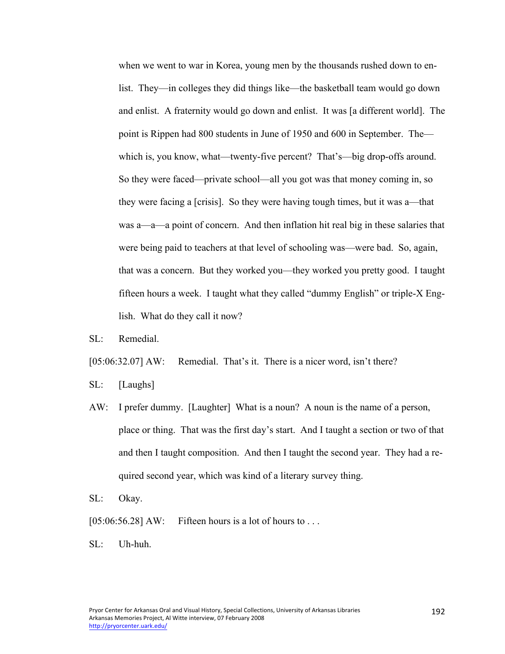when we went to war in Korea, young men by the thousands rushed down to enlist. They—in colleges they did things like—the basketball team would go down and enlist. A fraternity would go down and enlist. It was [a different world]. The point is Rippen had 800 students in June of 1950 and 600 in September. The which is, you know, what—twenty-five percent? That's—big drop-offs around. So they were faced—private school—all you got was that money coming in, so they were facing a [crisis]. So they were having tough times, but it was a—that was a—a—a point of concern. And then inflation hit real big in these salaries that were being paid to teachers at that level of schooling was—were bad. So, again, that was a concern. But they worked you—they worked you pretty good. I taught fifteen hours a week. I taught what they called "dummy English" or triple-X English. What do they call it now?

SL: Remedial.

[05:06:32.07] AW: Remedial. That's it. There is a nicer word, isn't there?

- SL: [Laughs]
- AW: I prefer dummy. [Laughter] What is a noun? A noun is the name of a person, place or thing. That was the first day's start. And I taught a section or two of that and then I taught composition. And then I taught the second year. They had a required second year, which was kind of a literary survey thing.
- SL: Okay.
- $[05:06:56.28]$  AW: Fifteen hours is a lot of hours to ...
- SL: Uh-huh.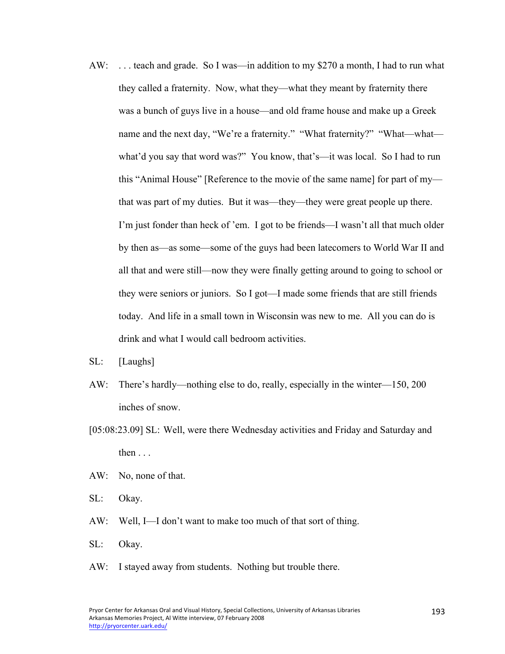- AW: . . . teach and grade. So I was—in addition to my \$270 a month, I had to run what they called a fraternity. Now, what they—what they meant by fraternity there was a bunch of guys live in a house—and old frame house and make up a Greek name and the next day, "We're a fraternity." "What fraternity?" "What—what what'd you say that word was?" You know, that's—it was local. So I had to run this "Animal House" [Reference to the movie of the same name] for part of my that was part of my duties. But it was—they—they were great people up there. I'm just fonder than heck of 'em. I got to be friends—I wasn't all that much older by then as—as some—some of the guys had been latecomers to World War II and all that and were still—now they were finally getting around to going to school or they were seniors or juniors. So I got—I made some friends that are still friends today. And life in a small town in Wisconsin was new to me. All you can do is drink and what I would call bedroom activities.
- SL: [Laughs]
- AW: There's hardly—nothing else to do, really, especially in the winter—150, 200 inches of snow.
- [05:08:23.09] SL: Well, were there Wednesday activities and Friday and Saturday and then  $\ldots$
- AW: No, none of that.
- SL: Okay.
- AW: Well, I—I don't want to make too much of that sort of thing.
- SL: Okay.
- AW: I stayed away from students. Nothing but trouble there.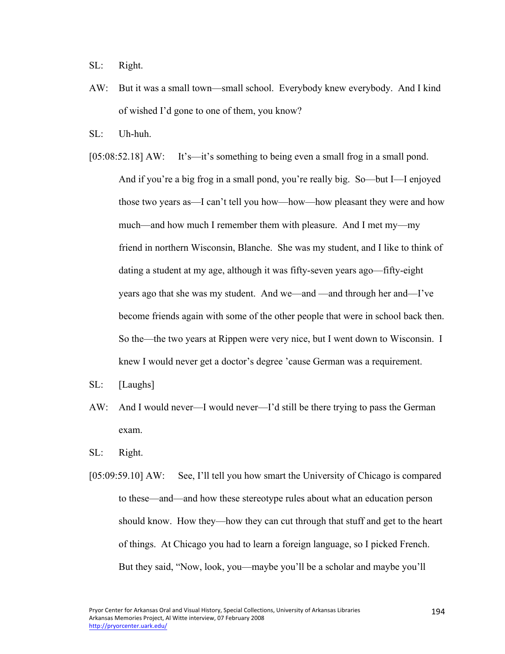SL: Right.

- AW: But it was a small town—small school. Everybody knew everybody. And I kind of wished I'd gone to one of them, you know?
- SL: Uh-huh.
- [05:08:52.18] AW: It's—it's something to being even a small frog in a small pond. And if you're a big frog in a small pond, you're really big. So—but I—I enjoyed those two years as—I can't tell you how—how—how pleasant they were and how much—and how much I remember them with pleasure. And I met my—my friend in northern Wisconsin, Blanche. She was my student, and I like to think of dating a student at my age, although it was fifty-seven years ago—fifty-eight years ago that she was my student. And we—and —and through her and—I've become friends again with some of the other people that were in school back then. So the—the two years at Rippen were very nice, but I went down to Wisconsin. I knew I would never get a doctor's degree 'cause German was a requirement.
- SL: [Laughs]
- AW: And I would never—I would never—I'd still be there trying to pass the German exam.
- SL: Right.
- [05:09:59.10] AW: See, I'll tell you how smart the University of Chicago is compared to these—and—and how these stereotype rules about what an education person should know. How they—how they can cut through that stuff and get to the heart of things. At Chicago you had to learn a foreign language, so I picked French. But they said, "Now, look, you—maybe you'll be a scholar and maybe you'll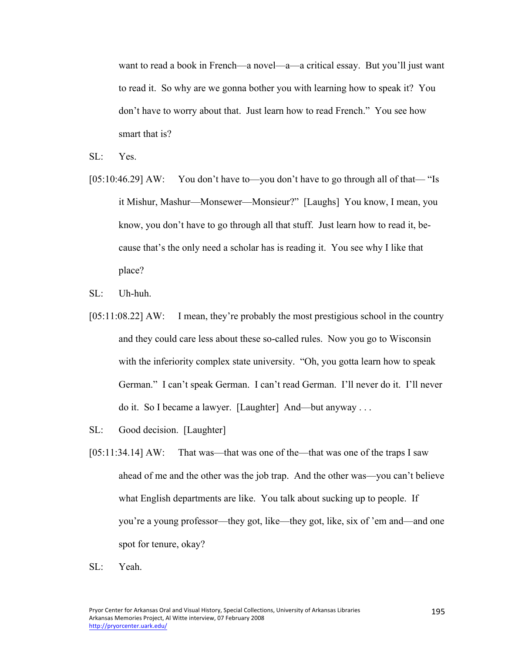want to read a book in French—a novel—a—a critical essay. But you'll just want to read it. So why are we gonna bother you with learning how to speak it? You don't have to worry about that. Just learn how to read French." You see how smart that is?

- SL: Yes.
- [05:10:46.29] AW: You don't have to—you don't have to go through all of that— "Is it Mishur, Mashur—Monsewer—Monsieur?" [Laughs] You know, I mean, you know, you don't have to go through all that stuff. Just learn how to read it, because that's the only need a scholar has is reading it. You see why I like that place?
- SL: Uh-huh.
- [05:11:08.22] AW: I mean, they're probably the most prestigious school in the country and they could care less about these so-called rules. Now you go to Wisconsin with the inferiority complex state university. "Oh, you gotta learn how to speak German." I can't speak German. I can't read German. I'll never do it. I'll never do it. So I became a lawyer. [Laughter] And—but anyway . . .
- SL: Good decision. [Laughter]
- [05:11:34.14] AW: That was—that was one of the—that was one of the traps I saw ahead of me and the other was the job trap. And the other was—you can't believe what English departments are like. You talk about sucking up to people. If you're a young professor—they got, like—they got, like, six of 'em and—and one spot for tenure, okay?
- SL: Yeah.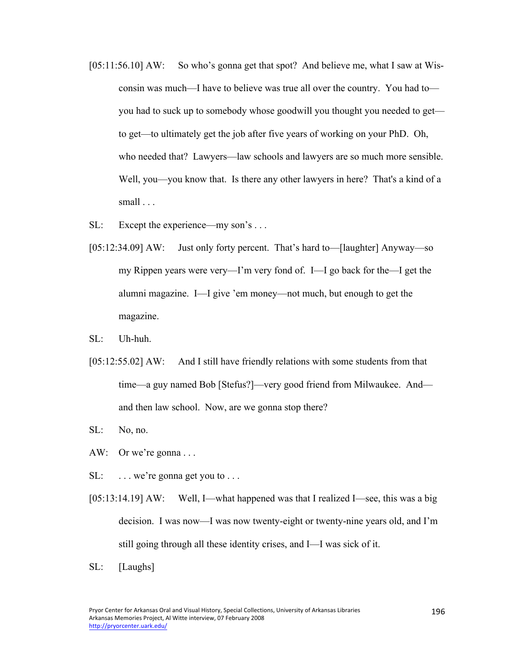- [05:11:56.10] AW: So who's gonna get that spot? And believe me, what I saw at Wisconsin was much—I have to believe was true all over the country. You had to you had to suck up to somebody whose goodwill you thought you needed to get to get—to ultimately get the job after five years of working on your PhD. Oh, who needed that? Lawyers—law schools and lawyers are so much more sensible. Well, you—you know that. Is there any other lawyers in here? That's a kind of a small . . .
- SL: Except the experience—my son's ...
- [05:12:34.09] AW: Just only forty percent. That's hard to—[laughter] Anyway—so my Rippen years were very—I'm very fond of. I—I go back for the—I get the alumni magazine. I—I give 'em money—not much, but enough to get the magazine.
- SL: Uh-huh.
- [05:12:55.02] AW: And I still have friendly relations with some students from that time—a guy named Bob [Stefus?]—very good friend from Milwaukee. And and then law school. Now, are we gonna stop there?
- SL: No, no.
- AW: Or we're gonna . . .
- SL: ... we're gonna get you to ...
- [05:13:14.19] AW: Well, I—what happened was that I realized I—see, this was a big decision. I was now—I was now twenty-eight or twenty-nine years old, and I'm still going through all these identity crises, and I—I was sick of it.
- SL: [Laughs]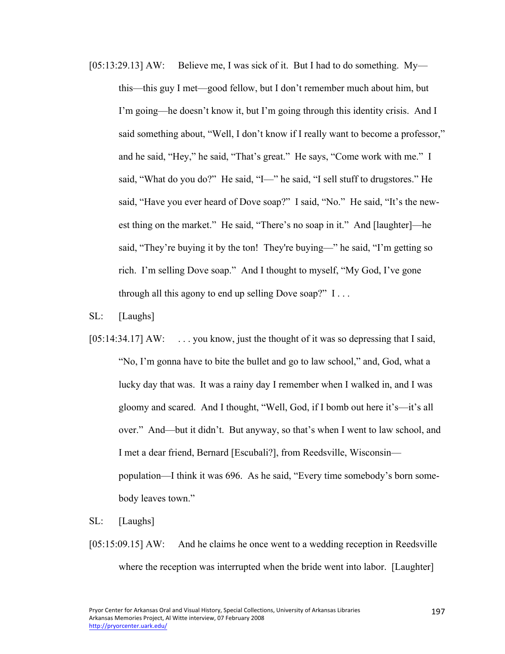[05:13:29.13] AW: Believe me, I was sick of it. But I had to do something. Mythis—this guy I met—good fellow, but I don't remember much about him, but I'm going—he doesn't know it, but I'm going through this identity crisis. And I said something about, "Well, I don't know if I really want to become a professor," and he said, "Hey," he said, "That's great." He says, "Come work with me." I said, "What do you do?" He said, "I—" he said, "I sell stuff to drugstores." He said, "Have you ever heard of Dove soap?" I said, "No." He said, "It's the newest thing on the market." He said, "There's no soap in it." And [laughter]—he said, "They're buying it by the ton! They're buying—" he said, "I'm getting so rich. I'm selling Dove soap." And I thought to myself, "My God, I've gone through all this agony to end up selling Dove soap?" I . . .

SL: [Laughs]

[05:14:34.17] AW: ... you know, just the thought of it was so depressing that I said, "No, I'm gonna have to bite the bullet and go to law school," and, God, what a lucky day that was. It was a rainy day I remember when I walked in, and I was gloomy and scared. And I thought, "Well, God, if I bomb out here it's—it's all over." And—but it didn't. But anyway, so that's when I went to law school, and I met a dear friend, Bernard [Escubali?], from Reedsville, Wisconsin population—I think it was 696. As he said, "Every time somebody's born somebody leaves town."

SL: [Laughs]

[05:15:09.15] AW: And he claims he once went to a wedding reception in Reedsville where the reception was interrupted when the bride went into labor. [Laughter]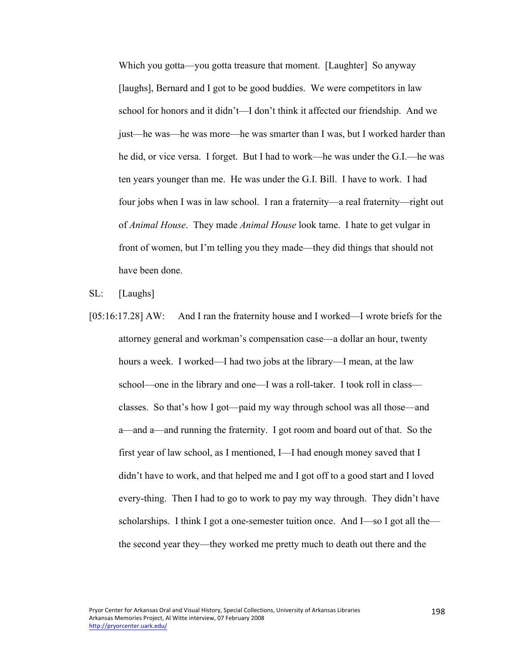Which you gotta—you gotta treasure that moment. [Laughter] So anyway [laughs], Bernard and I got to be good buddies. We were competitors in law school for honors and it didn't—I don't think it affected our friendship. And we just—he was—he was more—he was smarter than I was, but I worked harder than he did, or vice versa. I forget. But I had to work—he was under the G.I.—he was ten years younger than me. He was under the G.I. Bill. I have to work. I had four jobs when I was in law school. I ran a fraternity—a real fraternity—right out of *Animal House*. They made *Animal House* look tame. I hate to get vulgar in front of women, but I'm telling you they made—they did things that should not have been done.

SL: [Laughs]

[05:16:17.28] AW: And I ran the fraternity house and I worked—I wrote briefs for the attorney general and workman's compensation case—a dollar an hour, twenty hours a week. I worked—I had two jobs at the library—I mean, at the law school—one in the library and one—I was a roll-taker. I took roll in class classes. So that's how I got—paid my way through school was all those—and a—and a—and running the fraternity. I got room and board out of that. So the first year of law school, as I mentioned, I—I had enough money saved that I didn't have to work, and that helped me and I got off to a good start and I loved every-thing. Then I had to go to work to pay my way through. They didn't have scholarships. I think I got a one-semester tuition once. And I—so I got all the the second year they—they worked me pretty much to death out there and the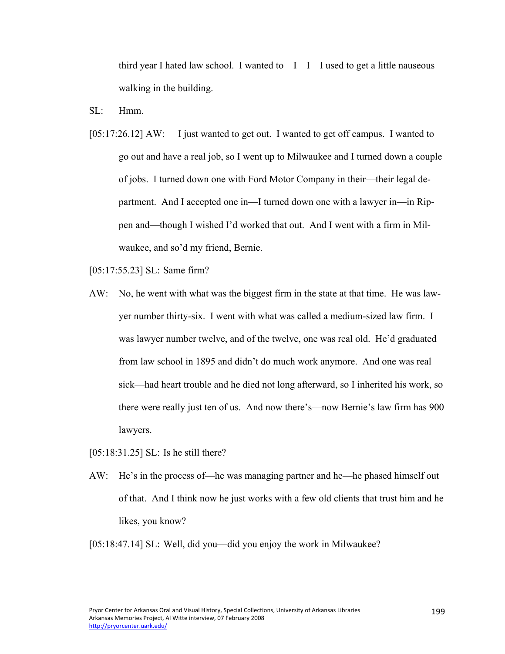third year I hated law school. I wanted to—I—I—I used to get a little nauseous walking in the building.

- $SL:$  Hmm
- [05:17:26.12] AW: I just wanted to get out. I wanted to get off campus. I wanted to go out and have a real job, so I went up to Milwaukee and I turned down a couple of jobs. I turned down one with Ford Motor Company in their—their legal department. And I accepted one in—I turned down one with a lawyer in—in Rippen and—though I wished I'd worked that out. And I went with a firm in Milwaukee, and so'd my friend, Bernie.

[05:17:55.23] SL: Same firm?

AW: No, he went with what was the biggest firm in the state at that time. He was lawyer number thirty-six. I went with what was called a medium-sized law firm. I was lawyer number twelve, and of the twelve, one was real old. He'd graduated from law school in 1895 and didn't do much work anymore. And one was real sick—had heart trouble and he died not long afterward, so I inherited his work, so there were really just ten of us. And now there's—now Bernie's law firm has 900 lawyers.

[05:18:31.25] SL: Is he still there?

AW: He's in the process of—he was managing partner and he—he phased himself out of that. And I think now he just works with a few old clients that trust him and he likes, you know?

[05:18:47.14] SL: Well, did you—did you enjoy the work in Milwaukee?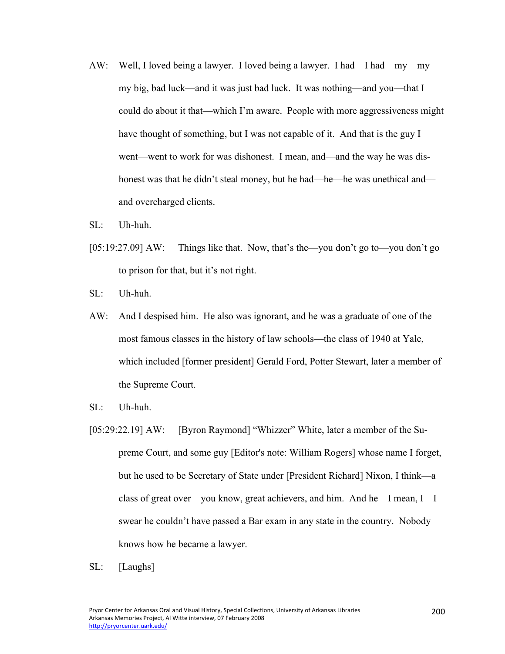- AW: Well, I loved being a lawyer. I loved being a lawyer. I had—I had—my—my my big, bad luck—and it was just bad luck. It was nothing—and you—that I could do about it that—which I'm aware. People with more aggressiveness might have thought of something, but I was not capable of it. And that is the guy I went—went to work for was dishonest. I mean, and—and the way he was dishonest was that he didn't steal money, but he had—he—he was unethical and and overcharged clients.
- $SL:$  Uh-huh.
- [05:19:27.09] AW: Things like that. Now, that's the—you don't go to—you don't go to prison for that, but it's not right.
- SL: Uh-huh.
- AW: And I despised him. He also was ignorant, and he was a graduate of one of the most famous classes in the history of law schools—the class of 1940 at Yale, which included [former president] Gerald Ford, Potter Stewart, later a member of the Supreme Court.
- SL: Uh-huh.
- [05:29:22.19] AW: [Byron Raymond] "Whizzer" White, later a member of the Supreme Court, and some guy [Editor's note: William Rogers] whose name I forget, but he used to be Secretary of State under [President Richard] Nixon, I think—a class of great over—you know, great achievers, and him. And he—I mean, I—I swear he couldn't have passed a Bar exam in any state in the country. Nobody knows how he became a lawyer.
- SL: [Laughs]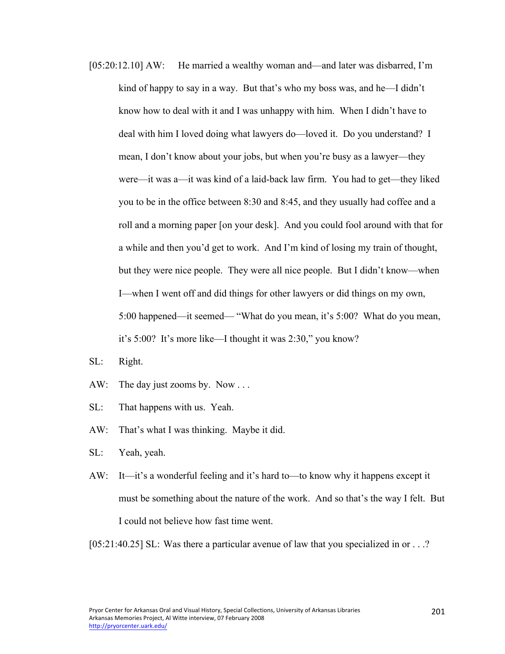- [05:20:12.10] AW: He married a wealthy woman and—and later was disbarred, I'm kind of happy to say in a way. But that's who my boss was, and he—I didn't know how to deal with it and I was unhappy with him. When I didn't have to deal with him I loved doing what lawyers do—loved it. Do you understand? I mean, I don't know about your jobs, but when you're busy as a lawyer—they were—it was a—it was kind of a laid-back law firm. You had to get—they liked you to be in the office between 8:30 and 8:45, and they usually had coffee and a roll and a morning paper [on your desk]. And you could fool around with that for a while and then you'd get to work. And I'm kind of losing my train of thought, but they were nice people. They were all nice people. But I didn't know—when I—when I went off and did things for other lawyers or did things on my own, 5:00 happened—it seemed— "What do you mean, it's 5:00? What do you mean, it's 5:00? It's more like—I thought it was 2:30," you know?
- SL: Right.
- AW: The day just zooms by. Now ...
- SL: That happens with us. Yeah.
- AW: That's what I was thinking. Maybe it did.
- SL: Yeah, yeah.
- AW: It—it's a wonderful feeling and it's hard to—to know why it happens except it must be something about the nature of the work. And so that's the way I felt. But I could not believe how fast time went.

[05:21:40.25] SL: Was there a particular avenue of law that you specialized in or . . .?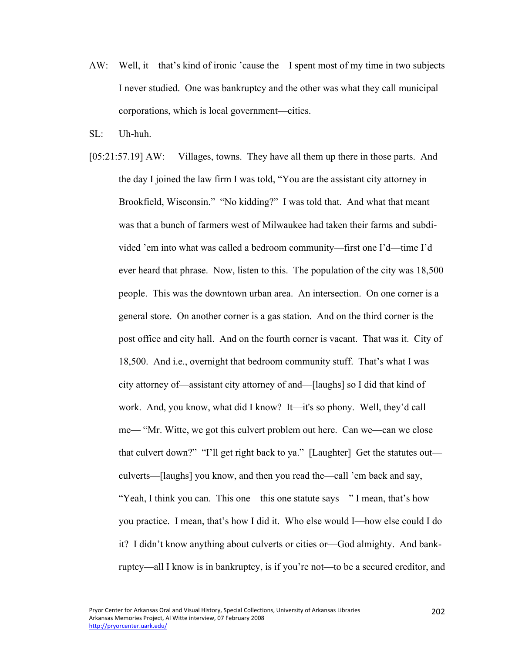- AW: Well, it—that's kind of ironic 'cause the—I spent most of my time in two subjects I never studied. One was bankruptcy and the other was what they call municipal corporations, which is local government—cities.
- SL: Uh-huh.
- [05:21:57.19] AW: Villages, towns. They have all them up there in those parts. And the day I joined the law firm I was told, "You are the assistant city attorney in Brookfield, Wisconsin." "No kidding?" I was told that. And what that meant was that a bunch of farmers west of Milwaukee had taken their farms and subdivided 'em into what was called a bedroom community—first one I'd—time I'd ever heard that phrase. Now, listen to this. The population of the city was 18,500 people. This was the downtown urban area. An intersection. On one corner is a general store. On another corner is a gas station. And on the third corner is the post office and city hall. And on the fourth corner is vacant. That was it. City of 18,500. And i.e., overnight that bedroom community stuff. That's what I was city attorney of—assistant city attorney of and—[laughs] so I did that kind of work. And, you know, what did I know? It—it's so phony. Well, they'd call me— "Mr. Witte, we got this culvert problem out here. Can we—can we close that culvert down?" "I'll get right back to ya." [Laughter] Get the statutes out culverts—[laughs] you know, and then you read the—call 'em back and say, "Yeah, I think you can. This one—this one statute says—" I mean, that's how you practice. I mean, that's how I did it. Who else would I—how else could I do it? I didn't know anything about culverts or cities or—God almighty. And bankruptcy—all I know is in bankruptcy, is if you're not—to be a secured creditor, and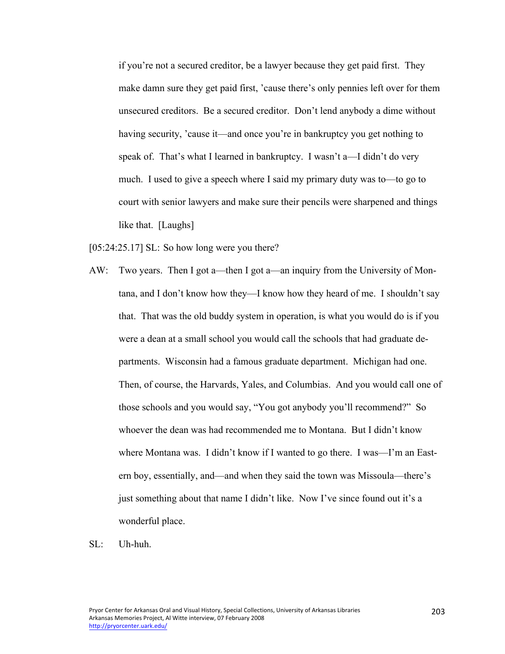if you're not a secured creditor, be a lawyer because they get paid first. They make damn sure they get paid first, 'cause there's only pennies left over for them unsecured creditors. Be a secured creditor. Don't lend anybody a dime without having security, 'cause it—and once you're in bankruptcy you get nothing to speak of. That's what I learned in bankruptcy. I wasn't a—I didn't do very much. I used to give a speech where I said my primary duty was to—to go to court with senior lawyers and make sure their pencils were sharpened and things like that. [Laughs]

[05:24:25.17] SL: So how long were you there?

- AW: Two years. Then I got a—then I got a—an inquiry from the University of Montana, and I don't know how they—I know how they heard of me. I shouldn't say that. That was the old buddy system in operation, is what you would do is if you were a dean at a small school you would call the schools that had graduate departments. Wisconsin had a famous graduate department. Michigan had one. Then, of course, the Harvards, Yales, and Columbias. And you would call one of those schools and you would say, "You got anybody you'll recommend?" So whoever the dean was had recommended me to Montana. But I didn't know where Montana was. I didn't know if I wanted to go there. I was—I'm an Eastern boy, essentially, and—and when they said the town was Missoula—there's just something about that name I didn't like. Now I've since found out it's a wonderful place.
- SL: Uh-huh.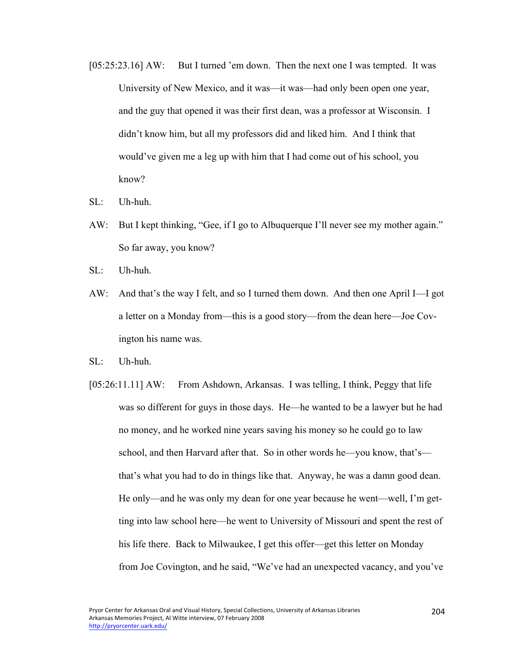- [05:25:23.16] AW: But I turned 'em down. Then the next one I was tempted. It was University of New Mexico, and it was—it was—had only been open one year, and the guy that opened it was their first dean, was a professor at Wisconsin. I didn't know him, but all my professors did and liked him. And I think that would've given me a leg up with him that I had come out of his school, you know?
- SL: Uh-huh.
- AW: But I kept thinking, "Gee, if I go to Albuquerque I'll never see my mother again." So far away, you know?
- SL: Uh-huh.
- AW: And that's the way I felt, and so I turned them down. And then one April I—I got a letter on a Monday from—this is a good story—from the dean here—Joe Covington his name was.
- SL: Uh-huh.
- [05:26:11.11] AW: From Ashdown, Arkansas. I was telling, I think, Peggy that life was so different for guys in those days. He—he wanted to be a lawyer but he had no money, and he worked nine years saving his money so he could go to law school, and then Harvard after that. So in other words he—you know, that's that's what you had to do in things like that. Anyway, he was a damn good dean. He only—and he was only my dean for one year because he went—well, I'm getting into law school here—he went to University of Missouri and spent the rest of his life there. Back to Milwaukee, I get this offer—get this letter on Monday from Joe Covington, and he said, "We've had an unexpected vacancy, and you've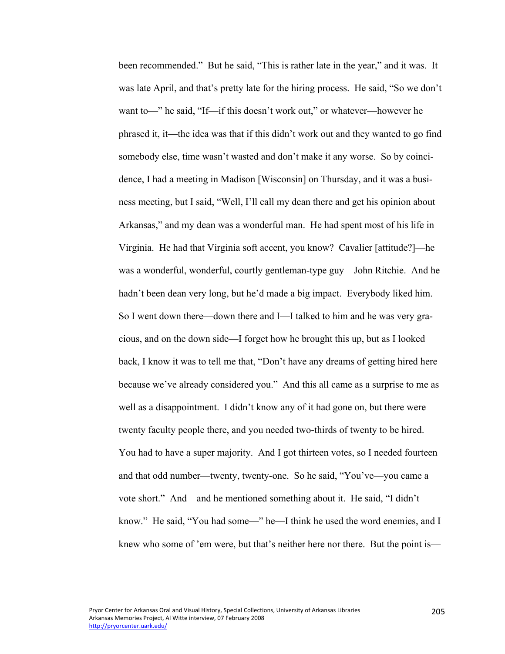been recommended." But he said, "This is rather late in the year," and it was. It was late April, and that's pretty late for the hiring process. He said, "So we don't want to—" he said, "If—if this doesn't work out," or whatever—however he phrased it, it—the idea was that if this didn't work out and they wanted to go find somebody else, time wasn't wasted and don't make it any worse. So by coincidence, I had a meeting in Madison [Wisconsin] on Thursday, and it was a business meeting, but I said, "Well, I'll call my dean there and get his opinion about Arkansas," and my dean was a wonderful man. He had spent most of his life in Virginia. He had that Virginia soft accent, you know? Cavalier [attitude?]—he was a wonderful, wonderful, courtly gentleman-type guy—John Ritchie. And he hadn't been dean very long, but he'd made a big impact. Everybody liked him. So I went down there—down there and I—I talked to him and he was very gracious, and on the down side—I forget how he brought this up, but as I looked back, I know it was to tell me that, "Don't have any dreams of getting hired here because we've already considered you." And this all came as a surprise to me as well as a disappointment. I didn't know any of it had gone on, but there were twenty faculty people there, and you needed two-thirds of twenty to be hired. You had to have a super majority. And I got thirteen votes, so I needed fourteen and that odd number—twenty, twenty-one. So he said, "You've—you came a vote short." And—and he mentioned something about it. He said, "I didn't know." He said, "You had some—" he—I think he used the word enemies, and I knew who some of 'em were, but that's neither here nor there. But the point is—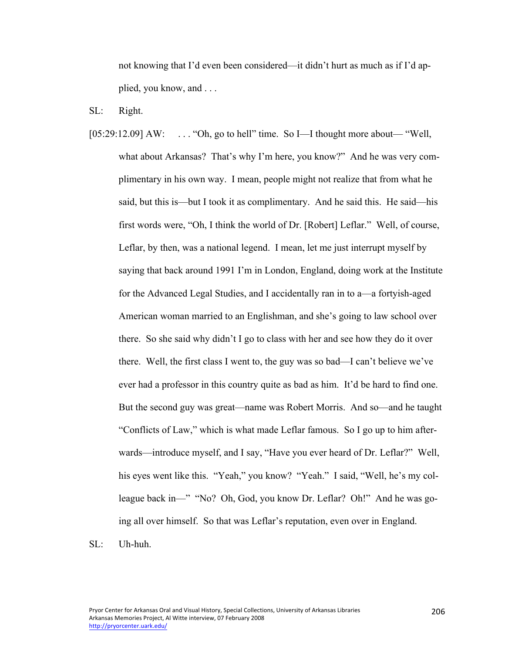not knowing that I'd even been considered—it didn't hurt as much as if I'd applied, you know, and . . .

SL: Right.

- [05:29:12.09] AW: ... "Oh, go to hell" time. So I—I thought more about— "Well, what about Arkansas? That's why I'm here, you know?" And he was very complimentary in his own way. I mean, people might not realize that from what he said, but this is—but I took it as complimentary. And he said this. He said—his first words were, "Oh, I think the world of Dr. [Robert] Leflar." Well, of course, Leflar, by then, was a national legend. I mean, let me just interrupt myself by saying that back around 1991 I'm in London, England, doing work at the Institute for the Advanced Legal Studies, and I accidentally ran in to a—a fortyish-aged American woman married to an Englishman, and she's going to law school over there. So she said why didn't I go to class with her and see how they do it over there. Well, the first class I went to, the guy was so bad—I can't believe we've ever had a professor in this country quite as bad as him. It'd be hard to find one. But the second guy was great—name was Robert Morris. And so—and he taught "Conflicts of Law," which is what made Leflar famous. So I go up to him afterwards—introduce myself, and I say, "Have you ever heard of Dr. Leflar?" Well, his eyes went like this. "Yeah," you know? "Yeah." I said, "Well, he's my colleague back in—" "No? Oh, God, you know Dr. Leflar? Oh!" And he was going all over himself. So that was Leflar's reputation, even over in England.
- SL: Uh-huh.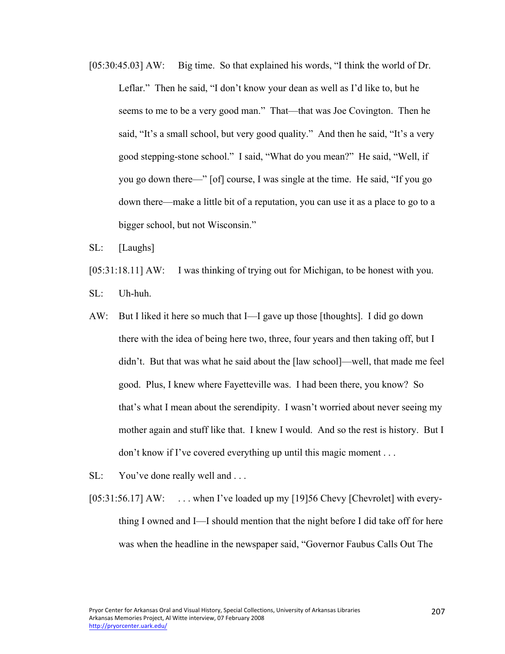[05:30:45.03] AW: Big time. So that explained his words, "I think the world of Dr. Leflar." Then he said, "I don't know your dean as well as I'd like to, but he seems to me to be a very good man." That—that was Joe Covington. Then he said, "It's a small school, but very good quality." And then he said, "It's a very good stepping-stone school." I said, "What do you mean?" He said, "Well, if you go down there—" [of] course, I was single at the time. He said, "If you go down there—make a little bit of a reputation, you can use it as a place to go to a bigger school, but not Wisconsin."

SL: [Laughs]

[05:31:18.11] AW: I was thinking of trying out for Michigan, to be honest with you.

SL: Uh-huh.

- AW: But I liked it here so much that I—I gave up those [thoughts]. I did go down there with the idea of being here two, three, four years and then taking off, but I didn't. But that was what he said about the [law school]—well, that made me feel good. Plus, I knew where Fayetteville was. I had been there, you know? So that's what I mean about the serendipity. I wasn't worried about never seeing my mother again and stuff like that. I knew I would. And so the rest is history. But I don't know if I've covered everything up until this magic moment . . .
- SL: You've done really well and ...
- [05:31:56.17] AW: ... when I've loaded up my [19]56 Chevy [Chevrolet] with everything I owned and I—I should mention that the night before I did take off for here was when the headline in the newspaper said, "Governor Faubus Calls Out The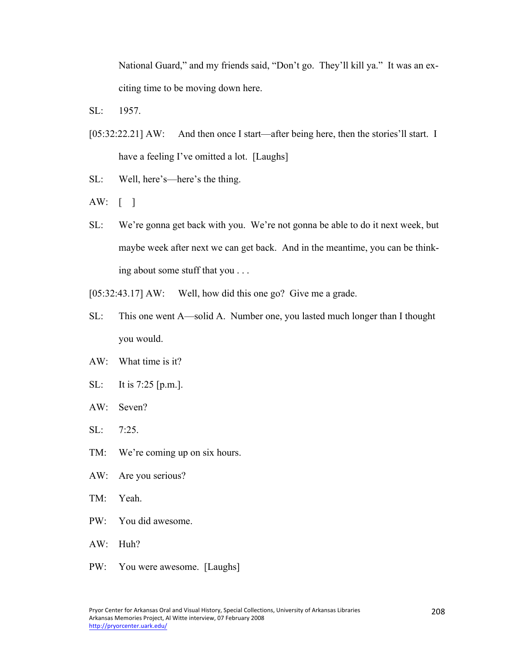National Guard," and my friends said, "Don't go. They'll kill ya." It was an exciting time to be moving down here.

- SL: 1957.
- [05:32:22.21] AW: And then once I start—after being here, then the stories'll start. I have a feeling I've omitted a lot. [Laughs]
- SL: Well, here's—here's the thing.
- AW: [ ]
- SL: We're gonna get back with you. We're not gonna be able to do it next week, but maybe week after next we can get back. And in the meantime, you can be thinking about some stuff that you . . .
- [05:32:43.17] AW: Well, how did this one go? Give me a grade.
- SL: This one went A—solid A. Number one, you lasted much longer than I thought you would.
- AW: What time is it?
- SL: It is 7:25 [p.m.].
- AW: Seven?
- SL: 7:25.
- TM: We're coming up on six hours.
- AW: Are you serious?
- TM: Yeah.
- PW: You did awesome.
- AW: Huh?
- PW: You were awesome. [Laughs]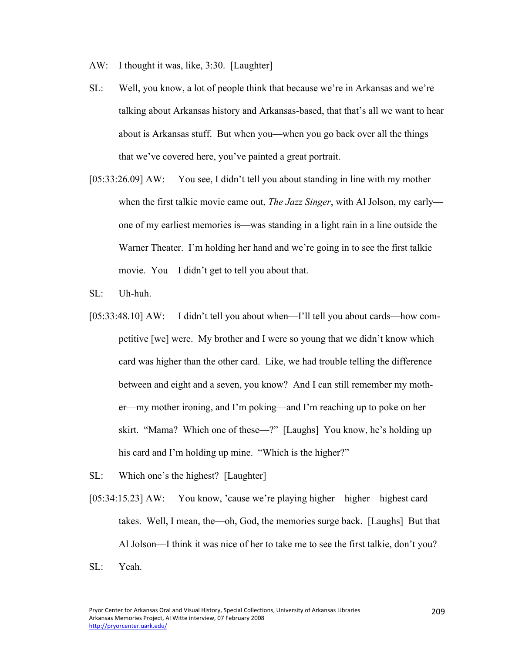- AW: I thought it was, like, 3:30. [Laughter]
- SL: Well, you know, a lot of people think that because we're in Arkansas and we're talking about Arkansas history and Arkansas-based, that that's all we want to hear about is Arkansas stuff. But when you—when you go back over all the things that we've covered here, you've painted a great portrait.
- [05:33:26.09] AW: You see, I didn't tell you about standing in line with my mother when the first talkie movie came out, *The Jazz Singer*, with Al Jolson, my early one of my earliest memories is—was standing in a light rain in a line outside the Warner Theater. I'm holding her hand and we're going in to see the first talkie movie. You—I didn't get to tell you about that.
- SL: Uh-huh.
- [05:33:48.10] AW: I didn't tell you about when—I'll tell you about cards—how competitive [we] were. My brother and I were so young that we didn't know which card was higher than the other card. Like, we had trouble telling the difference between and eight and a seven, you know? And I can still remember my mother—my mother ironing, and I'm poking—and I'm reaching up to poke on her skirt. "Mama? Which one of these—?" [Laughs] You know, he's holding up his card and I'm holding up mine. "Which is the higher?"
- SL: Which one's the highest? [Laughter]
- [05:34:15.23] AW: You know, 'cause we're playing higher—higher—highest card takes. Well, I mean, the—oh, God, the memories surge back. [Laughs] But that Al Jolson—I think it was nice of her to take me to see the first talkie, don't you?
- SL: Yeah.